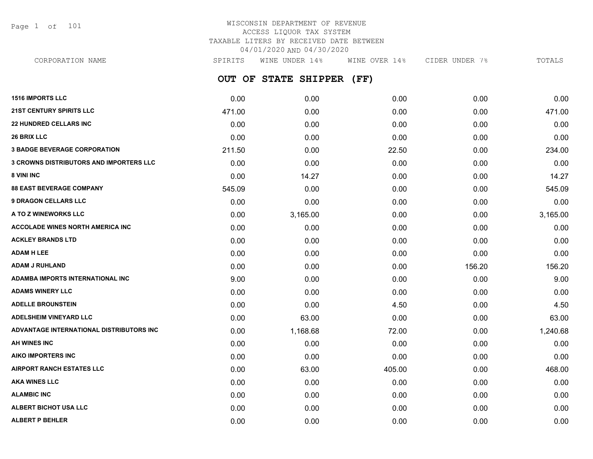Page 1 of 101

# WISCONSIN DEPARTMENT OF REVENUE ACCESS LIQUOR TAX SYSTEM TAXABLE LITERS BY RECEIVED DATE BETWEEN 04/01/2020 AND 04/30/2020

**OUT OF STATE SHIPPER (FF) 1516 IMPORTS LLC** 0.00 0.00 0.00 0.00 0.00 **21ST CENTURY SPIRITS LLC** 471.00 0.00 0.00 0.00 471.00 **22 HUNDRED CELLARS INC** 0.00 0.00 0.00 0.00 0.00 **26 BRIX LLC** 0.00 0.00 0.00 0.00 0.00 **3 BADGE BEVERAGE CORPORATION** 211.50 0.00 22.50 0.00 234.00 **3 CROWNS DISTRIBUTORS AND IMPORTERS LLC** 0.00 0.00 0.00 0.00 0.00 **8 VINI INC** 0.00 14.27 0.00 0.00 14.27 **88 EAST BEVERAGE COMPANY** 545.09 0.00 0.00 0.00 545.09 **9 DRAGON CELLARS LLC** 0.00 0.00 0.00 0.00 0.00 **A TO Z WINEWORKS LLC** 0.00 3,165.00 0.00 0.00 3,165.00 **ACCOLADE WINES NORTH AMERICA INC** 0.00 0.00 0.00 0.00 0.00 **ACKLEY BRANDS LTD** 0.00 0.00 0.00 0.00 0.00 **ADAM H LEE** 0.00 0.00 0.00 0.00 0.00 **ADAM J RUHLAND** 0.00 0.00 0.00 156.20 156.20 **ADAMBA IMPORTS INTERNATIONAL INC** 9.00 0.00 0.00 0.00 9.00 **ADAMS WINERY LLC** 0.00 0.00 0.00 0.00 0.00 **ADELLE BROUNSTEIN** 0.00 0.00 4.50 0.00 4.50 **ADELSHEIM VINEYARD LLC** 0.00 63.00 0.00 0.00 63.00 **ADVANTAGE INTERNATIONAL DISTRIBUTORS INC** 0.00 1,168.68 72.00 0.00 1,240.68 **AH WINES INC** 0.00 0.00 0.00 0.00 0.00 **AIKO IMPORTERS INC** 0.00 0.00 0.00 0.00 0.00 **AIRPORT RANCH ESTATES LLC** 0.00 63.00 405.00 0.00 468.00 CORPORATION NAME SPIRITS WINE UNDER 14% WINE OVER 14% CIDER UNDER 7% TOTALS

**AKA WINES LLC** 0.00 0.00 0.00 0.00 0.00 **ALAMBIC INC** 0.00 0.00 0.00 0.00 0.00 **ALBERT BICHOT USA LLC** 0.00 0.00 0.00 0.00 0.00 **ALBERT P BEHLER** 0.00 0.00 0.00 0.00 0.00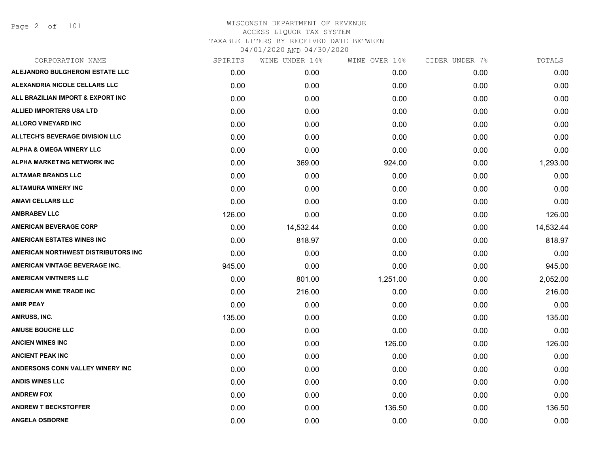Page 2 of 101

| SPIRITS | WINE UNDER 14% | WINE OVER 14% | CIDER UNDER 7% | TOTALS    |
|---------|----------------|---------------|----------------|-----------|
| 0.00    | 0.00           | 0.00          | 0.00           | 0.00      |
| 0.00    | 0.00           | 0.00          | 0.00           | 0.00      |
| 0.00    | 0.00           | 0.00          | 0.00           | 0.00      |
| 0.00    | 0.00           | 0.00          | 0.00           | 0.00      |
| 0.00    | 0.00           | 0.00          | 0.00           | 0.00      |
| 0.00    | 0.00           | 0.00          | 0.00           | 0.00      |
| 0.00    | 0.00           | 0.00          | 0.00           | 0.00      |
| 0.00    | 369.00         | 924.00        | 0.00           | 1,293.00  |
| 0.00    | 0.00           | 0.00          | 0.00           | 0.00      |
| 0.00    | 0.00           | 0.00          | 0.00           | 0.00      |
| 0.00    | 0.00           | 0.00          | 0.00           | 0.00      |
| 126.00  | 0.00           | 0.00          | 0.00           | 126.00    |
| 0.00    | 14,532.44      | 0.00          | 0.00           | 14,532.44 |
| 0.00    | 818.97         | 0.00          | 0.00           | 818.97    |
| 0.00    | 0.00           | 0.00          | 0.00           | 0.00      |
| 945.00  | 0.00           | 0.00          | 0.00           | 945.00    |
| 0.00    | 801.00         | 1,251.00      | 0.00           | 2,052.00  |
| 0.00    | 216.00         | 0.00          | 0.00           | 216.00    |
| 0.00    | 0.00           | 0.00          | 0.00           | 0.00      |
| 135.00  | 0.00           | 0.00          | 0.00           | 135.00    |
| 0.00    | 0.00           | 0.00          | 0.00           | 0.00      |
| 0.00    | 0.00           | 126.00        | 0.00           | 126.00    |
| 0.00    | 0.00           | 0.00          | 0.00           | 0.00      |
| 0.00    | 0.00           | 0.00          | 0.00           | 0.00      |
| 0.00    | 0.00           | 0.00          | 0.00           | 0.00      |
| 0.00    | 0.00           | 0.00          | 0.00           | 0.00      |
| 0.00    | 0.00           | 136.50        | 0.00           | 136.50    |
| 0.00    | 0.00           | 0.00          | 0.00           | 0.00      |
|         |                |               |                |           |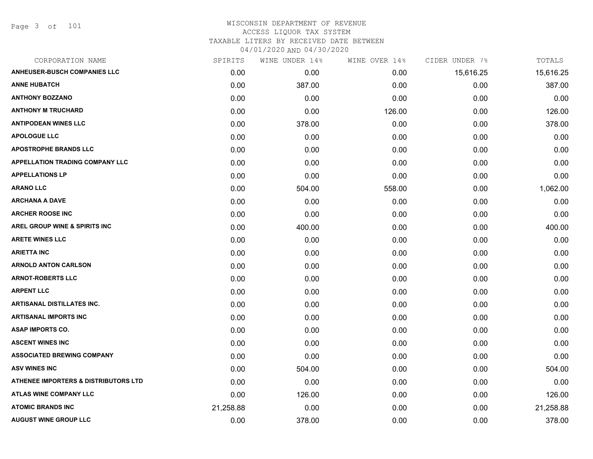Page 3 of 101

| SPIRITS   | WINE UNDER 14% | WINE OVER 14% |           | TOTALS         |
|-----------|----------------|---------------|-----------|----------------|
| 0.00      | 0.00           | 0.00          | 15,616.25 | 15,616.25      |
| 0.00      | 387.00         | 0.00          | 0.00      | 387.00         |
| 0.00      | 0.00           | 0.00          | 0.00      | 0.00           |
| 0.00      | 0.00           | 126.00        | 0.00      | 126.00         |
| 0.00      | 378.00         | 0.00          | 0.00      | 378.00         |
| 0.00      | 0.00           | 0.00          | 0.00      | 0.00           |
| 0.00      | 0.00           | 0.00          | 0.00      | 0.00           |
| 0.00      | 0.00           | 0.00          | 0.00      | 0.00           |
| 0.00      | 0.00           | 0.00          | 0.00      | 0.00           |
| 0.00      | 504.00         | 558.00        | 0.00      | 1,062.00       |
| 0.00      | 0.00           | 0.00          | 0.00      | 0.00           |
| 0.00      | 0.00           | 0.00          | 0.00      | 0.00           |
| 0.00      | 400.00         | 0.00          | 0.00      | 400.00         |
| 0.00      | 0.00           | 0.00          | 0.00      | 0.00           |
| 0.00      | 0.00           | 0.00          | 0.00      | 0.00           |
| 0.00      | 0.00           | 0.00          | 0.00      | 0.00           |
| 0.00      | 0.00           | 0.00          | 0.00      | 0.00           |
| 0.00      | 0.00           | 0.00          | 0.00      | 0.00           |
| 0.00      | 0.00           | 0.00          | 0.00      | 0.00           |
| 0.00      | 0.00           | 0.00          | 0.00      | 0.00           |
| 0.00      | 0.00           | 0.00          | 0.00      | 0.00           |
| 0.00      | 0.00           | 0.00          | 0.00      | 0.00           |
| 0.00      | 0.00           | 0.00          | 0.00      | 0.00           |
| 0.00      | 504.00         | 0.00          | 0.00      | 504.00         |
| 0.00      | 0.00           | 0.00          | 0.00      | 0.00           |
| 0.00      | 126.00         | 0.00          | 0.00      | 126.00         |
| 21,258.88 | 0.00           | 0.00          | 0.00      | 21,258.88      |
| 0.00      | 378.00         | 0.00          | 0.00      | 378.00         |
|           |                |               |           | CIDER UNDER 7% |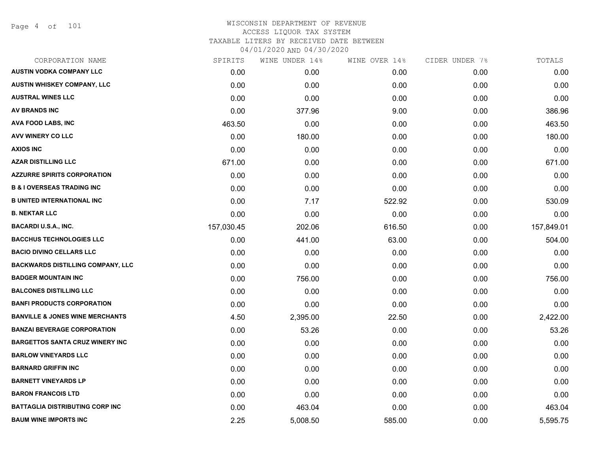Page 4 of 101

| CORPORATION NAME                           | SPIRITS    | WINE UNDER 14% | WINE OVER 14% | CIDER UNDER 7% | TOTALS     |
|--------------------------------------------|------------|----------------|---------------|----------------|------------|
| <b>AUSTIN VODKA COMPANY LLC</b>            | 0.00       | 0.00           | 0.00          | 0.00           | 0.00       |
| <b>AUSTIN WHISKEY COMPANY, LLC</b>         | 0.00       | 0.00           | 0.00          | 0.00           | 0.00       |
| <b>AUSTRAL WINES LLC</b>                   | 0.00       | 0.00           | 0.00          | 0.00           | 0.00       |
| AV BRANDS INC                              | 0.00       | 377.96         | 9.00          | 0.00           | 386.96     |
| <b>AVA FOOD LABS, INC</b>                  | 463.50     | 0.00           | 0.00          | 0.00           | 463.50     |
| AVV WINERY CO LLC                          | 0.00       | 180.00         | 0.00          | 0.00           | 180.00     |
| <b>AXIOS INC</b>                           | 0.00       | 0.00           | 0.00          | 0.00           | 0.00       |
| <b>AZAR DISTILLING LLC</b>                 | 671.00     | 0.00           | 0.00          | 0.00           | 671.00     |
| <b>AZZURRE SPIRITS CORPORATION</b>         | 0.00       | 0.00           | 0.00          | 0.00           | 0.00       |
| <b>B &amp; I OVERSEAS TRADING INC</b>      | 0.00       | 0.00           | 0.00          | 0.00           | 0.00       |
| <b>B UNITED INTERNATIONAL INC</b>          | 0.00       | 7.17           | 522.92        | 0.00           | 530.09     |
| <b>B. NEKTAR LLC</b>                       | 0.00       | 0.00           | 0.00          | 0.00           | 0.00       |
| <b>BACARDI U.S.A., INC.</b>                | 157,030.45 | 202.06         | 616.50        | 0.00           | 157,849.01 |
| <b>BACCHUS TECHNOLOGIES LLC</b>            | 0.00       | 441.00         | 63.00         | 0.00           | 504.00     |
| <b>BACIO DIVINO CELLARS LLC</b>            | 0.00       | 0.00           | 0.00          | 0.00           | 0.00       |
| <b>BACKWARDS DISTILLING COMPANY, LLC</b>   | 0.00       | 0.00           | 0.00          | 0.00           | 0.00       |
| <b>BADGER MOUNTAIN INC</b>                 | 0.00       | 756.00         | 0.00          | 0.00           | 756.00     |
| <b>BALCONES DISTILLING LLC</b>             | 0.00       | 0.00           | 0.00          | 0.00           | 0.00       |
| <b>BANFI PRODUCTS CORPORATION</b>          | 0.00       | 0.00           | 0.00          | 0.00           | 0.00       |
| <b>BANVILLE &amp; JONES WINE MERCHANTS</b> | 4.50       | 2,395.00       | 22.50         | 0.00           | 2,422.00   |
| <b>BANZAI BEVERAGE CORPORATION</b>         | 0.00       | 53.26          | 0.00          | 0.00           | 53.26      |
| <b>BARGETTOS SANTA CRUZ WINERY INC</b>     | 0.00       | 0.00           | 0.00          | 0.00           | 0.00       |
| <b>BARLOW VINEYARDS LLC</b>                | 0.00       | 0.00           | 0.00          | 0.00           | 0.00       |
| <b>BARNARD GRIFFIN INC</b>                 | 0.00       | 0.00           | 0.00          | 0.00           | 0.00       |
| <b>BARNETT VINEYARDS LP</b>                | 0.00       | 0.00           | 0.00          | 0.00           | 0.00       |
| <b>BARON FRANCOIS LTD</b>                  | 0.00       | 0.00           | 0.00          | 0.00           | 0.00       |
| <b>BATTAGLIA DISTRIBUTING CORP INC</b>     | 0.00       | 463.04         | 0.00          | 0.00           | 463.04     |
| <b>BAUM WINE IMPORTS INC</b>               | 2.25       | 5,008.50       | 585.00        | 0.00           | 5,595.75   |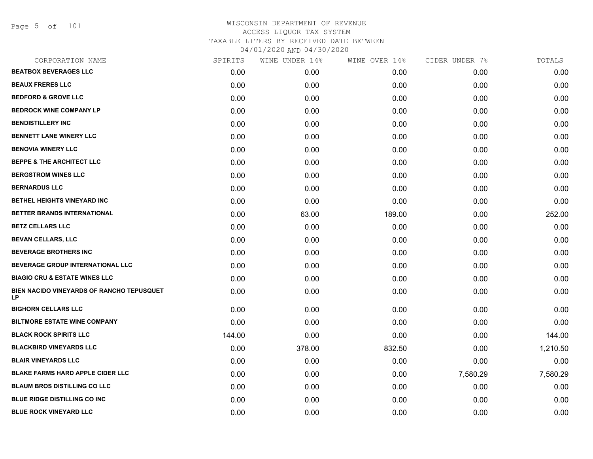Page 5 of 101

| CORPORATION NAME                                | SPIRITS | WINE UNDER 14% | WINE OVER 14% | CIDER UNDER 7% | TOTALS   |
|-------------------------------------------------|---------|----------------|---------------|----------------|----------|
| <b>BEATBOX BEVERAGES LLC</b>                    | 0.00    | 0.00           | 0.00          | 0.00           | 0.00     |
| <b>BEAUX FRERES LLC</b>                         | 0.00    | 0.00           | 0.00          | 0.00           | 0.00     |
| <b>BEDFORD &amp; GROVE LLC</b>                  | 0.00    | 0.00           | 0.00          | 0.00           | 0.00     |
| <b>BEDROCK WINE COMPANY LP</b>                  | 0.00    | 0.00           | 0.00          | 0.00           | 0.00     |
| <b>BENDISTILLERY INC</b>                        | 0.00    | 0.00           | 0.00          | 0.00           | 0.00     |
| <b>BENNETT LANE WINERY LLC</b>                  | 0.00    | 0.00           | 0.00          | 0.00           | 0.00     |
| <b>BENOVIA WINERY LLC</b>                       | 0.00    | 0.00           | 0.00          | 0.00           | 0.00     |
| <b>BEPPE &amp; THE ARCHITECT LLC</b>            | 0.00    | 0.00           | 0.00          | 0.00           | 0.00     |
| <b>BERGSTROM WINES LLC</b>                      | 0.00    | 0.00           | 0.00          | 0.00           | 0.00     |
| <b>BERNARDUS LLC</b>                            | 0.00    | 0.00           | 0.00          | 0.00           | 0.00     |
| <b>BETHEL HEIGHTS VINEYARD INC</b>              | 0.00    | 0.00           | 0.00          | 0.00           | 0.00     |
| BETTER BRANDS INTERNATIONAL                     | 0.00    | 63.00          | 189.00        | 0.00           | 252.00   |
| <b>BETZ CELLARS LLC</b>                         | 0.00    | 0.00           | 0.00          | 0.00           | 0.00     |
| BEVAN CELLARS, LLC                              | 0.00    | 0.00           | 0.00          | 0.00           | 0.00     |
| <b>BEVERAGE BROTHERS INC</b>                    | 0.00    | 0.00           | 0.00          | 0.00           | 0.00     |
| <b>BEVERAGE GROUP INTERNATIONAL LLC</b>         | 0.00    | 0.00           | 0.00          | 0.00           | 0.00     |
| <b>BIAGIO CRU &amp; ESTATE WINES LLC</b>        | 0.00    | 0.00           | 0.00          | 0.00           | 0.00     |
| BIEN NACIDO VINEYARDS OF RANCHO TEPUSQUET<br>LP | 0.00    | 0.00           | 0.00          | 0.00           | 0.00     |
| <b>BIGHORN CELLARS LLC</b>                      | 0.00    | 0.00           | 0.00          | 0.00           | 0.00     |
| <b>BILTMORE ESTATE WINE COMPANY</b>             | 0.00    | 0.00           | 0.00          | 0.00           | 0.00     |
| <b>BLACK ROCK SPIRITS LLC</b>                   | 144.00  | 0.00           | 0.00          | 0.00           | 144.00   |
| <b>BLACKBIRD VINEYARDS LLC</b>                  | 0.00    | 378.00         | 832.50        | 0.00           | 1,210.50 |
| <b>BLAIR VINEYARDS LLC</b>                      | 0.00    | 0.00           | 0.00          | 0.00           | 0.00     |
| <b>BLAKE FARMS HARD APPLE CIDER LLC</b>         | 0.00    | 0.00           | 0.00          | 7,580.29       | 7,580.29 |
| <b>BLAUM BROS DISTILLING CO LLC</b>             | 0.00    | 0.00           | 0.00          | 0.00           | 0.00     |
| <b>BLUE RIDGE DISTILLING CO INC</b>             | 0.00    | 0.00           | 0.00          | 0.00           | 0.00     |
| <b>BLUE ROCK VINEYARD LLC</b>                   | 0.00    | 0.00           | 0.00          | 0.00           | 0.00     |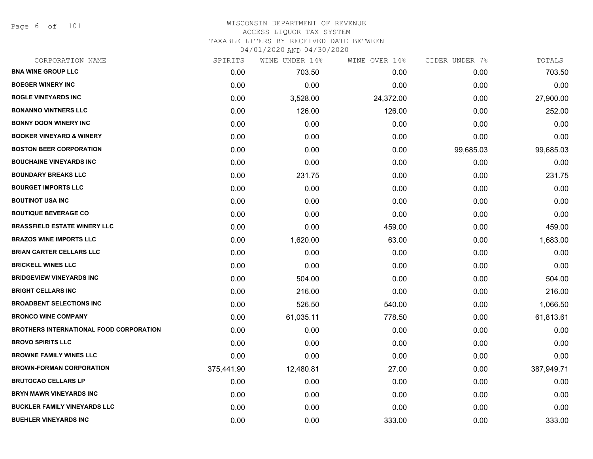Page 6 of 101

| CORPORATION NAME                               | SPIRITS    | WINE UNDER 14% | WINE OVER 14% | CIDER UNDER 7% | TOTALS     |
|------------------------------------------------|------------|----------------|---------------|----------------|------------|
| <b>BNA WINE GROUP LLC</b>                      | 0.00       | 703.50         | 0.00          | 0.00           | 703.50     |
| <b>BOEGER WINERY INC</b>                       | 0.00       | 0.00           | 0.00          | 0.00           | 0.00       |
| <b>BOGLE VINEYARDS INC</b>                     | 0.00       | 3,528.00       | 24,372.00     | 0.00           | 27,900.00  |
| <b>BONANNO VINTNERS LLC</b>                    | 0.00       | 126.00         | 126.00        | 0.00           | 252.00     |
| <b>BONNY DOON WINERY INC</b>                   | 0.00       | 0.00           | 0.00          | 0.00           | 0.00       |
| <b>BOOKER VINEYARD &amp; WINERY</b>            | 0.00       | 0.00           | 0.00          | 0.00           | 0.00       |
| <b>BOSTON BEER CORPORATION</b>                 | 0.00       | 0.00           | 0.00          | 99,685.03      | 99,685.03  |
| <b>BOUCHAINE VINEYARDS INC</b>                 | 0.00       | 0.00           | 0.00          | 0.00           | 0.00       |
| <b>BOUNDARY BREAKS LLC</b>                     | 0.00       | 231.75         | 0.00          | 0.00           | 231.75     |
| <b>BOURGET IMPORTS LLC</b>                     | 0.00       | 0.00           | 0.00          | 0.00           | 0.00       |
| <b>BOUTINOT USA INC</b>                        | 0.00       | 0.00           | 0.00          | 0.00           | 0.00       |
| <b>BOUTIQUE BEVERAGE CO</b>                    | 0.00       | 0.00           | 0.00          | 0.00           | 0.00       |
| <b>BRASSFIELD ESTATE WINERY LLC</b>            | 0.00       | 0.00           | 459.00        | 0.00           | 459.00     |
| <b>BRAZOS WINE IMPORTS LLC</b>                 | 0.00       | 1,620.00       | 63.00         | 0.00           | 1,683.00   |
| <b>BRIAN CARTER CELLARS LLC</b>                | 0.00       | 0.00           | 0.00          | 0.00           | 0.00       |
| <b>BRICKELL WINES LLC</b>                      | 0.00       | 0.00           | 0.00          | 0.00           | 0.00       |
| <b>BRIDGEVIEW VINEYARDS INC</b>                | 0.00       | 504.00         | 0.00          | 0.00           | 504.00     |
| <b>BRIGHT CELLARS INC</b>                      | 0.00       | 216.00         | 0.00          | 0.00           | 216.00     |
| <b>BROADBENT SELECTIONS INC</b>                | 0.00       | 526.50         | 540.00        | 0.00           | 1,066.50   |
| <b>BRONCO WINE COMPANY</b>                     | 0.00       | 61,035.11      | 778.50        | 0.00           | 61,813.61  |
| <b>BROTHERS INTERNATIONAL FOOD CORPORATION</b> | 0.00       | 0.00           | 0.00          | 0.00           | 0.00       |
| <b>BROVO SPIRITS LLC</b>                       | 0.00       | 0.00           | 0.00          | 0.00           | 0.00       |
| <b>BROWNE FAMILY WINES LLC</b>                 | 0.00       | 0.00           | 0.00          | 0.00           | 0.00       |
| <b>BROWN-FORMAN CORPORATION</b>                | 375,441.90 | 12,480.81      | 27.00         | 0.00           | 387,949.71 |
| <b>BRUTOCAO CELLARS LP</b>                     | 0.00       | 0.00           | 0.00          | 0.00           | 0.00       |
| <b>BRYN MAWR VINEYARDS INC</b>                 | 0.00       | 0.00           | 0.00          | 0.00           | 0.00       |
| <b>BUCKLER FAMILY VINEYARDS LLC</b>            | 0.00       | 0.00           | 0.00          | 0.00           | 0.00       |
| <b>BUEHLER VINEYARDS INC</b>                   | 0.00       | 0.00           | 333.00        | 0.00           | 333.00     |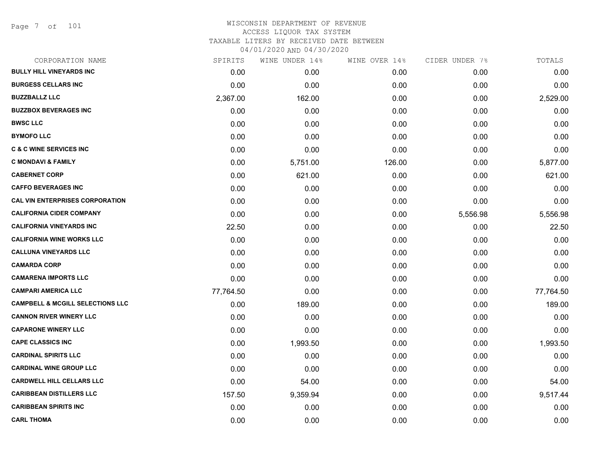Page 7 of 101

| 0.00<br>0.00<br>0.00<br>0.00 | 0.00<br>0.00<br>0.00 | 0.00<br>0.00<br>2,529.00 |
|------------------------------|----------------------|--------------------------|
|                              |                      |                          |
|                              |                      |                          |
|                              |                      |                          |
|                              |                      | 0.00                     |
|                              | 0.00                 | 0.00                     |
| 0.00                         | 0.00                 | 0.00                     |
| 0.00                         | 0.00                 | 0.00                     |
| 126.00                       | 0.00                 | 5,877.00                 |
| 0.00                         | 0.00                 | 621.00                   |
| 0.00                         | 0.00                 | 0.00                     |
| 0.00                         | 0.00                 | 0.00                     |
| 0.00                         | 5,556.98             | 5,556.98                 |
| 0.00                         | 0.00                 | 22.50                    |
| 0.00                         | 0.00                 | 0.00                     |
| 0.00                         | 0.00                 | 0.00                     |
| 0.00                         | 0.00                 | 0.00                     |
| 0.00                         | 0.00                 | 0.00                     |
| 0.00                         | 0.00                 | 77,764.50                |
| 0.00                         | 0.00                 | 189.00                   |
| 0.00                         | 0.00                 | 0.00                     |
| 0.00                         | 0.00                 | 0.00                     |
| 0.00                         | 0.00                 | 1,993.50                 |
| 0.00                         | 0.00                 | 0.00                     |
| 0.00                         | 0.00                 | 0.00                     |
| 0.00                         | 0.00                 | 54.00                    |
| 0.00                         | 0.00                 | 9,517.44                 |
| 0.00                         | 0.00                 | 0.00                     |
| 0.00                         | 0.00                 | 0.00                     |
|                              | 0.00                 | 0.00                     |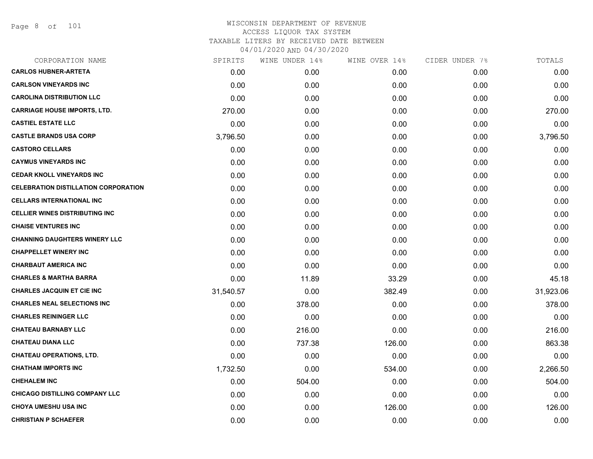Page 8 of 101

| SPIRITS   | WINE UNDER 14% |        | CIDER UNDER 7% | TOTALS    |
|-----------|----------------|--------|----------------|-----------|
| 0.00      | 0.00           | 0.00   | 0.00           | 0.00      |
| 0.00      | 0.00           | 0.00   | 0.00           | 0.00      |
| 0.00      | 0.00           | 0.00   | 0.00           | 0.00      |
| 270.00    | 0.00           | 0.00   | 0.00           | 270.00    |
| 0.00      | 0.00           | 0.00   | 0.00           | 0.00      |
| 3,796.50  | 0.00           | 0.00   | 0.00           | 3,796.50  |
| 0.00      | 0.00           | 0.00   | 0.00           | 0.00      |
| 0.00      | 0.00           | 0.00   | 0.00           | 0.00      |
| 0.00      | 0.00           | 0.00   | 0.00           | 0.00      |
| 0.00      | 0.00           | 0.00   | 0.00           | 0.00      |
| 0.00      | 0.00           | 0.00   | 0.00           | 0.00      |
| 0.00      | 0.00           | 0.00   | 0.00           | 0.00      |
| 0.00      | 0.00           | 0.00   | 0.00           | 0.00      |
| 0.00      | 0.00           | 0.00   | 0.00           | 0.00      |
| 0.00      | 0.00           | 0.00   | 0.00           | 0.00      |
| 0.00      | 0.00           | 0.00   | 0.00           | 0.00      |
| 0.00      | 11.89          | 33.29  | 0.00           | 45.18     |
| 31,540.57 | 0.00           | 382.49 | 0.00           | 31,923.06 |
| 0.00      | 378.00         | 0.00   | 0.00           | 378.00    |
| 0.00      | 0.00           | 0.00   | 0.00           | 0.00      |
| 0.00      | 216.00         | 0.00   | 0.00           | 216.00    |
| 0.00      | 737.38         | 126.00 | 0.00           | 863.38    |
| 0.00      | 0.00           | 0.00   | 0.00           | 0.00      |
| 1,732.50  | 0.00           | 534.00 | 0.00           | 2,266.50  |
| 0.00      | 504.00         | 0.00   | 0.00           | 504.00    |
| 0.00      | 0.00           | 0.00   | 0.00           | 0.00      |
| 0.00      | 0.00           | 126.00 | 0.00           | 126.00    |
| 0.00      | 0.00           | 0.00   | 0.00           | 0.00      |
|           |                |        | WINE OVER 14%  |           |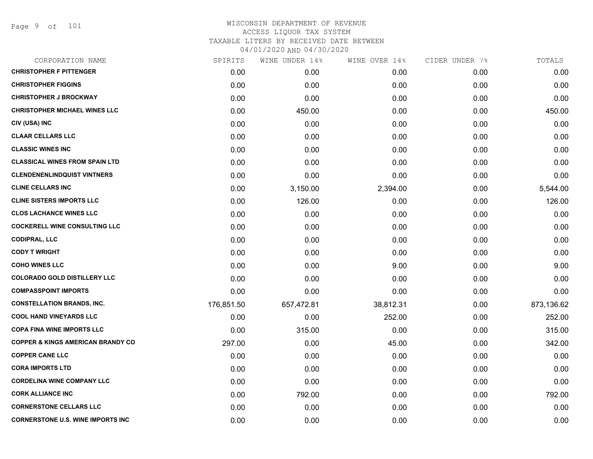| SPIRITS    | WINE UNDER 14% | WINE OVER 14% |      | TOTALS         |
|------------|----------------|---------------|------|----------------|
| 0.00       | 0.00           | 0.00          | 0.00 | 0.00           |
| 0.00       | 0.00           | 0.00          | 0.00 | 0.00           |
| 0.00       | 0.00           | 0.00          | 0.00 | 0.00           |
| 0.00       | 450.00         | 0.00          | 0.00 | 450.00         |
| 0.00       | 0.00           | 0.00          | 0.00 | 0.00           |
| 0.00       | 0.00           | 0.00          | 0.00 | 0.00           |
| 0.00       | 0.00           | 0.00          | 0.00 | 0.00           |
| 0.00       | 0.00           | 0.00          | 0.00 | 0.00           |
| 0.00       | 0.00           | 0.00          | 0.00 | 0.00           |
| 0.00       | 3,150.00       | 2,394.00      | 0.00 | 5,544.00       |
| 0.00       | 126.00         | 0.00          | 0.00 | 126.00         |
| 0.00       | 0.00           | 0.00          | 0.00 | 0.00           |
| 0.00       | 0.00           | 0.00          | 0.00 | 0.00           |
| 0.00       | 0.00           | 0.00          | 0.00 | 0.00           |
| 0.00       | 0.00           | 0.00          | 0.00 | 0.00           |
| 0.00       | 0.00           | 9.00          | 0.00 | 9.00           |
| 0.00       | 0.00           | 0.00          | 0.00 | 0.00           |
| 0.00       | 0.00           | 0.00          | 0.00 | 0.00           |
| 176,851.50 | 657,472.81     | 38,812.31     | 0.00 | 873,136.62     |
| 0.00       | 0.00           | 252.00        | 0.00 | 252.00         |
| 0.00       | 315.00         | 0.00          | 0.00 | 315.00         |
| 297.00     | 0.00           | 45.00         | 0.00 | 342.00         |
| 0.00       | 0.00           | 0.00          | 0.00 | 0.00           |
| 0.00       | 0.00           | 0.00          | 0.00 | 0.00           |
| 0.00       | 0.00           | 0.00          | 0.00 | 0.00           |
| 0.00       | 792.00         | 0.00          | 0.00 | 792.00         |
| 0.00       | 0.00           | 0.00          | 0.00 | 0.00           |
| 0.00       | 0.00           | 0.00          | 0.00 | 0.00           |
|            |                |               |      | CIDER UNDER 7% |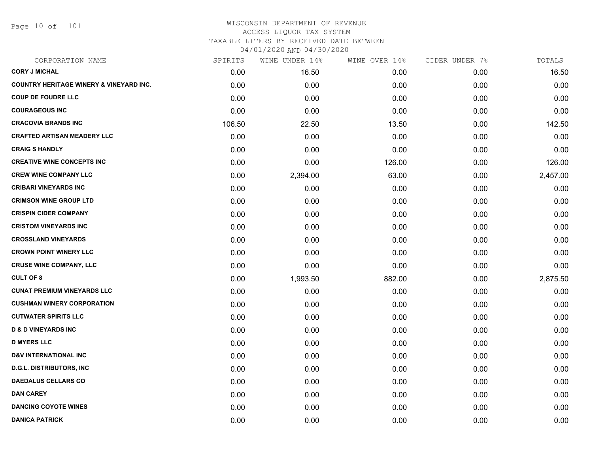Page 10 of 101

| CORPORATION NAME                                   | SPIRITS | WINE UNDER 14% | WINE OVER 14% | CIDER UNDER 7% | TOTALS   |
|----------------------------------------------------|---------|----------------|---------------|----------------|----------|
| <b>CORY J MICHAL</b>                               | 0.00    | 16.50          | 0.00          | 0.00           | 16.50    |
| <b>COUNTRY HERITAGE WINERY &amp; VINEYARD INC.</b> | 0.00    | 0.00           | 0.00          | 0.00           | 0.00     |
| <b>COUP DE FOUDRE LLC</b>                          | 0.00    | 0.00           | 0.00          | 0.00           | 0.00     |
| <b>COURAGEOUS INC</b>                              | 0.00    | 0.00           | 0.00          | 0.00           | 0.00     |
| <b>CRACOVIA BRANDS INC</b>                         | 106.50  | 22.50          | 13.50         | 0.00           | 142.50   |
| <b>CRAFTED ARTISAN MEADERY LLC</b>                 | 0.00    | 0.00           | 0.00          | 0.00           | 0.00     |
| <b>CRAIG S HANDLY</b>                              | 0.00    | 0.00           | 0.00          | 0.00           | 0.00     |
| <b>CREATIVE WINE CONCEPTS INC</b>                  | 0.00    | 0.00           | 126.00        | 0.00           | 126.00   |
| <b>CREW WINE COMPANY LLC</b>                       | 0.00    | 2,394.00       | 63.00         | 0.00           | 2,457.00 |
| <b>CRIBARI VINEYARDS INC</b>                       | 0.00    | 0.00           | 0.00          | 0.00           | 0.00     |
| <b>CRIMSON WINE GROUP LTD</b>                      | 0.00    | 0.00           | 0.00          | 0.00           | 0.00     |
| <b>CRISPIN CIDER COMPANY</b>                       | 0.00    | 0.00           | 0.00          | 0.00           | 0.00     |
| <b>CRISTOM VINEYARDS INC</b>                       | 0.00    | 0.00           | 0.00          | 0.00           | 0.00     |
| <b>CROSSLAND VINEYARDS</b>                         | 0.00    | 0.00           | 0.00          | 0.00           | 0.00     |
| <b>CROWN POINT WINERY LLC</b>                      | 0.00    | 0.00           | 0.00          | 0.00           | 0.00     |
| <b>CRUSE WINE COMPANY, LLC</b>                     | 0.00    | 0.00           | 0.00          | 0.00           | 0.00     |
| <b>CULT OF 8</b>                                   | 0.00    | 1,993.50       | 882.00        | 0.00           | 2,875.50 |
| <b>CUNAT PREMIUM VINEYARDS LLC</b>                 | 0.00    | 0.00           | 0.00          | 0.00           | 0.00     |
| <b>CUSHMAN WINERY CORPORATION</b>                  | 0.00    | 0.00           | 0.00          | 0.00           | 0.00     |
| <b>CUTWATER SPIRITS LLC</b>                        | 0.00    | 0.00           | 0.00          | 0.00           | 0.00     |
| <b>D &amp; D VINEYARDS INC</b>                     | 0.00    | 0.00           | 0.00          | 0.00           | 0.00     |
| <b>D MYERS LLC</b>                                 | 0.00    | 0.00           | 0.00          | 0.00           | 0.00     |
| <b>D&amp;V INTERNATIONAL INC</b>                   | 0.00    | 0.00           | 0.00          | 0.00           | 0.00     |
| <b>D.G.L. DISTRIBUTORS, INC</b>                    | 0.00    | 0.00           | 0.00          | 0.00           | 0.00     |
| <b>DAEDALUS CELLARS CO</b>                         | 0.00    | 0.00           | 0.00          | 0.00           | 0.00     |
| <b>DAN CAREY</b>                                   | 0.00    | 0.00           | 0.00          | 0.00           | 0.00     |
| <b>DANCING COYOTE WINES</b>                        | 0.00    | 0.00           | 0.00          | 0.00           | 0.00     |
| <b>DANICA PATRICK</b>                              | 0.00    | 0.00           | 0.00          | 0.00           | 0.00     |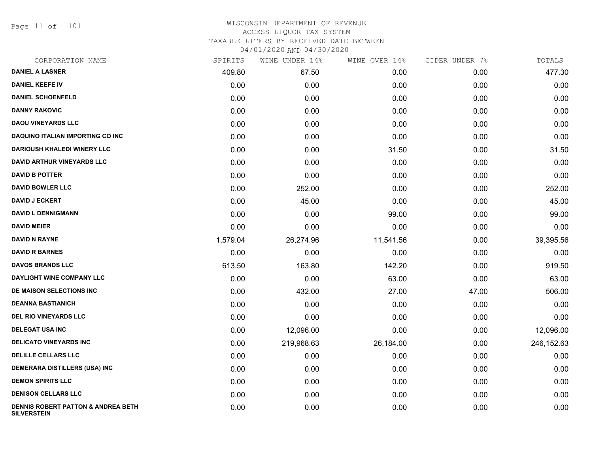Page 11 of 101

| CORPORATION NAME                                                    | SPIRITS  | WINE UNDER 14% | WINE OVER 14% | CIDER UNDER 7% | TOTALS     |
|---------------------------------------------------------------------|----------|----------------|---------------|----------------|------------|
| <b>DANIEL A LASNER</b>                                              | 409.80   | 67.50          | 0.00          | 0.00           | 477.30     |
| <b>DANIEL KEEFE IV</b>                                              | 0.00     | 0.00           | 0.00          | 0.00           | 0.00       |
| <b>DANIEL SCHOENFELD</b>                                            | 0.00     | 0.00           | 0.00          | 0.00           | 0.00       |
| <b>DANNY RAKOVIC</b>                                                | 0.00     | 0.00           | 0.00          | 0.00           | 0.00       |
| <b>DAOU VINEYARDS LLC</b>                                           | 0.00     | 0.00           | 0.00          | 0.00           | 0.00       |
| <b>DAQUINO ITALIAN IMPORTING CO INC</b>                             | 0.00     | 0.00           | 0.00          | 0.00           | 0.00       |
| <b>DARIOUSH KHALEDI WINERY LLC</b>                                  | 0.00     | 0.00           | 31.50         | 0.00           | 31.50      |
| <b>DAVID ARTHUR VINEYARDS LLC</b>                                   | 0.00     | 0.00           | 0.00          | 0.00           | 0.00       |
| <b>DAVID B POTTER</b>                                               | 0.00     | 0.00           | 0.00          | 0.00           | 0.00       |
| <b>DAVID BOWLER LLC</b>                                             | 0.00     | 252.00         | 0.00          | 0.00           | 252.00     |
| <b>DAVID J ECKERT</b>                                               | 0.00     | 45.00          | 0.00          | 0.00           | 45.00      |
| <b>DAVID L DENNIGMANN</b>                                           | 0.00     | 0.00           | 99.00         | 0.00           | 99.00      |
| <b>DAVID MEIER</b>                                                  | 0.00     | 0.00           | 0.00          | 0.00           | 0.00       |
| <b>DAVID N RAYNE</b>                                                | 1,579.04 | 26,274.96      | 11,541.56     | 0.00           | 39,395.56  |
| <b>DAVID R BARNES</b>                                               | 0.00     | 0.00           | 0.00          | 0.00           | 0.00       |
| <b>DAVOS BRANDS LLC</b>                                             | 613.50   | 163.80         | 142.20        | 0.00           | 919.50     |
| DAYLIGHT WINE COMPANY LLC                                           | 0.00     | 0.00           | 63.00         | 0.00           | 63.00      |
| DE MAISON SELECTIONS INC                                            | 0.00     | 432.00         | 27.00         | 47.00          | 506.00     |
| <b>DEANNA BASTIANICH</b>                                            | 0.00     | 0.00           | 0.00          | 0.00           | 0.00       |
| <b>DEL RIO VINEYARDS LLC</b>                                        | 0.00     | 0.00           | 0.00          | 0.00           | 0.00       |
| <b>DELEGAT USA INC</b>                                              | 0.00     | 12,096.00      | 0.00          | 0.00           | 12,096.00  |
| <b>DELICATO VINEYARDS INC</b>                                       | 0.00     | 219,968.63     | 26,184.00     | 0.00           | 246,152.63 |
| <b>DELILLE CELLARS LLC</b>                                          | 0.00     | 0.00           | 0.00          | 0.00           | 0.00       |
| <b>DEMERARA DISTILLERS (USA) INC</b>                                | 0.00     | 0.00           | 0.00          | 0.00           | 0.00       |
| <b>DEMON SPIRITS LLC</b>                                            | 0.00     | 0.00           | 0.00          | 0.00           | 0.00       |
| <b>DENISON CELLARS LLC</b>                                          | 0.00     | 0.00           | 0.00          | 0.00           | 0.00       |
| <b>DENNIS ROBERT PATTON &amp; ANDREA BETH</b><br><b>SILVERSTEIN</b> | 0.00     | 0.00           | 0.00          | 0.00           | 0.00       |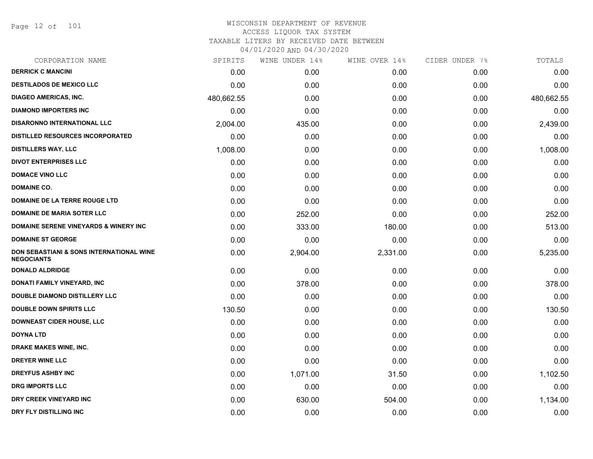Page 12 of 101

| SPIRITS    |          |          | CIDER UNDER 7%                  | TOTALS     |
|------------|----------|----------|---------------------------------|------------|
| 0.00       | 0.00     | 0.00     | 0.00                            | 0.00       |
| 0.00       | 0.00     | 0.00     | 0.00                            | 0.00       |
| 480,662.55 | 0.00     | 0.00     | 0.00                            | 480,662.55 |
| 0.00       | 0.00     | 0.00     | 0.00                            | 0.00       |
| 2,004.00   | 435.00   | 0.00     | 0.00                            | 2,439.00   |
| 0.00       | 0.00     | 0.00     | 0.00                            | 0.00       |
| 1,008.00   | 0.00     | 0.00     | 0.00                            | 1,008.00   |
| 0.00       | 0.00     | 0.00     | 0.00                            | 0.00       |
| 0.00       | 0.00     | 0.00     | 0.00                            | 0.00       |
| 0.00       | 0.00     | 0.00     | 0.00                            | 0.00       |
| 0.00       | 0.00     | 0.00     | 0.00                            | 0.00       |
| 0.00       | 252.00   | 0.00     | 0.00                            | 252.00     |
| 0.00       | 333.00   | 180.00   | 0.00                            | 513.00     |
| 0.00       | 0.00     | 0.00     | 0.00                            | 0.00       |
| 0.00       | 2,904.00 | 2,331.00 | 0.00                            | 5,235.00   |
| 0.00       | 0.00     | 0.00     | 0.00                            | 0.00       |
| 0.00       | 378.00   | 0.00     | 0.00                            | 378.00     |
| 0.00       | 0.00     | 0.00     | 0.00                            | 0.00       |
| 130.50     | 0.00     | 0.00     | 0.00                            | 130.50     |
| 0.00       | 0.00     | 0.00     | 0.00                            | 0.00       |
| 0.00       | 0.00     | 0.00     | 0.00                            | 0.00       |
| 0.00       | 0.00     | 0.00     | 0.00                            | 0.00       |
| 0.00       | 0.00     | 0.00     | 0.00                            | 0.00       |
| 0.00       | 1,071.00 | 31.50    | 0.00                            | 1,102.50   |
| 0.00       | 0.00     | 0.00     | 0.00                            | 0.00       |
| 0.00       | 630.00   | 504.00   | 0.00                            | 1,134.00   |
| 0.00       | 0.00     | 0.00     | 0.00                            | 0.00       |
|            |          |          | WINE UNDER 14%<br>WINE OVER 14% |            |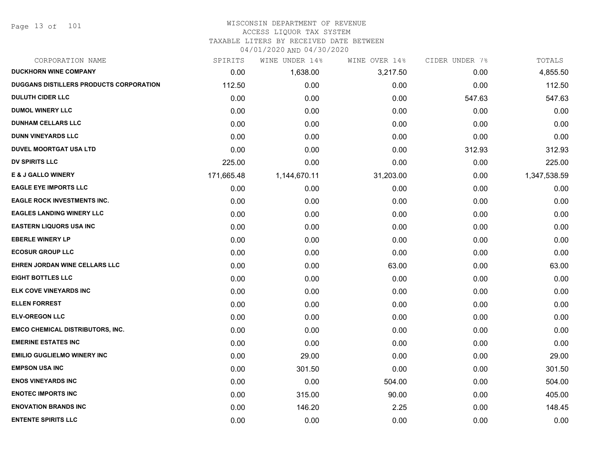Page 13 of 101

#### WISCONSIN DEPARTMENT OF REVENUE ACCESS LIQUOR TAX SYSTEM

TAXABLE LITERS BY RECEIVED DATE BETWEEN

04/01/2020 AND 04/30/2020

| CORPORATION NAME                               | SPIRITS    | WINE UNDER 14% | WINE OVER 14% | CIDER UNDER 7% | TOTALS       |
|------------------------------------------------|------------|----------------|---------------|----------------|--------------|
| <b>DUCKHORN WINE COMPANY</b>                   | 0.00       | 1,638.00       | 3,217.50      | 0.00           | 4,855.50     |
| <b>DUGGANS DISTILLERS PRODUCTS CORPORATION</b> | 112.50     | 0.00           | 0.00          | 0.00           | 112.50       |
| <b>DULUTH CIDER LLC</b>                        | 0.00       | 0.00           | 0.00          | 547.63         | 547.63       |
| <b>DUMOL WINERY LLC</b>                        | 0.00       | 0.00           | 0.00          | 0.00           | 0.00         |
| <b>DUNHAM CELLARS LLC</b>                      | 0.00       | 0.00           | 0.00          | 0.00           | 0.00         |
| <b>DUNN VINEYARDS LLC</b>                      | 0.00       | 0.00           | 0.00          | 0.00           | 0.00         |
| <b>DUVEL MOORTGAT USA LTD</b>                  | 0.00       | 0.00           | 0.00          | 312.93         | 312.93       |
| <b>DV SPIRITS LLC</b>                          | 225.00     | 0.00           | 0.00          | 0.00           | 225.00       |
| <b>E &amp; J GALLO WINERY</b>                  | 171,665.48 | 1,144,670.11   | 31,203.00     | 0.00           | 1,347,538.59 |
| <b>EAGLE EYE IMPORTS LLC</b>                   | 0.00       | 0.00           | 0.00          | 0.00           | 0.00         |
| <b>EAGLE ROCK INVESTMENTS INC.</b>             | 0.00       | 0.00           | 0.00          | 0.00           | 0.00         |
| <b>EAGLES LANDING WINERY LLC</b>               | 0.00       | 0.00           | 0.00          | 0.00           | 0.00         |
| <b>EASTERN LIQUORS USA INC</b>                 | 0.00       | 0.00           | 0.00          | 0.00           | 0.00         |
| <b>EBERLE WINERY LP</b>                        | 0.00       | 0.00           | 0.00          | 0.00           | 0.00         |
| <b>ECOSUR GROUP LLC</b>                        | 0.00       | 0.00           | 0.00          | 0.00           | 0.00         |
| EHREN JORDAN WINE CELLARS LLC                  | 0.00       | 0.00           | 63.00         | 0.00           | 63.00        |
| <b>EIGHT BOTTLES LLC</b>                       | 0.00       | 0.00           | 0.00          | 0.00           | 0.00         |
| ELK COVE VINEYARDS INC                         | 0.00       | 0.00           | 0.00          | 0.00           | 0.00         |
| <b>ELLEN FORREST</b>                           | 0.00       | 0.00           | 0.00          | 0.00           | 0.00         |
| <b>ELV-OREGON LLC</b>                          | 0.00       | 0.00           | 0.00          | 0.00           | 0.00         |
| <b>EMCO CHEMICAL DISTRIBUTORS, INC.</b>        | 0.00       | 0.00           | 0.00          | 0.00           | 0.00         |
| <b>EMERINE ESTATES INC</b>                     | 0.00       | 0.00           | 0.00          | 0.00           | 0.00         |
| <b>EMILIO GUGLIELMO WINERY INC</b>             | 0.00       | 29.00          | 0.00          | 0.00           | 29.00        |
| <b>EMPSON USA INC</b>                          | 0.00       | 301.50         | 0.00          | 0.00           | 301.50       |
| <b>ENOS VINEYARDS INC</b>                      | 0.00       | 0.00           | 504.00        | 0.00           | 504.00       |
| <b>ENOTEC IMPORTS INC</b>                      | 0.00       | 315.00         | 90.00         | 0.00           | 405.00       |
| <b>ENOVATION BRANDS INC</b>                    | 0.00       | 146.20         | 2.25          | 0.00           | 148.45       |
| <b>ENTENTE SPIRITS LLC</b>                     | 0.00       | 0.00           | 0.00          | 0.00           | 0.00         |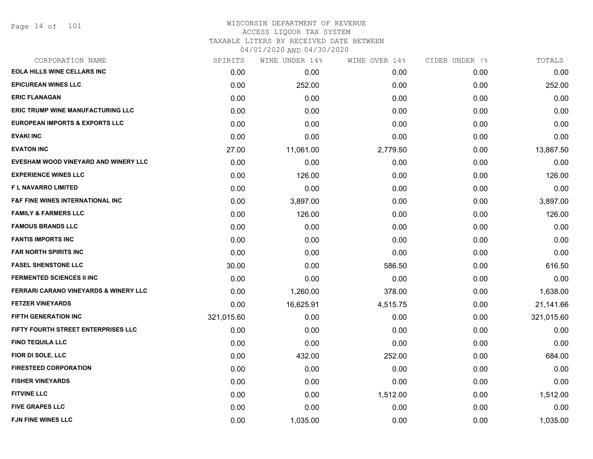# WISCONSIN DEPARTMENT OF REVENUE ACCESS LIQUOR TAX SYSTEM TAXABLE LITERS BY RECEIVED DATE BETWEEN

04/01/2020 AND 04/30/2020

| CORPORATION NAME                            | SPIRITS    | WINE UNDER 14% | WINE OVER 14% | CIDER UNDER 7% | TOTALS     |
|---------------------------------------------|------------|----------------|---------------|----------------|------------|
| <b>EOLA HILLS WINE CELLARS INC</b>          | 0.00       | 0.00           | 0.00          | 0.00           | 0.00       |
| <b>EPICUREAN WINES LLC</b>                  | 0.00       | 252.00         | 0.00          | 0.00           | 252.00     |
| <b>ERIC FLANAGAN</b>                        | 0.00       | 0.00           | 0.00          | 0.00           | 0.00       |
| <b>ERIC TRUMP WINE MANUFACTURING LLC</b>    | 0.00       | 0.00           | 0.00          | 0.00           | 0.00       |
| <b>EUROPEAN IMPORTS &amp; EXPORTS LLC</b>   | 0.00       | 0.00           | 0.00          | 0.00           | 0.00       |
| <b>EVAKI INC</b>                            | 0.00       | 0.00           | 0.00          | 0.00           | 0.00       |
| <b>EVATON INC</b>                           | 27.00      | 11,061.00      | 2,779.50      | 0.00           | 13,867.50  |
| EVESHAM WOOD VINEYARD AND WINERY LLC        | 0.00       | 0.00           | 0.00          | 0.00           | 0.00       |
| <b>EXPERIENCE WINES LLC</b>                 | 0.00       | 126.00         | 0.00          | 0.00           | 126.00     |
| F L NAVARRO LIMITED                         | 0.00       | 0.00           | 0.00          | 0.00           | 0.00       |
| <b>F&amp;F FINE WINES INTERNATIONAL INC</b> | 0.00       | 3,897.00       | 0.00          | 0.00           | 3,897.00   |
| <b>FAMILY &amp; FARMERS LLC</b>             | 0.00       | 126.00         | 0.00          | 0.00           | 126.00     |
| <b>FAMOUS BRANDS LLC</b>                    | 0.00       | 0.00           | 0.00          | 0.00           | 0.00       |
| <b>FANTIS IMPORTS INC</b>                   | 0.00       | 0.00           | 0.00          | 0.00           | 0.00       |
| <b>FAR NORTH SPIRITS INC</b>                | 0.00       | 0.00           | 0.00          | 0.00           | 0.00       |
| <b>FASEL SHENSTONE LLC</b>                  | 30.00      | 0.00           | 586.50        | 0.00           | 616.50     |
| <b>FERMENTED SCIENCES II INC</b>            | 0.00       | 0.00           | 0.00          | 0.00           | 0.00       |
| FERRARI CARANO VINEYARDS & WINERY LLC       | 0.00       | 1,260.00       | 378.00        | 0.00           | 1,638.00   |
| <b>FETZER VINEYARDS</b>                     | 0.00       | 16,625.91      | 4,515.75      | 0.00           | 21,141.66  |
| <b>FIFTH GENERATION INC</b>                 | 321,015.60 | 0.00           | 0.00          | 0.00           | 321,015.60 |
| FIFTY FOURTH STREET ENTERPRISES LLC         | 0.00       | 0.00           | 0.00          | 0.00           | 0.00       |
| <b>FINO TEQUILA LLC</b>                     | 0.00       | 0.00           | 0.00          | 0.00           | 0.00       |
| FIOR DI SOLE, LLC                           | 0.00       | 432.00         | 252.00        | 0.00           | 684.00     |
| <b>FIRESTEED CORPORATION</b>                | 0.00       | 0.00           | 0.00          | 0.00           | 0.00       |
| <b>FISHER VINEYARDS</b>                     | 0.00       | 0.00           | 0.00          | 0.00           | 0.00       |
| <b>FITVINE LLC</b>                          | 0.00       | 0.00           | 1,512.00      | 0.00           | 1,512.00   |
| <b>FIVE GRAPES LLC</b>                      | 0.00       | 0.00           | 0.00          | 0.00           | 0.00       |
| <b>FJN FINE WINES LLC</b>                   | 0.00       | 1,035.00       | 0.00          | 0.00           | 1,035.00   |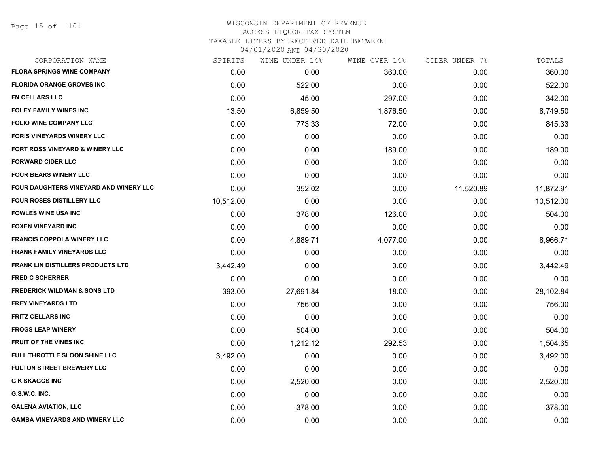| CORPORATION NAME                         | SPIRITS   | WINE UNDER 14% | WINE OVER 14% | CIDER UNDER 7% | TOTALS    |
|------------------------------------------|-----------|----------------|---------------|----------------|-----------|
| <b>FLORA SPRINGS WINE COMPANY</b>        | 0.00      | 0.00           | 360.00        | 0.00           | 360.00    |
| <b>FLORIDA ORANGE GROVES INC</b>         | 0.00      | 522.00         | 0.00          | 0.00           | 522.00    |
| <b>FN CELLARS LLC</b>                    | 0.00      | 45.00          | 297.00        | 0.00           | 342.00    |
| <b>FOLEY FAMILY WINES INC</b>            | 13.50     | 6,859.50       | 1,876.50      | 0.00           | 8,749.50  |
| <b>FOLIO WINE COMPANY LLC</b>            | 0.00      | 773.33         | 72.00         | 0.00           | 845.33    |
| <b>FORIS VINEYARDS WINERY LLC</b>        | 0.00      | 0.00           | 0.00          | 0.00           | 0.00      |
| FORT ROSS VINEYARD & WINERY LLC          | 0.00      | 0.00           | 189.00        | 0.00           | 189.00    |
| <b>FORWARD CIDER LLC</b>                 | 0.00      | 0.00           | 0.00          | 0.00           | 0.00      |
| <b>FOUR BEARS WINERY LLC</b>             | 0.00      | 0.00           | 0.00          | 0.00           | 0.00      |
| FOUR DAUGHTERS VINEYARD AND WINERY LLC   | 0.00      | 352.02         | 0.00          | 11,520.89      | 11,872.91 |
| <b>FOUR ROSES DISTILLERY LLC</b>         | 10,512.00 | 0.00           | 0.00          | 0.00           | 10,512.00 |
| <b>FOWLES WINE USA INC</b>               | 0.00      | 378.00         | 126.00        | 0.00           | 504.00    |
| <b>FOXEN VINEYARD INC</b>                | 0.00      | 0.00           | 0.00          | 0.00           | 0.00      |
| <b>FRANCIS COPPOLA WINERY LLC</b>        | 0.00      | 4,889.71       | 4,077.00      | 0.00           | 8,966.71  |
| <b>FRANK FAMILY VINEYARDS LLC</b>        | 0.00      | 0.00           | 0.00          | 0.00           | 0.00      |
| <b>FRANK LIN DISTILLERS PRODUCTS LTD</b> | 3,442.49  | 0.00           | 0.00          | 0.00           | 3,442.49  |
| <b>FRED C SCHERRER</b>                   | 0.00      | 0.00           | 0.00          | 0.00           | 0.00      |
| <b>FREDERICK WILDMAN &amp; SONS LTD</b>  | 393.00    | 27,691.84      | 18.00         | 0.00           | 28,102.84 |
| <b>FREY VINEYARDS LTD</b>                | 0.00      | 756.00         | 0.00          | 0.00           | 756.00    |
| <b>FRITZ CELLARS INC</b>                 | 0.00      | 0.00           | 0.00          | 0.00           | 0.00      |
| <b>FROGS LEAP WINERY</b>                 | 0.00      | 504.00         | 0.00          | 0.00           | 504.00    |
| <b>FRUIT OF THE VINES INC</b>            | 0.00      | 1,212.12       | 292.53        | 0.00           | 1,504.65  |
| FULL THROTTLE SLOON SHINE LLC            | 3,492.00  | 0.00           | 0.00          | 0.00           | 3,492.00  |
| <b>FULTON STREET BREWERY LLC</b>         | 0.00      | 0.00           | 0.00          | 0.00           | 0.00      |
| <b>G K SKAGGS INC</b>                    | 0.00      | 2,520.00       | 0.00          | 0.00           | 2,520.00  |
| G.S.W.C. INC.                            | 0.00      | 0.00           | 0.00          | 0.00           | 0.00      |
| <b>GALENA AVIATION, LLC</b>              | 0.00      | 378.00         | 0.00          | 0.00           | 378.00    |
| <b>GAMBA VINEYARDS AND WINERY LLC</b>    | 0.00      | 0.00           | 0.00          | 0.00           | 0.00      |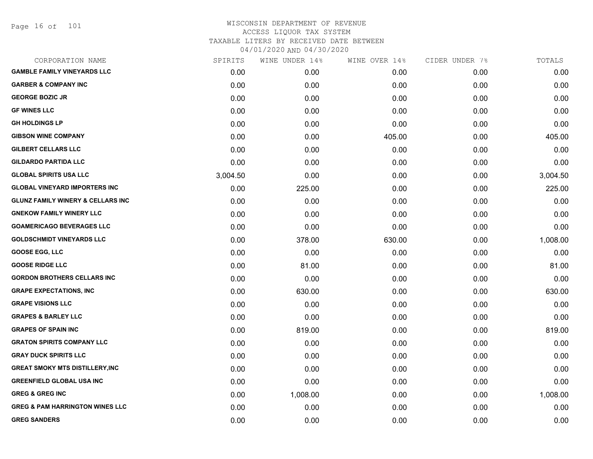Page 16 of 101

| SPIRITS  | WINE UNDER 14% | WINE OVER 14% |      | TOTALS         |
|----------|----------------|---------------|------|----------------|
| 0.00     | 0.00           | 0.00          | 0.00 | 0.00           |
| 0.00     | 0.00           | 0.00          | 0.00 | 0.00           |
| 0.00     | 0.00           | 0.00          | 0.00 | 0.00           |
| 0.00     | 0.00           | 0.00          | 0.00 | 0.00           |
| 0.00     | 0.00           | 0.00          | 0.00 | 0.00           |
| 0.00     | 0.00           | 405.00        | 0.00 | 405.00         |
| 0.00     | 0.00           | 0.00          | 0.00 | 0.00           |
| 0.00     | 0.00           | 0.00          | 0.00 | 0.00           |
| 3,004.50 | 0.00           | 0.00          | 0.00 | 3,004.50       |
| 0.00     | 225.00         | 0.00          | 0.00 | 225.00         |
| 0.00     | 0.00           | 0.00          | 0.00 | 0.00           |
| 0.00     | 0.00           | 0.00          | 0.00 | 0.00           |
| 0.00     | 0.00           | 0.00          | 0.00 | 0.00           |
| 0.00     | 378.00         | 630.00        | 0.00 | 1,008.00       |
| 0.00     | 0.00           | 0.00          | 0.00 | 0.00           |
| 0.00     | 81.00          | 0.00          | 0.00 | 81.00          |
| 0.00     | 0.00           | 0.00          | 0.00 | 0.00           |
| 0.00     | 630.00         | 0.00          | 0.00 | 630.00         |
| 0.00     | 0.00           | 0.00          | 0.00 | 0.00           |
| 0.00     | 0.00           | 0.00          | 0.00 | 0.00           |
| 0.00     | 819.00         | 0.00          | 0.00 | 819.00         |
| 0.00     | 0.00           | 0.00          | 0.00 | 0.00           |
| 0.00     | 0.00           | 0.00          | 0.00 | 0.00           |
| 0.00     | 0.00           | 0.00          | 0.00 | 0.00           |
| 0.00     | 0.00           | 0.00          | 0.00 | 0.00           |
| 0.00     | 1,008.00       | 0.00          | 0.00 | 1,008.00       |
| 0.00     | 0.00           | 0.00          | 0.00 | 0.00           |
| 0.00     | 0.00           | 0.00          | 0.00 | 0.00           |
|          |                |               |      | CIDER UNDER 7% |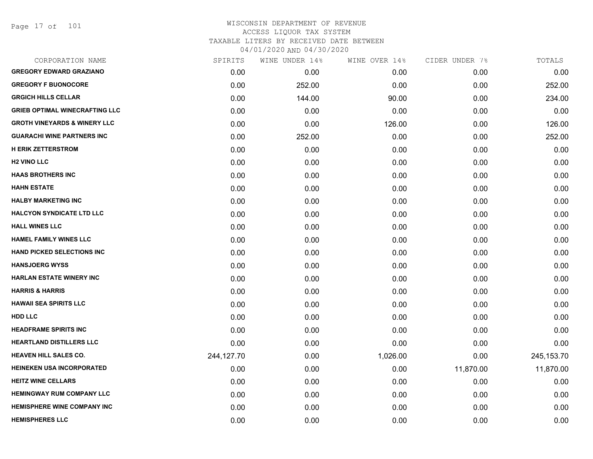Page 17 of 101

| CORPORATION NAME                        | SPIRITS    | WINE UNDER 14% | WINE OVER 14% | CIDER UNDER 7% | TOTALS       |
|-----------------------------------------|------------|----------------|---------------|----------------|--------------|
| <b>GREGORY EDWARD GRAZIANO</b>          | 0.00       | 0.00           | 0.00          | 0.00           | 0.00         |
| <b>GREGORY F BUONOCORE</b>              | 0.00       | 252.00         | 0.00          | 0.00           | 252.00       |
| <b>GRGICH HILLS CELLAR</b>              | 0.00       | 144.00         | 90.00         | 0.00           | 234.00       |
| <b>GRIEB OPTIMAL WINECRAFTING LLC</b>   | 0.00       | 0.00           | 0.00          | 0.00           | 0.00         |
| <b>GROTH VINEYARDS &amp; WINERY LLC</b> | 0.00       | 0.00           | 126.00        | 0.00           | 126.00       |
| <b>GUARACHI WINE PARTNERS INC</b>       | 0.00       | 252.00         | 0.00          | 0.00           | 252.00       |
| <b>H ERIK ZETTERSTROM</b>               | 0.00       | 0.00           | 0.00          | 0.00           | 0.00         |
| <b>H2 VINO LLC</b>                      | 0.00       | 0.00           | 0.00          | 0.00           | 0.00         |
| <b>HAAS BROTHERS INC</b>                | 0.00       | 0.00           | 0.00          | 0.00           | 0.00         |
| <b>HAHN ESTATE</b>                      | 0.00       | 0.00           | 0.00          | 0.00           | 0.00         |
| <b>HALBY MARKETING INC</b>              | 0.00       | 0.00           | 0.00          | 0.00           | 0.00         |
| <b>HALCYON SYNDICATE LTD LLC</b>        | 0.00       | 0.00           | 0.00          | 0.00           | 0.00         |
| <b>HALL WINES LLC</b>                   | 0.00       | 0.00           | 0.00          | 0.00           | 0.00         |
| <b>HAMEL FAMILY WINES LLC</b>           | 0.00       | 0.00           | 0.00          | 0.00           | 0.00         |
| <b>HAND PICKED SELECTIONS INC</b>       | 0.00       | 0.00           | 0.00          | 0.00           | 0.00         |
| <b>HANSJOERG WYSS</b>                   | 0.00       | 0.00           | 0.00          | 0.00           | 0.00         |
| <b>HARLAN ESTATE WINERY INC</b>         | 0.00       | 0.00           | 0.00          | 0.00           | 0.00         |
| <b>HARRIS &amp; HARRIS</b>              | 0.00       | 0.00           | 0.00          | 0.00           | 0.00         |
| <b>HAWAII SEA SPIRITS LLC</b>           | 0.00       | 0.00           | 0.00          | 0.00           | 0.00         |
| <b>HDD LLC</b>                          | 0.00       | 0.00           | 0.00          | 0.00           | 0.00         |
| <b>HEADFRAME SPIRITS INC</b>            | 0.00       | 0.00           | 0.00          | 0.00           | 0.00         |
| <b>HEARTLAND DISTILLERS LLC</b>         | 0.00       | 0.00           | 0.00          | 0.00           | 0.00         |
| <b>HEAVEN HILL SALES CO.</b>            | 244,127.70 | 0.00           | 1,026.00      | 0.00           | 245, 153. 70 |
| HEINEKEN USA INCORPORATED               | 0.00       | 0.00           | 0.00          | 11,870.00      | 11,870.00    |
| <b>HEITZ WINE CELLARS</b>               | 0.00       | 0.00           | 0.00          | 0.00           | 0.00         |
| <b>HEMINGWAY RUM COMPANY LLC</b>        | 0.00       | 0.00           | 0.00          | 0.00           | 0.00         |
| <b>HEMISPHERE WINE COMPANY INC</b>      | 0.00       | 0.00           | 0.00          | 0.00           | 0.00         |
| <b>HEMISPHERES LLC</b>                  | 0.00       | 0.00           | 0.00          | 0.00           | 0.00         |
|                                         |            |                |               |                |              |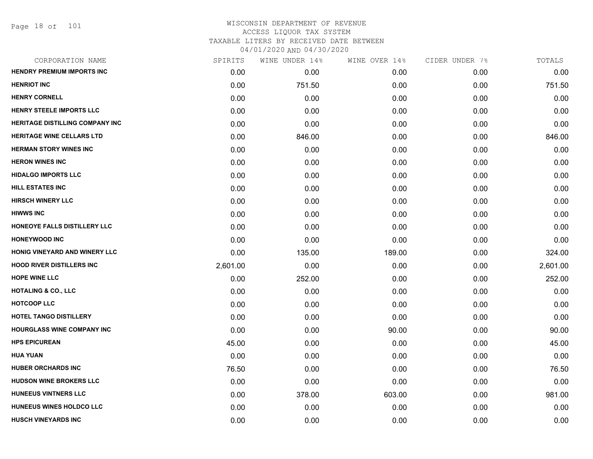| CORPORATION NAME                  | SPIRITS  | WINE UNDER 14% | WINE OVER 14% | CIDER UNDER 7% | TOTALS   |
|-----------------------------------|----------|----------------|---------------|----------------|----------|
| <b>HENDRY PREMIUM IMPORTS INC</b> | 0.00     | 0.00           | 0.00          | 0.00           | 0.00     |
| <b>HENRIOT INC</b>                | 0.00     | 751.50         | 0.00          | 0.00           | 751.50   |
| <b>HENRY CORNELL</b>              | 0.00     | 0.00           | 0.00          | 0.00           | 0.00     |
| HENRY STEELE IMPORTS LLC          | 0.00     | 0.00           | 0.00          | 0.00           | 0.00     |
| HERITAGE DISTILLING COMPANY INC   | 0.00     | 0.00           | 0.00          | 0.00           | 0.00     |
| <b>HERITAGE WINE CELLARS LTD</b>  | 0.00     | 846.00         | 0.00          | 0.00           | 846.00   |
| <b>HERMAN STORY WINES INC</b>     | 0.00     | 0.00           | 0.00          | 0.00           | 0.00     |
| <b>HERON WINES INC</b>            | 0.00     | 0.00           | 0.00          | 0.00           | 0.00     |
| <b>HIDALGO IMPORTS LLC</b>        | 0.00     | 0.00           | 0.00          | 0.00           | 0.00     |
| <b>HILL ESTATES INC</b>           | 0.00     | 0.00           | 0.00          | 0.00           | 0.00     |
| <b>HIRSCH WINERY LLC</b>          | 0.00     | 0.00           | 0.00          | 0.00           | 0.00     |
| <b>HIWWS INC</b>                  | 0.00     | 0.00           | 0.00          | 0.00           | 0.00     |
| HONEOYE FALLS DISTILLERY LLC      | 0.00     | 0.00           | 0.00          | 0.00           | 0.00     |
| <b>HONEYWOOD INC</b>              | 0.00     | 0.00           | 0.00          | 0.00           | 0.00     |
| HONIG VINEYARD AND WINERY LLC     | 0.00     | 135.00         | 189.00        | 0.00           | 324.00   |
| <b>HOOD RIVER DISTILLERS INC</b>  | 2,601.00 | 0.00           | 0.00          | 0.00           | 2,601.00 |
| <b>HOPE WINE LLC</b>              | 0.00     | 252.00         | 0.00          | 0.00           | 252.00   |
| <b>HOTALING &amp; CO., LLC</b>    | 0.00     | 0.00           | 0.00          | 0.00           | 0.00     |
| <b>HOTCOOP LLC</b>                | 0.00     | 0.00           | 0.00          | 0.00           | 0.00     |
| <b>HOTEL TANGO DISTILLERY</b>     | 0.00     | 0.00           | 0.00          | 0.00           | 0.00     |
| <b>HOURGLASS WINE COMPANY INC</b> | 0.00     | 0.00           | 90.00         | 0.00           | 90.00    |
| <b>HPS EPICUREAN</b>              | 45.00    | 0.00           | 0.00          | 0.00           | 45.00    |
| <b>HUA YUAN</b>                   | 0.00     | 0.00           | 0.00          | 0.00           | 0.00     |
| <b>HUBER ORCHARDS INC</b>         | 76.50    | 0.00           | 0.00          | 0.00           | 76.50    |
| <b>HUDSON WINE BROKERS LLC</b>    | 0.00     | 0.00           | 0.00          | 0.00           | 0.00     |
| HUNEEUS VINTNERS LLC              | 0.00     | 378.00         | 603.00        | 0.00           | 981.00   |
| HUNEEUS WINES HOLDCO LLC          | 0.00     | 0.00           | 0.00          | 0.00           | 0.00     |
| <b>HUSCH VINEYARDS INC</b>        | 0.00     | 0.00           | 0.00          | 0.00           | 0.00     |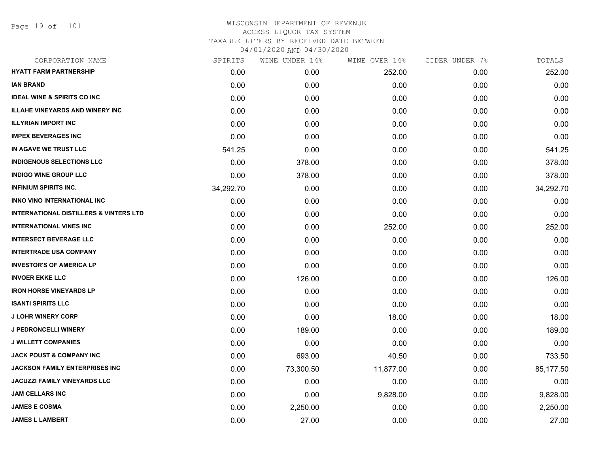Page 19 of 101

| SPIRITS   | WINE UNDER 14% | WINE OVER 14% |      | TOTALS         |
|-----------|----------------|---------------|------|----------------|
| 0.00      | 0.00           | 252.00        | 0.00 | 252.00         |
| 0.00      | 0.00           | 0.00          | 0.00 | 0.00           |
| 0.00      | 0.00           | 0.00          | 0.00 | 0.00           |
| 0.00      | 0.00           | 0.00          | 0.00 | 0.00           |
| 0.00      | 0.00           | 0.00          | 0.00 | 0.00           |
| 0.00      | 0.00           | 0.00          | 0.00 | 0.00           |
| 541.25    | 0.00           | 0.00          | 0.00 | 541.25         |
| 0.00      | 378.00         | 0.00          | 0.00 | 378.00         |
| 0.00      | 378.00         | 0.00          | 0.00 | 378.00         |
| 34,292.70 | 0.00           | 0.00          | 0.00 | 34,292.70      |
| 0.00      | 0.00           | 0.00          | 0.00 | 0.00           |
| 0.00      | 0.00           | 0.00          | 0.00 | 0.00           |
| 0.00      | 0.00           | 252.00        | 0.00 | 252.00         |
| 0.00      | 0.00           | 0.00          | 0.00 | 0.00           |
| 0.00      | 0.00           | 0.00          | 0.00 | 0.00           |
| 0.00      | 0.00           | 0.00          | 0.00 | 0.00           |
| 0.00      | 126.00         | 0.00          | 0.00 | 126.00         |
| 0.00      | 0.00           | 0.00          | 0.00 | 0.00           |
| 0.00      | 0.00           | 0.00          | 0.00 | 0.00           |
| 0.00      | 0.00           | 18.00         | 0.00 | 18.00          |
| 0.00      | 189.00         | 0.00          | 0.00 | 189.00         |
| 0.00      | 0.00           | 0.00          | 0.00 | 0.00           |
| 0.00      | 693.00         | 40.50         | 0.00 | 733.50         |
| 0.00      | 73,300.50      | 11,877.00     | 0.00 | 85,177.50      |
| 0.00      | 0.00           | 0.00          | 0.00 | 0.00           |
| 0.00      | 0.00           | 9,828.00      | 0.00 | 9,828.00       |
| 0.00      | 2,250.00       | 0.00          | 0.00 | 2,250.00       |
| 0.00      | 27.00          | 0.00          | 0.00 | 27.00          |
|           |                |               |      | CIDER UNDER 7% |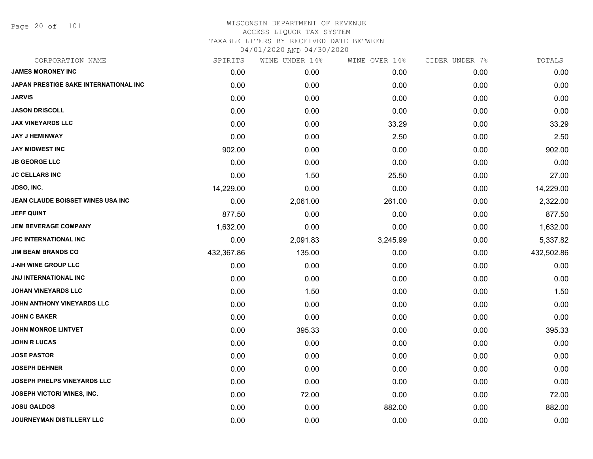Page 20 of 101

| CORPORATION NAME                      | SPIRITS    | WINE UNDER 14% | WINE OVER 14% | CIDER UNDER 7% | TOTALS     |
|---------------------------------------|------------|----------------|---------------|----------------|------------|
| <b>JAMES MORONEY INC</b>              | 0.00       | 0.00           | 0.00          | 0.00           | 0.00       |
| JAPAN PRESTIGE SAKE INTERNATIONAL INC | 0.00       | 0.00           | 0.00          | 0.00           | 0.00       |
| <b>JARVIS</b>                         | 0.00       | 0.00           | 0.00          | 0.00           | 0.00       |
| <b>JASON DRISCOLL</b>                 | 0.00       | 0.00           | 0.00          | 0.00           | 0.00       |
| <b>JAX VINEYARDS LLC</b>              | 0.00       | 0.00           | 33.29         | 0.00           | 33.29      |
| <b>JAY J HEMINWAY</b>                 | 0.00       | 0.00           | 2.50          | 0.00           | 2.50       |
| <b>JAY MIDWEST INC</b>                | 902.00     | 0.00           | 0.00          | 0.00           | 902.00     |
| <b>JB GEORGE LLC</b>                  | 0.00       | 0.00           | 0.00          | 0.00           | 0.00       |
| <b>JC CELLARS INC</b>                 | 0.00       | 1.50           | 25.50         | 0.00           | 27.00      |
| JDSO, INC.                            | 14,229.00  | 0.00           | 0.00          | 0.00           | 14,229.00  |
| JEAN CLAUDE BOISSET WINES USA INC     | 0.00       | 2,061.00       | 261.00        | 0.00           | 2,322.00   |
| <b>JEFF QUINT</b>                     | 877.50     | 0.00           | 0.00          | 0.00           | 877.50     |
| <b>JEM BEVERAGE COMPANY</b>           | 1,632.00   | 0.00           | 0.00          | 0.00           | 1,632.00   |
| JFC INTERNATIONAL INC                 | 0.00       | 2,091.83       | 3,245.99      | 0.00           | 5,337.82   |
| <b>JIM BEAM BRANDS CO</b>             | 432,367.86 | 135.00         | 0.00          | 0.00           | 432,502.86 |
| <b>J-NH WINE GROUP LLC</b>            | 0.00       | 0.00           | 0.00          | 0.00           | 0.00       |
| <b>JNJ INTERNATIONAL INC</b>          | 0.00       | 0.00           | 0.00          | 0.00           | 0.00       |
| <b>JOHAN VINEYARDS LLC</b>            | 0.00       | 1.50           | 0.00          | 0.00           | 1.50       |
| JOHN ANTHONY VINEYARDS LLC            | 0.00       | 0.00           | 0.00          | 0.00           | 0.00       |
| <b>JOHN C BAKER</b>                   | 0.00       | 0.00           | 0.00          | 0.00           | 0.00       |
| <b>JOHN MONROE LINTVET</b>            | 0.00       | 395.33         | 0.00          | 0.00           | 395.33     |
| <b>JOHN R LUCAS</b>                   | 0.00       | 0.00           | 0.00          | 0.00           | 0.00       |
| <b>JOSE PASTOR</b>                    | 0.00       | 0.00           | 0.00          | 0.00           | 0.00       |
| <b>JOSEPH DEHNER</b>                  | 0.00       | 0.00           | 0.00          | 0.00           | 0.00       |
| <b>JOSEPH PHELPS VINEYARDS LLC</b>    | 0.00       | 0.00           | 0.00          | 0.00           | 0.00       |
| JOSEPH VICTORI WINES, INC.            | 0.00       | 72.00          | 0.00          | 0.00           | 72.00      |
| <b>JOSU GALDOS</b>                    | 0.00       | 0.00           | 882.00        | 0.00           | 882.00     |
| JOURNEYMAN DISTILLERY LLC             | 0.00       | 0.00           | 0.00          | 0.00           | 0.00       |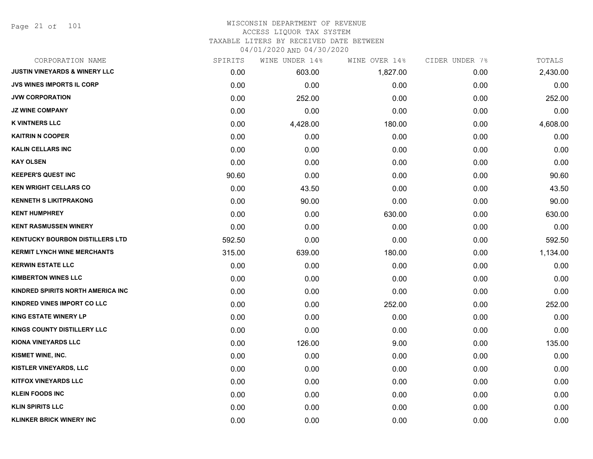Page 21 of 101

| CORPORATION NAME                         | SPIRITS | WINE UNDER 14% | WINE OVER 14% | CIDER UNDER 7% | TOTALS   |
|------------------------------------------|---------|----------------|---------------|----------------|----------|
| <b>JUSTIN VINEYARDS &amp; WINERY LLC</b> | 0.00    | 603.00         | 1,827.00      | 0.00           | 2,430.00 |
| <b>JVS WINES IMPORTS IL CORP</b>         | 0.00    | 0.00           | 0.00          | 0.00           | 0.00     |
| <b>JVW CORPORATION</b>                   | 0.00    | 252.00         | 0.00          | 0.00           | 252.00   |
| <b>JZ WINE COMPANY</b>                   | 0.00    | 0.00           | 0.00          | 0.00           | 0.00     |
| <b>K VINTNERS LLC</b>                    | 0.00    | 4,428.00       | 180.00        | 0.00           | 4,608.00 |
| <b>KAITRIN N COOPER</b>                  | 0.00    | 0.00           | 0.00          | 0.00           | 0.00     |
| <b>KALIN CELLARS INC</b>                 | 0.00    | 0.00           | 0.00          | 0.00           | 0.00     |
| <b>KAY OLSEN</b>                         | 0.00    | 0.00           | 0.00          | 0.00           | 0.00     |
| <b>KEEPER'S QUEST INC</b>                | 90.60   | 0.00           | 0.00          | 0.00           | 90.60    |
| <b>KEN WRIGHT CELLARS CO</b>             | 0.00    | 43.50          | 0.00          | 0.00           | 43.50    |
| <b>KENNETH S LIKITPRAKONG</b>            | 0.00    | 90.00          | 0.00          | 0.00           | 90.00    |
| <b>KENT HUMPHREY</b>                     | 0.00    | 0.00           | 630.00        | 0.00           | 630.00   |
| <b>KENT RASMUSSEN WINERY</b>             | 0.00    | 0.00           | 0.00          | 0.00           | 0.00     |
| <b>KENTUCKY BOURBON DISTILLERS LTD</b>   | 592.50  | 0.00           | 0.00          | 0.00           | 592.50   |
| <b>KERMIT LYNCH WINE MERCHANTS</b>       | 315.00  | 639.00         | 180.00        | 0.00           | 1,134.00 |
| <b>KERWIN ESTATE LLC</b>                 | 0.00    | 0.00           | 0.00          | 0.00           | 0.00     |
| <b>KIMBERTON WINES LLC</b>               | 0.00    | 0.00           | 0.00          | 0.00           | 0.00     |
| KINDRED SPIRITS NORTH AMERICA INC        | 0.00    | 0.00           | 0.00          | 0.00           | 0.00     |
| KINDRED VINES IMPORT CO LLC              | 0.00    | 0.00           | 252.00        | 0.00           | 252.00   |
| <b>KING ESTATE WINERY LP</b>             | 0.00    | 0.00           | 0.00          | 0.00           | 0.00     |
| KINGS COUNTY DISTILLERY LLC              | 0.00    | 0.00           | 0.00          | 0.00           | 0.00     |
| <b>KIONA VINEYARDS LLC</b>               | 0.00    | 126.00         | 9.00          | 0.00           | 135.00   |
| KISMET WINE, INC.                        | 0.00    | 0.00           | 0.00          | 0.00           | 0.00     |
| <b>KISTLER VINEYARDS, LLC</b>            | 0.00    | 0.00           | 0.00          | 0.00           | 0.00     |
| <b>KITFOX VINEYARDS LLC</b>              | 0.00    | 0.00           | 0.00          | 0.00           | 0.00     |
| <b>KLEIN FOODS INC</b>                   | 0.00    | 0.00           | 0.00          | 0.00           | 0.00     |
| <b>KLIN SPIRITS LLC</b>                  | 0.00    | 0.00           | 0.00          | 0.00           | 0.00     |
| <b>KLINKER BRICK WINERY INC</b>          | 0.00    | 0.00           | 0.00          | 0.00           | 0.00     |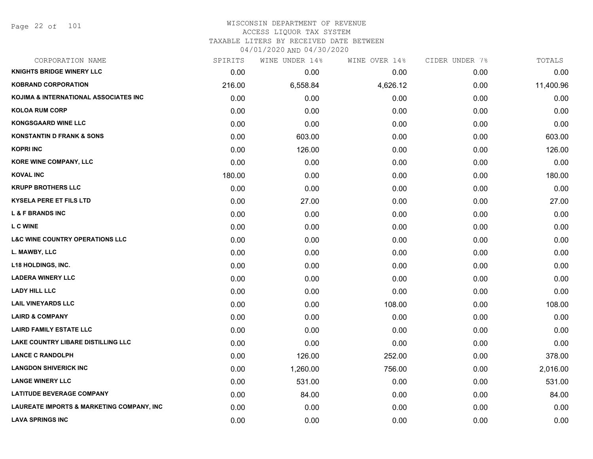# WISCONSIN DEPARTMENT OF REVENUE ACCESS LIQUOR TAX SYSTEM TAXABLE LITERS BY RECEIVED DATE BETWEEN

04/01/2020 AND 04/30/2020

| CORPORATION NAME                                     | SPIRITS | WINE UNDER 14% | WINE OVER 14% | CIDER UNDER 7% | TOTALS    |
|------------------------------------------------------|---------|----------------|---------------|----------------|-----------|
| <b>KNIGHTS BRIDGE WINERY LLC</b>                     | 0.00    | 0.00           | 0.00          | 0.00           | 0.00      |
| <b>KOBRAND CORPORATION</b>                           | 216.00  | 6,558.84       | 4,626.12      | 0.00           | 11,400.96 |
| KOJIMA & INTERNATIONAL ASSOCIATES INC                | 0.00    | 0.00           | 0.00          | 0.00           | 0.00      |
| <b>KOLOA RUM CORP</b>                                | 0.00    | 0.00           | 0.00          | 0.00           | 0.00      |
| <b>KONGSGAARD WINE LLC</b>                           | 0.00    | 0.00           | 0.00          | 0.00           | 0.00      |
| <b>KONSTANTIN D FRANK &amp; SONS</b>                 | 0.00    | 603.00         | 0.00          | 0.00           | 603.00    |
| <b>KOPRI INC</b>                                     | 0.00    | 126.00         | 0.00          | 0.00           | 126.00    |
| <b>KORE WINE COMPANY, LLC</b>                        | 0.00    | 0.00           | 0.00          | 0.00           | 0.00      |
| <b>KOVAL INC</b>                                     | 180.00  | 0.00           | 0.00          | 0.00           | 180.00    |
| <b>KRUPP BROTHERS LLC</b>                            | 0.00    | 0.00           | 0.00          | 0.00           | 0.00      |
| <b>KYSELA PERE ET FILS LTD</b>                       | 0.00    | 27.00          | 0.00          | 0.00           | 27.00     |
| <b>L &amp; F BRANDS INC</b>                          | 0.00    | 0.00           | 0.00          | 0.00           | 0.00      |
| <b>LC WINE</b>                                       | 0.00    | 0.00           | 0.00          | 0.00           | 0.00      |
| <b>L&amp;C WINE COUNTRY OPERATIONS LLC</b>           | 0.00    | 0.00           | 0.00          | 0.00           | 0.00      |
| L. MAWBY, LLC                                        | 0.00    | 0.00           | 0.00          | 0.00           | 0.00      |
| <b>L18 HOLDINGS, INC.</b>                            | 0.00    | 0.00           | 0.00          | 0.00           | 0.00      |
| <b>LADERA WINERY LLC</b>                             | 0.00    | 0.00           | 0.00          | 0.00           | 0.00      |
| <b>LADY HILL LLC</b>                                 | 0.00    | 0.00           | 0.00          | 0.00           | 0.00      |
| <b>LAIL VINEYARDS LLC</b>                            | 0.00    | 0.00           | 108.00        | 0.00           | 108.00    |
| <b>LAIRD &amp; COMPANY</b>                           | 0.00    | 0.00           | 0.00          | 0.00           | 0.00      |
| <b>LAIRD FAMILY ESTATE LLC</b>                       | 0.00    | 0.00           | 0.00          | 0.00           | 0.00      |
| <b>LAKE COUNTRY LIBARE DISTILLING LLC</b>            | 0.00    | 0.00           | 0.00          | 0.00           | 0.00      |
| <b>LANCE C RANDOLPH</b>                              | 0.00    | 126.00         | 252.00        | 0.00           | 378.00    |
| <b>LANGDON SHIVERICK INC</b>                         | 0.00    | 1,260.00       | 756.00        | 0.00           | 2,016.00  |
| <b>LANGE WINERY LLC</b>                              | 0.00    | 531.00         | 0.00          | 0.00           | 531.00    |
| <b>LATITUDE BEVERAGE COMPANY</b>                     | 0.00    | 84.00          | 0.00          | 0.00           | 84.00     |
| <b>LAUREATE IMPORTS &amp; MARKETING COMPANY, INC</b> | 0.00    | 0.00           | 0.00          | 0.00           | 0.00      |
| <b>LAVA SPRINGS INC</b>                              | 0.00    | 0.00           | 0.00          | 0.00           | 0.00      |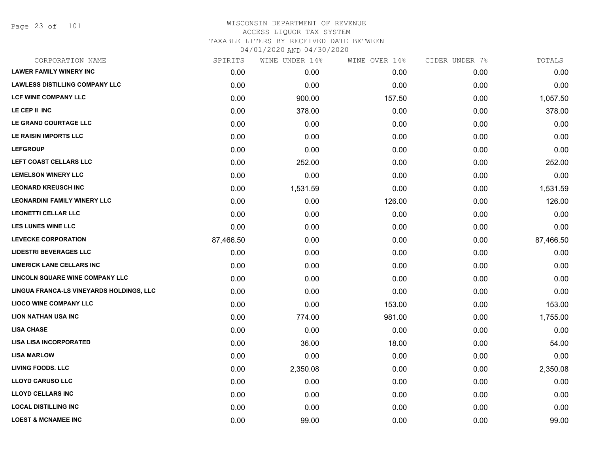Page 23 of 101

|           | WINE UNDER 14% |        |               | TOTALS         |
|-----------|----------------|--------|---------------|----------------|
| 0.00      | 0.00           | 0.00   | 0.00          | 0.00           |
| 0.00      | 0.00           | 0.00   | 0.00          | 0.00           |
| 0.00      | 900.00         | 157.50 | 0.00          | 1,057.50       |
| 0.00      | 378.00         | 0.00   | 0.00          | 378.00         |
| 0.00      | 0.00           | 0.00   | 0.00          | 0.00           |
| 0.00      | 0.00           | 0.00   | 0.00          | 0.00           |
| 0.00      | 0.00           | 0.00   | 0.00          | 0.00           |
| 0.00      | 252.00         | 0.00   | 0.00          | 252.00         |
| 0.00      | 0.00           | 0.00   | 0.00          | 0.00           |
| 0.00      | 1,531.59       | 0.00   | 0.00          | 1,531.59       |
| 0.00      | 0.00           | 126.00 | 0.00          | 126.00         |
| 0.00      | 0.00           | 0.00   | 0.00          | 0.00           |
| 0.00      | 0.00           | 0.00   | 0.00          | 0.00           |
| 87,466.50 | 0.00           | 0.00   | 0.00          | 87,466.50      |
| 0.00      | 0.00           | 0.00   | 0.00          | 0.00           |
| 0.00      | 0.00           | 0.00   | 0.00          | 0.00           |
| 0.00      | 0.00           | 0.00   | 0.00          | 0.00           |
| 0.00      | 0.00           | 0.00   | 0.00          | 0.00           |
| 0.00      | 0.00           | 153.00 | 0.00          | 153.00         |
| 0.00      | 774.00         | 981.00 | 0.00          | 1,755.00       |
| 0.00      | 0.00           | 0.00   | 0.00          | 0.00           |
| 0.00      | 36.00          | 18.00  | 0.00          | 54.00          |
| 0.00      | 0.00           | 0.00   | 0.00          | 0.00           |
| 0.00      | 2,350.08       | 0.00   | 0.00          | 2,350.08       |
| 0.00      | 0.00           | 0.00   | 0.00          | 0.00           |
| 0.00      | 0.00           | 0.00   | 0.00          | 0.00           |
| 0.00      | 0.00           | 0.00   | 0.00          | 0.00           |
| 0.00      | 99.00          | 0.00   | 0.00          | 99.00          |
|           | SPIRITS        |        | WINE OVER 14% | CIDER UNDER 7% |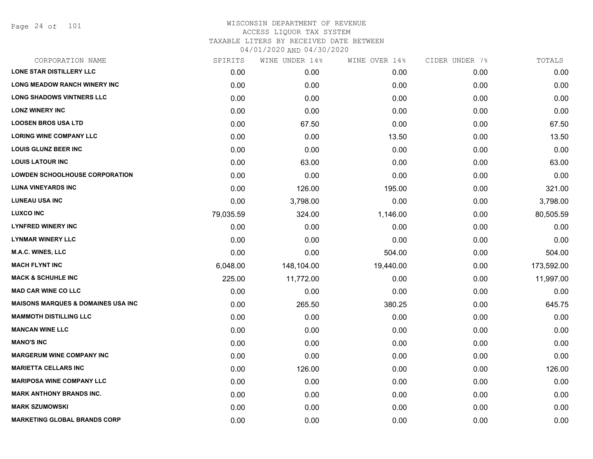Page 24 of 101

| CORPORATION NAME                               | SPIRITS   | WINE UNDER 14% | WINE OVER 14% | CIDER UNDER 7% | TOTALS     |
|------------------------------------------------|-----------|----------------|---------------|----------------|------------|
| LONE STAR DISTILLERY LLC                       | 0.00      | 0.00           | 0.00          | 0.00           | 0.00       |
| <b>LONG MEADOW RANCH WINERY INC</b>            | 0.00      | 0.00           | 0.00          | 0.00           | 0.00       |
| <b>LONG SHADOWS VINTNERS LLC</b>               | 0.00      | 0.00           | 0.00          | 0.00           | 0.00       |
| <b>LONZ WINERY INC</b>                         | 0.00      | 0.00           | 0.00          | 0.00           | 0.00       |
| <b>LOOSEN BROS USA LTD</b>                     | 0.00      | 67.50          | 0.00          | 0.00           | 67.50      |
| <b>LORING WINE COMPANY LLC</b>                 | 0.00      | 0.00           | 13.50         | 0.00           | 13.50      |
| <b>LOUIS GLUNZ BEER INC</b>                    | 0.00      | 0.00           | 0.00          | 0.00           | 0.00       |
| <b>LOUIS LATOUR INC</b>                        | 0.00      | 63.00          | 0.00          | 0.00           | 63.00      |
| <b>LOWDEN SCHOOLHOUSE CORPORATION</b>          | 0.00      | 0.00           | 0.00          | 0.00           | 0.00       |
| <b>LUNA VINEYARDS INC</b>                      | 0.00      | 126.00         | 195.00        | 0.00           | 321.00     |
| <b>LUNEAU USA INC</b>                          | 0.00      | 3,798.00       | 0.00          | 0.00           | 3,798.00   |
| <b>LUXCO INC</b>                               | 79,035.59 | 324.00         | 1,146.00      | 0.00           | 80,505.59  |
| <b>LYNFRED WINERY INC</b>                      | 0.00      | 0.00           | 0.00          | 0.00           | 0.00       |
| <b>LYNMAR WINERY LLC</b>                       | 0.00      | 0.00           | 0.00          | 0.00           | 0.00       |
| M.A.C. WINES, LLC                              | 0.00      | 0.00           | 504.00        | 0.00           | 504.00     |
| <b>MACH FLYNT INC</b>                          | 6,048.00  | 148,104.00     | 19,440.00     | 0.00           | 173,592.00 |
| <b>MACK &amp; SCHUHLE INC</b>                  | 225.00    | 11,772.00      | 0.00          | 0.00           | 11,997.00  |
| <b>MAD CAR WINE CO LLC</b>                     | 0.00      | 0.00           | 0.00          | 0.00           | 0.00       |
| <b>MAISONS MARQUES &amp; DOMAINES USA INC.</b> | 0.00      | 265.50         | 380.25        | 0.00           | 645.75     |
| <b>MAMMOTH DISTILLING LLC</b>                  | 0.00      | 0.00           | 0.00          | 0.00           | 0.00       |
| <b>MANCAN WINE LLC</b>                         | 0.00      | 0.00           | 0.00          | 0.00           | 0.00       |
| <b>MANO'S INC</b>                              | 0.00      | 0.00           | 0.00          | 0.00           | 0.00       |
| <b>MARGERUM WINE COMPANY INC</b>               | 0.00      | 0.00           | 0.00          | 0.00           | 0.00       |
| <b>MARIETTA CELLARS INC</b>                    | 0.00      | 126.00         | 0.00          | 0.00           | 126.00     |
| <b>MARIPOSA WINE COMPANY LLC</b>               | 0.00      | 0.00           | 0.00          | 0.00           | 0.00       |
| <b>MARK ANTHONY BRANDS INC.</b>                | 0.00      | 0.00           | 0.00          | 0.00           | 0.00       |
| <b>MARK SZUMOWSKI</b>                          | 0.00      | 0.00           | 0.00          | 0.00           | 0.00       |
| <b>MARKETING GLOBAL BRANDS CORP</b>            | 0.00      | 0.00           | 0.00          | 0.00           | 0.00       |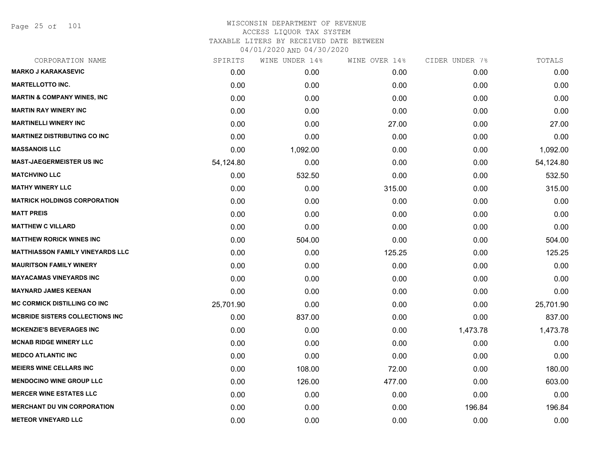Page 25 of 101

| CORPORATION NAME                        | SPIRITS   | WINE UNDER 14% | WINE OVER 14% | CIDER UNDER 7% | TOTALS    |
|-----------------------------------------|-----------|----------------|---------------|----------------|-----------|
| <b>MARKO J KARAKASEVIC</b>              | 0.00      | 0.00           | 0.00          | 0.00           | 0.00      |
| <b>MARTELLOTTO INC.</b>                 | 0.00      | 0.00           | 0.00          | 0.00           | 0.00      |
| <b>MARTIN &amp; COMPANY WINES, INC</b>  | 0.00      | 0.00           | 0.00          | 0.00           | 0.00      |
| <b>MARTIN RAY WINERY INC</b>            | 0.00      | 0.00           | 0.00          | 0.00           | 0.00      |
| <b>MARTINELLI WINERY INC</b>            | 0.00      | 0.00           | 27.00         | 0.00           | 27.00     |
| <b>MARTINEZ DISTRIBUTING CO INC</b>     | 0.00      | 0.00           | 0.00          | 0.00           | 0.00      |
| <b>MASSANOIS LLC</b>                    | 0.00      | 1,092.00       | 0.00          | 0.00           | 1,092.00  |
| <b>MAST-JAEGERMEISTER US INC</b>        | 54,124.80 | 0.00           | 0.00          | 0.00           | 54,124.80 |
| <b>MATCHVINO LLC</b>                    | 0.00      | 532.50         | 0.00          | 0.00           | 532.50    |
| <b>MATHY WINERY LLC</b>                 | 0.00      | 0.00           | 315.00        | 0.00           | 315.00    |
| <b>MATRICK HOLDINGS CORPORATION</b>     | 0.00      | 0.00           | 0.00          | 0.00           | 0.00      |
| <b>MATT PREIS</b>                       | 0.00      | 0.00           | 0.00          | 0.00           | 0.00      |
| <b>MATTHEW C VILLARD</b>                | 0.00      | 0.00           | 0.00          | 0.00           | 0.00      |
| <b>MATTHEW RORICK WINES INC</b>         | 0.00      | 504.00         | 0.00          | 0.00           | 504.00    |
| <b>MATTHIASSON FAMILY VINEYARDS LLC</b> | 0.00      | 0.00           | 125.25        | 0.00           | 125.25    |
| <b>MAURITSON FAMILY WINERY</b>          | 0.00      | 0.00           | 0.00          | 0.00           | 0.00      |
| <b>MAYACAMAS VINEYARDS INC</b>          | 0.00      | 0.00           | 0.00          | 0.00           | 0.00      |
| <b>MAYNARD JAMES KEENAN</b>             | 0.00      | 0.00           | 0.00          | 0.00           | 0.00      |
| <b>MC CORMICK DISTILLING CO INC</b>     | 25,701.90 | 0.00           | 0.00          | 0.00           | 25,701.90 |
| <b>MCBRIDE SISTERS COLLECTIONS INC.</b> | 0.00      | 837.00         | 0.00          | 0.00           | 837.00    |
| <b>MCKENZIE'S BEVERAGES INC</b>         | 0.00      | 0.00           | 0.00          | 1,473.78       | 1,473.78  |
| <b>MCNAB RIDGE WINERY LLC</b>           | 0.00      | 0.00           | 0.00          | 0.00           | 0.00      |
| <b>MEDCO ATLANTIC INC</b>               | 0.00      | 0.00           | 0.00          | 0.00           | 0.00      |
| <b>MEIERS WINE CELLARS INC</b>          | 0.00      | 108.00         | 72.00         | 0.00           | 180.00    |
| <b>MENDOCINO WINE GROUP LLC</b>         | 0.00      | 126.00         | 477.00        | 0.00           | 603.00    |
| <b>MERCER WINE ESTATES LLC</b>          | 0.00      | 0.00           | 0.00          | 0.00           | 0.00      |
| <b>MERCHANT DU VIN CORPORATION</b>      | 0.00      | 0.00           | 0.00          | 196.84         | 196.84    |
| <b>METEOR VINEYARD LLC</b>              | 0.00      | 0.00           | 0.00          | 0.00           | 0.00      |
|                                         |           |                |               |                |           |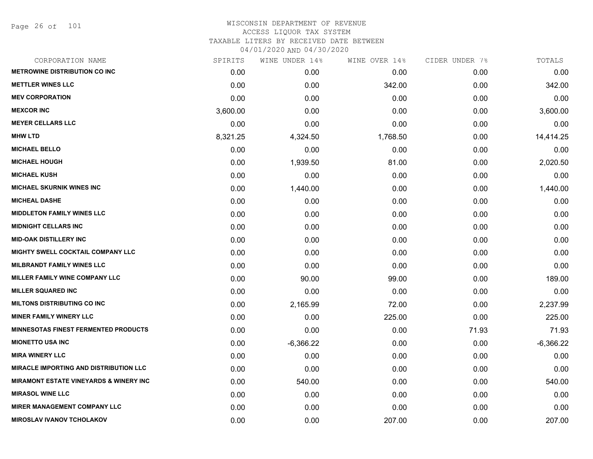Page 26 of 101

| CORPORATION NAME                              | SPIRITS  | WINE UNDER 14% | WINE OVER 14% | CIDER UNDER 7% | TOTALS      |
|-----------------------------------------------|----------|----------------|---------------|----------------|-------------|
| <b>METROWINE DISTRIBUTION CO INC</b>          | 0.00     | 0.00           | 0.00          | 0.00           | 0.00        |
| <b>METTLER WINES LLC</b>                      | 0.00     | 0.00           | 342.00        | 0.00           | 342.00      |
| <b>MEV CORPORATION</b>                        | 0.00     | 0.00           | 0.00          | 0.00           | 0.00        |
| <b>MEXCOR INC</b>                             | 3,600.00 | 0.00           | 0.00          | 0.00           | 3,600.00    |
| <b>MEYER CELLARS LLC</b>                      | 0.00     | 0.00           | 0.00          | 0.00           | 0.00        |
| <b>MHW LTD</b>                                | 8,321.25 | 4,324.50       | 1,768.50      | 0.00           | 14,414.25   |
| <b>MICHAEL BELLO</b>                          | 0.00     | 0.00           | 0.00          | 0.00           | 0.00        |
| <b>MICHAEL HOUGH</b>                          | 0.00     | 1,939.50       | 81.00         | 0.00           | 2,020.50    |
| <b>MICHAEL KUSH</b>                           | 0.00     | 0.00           | 0.00          | 0.00           | 0.00        |
| <b>MICHAEL SKURNIK WINES INC</b>              | 0.00     | 1,440.00       | 0.00          | 0.00           | 1,440.00    |
| <b>MICHEAL DASHE</b>                          | 0.00     | 0.00           | 0.00          | 0.00           | 0.00        |
| <b>MIDDLETON FAMILY WINES LLC</b>             | 0.00     | 0.00           | 0.00          | 0.00           | 0.00        |
| <b>MIDNIGHT CELLARS INC</b>                   | 0.00     | 0.00           | 0.00          | 0.00           | 0.00        |
| <b>MID-OAK DISTILLERY INC</b>                 | 0.00     | 0.00           | 0.00          | 0.00           | 0.00        |
| MIGHTY SWELL COCKTAIL COMPANY LLC             | 0.00     | 0.00           | 0.00          | 0.00           | 0.00        |
| <b>MILBRANDT FAMILY WINES LLC</b>             | 0.00     | 0.00           | 0.00          | 0.00           | 0.00        |
| MILLER FAMILY WINE COMPANY LLC                | 0.00     | 90.00          | 99.00         | 0.00           | 189.00      |
| <b>MILLER SQUARED INC</b>                     | 0.00     | 0.00           | 0.00          | 0.00           | 0.00        |
| <b>MILTONS DISTRIBUTING CO INC</b>            | 0.00     | 2,165.99       | 72.00         | 0.00           | 2,237.99    |
| <b>MINER FAMILY WINERY LLC</b>                | 0.00     | 0.00           | 225.00        | 0.00           | 225.00      |
| <b>MINNESOTAS FINEST FERMENTED PRODUCTS</b>   | 0.00     | 0.00           | 0.00          | 71.93          | 71.93       |
| <b>MIONETTO USA INC</b>                       | 0.00     | $-6,366.22$    | 0.00          | 0.00           | $-6,366.22$ |
| <b>MIRA WINERY LLC</b>                        | 0.00     | 0.00           | 0.00          | 0.00           | 0.00        |
| <b>MIRACLE IMPORTING AND DISTRIBUTION LLC</b> | 0.00     | 0.00           | 0.00          | 0.00           | 0.00        |
| MIRAMONT ESTATE VINEYARDS & WINERY INC        | 0.00     | 540.00         | 0.00          | 0.00           | 540.00      |
| <b>MIRASOL WINE LLC</b>                       | 0.00     | 0.00           | 0.00          | 0.00           | 0.00        |
| <b>MIRER MANAGEMENT COMPANY LLC</b>           | 0.00     | 0.00           | 0.00          | 0.00           | 0.00        |
| <b>MIROSLAV IVANOV TCHOLAKOV</b>              | 0.00     | 0.00           | 207.00        | 0.00           | 207.00      |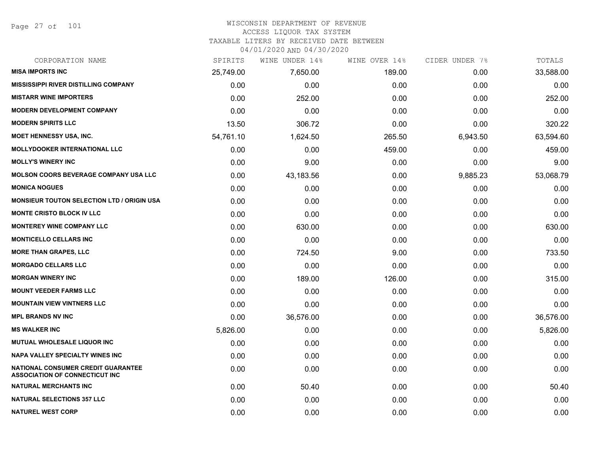Page 27 of 101

#### WISCONSIN DEPARTMENT OF REVENUE ACCESS LIQUOR TAX SYSTEM TAXABLE LITERS BY RECEIVED DATE BETWEEN

04/01/2020 AND 04/30/2020

| CORPORATION NAME                                                            | SPIRITS   | WINE UNDER 14% | WINE OVER 14% | CIDER UNDER 7% | TOTALS    |
|-----------------------------------------------------------------------------|-----------|----------------|---------------|----------------|-----------|
| <b>MISA IMPORTS INC</b>                                                     | 25,749.00 | 7,650.00       | 189.00        | 0.00           | 33,588.00 |
| <b>MISSISSIPPI RIVER DISTILLING COMPANY</b>                                 | 0.00      | 0.00           | 0.00          | 0.00           | 0.00      |
| <b>MISTARR WINE IMPORTERS</b>                                               | 0.00      | 252.00         | 0.00          | 0.00           | 252.00    |
| <b>MODERN DEVELOPMENT COMPANY</b>                                           | 0.00      | 0.00           | 0.00          | 0.00           | 0.00      |
| <b>MODERN SPIRITS LLC</b>                                                   | 13.50     | 306.72         | 0.00          | 0.00           | 320.22    |
| <b>MOET HENNESSY USA, INC.</b>                                              | 54,761.10 | 1,624.50       | 265.50        | 6,943.50       | 63,594.60 |
| <b>MOLLYDOOKER INTERNATIONAL LLC</b>                                        | 0.00      | 0.00           | 459.00        | 0.00           | 459.00    |
| <b>MOLLY'S WINERY INC</b>                                                   | 0.00      | 9.00           | 0.00          | 0.00           | 9.00      |
| <b>MOLSON COORS BEVERAGE COMPANY USA LLC</b>                                | 0.00      | 43,183.56      | 0.00          | 9,885.23       | 53,068.79 |
| <b>MONICA NOGUES</b>                                                        | 0.00      | 0.00           | 0.00          | 0.00           | 0.00      |
| <b>MONSIEUR TOUTON SELECTION LTD / ORIGIN USA</b>                           | 0.00      | 0.00           | 0.00          | 0.00           | 0.00      |
| <b>MONTE CRISTO BLOCK IV LLC</b>                                            | 0.00      | 0.00           | 0.00          | 0.00           | 0.00      |
| <b>MONTEREY WINE COMPANY LLC</b>                                            | 0.00      | 630.00         | 0.00          | 0.00           | 630.00    |
| <b>MONTICELLO CELLARS INC</b>                                               | 0.00      | 0.00           | 0.00          | 0.00           | 0.00      |
| <b>MORE THAN GRAPES, LLC</b>                                                | 0.00      | 724.50         | 9.00          | 0.00           | 733.50    |
| <b>MORGADO CELLARS LLC</b>                                                  | 0.00      | 0.00           | 0.00          | 0.00           | 0.00      |
| <b>MORGAN WINERY INC</b>                                                    | 0.00      | 189.00         | 126.00        | 0.00           | 315.00    |
| <b>MOUNT VEEDER FARMS LLC</b>                                               | 0.00      | 0.00           | 0.00          | 0.00           | 0.00      |
| <b>MOUNTAIN VIEW VINTNERS LLC</b>                                           | 0.00      | 0.00           | 0.00          | 0.00           | 0.00      |
| <b>MPL BRANDS NV INC</b>                                                    | 0.00      | 36,576.00      | 0.00          | 0.00           | 36,576.00 |
| <b>MS WALKER INC</b>                                                        | 5,826.00  | 0.00           | 0.00          | 0.00           | 5,826.00  |
| <b>MUTUAL WHOLESALE LIQUOR INC</b>                                          | 0.00      | 0.00           | 0.00          | 0.00           | 0.00      |
| NAPA VALLEY SPECIALTY WINES INC                                             | 0.00      | 0.00           | 0.00          | 0.00           | 0.00      |
| NATIONAL CONSUMER CREDIT GUARANTEE<br><b>ASSOCIATION OF CONNECTICUT INC</b> | 0.00      | 0.00           | 0.00          | 0.00           | 0.00      |
| <b>NATURAL MERCHANTS INC</b>                                                | 0.00      | 50.40          | 0.00          | 0.00           | 50.40     |
| <b>NATURAL SELECTIONS 357 LLC</b>                                           | 0.00      | 0.00           | 0.00          | 0.00           | 0.00      |
| <b>NATUREL WEST CORP</b>                                                    | 0.00      | 0.00           | 0.00          | 0.00           | 0.00      |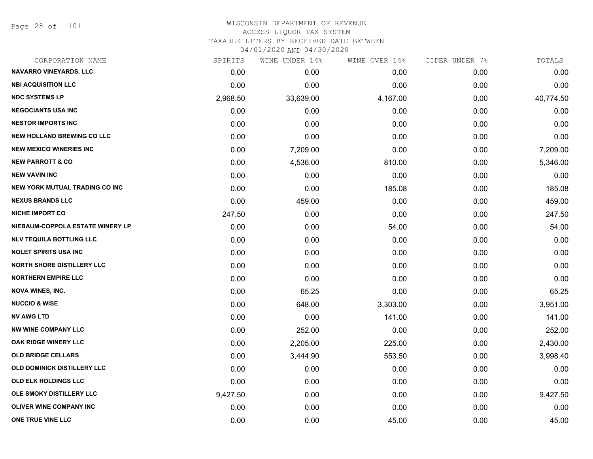Page 28 of 101

| CORPORATION NAME                      | SPIRITS  | WINE UNDER 14% | WINE OVER 14% | CIDER UNDER 7% | TOTALS    |
|---------------------------------------|----------|----------------|---------------|----------------|-----------|
| <b>NAVARRO VINEYARDS, LLC</b>         | 0.00     | 0.00           | 0.00          | 0.00           | 0.00      |
| <b>NBI ACQUISITION LLC</b>            | 0.00     | 0.00           | 0.00          | 0.00           | 0.00      |
| <b>NDC SYSTEMS LP</b>                 | 2,968.50 | 33,639.00      | 4,167.00      | 0.00           | 40,774.50 |
| <b>NEGOCIANTS USA INC</b>             | 0.00     | 0.00           | 0.00          | 0.00           | 0.00      |
| <b>NESTOR IMPORTS INC</b>             | 0.00     | 0.00           | 0.00          | 0.00           | 0.00      |
| <b>NEW HOLLAND BREWING CO LLC</b>     | 0.00     | 0.00           | 0.00          | 0.00           | 0.00      |
| <b>NEW MEXICO WINERIES INC</b>        | 0.00     | 7,209.00       | 0.00          | 0.00           | 7,209.00  |
| <b>NEW PARROTT &amp; CO</b>           | 0.00     | 4,536.00       | 810.00        | 0.00           | 5,346.00  |
| <b>NEW VAVIN INC</b>                  | 0.00     | 0.00           | 0.00          | 0.00           | 0.00      |
| <b>NEW YORK MUTUAL TRADING CO INC</b> | 0.00     | 0.00           | 185.08        | 0.00           | 185.08    |
| <b>NEXUS BRANDS LLC</b>               | 0.00     | 459.00         | 0.00          | 0.00           | 459.00    |
| <b>NICHE IMPORT CO</b>                | 247.50   | 0.00           | 0.00          | 0.00           | 247.50    |
| NIEBAUM-COPPOLA ESTATE WINERY LP      | 0.00     | 0.00           | 54.00         | 0.00           | 54.00     |
| <b>NLV TEQUILA BOTTLING LLC</b>       | 0.00     | 0.00           | 0.00          | 0.00           | 0.00      |
| <b>NOLET SPIRITS USA INC</b>          | 0.00     | 0.00           | 0.00          | 0.00           | 0.00      |
| <b>NORTH SHORE DISTILLERY LLC</b>     | 0.00     | 0.00           | 0.00          | 0.00           | 0.00      |
| <b>NORTHERN EMPIRE LLC</b>            | 0.00     | 0.00           | 0.00          | 0.00           | 0.00      |
| <b>NOVA WINES, INC.</b>               | 0.00     | 65.25          | 0.00          | 0.00           | 65.25     |
| <b>NUCCIO &amp; WISE</b>              | 0.00     | 648.00         | 3,303.00      | 0.00           | 3,951.00  |
| <b>NV AWG LTD</b>                     | 0.00     | 0.00           | 141.00        | 0.00           | 141.00    |
| <b>NW WINE COMPANY LLC</b>            | 0.00     | 252.00         | 0.00          | 0.00           | 252.00    |
| OAK RIDGE WINERY LLC                  | 0.00     | 2,205.00       | 225.00        | 0.00           | 2,430.00  |
| <b>OLD BRIDGE CELLARS</b>             | 0.00     | 3,444.90       | 553.50        | 0.00           | 3,998.40  |
| <b>OLD DOMINICK DISTILLERY LLC</b>    | 0.00     | 0.00           | 0.00          | 0.00           | 0.00      |
| OLD ELK HOLDINGS LLC                  | 0.00     | 0.00           | 0.00          | 0.00           | 0.00      |
| OLE SMOKY DISTILLERY LLC              | 9,427.50 | 0.00           | 0.00          | 0.00           | 9,427.50  |
| <b>OLIVER WINE COMPANY INC</b>        | 0.00     | 0.00           | 0.00          | 0.00           | 0.00      |
| ONE TRUE VINE LLC                     | 0.00     | 0.00           | 45.00         | 0.00           | 45.00     |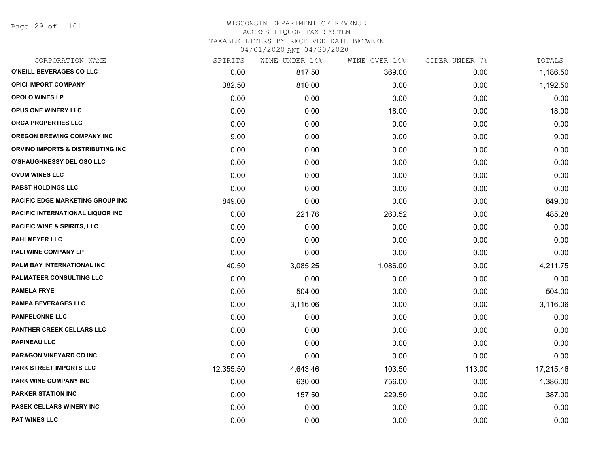Page 29 of 101

### WISCONSIN DEPARTMENT OF REVENUE ACCESS LIQUOR TAX SYSTEM TAXABLE LITERS BY RECEIVED DATE BETWEEN

04/01/2020 AND 04/30/2020

| CORPORATION NAME                       | SPIRITS   | WINE UNDER 14% | WINE OVER 14% | CIDER UNDER 7% | TOTALS    |
|----------------------------------------|-----------|----------------|---------------|----------------|-----------|
| O'NEILL BEVERAGES CO LLC               | 0.00      | 817.50         | 369.00        | 0.00           | 1,186.50  |
| <b>OPICI IMPORT COMPANY</b>            | 382.50    | 810.00         | 0.00          | 0.00           | 1,192.50  |
| <b>OPOLO WINES LP</b>                  | 0.00      | 0.00           | 0.00          | 0.00           | 0.00      |
| <b>OPUS ONE WINERY LLC</b>             | 0.00      | 0.00           | 18.00         | 0.00           | 18.00     |
| <b>ORCA PROPERTIES LLC</b>             | 0.00      | 0.00           | 0.00          | 0.00           | 0.00      |
| <b>OREGON BREWING COMPANY INC</b>      | 9.00      | 0.00           | 0.00          | 0.00           | 9.00      |
| ORVINO IMPORTS & DISTRIBUTING INC      | 0.00      | 0.00           | 0.00          | 0.00           | 0.00      |
| <b>O'SHAUGHNESSY DEL OSO LLC</b>       | 0.00      | 0.00           | 0.00          | 0.00           | 0.00      |
| <b>OVUM WINES LLC</b>                  | 0.00      | 0.00           | 0.00          | 0.00           | 0.00      |
| <b>PABST HOLDINGS LLC</b>              | 0.00      | 0.00           | 0.00          | 0.00           | 0.00      |
| PACIFIC EDGE MARKETING GROUP INC       | 849.00    | 0.00           | 0.00          | 0.00           | 849.00    |
| PACIFIC INTERNATIONAL LIQUOR INC       | 0.00      | 221.76         | 263.52        | 0.00           | 485.28    |
| <b>PACIFIC WINE &amp; SPIRITS, LLC</b> | 0.00      | 0.00           | 0.00          | 0.00           | 0.00      |
| <b>PAHLMEYER LLC</b>                   | 0.00      | 0.00           | 0.00          | 0.00           | 0.00      |
| PALI WINE COMPANY LP                   | 0.00      | 0.00           | 0.00          | 0.00           | 0.00      |
| <b>PALM BAY INTERNATIONAL INC</b>      | 40.50     | 3,085.25       | 1,086.00      | 0.00           | 4,211.75  |
| PALMATEER CONSULTING LLC               | 0.00      | 0.00           | 0.00          | 0.00           | 0.00      |
| <b>PAMELA FRYE</b>                     | 0.00      | 504.00         | 0.00          | 0.00           | 504.00    |
| <b>PAMPA BEVERAGES LLC</b>             | 0.00      | 3,116.06       | 0.00          | 0.00           | 3,116.06  |
| <b>PAMPELONNE LLC</b>                  | 0.00      | 0.00           | 0.00          | 0.00           | 0.00      |
| PANTHER CREEK CELLARS LLC              | 0.00      | 0.00           | 0.00          | 0.00           | 0.00      |
| <b>PAPINEAU LLC</b>                    | 0.00      | 0.00           | 0.00          | 0.00           | 0.00      |
| PARAGON VINEYARD CO INC                | 0.00      | 0.00           | 0.00          | 0.00           | 0.00      |
| PARK STREET IMPORTS LLC                | 12,355.50 | 4,643.46       | 103.50        | 113.00         | 17,215.46 |
| <b>PARK WINE COMPANY INC</b>           | 0.00      | 630.00         | 756.00        | 0.00           | 1,386.00  |
| <b>PARKER STATION INC</b>              | 0.00      | 157.50         | 229.50        | 0.00           | 387.00    |
| PASEK CELLARS WINERY INC               | 0.00      | 0.00           | 0.00          | 0.00           | 0.00      |
| <b>PAT WINES LLC</b>                   | 0.00      | 0.00           | 0.00          | 0.00           | 0.00      |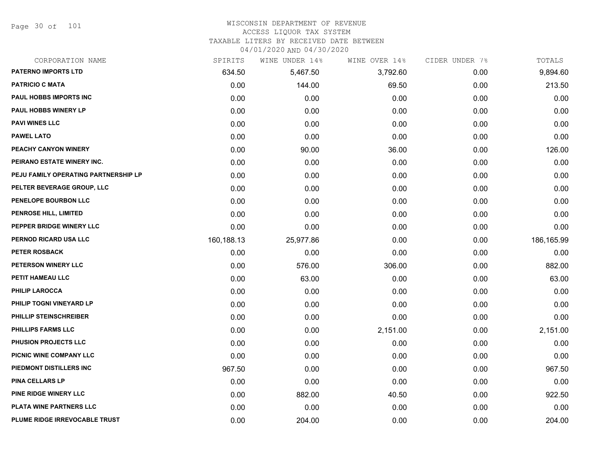Page 30 of 101

# WISCONSIN DEPARTMENT OF REVENUE ACCESS LIQUOR TAX SYSTEM

TAXABLE LITERS BY RECEIVED DATE BETWEEN

04/01/2020 AND 04/30/2020

| CORPORATION NAME                     | SPIRITS    | WINE UNDER 14% | WINE OVER 14% | CIDER UNDER 7% | TOTALS     |
|--------------------------------------|------------|----------------|---------------|----------------|------------|
| <b>PATERNO IMPORTS LTD</b>           | 634.50     | 5,467.50       | 3,792.60      | 0.00           | 9,894.60   |
| <b>PATRICIO C MATA</b>               | 0.00       | 144.00         | 69.50         | 0.00           | 213.50     |
| PAUL HOBBS IMPORTS INC               | 0.00       | 0.00           | 0.00          | 0.00           | 0.00       |
| <b>PAUL HOBBS WINERY LP</b>          | 0.00       | 0.00           | 0.00          | 0.00           | 0.00       |
| <b>PAVI WINES LLC</b>                | 0.00       | 0.00           | 0.00          | 0.00           | 0.00       |
| <b>PAWEL LATO</b>                    | 0.00       | 0.00           | 0.00          | 0.00           | 0.00       |
| PEACHY CANYON WINERY                 | 0.00       | 90.00          | 36.00         | 0.00           | 126.00     |
| PEIRANO ESTATE WINERY INC.           | 0.00       | 0.00           | 0.00          | 0.00           | 0.00       |
| PEJU FAMILY OPERATING PARTNERSHIP LP | 0.00       | 0.00           | 0.00          | 0.00           | 0.00       |
| PELTER BEVERAGE GROUP, LLC           | 0.00       | 0.00           | 0.00          | 0.00           | 0.00       |
| PENELOPE BOURBON LLC                 | 0.00       | 0.00           | 0.00          | 0.00           | 0.00       |
| PENROSE HILL, LIMITED                | 0.00       | 0.00           | 0.00          | 0.00           | 0.00       |
| PEPPER BRIDGE WINERY LLC             | 0.00       | 0.00           | 0.00          | 0.00           | 0.00       |
| PERNOD RICARD USA LLC                | 160,188.13 | 25,977.86      | 0.00          | 0.00           | 186,165.99 |
| <b>PETER ROSBACK</b>                 | 0.00       | 0.00           | 0.00          | 0.00           | 0.00       |
| PETERSON WINERY LLC                  | 0.00       | 576.00         | 306.00        | 0.00           | 882.00     |
| PETIT HAMEAU LLC                     | 0.00       | 63.00          | 0.00          | 0.00           | 63.00      |
| <b>PHILIP LAROCCA</b>                | 0.00       | 0.00           | 0.00          | 0.00           | 0.00       |
| PHILIP TOGNI VINEYARD LP             | 0.00       | 0.00           | 0.00          | 0.00           | 0.00       |
| PHILLIP STEINSCHREIBER               | 0.00       | 0.00           | 0.00          | 0.00           | 0.00       |
| <b>PHILLIPS FARMS LLC</b>            | 0.00       | 0.00           | 2,151.00      | 0.00           | 2,151.00   |
| PHUSION PROJECTS LLC                 | 0.00       | 0.00           | 0.00          | 0.00           | 0.00       |
| PICNIC WINE COMPANY LLC              | 0.00       | 0.00           | 0.00          | 0.00           | 0.00       |
| PIEDMONT DISTILLERS INC              | 967.50     | 0.00           | 0.00          | 0.00           | 967.50     |
| <b>PINA CELLARS LP</b>               | 0.00       | 0.00           | 0.00          | 0.00           | 0.00       |
| PINE RIDGE WINERY LLC                | 0.00       | 882.00         | 40.50         | 0.00           | 922.50     |
| <b>PLATA WINE PARTNERS LLC</b>       | 0.00       | 0.00           | 0.00          | 0.00           | 0.00       |
| PLUME RIDGE IRREVOCABLE TRUST        | 0.00       | 204.00         | 0.00          | 0.00           | 204.00     |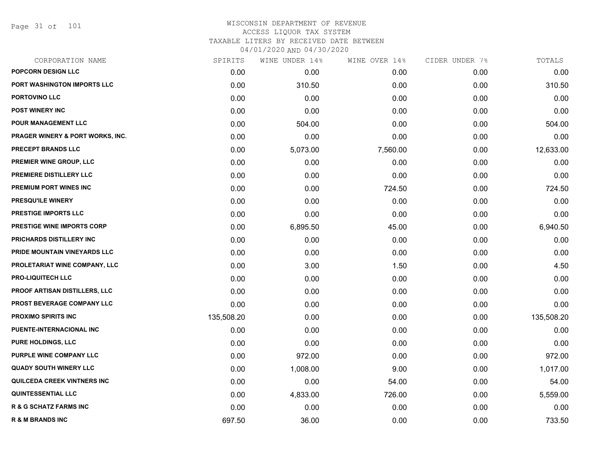Page 31 of 101

| CORPORATION NAME                     | SPIRITS    | WINE UNDER 14% | WINE OVER 14% | CIDER UNDER 7% | ${\tt TOTALS}$ |
|--------------------------------------|------------|----------------|---------------|----------------|----------------|
| POPCORN DESIGN LLC                   | 0.00       | 0.00           | 0.00          | 0.00           | 0.00           |
| PORT WASHINGTON IMPORTS LLC          | 0.00       | 310.50         | 0.00          | 0.00           | 310.50         |
| PORTOVINO LLC                        | 0.00       | 0.00           | 0.00          | 0.00           | 0.00           |
| <b>POST WINERY INC</b>               | 0.00       | 0.00           | 0.00          | 0.00           | 0.00           |
| <b>POUR MANAGEMENT LLC</b>           | 0.00       | 504.00         | 0.00          | 0.00           | 504.00         |
| PRAGER WINERY & PORT WORKS, INC.     | 0.00       | 0.00           | 0.00          | 0.00           | 0.00           |
| PRECEPT BRANDS LLC                   | 0.00       | 5,073.00       | 7,560.00      | 0.00           | 12,633.00      |
| <b>PREMIER WINE GROUP, LLC</b>       | 0.00       | 0.00           | 0.00          | 0.00           | 0.00           |
| PREMIERE DISTILLERY LLC              | 0.00       | 0.00           | 0.00          | 0.00           | 0.00           |
| <b>PREMIUM PORT WINES INC</b>        | 0.00       | 0.00           | 724.50        | 0.00           | 724.50         |
| <b>PRESQU'ILE WINERY</b>             | 0.00       | 0.00           | 0.00          | 0.00           | 0.00           |
| PRESTIGE IMPORTS LLC                 | 0.00       | 0.00           | 0.00          | 0.00           | 0.00           |
| PRESTIGE WINE IMPORTS CORP           | 0.00       | 6,895.50       | 45.00         | 0.00           | 6,940.50       |
| PRICHARDS DISTILLERY INC             | 0.00       | 0.00           | 0.00          | 0.00           | 0.00           |
| PRIDE MOUNTAIN VINEYARDS LLC         | 0.00       | 0.00           | 0.00          | 0.00           | 0.00           |
| PROLETARIAT WINE COMPANY, LLC        | 0.00       | 3.00           | 1.50          | 0.00           | 4.50           |
| <b>PRO-LIQUITECH LLC</b>             | 0.00       | 0.00           | 0.00          | 0.00           | 0.00           |
| <b>PROOF ARTISAN DISTILLERS, LLC</b> | 0.00       | 0.00           | 0.00          | 0.00           | 0.00           |
| <b>PROST BEVERAGE COMPANY LLC</b>    | 0.00       | 0.00           | 0.00          | 0.00           | 0.00           |
| <b>PROXIMO SPIRITS INC</b>           | 135,508.20 | 0.00           | 0.00          | 0.00           | 135,508.20     |
| PUENTE-INTERNACIONAL INC             | 0.00       | 0.00           | 0.00          | 0.00           | 0.00           |
| PURE HOLDINGS, LLC                   | 0.00       | 0.00           | 0.00          | 0.00           | 0.00           |
| PURPLE WINE COMPANY LLC              | 0.00       | 972.00         | 0.00          | 0.00           | 972.00         |
| <b>QUADY SOUTH WINERY LLC</b>        | 0.00       | 1,008.00       | 9.00          | 0.00           | 1,017.00       |
| QUILCEDA CREEK VINTNERS INC          | 0.00       | 0.00           | 54.00         | 0.00           | 54.00          |
| <b>QUINTESSENTIAL LLC</b>            | 0.00       | 4,833.00       | 726.00        | 0.00           | 5,559.00       |
| <b>R &amp; G SCHATZ FARMS INC</b>    | 0.00       | 0.00           | 0.00          | 0.00           | 0.00           |
| <b>R &amp; M BRANDS INC</b>          | 697.50     | 36.00          | 0.00          | 0.00           | 733.50         |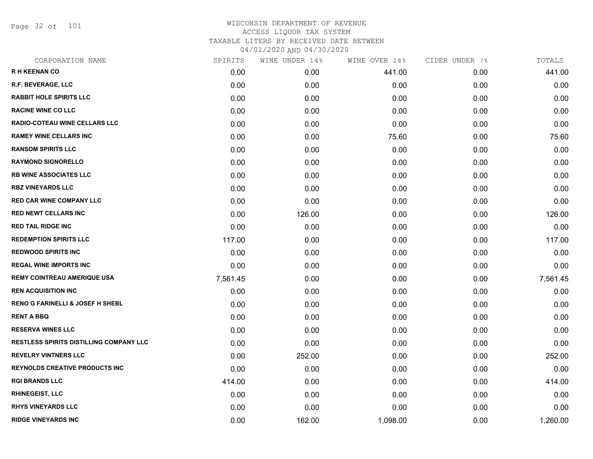Page 32 of 101

| CORPORATION NAME                            | SPIRITS  | WINE UNDER 14% | WINE OVER 14% | CIDER UNDER 7% | TOTALS   |
|---------------------------------------------|----------|----------------|---------------|----------------|----------|
| <b>RH KEENAN CO</b>                         | 0.00     | 0.00           | 441.00        | 0.00           | 441.00   |
| R.F. BEVERAGE, LLC                          | 0.00     | 0.00           | 0.00          | 0.00           | 0.00     |
| <b>RABBIT HOLE SPIRITS LLC</b>              | 0.00     | 0.00           | 0.00          | 0.00           | 0.00     |
| <b>RACINE WINE CO LLC</b>                   | 0.00     | 0.00           | 0.00          | 0.00           | 0.00     |
| <b>RADIO-COTEAU WINE CELLARS LLC</b>        | 0.00     | 0.00           | 0.00          | 0.00           | 0.00     |
| <b>RAMEY WINE CELLARS INC</b>               | 0.00     | 0.00           | 75.60         | 0.00           | 75.60    |
| <b>RANSOM SPIRITS LLC</b>                   | 0.00     | 0.00           | 0.00          | 0.00           | 0.00     |
| <b>RAYMOND SIGNORELLO</b>                   | 0.00     | 0.00           | 0.00          | 0.00           | 0.00     |
| <b>RB WINE ASSOCIATES LLC</b>               | 0.00     | 0.00           | 0.00          | 0.00           | 0.00     |
| <b>RBZ VINEYARDS LLC</b>                    | 0.00     | 0.00           | 0.00          | 0.00           | 0.00     |
| <b>RED CAR WINE COMPANY LLC</b>             | 0.00     | 0.00           | 0.00          | 0.00           | 0.00     |
| <b>RED NEWT CELLARS INC</b>                 | 0.00     | 126.00         | 0.00          | 0.00           | 126.00   |
| <b>RED TAIL RIDGE INC</b>                   | 0.00     | 0.00           | 0.00          | 0.00           | 0.00     |
| <b>REDEMPTION SPIRITS LLC</b>               | 117.00   | 0.00           | 0.00          | 0.00           | 117.00   |
| <b>REDWOOD SPIRITS INC</b>                  | 0.00     | 0.00           | 0.00          | 0.00           | 0.00     |
| <b>REGAL WINE IMPORTS INC</b>               | 0.00     | 0.00           | 0.00          | 0.00           | 0.00     |
| <b>REMY COINTREAU AMERIQUE USA</b>          | 7,561.45 | 0.00           | 0.00          | 0.00           | 7,561.45 |
| <b>REN ACQUISITION INC</b>                  | 0.00     | 0.00           | 0.00          | 0.00           | 0.00     |
| <b>RENO G FARINELLI &amp; JOSEF H SHEBL</b> | 0.00     | 0.00           | 0.00          | 0.00           | 0.00     |
| <b>RENT A BBQ</b>                           | 0.00     | 0.00           | 0.00          | 0.00           | 0.00     |
| <b>RESERVA WINES LLC</b>                    | 0.00     | 0.00           | 0.00          | 0.00           | 0.00     |
| RESTLESS SPIRITS DISTILLING COMPANY LLC     | 0.00     | 0.00           | 0.00          | 0.00           | 0.00     |
| <b>REVELRY VINTNERS LLC</b>                 | 0.00     | 252.00         | 0.00          | 0.00           | 252.00   |
| <b>REYNOLDS CREATIVE PRODUCTS INC</b>       | 0.00     | 0.00           | 0.00          | 0.00           | 0.00     |
| <b>RGI BRANDS LLC</b>                       | 414.00   | 0.00           | 0.00          | 0.00           | 414.00   |
| <b>RHINEGEIST, LLC</b>                      | 0.00     | 0.00           | 0.00          | 0.00           | 0.00     |
| <b>RHYS VINEYARDS LLC</b>                   | 0.00     | 0.00           | 0.00          | 0.00           | 0.00     |
| <b>RIDGE VINEYARDS INC</b>                  | 0.00     | 162.00         | 1,098.00      | 0.00           | 1,260.00 |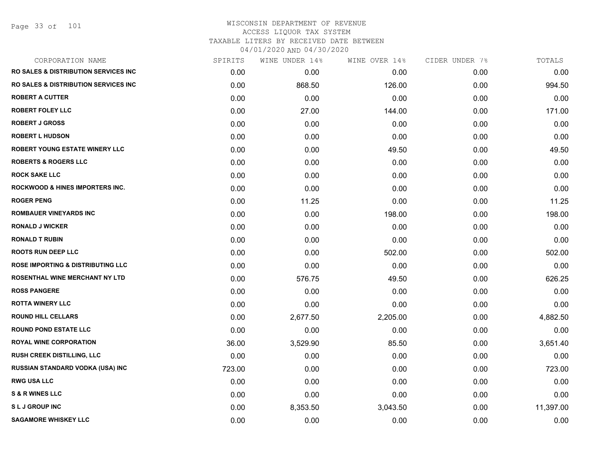Page 33 of 101

| CORPORATION NAME                                 | SPIRITS | WINE UNDER 14% | WINE OVER 14% | CIDER UNDER 7% | TOTALS    |
|--------------------------------------------------|---------|----------------|---------------|----------------|-----------|
| <b>RO SALES &amp; DISTRIBUTION SERVICES INC.</b> | 0.00    | 0.00           | 0.00          | 0.00           | 0.00      |
| <b>RO SALES &amp; DISTRIBUTION SERVICES INC.</b> | 0.00    | 868.50         | 126.00        | 0.00           | 994.50    |
| <b>ROBERT A CUTTER</b>                           | 0.00    | 0.00           | 0.00          | 0.00           | 0.00      |
| <b>ROBERT FOLEY LLC</b>                          | 0.00    | 27.00          | 144.00        | 0.00           | 171.00    |
| <b>ROBERT J GROSS</b>                            | 0.00    | 0.00           | 0.00          | 0.00           | 0.00      |
| <b>ROBERT L HUDSON</b>                           | 0.00    | 0.00           | 0.00          | 0.00           | 0.00      |
| <b>ROBERT YOUNG ESTATE WINERY LLC</b>            | 0.00    | 0.00           | 49.50         | 0.00           | 49.50     |
| <b>ROBERTS &amp; ROGERS LLC</b>                  | 0.00    | 0.00           | 0.00          | 0.00           | 0.00      |
| <b>ROCK SAKE LLC</b>                             | 0.00    | 0.00           | 0.00          | 0.00           | 0.00      |
| <b>ROCKWOOD &amp; HINES IMPORTERS INC.</b>       | 0.00    | 0.00           | 0.00          | 0.00           | 0.00      |
| <b>ROGER PENG</b>                                | 0.00    | 11.25          | 0.00          | 0.00           | 11.25     |
| <b>ROMBAUER VINEYARDS INC</b>                    | 0.00    | 0.00           | 198.00        | 0.00           | 198.00    |
| <b>RONALD J WICKER</b>                           | 0.00    | 0.00           | 0.00          | 0.00           | 0.00      |
| <b>RONALD T RUBIN</b>                            | 0.00    | 0.00           | 0.00          | 0.00           | 0.00      |
| <b>ROOTS RUN DEEP LLC</b>                        | 0.00    | 0.00           | 502.00        | 0.00           | 502.00    |
| <b>ROSE IMPORTING &amp; DISTRIBUTING LLC</b>     | 0.00    | 0.00           | 0.00          | 0.00           | 0.00      |
| ROSENTHAL WINE MERCHANT NY LTD                   | 0.00    | 576.75         | 49.50         | 0.00           | 626.25    |
| <b>ROSS PANGERE</b>                              | 0.00    | 0.00           | 0.00          | 0.00           | 0.00      |
| <b>ROTTA WINERY LLC</b>                          | 0.00    | 0.00           | 0.00          | 0.00           | 0.00      |
| <b>ROUND HILL CELLARS</b>                        | 0.00    | 2,677.50       | 2,205.00      | 0.00           | 4,882.50  |
| <b>ROUND POND ESTATE LLC</b>                     | 0.00    | 0.00           | 0.00          | 0.00           | 0.00      |
| <b>ROYAL WINE CORPORATION</b>                    | 36.00   | 3,529.90       | 85.50         | 0.00           | 3,651.40  |
| <b>RUSH CREEK DISTILLING, LLC</b>                | 0.00    | 0.00           | 0.00          | 0.00           | 0.00      |
| <b>RUSSIAN STANDARD VODKA (USA) INC</b>          | 723.00  | 0.00           | 0.00          | 0.00           | 723.00    |
| <b>RWG USA LLC</b>                               | 0.00    | 0.00           | 0.00          | 0.00           | 0.00      |
| <b>S &amp; R WINES LLC</b>                       | 0.00    | 0.00           | 0.00          | 0.00           | 0.00      |
| <b>SLJGROUPINC</b>                               | 0.00    | 8,353.50       | 3,043.50      | 0.00           | 11,397.00 |
| <b>SAGAMORE WHISKEY LLC</b>                      | 0.00    | 0.00           | 0.00          | 0.00           | 0.00      |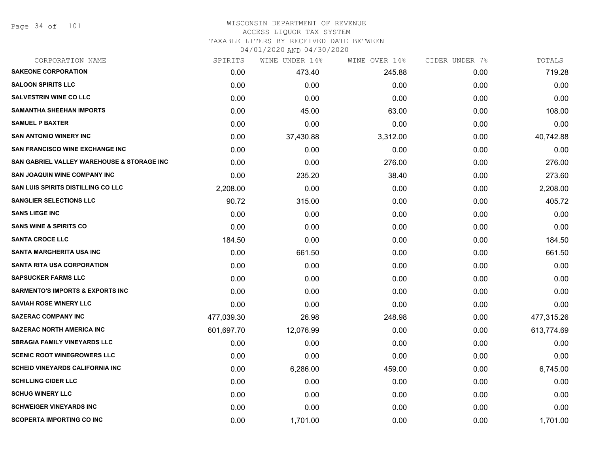Page 34 of 101

#### WISCONSIN DEPARTMENT OF REVENUE ACCESS LIQUOR TAX SYSTEM TAXABLE LITERS BY RECEIVED DATE BETWEEN

04/01/2020 AND 04/30/2020

| CORPORATION NAME                                      | SPIRITS    | WINE UNDER 14% | WINE OVER 14% | CIDER UNDER 7% | TOTALS     |
|-------------------------------------------------------|------------|----------------|---------------|----------------|------------|
| <b>SAKEONE CORPORATION</b>                            | 0.00       | 473.40         | 245.88        | 0.00           | 719.28     |
| <b>SALOON SPIRITS LLC</b>                             | 0.00       | 0.00           | 0.00          | 0.00           | 0.00       |
| <b>SALVESTRIN WINE CO LLC</b>                         | 0.00       | 0.00           | 0.00          | 0.00           | 0.00       |
| <b>SAMANTHA SHEEHAN IMPORTS</b>                       | 0.00       | 45.00          | 63.00         | 0.00           | 108.00     |
| <b>SAMUEL P BAXTER</b>                                | 0.00       | 0.00           | 0.00          | 0.00           | 0.00       |
| <b>SAN ANTONIO WINERY INC</b>                         | 0.00       | 37,430.88      | 3,312.00      | 0.00           | 40,742.88  |
| <b>SAN FRANCISCO WINE EXCHANGE INC</b>                | 0.00       | 0.00           | 0.00          | 0.00           | 0.00       |
| <b>SAN GABRIEL VALLEY WAREHOUSE &amp; STORAGE INC</b> | 0.00       | 0.00           | 276.00        | 0.00           | 276.00     |
| <b>SAN JOAQUIN WINE COMPANY INC</b>                   | 0.00       | 235.20         | 38.40         | 0.00           | 273.60     |
| SAN LUIS SPIRITS DISTILLING CO LLC                    | 2,208.00   | 0.00           | 0.00          | 0.00           | 2,208.00   |
| <b>SANGLIER SELECTIONS LLC</b>                        | 90.72      | 315.00         | 0.00          | 0.00           | 405.72     |
| <b>SANS LIEGE INC</b>                                 | 0.00       | 0.00           | 0.00          | 0.00           | 0.00       |
| <b>SANS WINE &amp; SPIRITS CO</b>                     | 0.00       | 0.00           | 0.00          | 0.00           | 0.00       |
| <b>SANTA CROCE LLC</b>                                | 184.50     | 0.00           | 0.00          | 0.00           | 184.50     |
| <b>SANTA MARGHERITA USA INC</b>                       | 0.00       | 661.50         | 0.00          | 0.00           | 661.50     |
| <b>SANTA RITA USA CORPORATION</b>                     | 0.00       | 0.00           | 0.00          | 0.00           | 0.00       |
| <b>SAPSUCKER FARMS LLC</b>                            | 0.00       | 0.00           | 0.00          | 0.00           | 0.00       |
| <b>SARMENTO'S IMPORTS &amp; EXPORTS INC</b>           | 0.00       | 0.00           | 0.00          | 0.00           | 0.00       |
| <b>SAVIAH ROSE WINERY LLC</b>                         | 0.00       | 0.00           | 0.00          | 0.00           | 0.00       |
| <b>SAZERAC COMPANY INC</b>                            | 477,039.30 | 26.98          | 248.98        | 0.00           | 477,315.26 |
| <b>SAZERAC NORTH AMERICA INC</b>                      | 601,697.70 | 12,076.99      | 0.00          | 0.00           | 613,774.69 |
| <b>SBRAGIA FAMILY VINEYARDS LLC</b>                   | 0.00       | 0.00           | 0.00          | 0.00           | 0.00       |
| <b>SCENIC ROOT WINEGROWERS LLC</b>                    | 0.00       | 0.00           | 0.00          | 0.00           | 0.00       |
| SCHEID VINEYARDS CALIFORNIA INC                       | 0.00       | 6,286.00       | 459.00        | 0.00           | 6,745.00   |
| <b>SCHILLING CIDER LLC</b>                            | 0.00       | 0.00           | 0.00          | 0.00           | 0.00       |
| <b>SCHUG WINERY LLC</b>                               | 0.00       | 0.00           | 0.00          | 0.00           | 0.00       |
| <b>SCHWEIGER VINEYARDS INC</b>                        | 0.00       | 0.00           | 0.00          | 0.00           | 0.00       |
| <b>SCOPERTA IMPORTING CO INC</b>                      | 0.00       | 1,701.00       | 0.00          | 0.00           | 1,701.00   |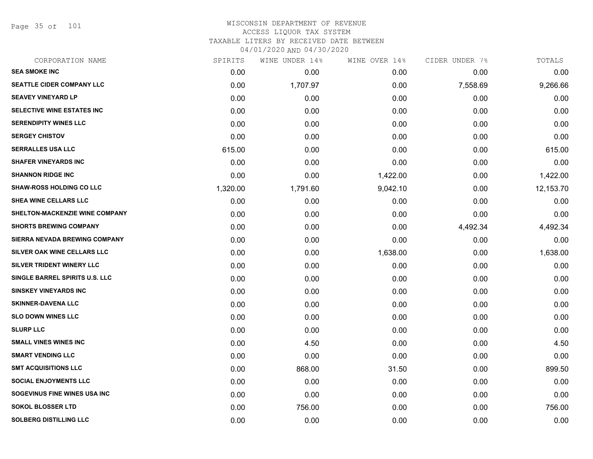Page 35 of 101

| CORPORATION NAME                  | SPIRITS  | WINE UNDER 14% | WINE OVER 14% | CIDER UNDER 7% | TOTALS    |
|-----------------------------------|----------|----------------|---------------|----------------|-----------|
| <b>SEA SMOKE INC</b>              | 0.00     | 0.00           | 0.00          | 0.00           | 0.00      |
| <b>SEATTLE CIDER COMPANY LLC</b>  | 0.00     | 1,707.97       | 0.00          | 7,558.69       | 9,266.66  |
| <b>SEAVEY VINEYARD LP</b>         | 0.00     | 0.00           | 0.00          | 0.00           | 0.00      |
| <b>SELECTIVE WINE ESTATES INC</b> | 0.00     | 0.00           | 0.00          | 0.00           | 0.00      |
| <b>SERENDIPITY WINES LLC</b>      | 0.00     | 0.00           | 0.00          | 0.00           | 0.00      |
| <b>SERGEY CHISTOV</b>             | 0.00     | 0.00           | 0.00          | 0.00           | 0.00      |
| <b>SERRALLES USA LLC</b>          | 615.00   | 0.00           | 0.00          | 0.00           | 615.00    |
| <b>SHAFER VINEYARDS INC</b>       | 0.00     | 0.00           | 0.00          | 0.00           | 0.00      |
| <b>SHANNON RIDGE INC</b>          | 0.00     | 0.00           | 1,422.00      | 0.00           | 1,422.00  |
| <b>SHAW-ROSS HOLDING CO LLC</b>   | 1,320.00 | 1,791.60       | 9,042.10      | 0.00           | 12,153.70 |
| <b>SHEA WINE CELLARS LLC</b>      | 0.00     | 0.00           | 0.00          | 0.00           | 0.00      |
| SHELTON-MACKENZIE WINE COMPANY    | 0.00     | 0.00           | 0.00          | 0.00           | 0.00      |
| <b>SHORTS BREWING COMPANY</b>     | 0.00     | 0.00           | 0.00          | 4,492.34       | 4,492.34  |
| SIERRA NEVADA BREWING COMPANY     | 0.00     | 0.00           | 0.00          | 0.00           | 0.00      |
| SILVER OAK WINE CELLARS LLC       | 0.00     | 0.00           | 1,638.00      | 0.00           | 1,638.00  |
| SILVER TRIDENT WINERY LLC         | 0.00     | 0.00           | 0.00          | 0.00           | 0.00      |
| SINGLE BARREL SPIRITS U.S. LLC    | 0.00     | 0.00           | 0.00          | 0.00           | 0.00      |
| <b>SINSKEY VINEYARDS INC</b>      | 0.00     | 0.00           | 0.00          | 0.00           | 0.00      |
| <b>SKINNER-DAVENA LLC</b>         | 0.00     | 0.00           | 0.00          | 0.00           | 0.00      |
| <b>SLO DOWN WINES LLC</b>         | 0.00     | 0.00           | 0.00          | 0.00           | 0.00      |
| <b>SLURP LLC</b>                  | 0.00     | 0.00           | 0.00          | 0.00           | 0.00      |
| <b>SMALL VINES WINES INC</b>      | 0.00     | 4.50           | 0.00          | 0.00           | 4.50      |
| <b>SMART VENDING LLC</b>          | 0.00     | 0.00           | 0.00          | 0.00           | 0.00      |
| <b>SMT ACQUISITIONS LLC</b>       | 0.00     | 868.00         | 31.50         | 0.00           | 899.50    |
| <b>SOCIAL ENJOYMENTS LLC</b>      | 0.00     | 0.00           | 0.00          | 0.00           | 0.00      |
| SOGEVINUS FINE WINES USA INC      | 0.00     | 0.00           | 0.00          | 0.00           | 0.00      |
| <b>SOKOL BLOSSER LTD</b>          | 0.00     | 756.00         | 0.00          | 0.00           | 756.00    |
| <b>SOLBERG DISTILLING LLC</b>     | 0.00     | 0.00           | 0.00          | 0.00           | 0.00      |
|                                   |          |                |               |                |           |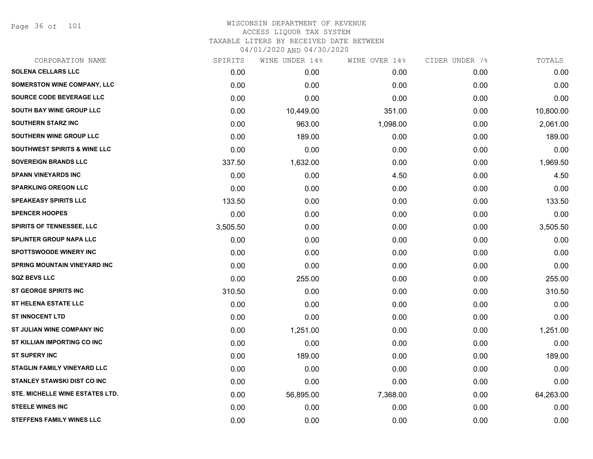Page 36 of 101

| SPIRITS  | WINE UNDER 14% |          |               | TOTALS         |
|----------|----------------|----------|---------------|----------------|
| 0.00     | 0.00           | 0.00     | 0.00          | 0.00           |
| 0.00     | 0.00           | 0.00     | 0.00          | 0.00           |
| 0.00     | 0.00           | 0.00     | 0.00          | 0.00           |
| 0.00     | 10,449.00      | 351.00   | 0.00          | 10,800.00      |
| 0.00     | 963.00         | 1,098.00 | 0.00          | 2,061.00       |
| 0.00     | 189.00         | 0.00     | 0.00          | 189.00         |
| 0.00     | 0.00           | 0.00     | 0.00          | 0.00           |
| 337.50   | 1,632.00       | 0.00     | 0.00          | 1,969.50       |
| 0.00     | 0.00           | 4.50     | 0.00          | 4.50           |
| 0.00     | 0.00           | 0.00     | 0.00          | 0.00           |
| 133.50   | 0.00           | 0.00     | 0.00          | 133.50         |
| 0.00     | 0.00           | 0.00     | 0.00          | 0.00           |
| 3,505.50 | 0.00           | 0.00     | 0.00          | 3,505.50       |
| 0.00     | 0.00           | 0.00     | 0.00          | 0.00           |
| 0.00     | 0.00           | 0.00     | 0.00          | 0.00           |
| 0.00     | 0.00           | 0.00     | 0.00          | 0.00           |
| 0.00     | 255.00         | 0.00     | 0.00          | 255.00         |
| 310.50   | 0.00           | 0.00     | 0.00          | 310.50         |
| 0.00     | 0.00           | 0.00     | 0.00          | 0.00           |
| 0.00     | 0.00           | 0.00     | 0.00          | 0.00           |
| 0.00     | 1,251.00       | 0.00     | 0.00          | 1,251.00       |
| 0.00     | 0.00           | 0.00     | 0.00          | 0.00           |
| 0.00     | 189.00         | 0.00     | 0.00          | 189.00         |
| 0.00     | 0.00           | 0.00     | 0.00          | 0.00           |
| 0.00     | 0.00           | 0.00     | 0.00          | 0.00           |
| 0.00     | 56,895.00      | 7,368.00 | 0.00          | 64,263.00      |
| 0.00     | 0.00           | 0.00     | 0.00          | 0.00           |
| 0.00     | 0.00           | 0.00     | 0.00          | 0.00           |
|          |                |          | WINE OVER 14% | CIDER UNDER 7% |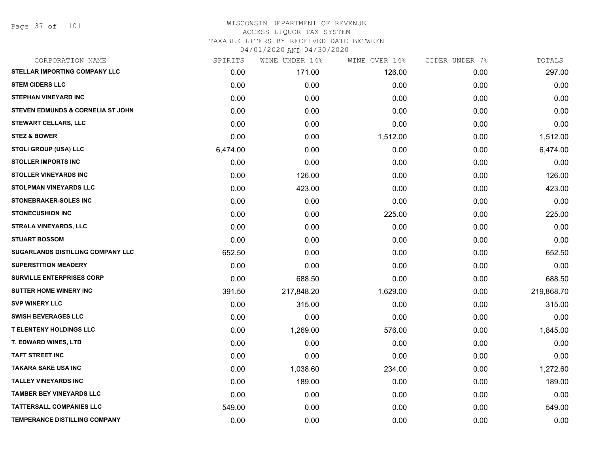Page 37 of 101

|          | WINE UNDER 14% | WINE OVER 14% |      | TOTALS         |
|----------|----------------|---------------|------|----------------|
| 0.00     | 171.00         | 126.00        | 0.00 | 297.00         |
| 0.00     | 0.00           | 0.00          | 0.00 | 0.00           |
| 0.00     | 0.00           | 0.00          | 0.00 | 0.00           |
| 0.00     | 0.00           | 0.00          | 0.00 | 0.00           |
| 0.00     | 0.00           | 0.00          | 0.00 | 0.00           |
| 0.00     | 0.00           | 1,512.00      | 0.00 | 1,512.00       |
| 6,474.00 | 0.00           | 0.00          | 0.00 | 6,474.00       |
| 0.00     | 0.00           | 0.00          | 0.00 | 0.00           |
| 0.00     | 126.00         | 0.00          | 0.00 | 126.00         |
| 0.00     | 423.00         | 0.00          | 0.00 | 423.00         |
| 0.00     | 0.00           | 0.00          | 0.00 | 0.00           |
| 0.00     | 0.00           | 225.00        | 0.00 | 225.00         |
| 0.00     | 0.00           | 0.00          | 0.00 | 0.00           |
| 0.00     | 0.00           | 0.00          | 0.00 | 0.00           |
| 652.50   | 0.00           | 0.00          | 0.00 | 652.50         |
| 0.00     | 0.00           | 0.00          | 0.00 | 0.00           |
| 0.00     | 688.50         | 0.00          | 0.00 | 688.50         |
| 391.50   | 217,848.20     | 1,629.00      | 0.00 | 219,868.70     |
| 0.00     | 315.00         | 0.00          | 0.00 | 315.00         |
| 0.00     | 0.00           | 0.00          | 0.00 | 0.00           |
| 0.00     | 1,269.00       | 576.00        | 0.00 | 1,845.00       |
| 0.00     | 0.00           | 0.00          | 0.00 | 0.00           |
| 0.00     | 0.00           | 0.00          | 0.00 | 0.00           |
| 0.00     | 1,038.60       | 234.00        | 0.00 | 1,272.60       |
| 0.00     | 189.00         | 0.00          | 0.00 | 189.00         |
| 0.00     | 0.00           | 0.00          | 0.00 | 0.00           |
| 549.00   | 0.00           | 0.00          | 0.00 | 549.00         |
| 0.00     | 0.00           | 0.00          | 0.00 | 0.00           |
|          | SPIRITS        |               |      | CIDER UNDER 7% |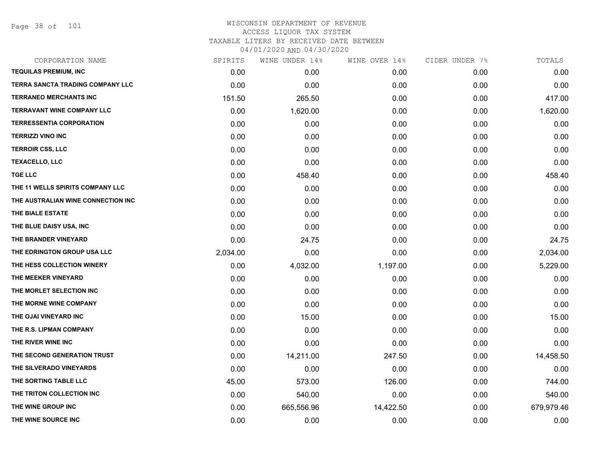Page 38 of 101

| CORPORATION NAME                   | SPIRITS  | WINE UNDER 14% | WINE OVER 14% | CIDER UNDER 7% | TOTALS     |
|------------------------------------|----------|----------------|---------------|----------------|------------|
| <b>TEQUILAS PREMIUM, INC</b>       | 0.00     | 0.00           | 0.00          | 0.00           | 0.00       |
| TERRA SANCTA TRADING COMPANY LLC   | 0.00     | 0.00           | 0.00          | 0.00           | 0.00       |
| TERRANEO MERCHANTS INC             | 151.50   | 265.50         | 0.00          | 0.00           | 417.00     |
| <b>TERRAVANT WINE COMPANY LLC</b>  | 0.00     | 1,620.00       | 0.00          | 0.00           | 1,620.00   |
| <b>TERRESSENTIA CORPORATION</b>    | 0.00     | 0.00           | 0.00          | 0.00           | 0.00       |
| <b>TERRIZZI VINO INC</b>           | 0.00     | 0.00           | 0.00          | 0.00           | 0.00       |
| <b>TERROIR CSS, LLC</b>            | 0.00     | 0.00           | 0.00          | 0.00           | 0.00       |
| <b>TEXACELLO, LLC</b>              | 0.00     | 0.00           | 0.00          | 0.00           | 0.00       |
| <b>TGE LLC</b>                     | 0.00     | 458.40         | 0.00          | 0.00           | 458.40     |
| THE 11 WELLS SPIRITS COMPANY LLC   | 0.00     | 0.00           | 0.00          | 0.00           | 0.00       |
| THE AUSTRALIAN WINE CONNECTION INC | 0.00     | 0.00           | 0.00          | 0.00           | 0.00       |
| THE BIALE ESTATE                   | 0.00     | 0.00           | 0.00          | 0.00           | 0.00       |
| THE BLUE DAISY USA, INC            | 0.00     | 0.00           | 0.00          | 0.00           | 0.00       |
| THE BRANDER VINEYARD               | 0.00     | 24.75          | 0.00          | 0.00           | 24.75      |
| THE EDRINGTON GROUP USA LLC        | 2,034.00 | 0.00           | 0.00          | 0.00           | 2,034.00   |
| THE HESS COLLECTION WINERY         | 0.00     | 4,032.00       | 1,197.00      | 0.00           | 5,229.00   |
| THE MEEKER VINEYARD                | 0.00     | 0.00           | 0.00          | 0.00           | 0.00       |
| THE MORLET SELECTION INC           | 0.00     | 0.00           | 0.00          | 0.00           | 0.00       |
| THE MORNE WINE COMPANY             | 0.00     | 0.00           | 0.00          | 0.00           | 0.00       |
| THE OJAI VINEYARD INC              | 0.00     | 15.00          | 0.00          | 0.00           | 15.00      |
| THE R.S. LIPMAN COMPANY            | 0.00     | 0.00           | 0.00          | 0.00           | 0.00       |
| THE RIVER WINE INC                 | 0.00     | 0.00           | 0.00          | 0.00           | 0.00       |
| THE SECOND GENERATION TRUST        | 0.00     | 14,211.00      | 247.50        | 0.00           | 14,458.50  |
| THE SILVERADO VINEYARDS            | 0.00     | 0.00           | 0.00          | 0.00           | 0.00       |
| THE SORTING TABLE LLC              | 45.00    | 573.00         | 126.00        | 0.00           | 744.00     |
| THE TRITON COLLECTION INC          | 0.00     | 540.00         | 0.00          | 0.00           | 540.00     |
| THE WINE GROUP INC                 | 0.00     | 665,556.96     | 14,422.50     | 0.00           | 679,979.46 |
| THE WINE SOURCE INC                | 0.00     | 0.00           | 0.00          | 0.00           | 0.00       |
|                                    |          |                |               |                |            |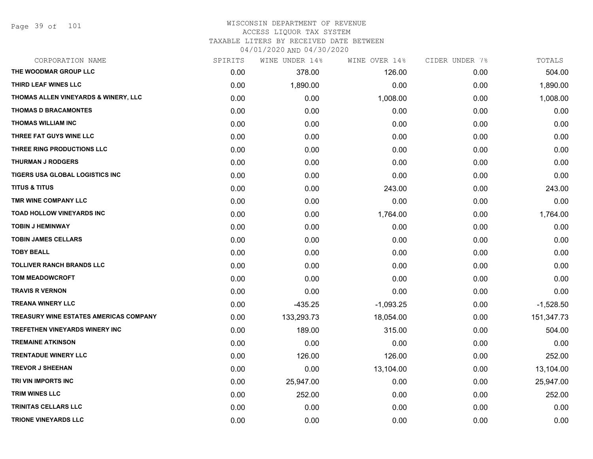Page 39 of 101

| CORPORATION NAME                              | SPIRITS | WINE UNDER 14% | WINE OVER 14% | CIDER UNDER 7% | TOTALS      |
|-----------------------------------------------|---------|----------------|---------------|----------------|-------------|
| THE WOODMAR GROUP LLC                         | 0.00    | 378.00         | 126.00        | 0.00           | 504.00      |
| THIRD LEAF WINES LLC                          | 0.00    | 1,890.00       | 0.00          | 0.00           | 1,890.00    |
| THOMAS ALLEN VINEYARDS & WINERY, LLC          | 0.00    | 0.00           | 1,008.00      | 0.00           | 1,008.00    |
| <b>THOMAS D BRACAMONTES</b>                   | 0.00    | 0.00           | 0.00          | 0.00           | 0.00        |
| <b>THOMAS WILLIAM INC</b>                     | 0.00    | 0.00           | 0.00          | 0.00           | 0.00        |
| THREE FAT GUYS WINE LLC                       | 0.00    | 0.00           | 0.00          | 0.00           | 0.00        |
| THREE RING PRODUCTIONS LLC                    | 0.00    | 0.00           | 0.00          | 0.00           | 0.00        |
| <b>THURMAN J RODGERS</b>                      | 0.00    | 0.00           | 0.00          | 0.00           | 0.00        |
| TIGERS USA GLOBAL LOGISTICS INC               | 0.00    | 0.00           | 0.00          | 0.00           | 0.00        |
| <b>TITUS &amp; TITUS</b>                      | 0.00    | 0.00           | 243.00        | 0.00           | 243.00      |
| TMR WINE COMPANY LLC                          | 0.00    | 0.00           | 0.00          | 0.00           | 0.00        |
| <b>TOAD HOLLOW VINEYARDS INC</b>              | 0.00    | 0.00           | 1,764.00      | 0.00           | 1,764.00    |
| <b>TOBIN J HEMINWAY</b>                       | 0.00    | 0.00           | 0.00          | 0.00           | 0.00        |
| <b>TOBIN JAMES CELLARS</b>                    | 0.00    | 0.00           | 0.00          | 0.00           | 0.00        |
| <b>TOBY BEALL</b>                             | 0.00    | 0.00           | 0.00          | 0.00           | 0.00        |
| <b>TOLLIVER RANCH BRANDS LLC</b>              | 0.00    | 0.00           | 0.00          | 0.00           | 0.00        |
| <b>TOM MEADOWCROFT</b>                        | 0.00    | 0.00           | 0.00          | 0.00           | 0.00        |
| <b>TRAVIS R VERNON</b>                        | 0.00    | 0.00           | 0.00          | 0.00           | 0.00        |
| <b>TREANA WINERY LLC</b>                      | 0.00    | $-435.25$      | $-1,093.25$   | 0.00           | $-1,528.50$ |
| <b>TREASURY WINE ESTATES AMERICAS COMPANY</b> | 0.00    | 133,293.73     | 18,054.00     | 0.00           | 151,347.73  |
| <b>TREFETHEN VINEYARDS WINERY INC</b>         | 0.00    | 189.00         | 315.00        | 0.00           | 504.00      |
| <b>TREMAINE ATKINSON</b>                      | 0.00    | 0.00           | 0.00          | 0.00           | 0.00        |
| <b>TRENTADUE WINERY LLC</b>                   | 0.00    | 126.00         | 126.00        | 0.00           | 252.00      |
| <b>TREVOR J SHEEHAN</b>                       | 0.00    | 0.00           | 13,104.00     | 0.00           | 13,104.00   |
| TRI VIN IMPORTS INC                           | 0.00    | 25,947.00      | 0.00          | 0.00           | 25,947.00   |
| <b>TRIM WINES LLC</b>                         | 0.00    | 252.00         | 0.00          | 0.00           | 252.00      |
| TRINITAS CELLARS LLC                          | 0.00    | 0.00           | 0.00          | 0.00           | 0.00        |
| <b>TRIONE VINEYARDS LLC</b>                   | 0.00    | 0.00           | 0.00          | 0.00           | 0.00        |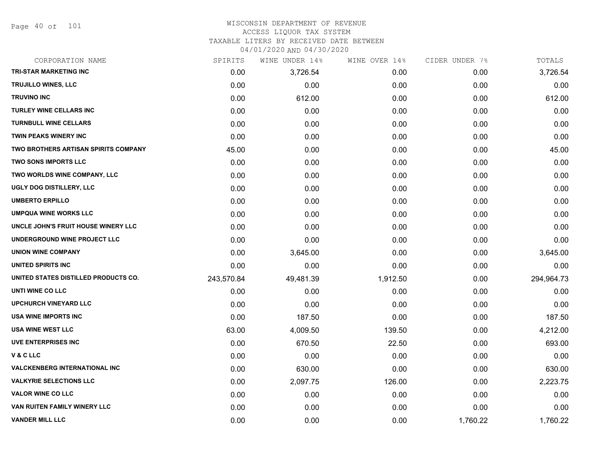Page 40 of 101

#### WISCONSIN DEPARTMENT OF REVENUE ACCESS LIQUOR TAX SYSTEM TAXABLE LITERS BY RECEIVED DATE BETWEEN

04/01/2020 AND 04/30/2020

| CORPORATION NAME                      | SPIRITS    | WINE UNDER 14% | WINE OVER 14% | CIDER UNDER 7% | TOTALS     |
|---------------------------------------|------------|----------------|---------------|----------------|------------|
| <b>TRI-STAR MARKETING INC</b>         | 0.00       | 3,726.54       | 0.00          | 0.00           | 3,726.54   |
| <b>TRUJILLO WINES, LLC</b>            | 0.00       | 0.00           | 0.00          | 0.00           | 0.00       |
| <b>TRUVINO INC</b>                    | 0.00       | 612.00         | 0.00          | 0.00           | 612.00     |
| <b>TURLEY WINE CELLARS INC</b>        | 0.00       | 0.00           | 0.00          | 0.00           | 0.00       |
| <b>TURNBULL WINE CELLARS</b>          | 0.00       | 0.00           | 0.00          | 0.00           | 0.00       |
| <b>TWIN PEAKS WINERY INC</b>          | 0.00       | 0.00           | 0.00          | 0.00           | 0.00       |
| TWO BROTHERS ARTISAN SPIRITS COMPANY  | 45.00      | 0.00           | 0.00          | 0.00           | 45.00      |
| <b>TWO SONS IMPORTS LLC</b>           | 0.00       | 0.00           | 0.00          | 0.00           | 0.00       |
| TWO WORLDS WINE COMPANY, LLC          | 0.00       | 0.00           | 0.00          | 0.00           | 0.00       |
| UGLY DOG DISTILLERY, LLC              | 0.00       | 0.00           | 0.00          | 0.00           | 0.00       |
| <b>UMBERTO ERPILLO</b>                | 0.00       | 0.00           | 0.00          | 0.00           | 0.00       |
| <b>UMPQUA WINE WORKS LLC</b>          | 0.00       | 0.00           | 0.00          | 0.00           | 0.00       |
| UNCLE JOHN'S FRUIT HOUSE WINERY LLC   | 0.00       | 0.00           | 0.00          | 0.00           | 0.00       |
| UNDERGROUND WINE PROJECT LLC          | 0.00       | 0.00           | 0.00          | 0.00           | 0.00       |
| <b>UNION WINE COMPANY</b>             | 0.00       | 3,645.00       | 0.00          | 0.00           | 3,645.00   |
| <b>UNITED SPIRITS INC</b>             | 0.00       | 0.00           | 0.00          | 0.00           | 0.00       |
| UNITED STATES DISTILLED PRODUCTS CO.  | 243,570.84 | 49,481.39      | 1,912.50      | 0.00           | 294,964.73 |
| UNTI WINE CO LLC                      | 0.00       | 0.00           | 0.00          | 0.00           | 0.00       |
| <b>UPCHURCH VINEYARD LLC</b>          | 0.00       | 0.00           | 0.00          | 0.00           | 0.00       |
| USA WINE IMPORTS INC                  | 0.00       | 187.50         | 0.00          | 0.00           | 187.50     |
| <b>USA WINE WEST LLC</b>              | 63.00      | 4,009.50       | 139.50        | 0.00           | 4,212.00   |
| <b>UVE ENTERPRISES INC</b>            | 0.00       | 670.50         | 22.50         | 0.00           | 693.00     |
| V&CLLC                                | 0.00       | 0.00           | 0.00          | 0.00           | 0.00       |
| <b>VALCKENBERG INTERNATIONAL INC.</b> | 0.00       | 630.00         | 0.00          | 0.00           | 630.00     |
| <b>VALKYRIE SELECTIONS LLC</b>        | 0.00       | 2,097.75       | 126.00        | 0.00           | 2,223.75   |
| <b>VALOR WINE CO LLC</b>              | 0.00       | 0.00           | 0.00          | 0.00           | 0.00       |
| VAN RUITEN FAMILY WINERY LLC          | 0.00       | 0.00           | 0.00          | 0.00           | 0.00       |
| <b>VANDER MILL LLC</b>                | 0.00       | 0.00           | 0.00          | 1,760.22       | 1,760.22   |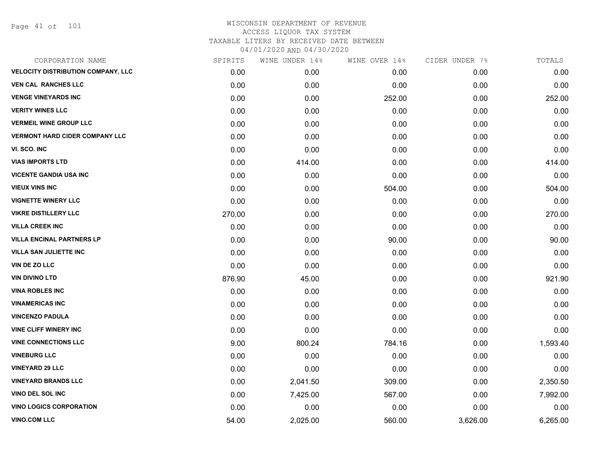Page 41 of 101

| CORPORATION NAME                          | SPIRITS | WINE UNDER 14% | WINE OVER 14% | CIDER UNDER 7% | TOTALS   |
|-------------------------------------------|---------|----------------|---------------|----------------|----------|
| <b>VELOCITY DISTRIBUTION COMPANY, LLC</b> | 0.00    | 0.00           | 0.00          | 0.00           | 0.00     |
| <b>VEN CAL RANCHES LLC</b>                | 0.00    | 0.00           | 0.00          | 0.00           | 0.00     |
| <b>VENGE VINEYARDS INC</b>                | 0.00    | 0.00           | 252.00        | 0.00           | 252.00   |
| <b>VERITY WINES LLC</b>                   | 0.00    | 0.00           | 0.00          | 0.00           | 0.00     |
| <b>VERMEIL WINE GROUP LLC</b>             | 0.00    | 0.00           | 0.00          | 0.00           | 0.00     |
| <b>VERMONT HARD CIDER COMPANY LLC</b>     | 0.00    | 0.00           | 0.00          | 0.00           | 0.00     |
| VI. SCO. INC                              | 0.00    | 0.00           | 0.00          | 0.00           | 0.00     |
| <b>VIAS IMPORTS LTD</b>                   | 0.00    | 414.00         | 0.00          | 0.00           | 414.00   |
| <b>VICENTE GANDIA USA INC</b>             | 0.00    | 0.00           | 0.00          | 0.00           | 0.00     |
| <b>VIEUX VINS INC</b>                     | 0.00    | 0.00           | 504.00        | 0.00           | 504.00   |
| <b>VIGNETTE WINERY LLC</b>                | 0.00    | 0.00           | 0.00          | 0.00           | 0.00     |
| <b>VIKRE DISTILLERY LLC</b>               | 270.00  | 0.00           | 0.00          | 0.00           | 270.00   |
| <b>VILLA CREEK INC</b>                    | 0.00    | 0.00           | 0.00          | 0.00           | 0.00     |
| <b>VILLA ENCINAL PARTNERS LP</b>          | 0.00    | 0.00           | 90.00         | 0.00           | 90.00    |
| <b>VILLA SAN JULIETTE INC</b>             | 0.00    | 0.00           | 0.00          | 0.00           | 0.00     |
| VIN DE ZO LLC                             | 0.00    | 0.00           | 0.00          | 0.00           | 0.00     |
| <b>VIN DIVINO LTD</b>                     | 876.90  | 45.00          | 0.00          | 0.00           | 921.90   |
| <b>VINA ROBLES INC</b>                    | 0.00    | 0.00           | 0.00          | 0.00           | 0.00     |
| <b>VINAMERICAS INC</b>                    | 0.00    | 0.00           | 0.00          | 0.00           | 0.00     |
| <b>VINCENZO PADULA</b>                    | 0.00    | 0.00           | 0.00          | 0.00           | 0.00     |
| <b>VINE CLIFF WINERY INC</b>              | 0.00    | 0.00           | 0.00          | 0.00           | 0.00     |
| <b>VINE CONNECTIONS LLC</b>               | 9.00    | 800.24         | 784.16        | 0.00           | 1,593.40 |
| <b>VINEBURG LLC</b>                       | 0.00    | 0.00           | 0.00          | 0.00           | 0.00     |
| <b>VINEYARD 29 LLC</b>                    | 0.00    | 0.00           | 0.00          | 0.00           | 0.00     |
| <b>VINEYARD BRANDS LLC</b>                | 0.00    | 2,041.50       | 309.00        | 0.00           | 2,350.50 |
| VINO DEL SOL INC                          | 0.00    | 7,425.00       | 567.00        | 0.00           | 7,992.00 |
| <b>VINO LOGICS CORPORATION</b>            | 0.00    | 0.00           | 0.00          | 0.00           | 0.00     |
| <b>VINO.COM LLC</b>                       | 54.00   | 2,025.00       | 560.00        | 3,626.00       | 6,265.00 |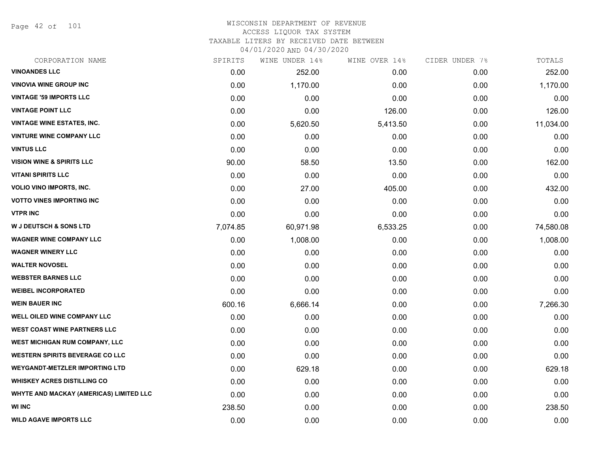Page 42 of 101

| CORPORATION NAME                        | SPIRITS  | WINE UNDER 14% | WINE OVER 14% | CIDER UNDER 7% | TOTALS    |
|-----------------------------------------|----------|----------------|---------------|----------------|-----------|
| <b>VINOANDES LLC</b>                    | 0.00     | 252.00         | 0.00          | 0.00           | 252.00    |
| <b>VINOVIA WINE GROUP INC</b>           | 0.00     | 1,170.00       | 0.00          | 0.00           | 1,170.00  |
| <b>VINTAGE '59 IMPORTS LLC</b>          | 0.00     | 0.00           | 0.00          | 0.00           | 0.00      |
| <b>VINTAGE POINT LLC</b>                | 0.00     | 0.00           | 126.00        | 0.00           | 126.00    |
| <b>VINTAGE WINE ESTATES, INC.</b>       | 0.00     | 5,620.50       | 5,413.50      | 0.00           | 11,034.00 |
| <b>VINTURE WINE COMPANY LLC</b>         | 0.00     | 0.00           | 0.00          | 0.00           | 0.00      |
| <b>VINTUS LLC</b>                       | 0.00     | 0.00           | 0.00          | 0.00           | 0.00      |
| <b>VISION WINE &amp; SPIRITS LLC</b>    | 90.00    | 58.50          | 13.50         | 0.00           | 162.00    |
| <b>VITANI SPIRITS LLC</b>               | 0.00     | 0.00           | 0.00          | 0.00           | 0.00      |
| <b>VOLIO VINO IMPORTS, INC.</b>         | 0.00     | 27.00          | 405.00        | 0.00           | 432.00    |
| <b>VOTTO VINES IMPORTING INC</b>        | 0.00     | 0.00           | 0.00          | 0.00           | 0.00      |
| <b>VTPR INC</b>                         | 0.00     | 0.00           | 0.00          | 0.00           | 0.00      |
| <b>W J DEUTSCH &amp; SONS LTD</b>       | 7,074.85 | 60,971.98      | 6,533.25      | 0.00           | 74,580.08 |
| <b>WAGNER WINE COMPANY LLC</b>          | 0.00     | 1,008.00       | 0.00          | 0.00           | 1,008.00  |
| <b>WAGNER WINERY LLC</b>                | 0.00     | 0.00           | 0.00          | 0.00           | 0.00      |
| <b>WALTER NOVOSEL</b>                   | 0.00     | 0.00           | 0.00          | 0.00           | 0.00      |
| <b>WEBSTER BARNES LLC</b>               | 0.00     | 0.00           | 0.00          | 0.00           | 0.00      |
| <b>WEIBEL INCORPORATED</b>              | 0.00     | 0.00           | 0.00          | 0.00           | 0.00      |
| <b>WEIN BAUER INC</b>                   | 600.16   | 6,666.14       | 0.00          | 0.00           | 7,266.30  |
| <b>WELL OILED WINE COMPANY LLC</b>      | 0.00     | 0.00           | 0.00          | 0.00           | 0.00      |
| <b>WEST COAST WINE PARTNERS LLC</b>     | 0.00     | 0.00           | 0.00          | 0.00           | 0.00      |
| WEST MICHIGAN RUM COMPANY, LLC          | 0.00     | 0.00           | 0.00          | 0.00           | 0.00      |
| <b>WESTERN SPIRITS BEVERAGE CO LLC</b>  | 0.00     | 0.00           | 0.00          | 0.00           | 0.00      |
| <b>WEYGANDT-METZLER IMPORTING LTD</b>   | 0.00     | 629.18         | 0.00          | 0.00           | 629.18    |
| <b>WHISKEY ACRES DISTILLING CO</b>      | 0.00     | 0.00           | 0.00          | 0.00           | 0.00      |
| WHYTE AND MACKAY (AMERICAS) LIMITED LLC | 0.00     | 0.00           | 0.00          | 0.00           | 0.00      |
| <b>WI INC</b>                           | 238.50   | 0.00           | 0.00          | 0.00           | 238.50    |
| <b>WILD AGAVE IMPORTS LLC</b>           | 0.00     | 0.00           | 0.00          | 0.00           | 0.00      |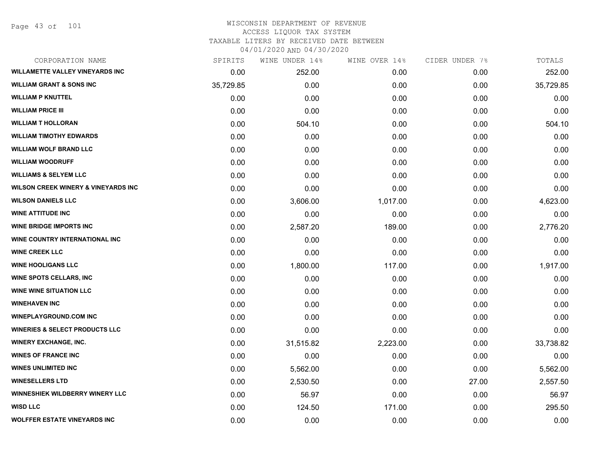Page 43 of 101

| CORPORATION NAME                               | SPIRITS   | WINE UNDER 14% | WINE OVER 14% | CIDER UNDER 7% | TOTALS    |
|------------------------------------------------|-----------|----------------|---------------|----------------|-----------|
| <b>WILLAMETTE VALLEY VINEYARDS INC</b>         | 0.00      | 252.00         | 0.00          | 0.00           | 252.00    |
| <b>WILLIAM GRANT &amp; SONS INC</b>            | 35,729.85 | 0.00           | 0.00          | 0.00           | 35,729.85 |
| <b>WILLIAM P KNUTTEL</b>                       | 0.00      | 0.00           | 0.00          | 0.00           | 0.00      |
| <b>WILLIAM PRICE III</b>                       | 0.00      | 0.00           | 0.00          | 0.00           | 0.00      |
| <b>WILLIAM T HOLLORAN</b>                      | 0.00      | 504.10         | 0.00          | 0.00           | 504.10    |
| <b>WILLIAM TIMOTHY EDWARDS</b>                 | 0.00      | 0.00           | 0.00          | 0.00           | 0.00      |
| <b>WILLIAM WOLF BRAND LLC</b>                  | 0.00      | 0.00           | 0.00          | 0.00           | 0.00      |
| <b>WILLIAM WOODRUFF</b>                        | 0.00      | 0.00           | 0.00          | 0.00           | 0.00      |
| <b>WILLIAMS &amp; SELYEM LLC</b>               | 0.00      | 0.00           | 0.00          | 0.00           | 0.00      |
| <b>WILSON CREEK WINERY &amp; VINEYARDS INC</b> | 0.00      | 0.00           | 0.00          | 0.00           | 0.00      |
| <b>WILSON DANIELS LLC</b>                      | 0.00      | 3,606.00       | 1,017.00      | 0.00           | 4,623.00  |
| <b>WINE ATTITUDE INC</b>                       | 0.00      | 0.00           | 0.00          | 0.00           | 0.00      |
| <b>WINE BRIDGE IMPORTS INC</b>                 | 0.00      | 2,587.20       | 189.00        | 0.00           | 2,776.20  |
| WINE COUNTRY INTERNATIONAL INC                 | 0.00      | 0.00           | 0.00          | 0.00           | 0.00      |
| <b>WINE CREEK LLC</b>                          | 0.00      | 0.00           | 0.00          | 0.00           | 0.00      |
| <b>WINE HOOLIGANS LLC</b>                      | 0.00      | 1,800.00       | 117.00        | 0.00           | 1,917.00  |
| <b>WINE SPOTS CELLARS, INC</b>                 | 0.00      | 0.00           | 0.00          | 0.00           | 0.00      |
| <b>WINE WINE SITUATION LLC</b>                 | 0.00      | 0.00           | 0.00          | 0.00           | 0.00      |
| <b>WINEHAVEN INC</b>                           | 0.00      | 0.00           | 0.00          | 0.00           | 0.00      |
| <b>WINEPLAYGROUND.COM INC</b>                  | 0.00      | 0.00           | 0.00          | 0.00           | 0.00      |
| <b>WINERIES &amp; SELECT PRODUCTS LLC</b>      | 0.00      | 0.00           | 0.00          | 0.00           | 0.00      |
| <b>WINERY EXCHANGE, INC.</b>                   | 0.00      | 31,515.82      | 2,223.00      | 0.00           | 33,738.82 |
| <b>WINES OF FRANCE INC</b>                     | 0.00      | 0.00           | 0.00          | 0.00           | 0.00      |
| <b>WINES UNLIMITED INC</b>                     | 0.00      | 5,562.00       | 0.00          | 0.00           | 5,562.00  |
| <b>WINESELLERS LTD</b>                         | 0.00      | 2,530.50       | 0.00          | 27.00          | 2,557.50  |
| WINNESHIEK WILDBERRY WINERY LLC                | 0.00      | 56.97          | 0.00          | 0.00           | 56.97     |
| <b>WISD LLC</b>                                | 0.00      | 124.50         | 171.00        | 0.00           | 295.50    |
| <b>WOLFFER ESTATE VINEYARDS INC</b>            | 0.00      | 0.00           | 0.00          | 0.00           | 0.00      |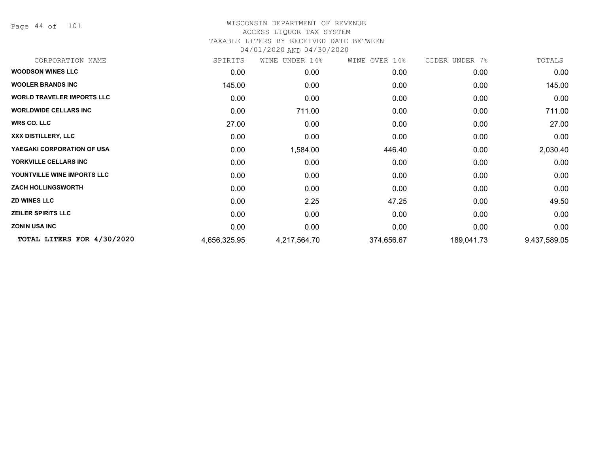Page 44 of 101

| CORPORATION NAME                  | SPIRITS      | WINE UNDER 14% | WINE OVER 14% | CIDER UNDER 7% | TOTALS       |
|-----------------------------------|--------------|----------------|---------------|----------------|--------------|
| <b>WOODSON WINES LLC</b>          | 0.00         | 0.00           | 0.00          | 0.00           | 0.00         |
| <b>WOOLER BRANDS INC</b>          | 145.00       | 0.00           | 0.00          | 0.00           | 145.00       |
| <b>WORLD TRAVELER IMPORTS LLC</b> | 0.00         | 0.00           | 0.00          | 0.00           | 0.00         |
| <b>WORLDWIDE CELLARS INC.</b>     | 0.00         | 711.00         | 0.00          | 0.00           | 711.00       |
| <b>WRS CO. LLC</b>                | 27.00        | 0.00           | 0.00          | 0.00           | 27.00        |
| XXX DISTILLERY, LLC               | 0.00         | 0.00           | 0.00          | 0.00           | 0.00         |
| YAEGAKI CORPORATION OF USA        | 0.00         | 1,584.00       | 446.40        | 0.00           | 2,030.40     |
| YORKVILLE CELLARS INC             | 0.00         | 0.00           | 0.00          | 0.00           | 0.00         |
| YOUNTVILLE WINE IMPORTS LLC       | 0.00         | 0.00           | 0.00          | 0.00           | 0.00         |
| <b>ZACH HOLLINGSWORTH</b>         | 0.00         | 0.00           | 0.00          | 0.00           | 0.00         |
| <b>ZD WINES LLC</b>               | 0.00         | 2.25           | 47.25         | 0.00           | 49.50        |
| <b>ZEILER SPIRITS LLC</b>         | 0.00         | 0.00           | 0.00          | 0.00           | 0.00         |
| <b>ZONIN USA INC</b>              | 0.00         | 0.00           | 0.00          | 0.00           | 0.00         |
| TOTAL LITERS FOR 4/30/2020        | 4,656,325.95 | 4,217,564.70   | 374,656.67    | 189,041.73     | 9,437,589.05 |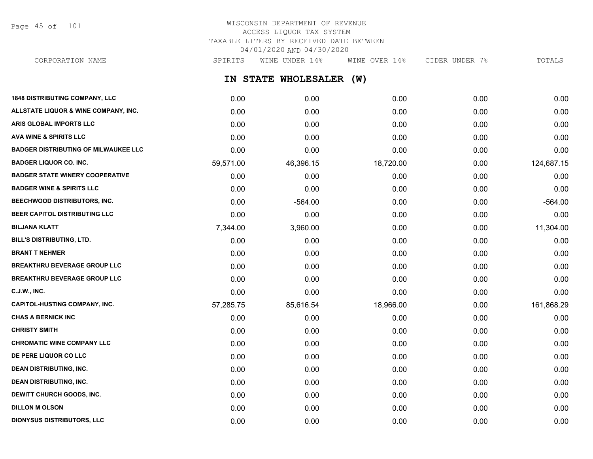Page 45 of 101

## WISCONSIN DEPARTMENT OF REVENUE ACCESS LIQUOR TAX SYSTEM TAXABLE LITERS BY RECEIVED DATE BETWEEN 04/01/2020 AND 04/30/2020

**IN STATE WHOLESALER (W) 1848 DISTRIBUTING COMPANY, LLC** 0.00 0.00 0.00 0.00 0.00 **ALLSTATE LIQUOR & WINE COMPANY, INC.** 0.00 0.00 0.00 0.00 0.00 **ARIS GLOBAL IMPORTS LLC** 0.00 0.00 0.00 0.00 0.00 **AVA WINE & SPIRITS LLC** 0.00 0.00 0.00 0.00 0.00 **BADGER DISTRIBUTING OF MILWAUKEE LLC** 0.00 0.00 0.00 0.00 0.00 **BADGER LIQUOR CO. INC.** 59,571.00 46,396.15 18,720.00 0.00 124,687.15 **BADGER STATE WINERY COOPERATIVE** 0.00 0.00 0.00 0.00 0.00 **BADGER WINE & SPIRITS LLC** 0.00 0.00 0.00 0.00 0.00 **BEECHWOOD DISTRIBUTORS, INC.** 0.00 -564.00 0.00 0.00 -564.00 **BEER CAPITOL DISTRIBUTING LLC** 0.00 0.00 0.00 0.00 0.00 **BILJANA KLATT** 7,344.00 3,960.00 0.00 0.00 11,304.00 **BILL'S DISTRIBUTING, LTD.** 0.00 0.00 0.00 0.00 0.00 **BRANT T NEHMER** 0.00 0.00 0.00 0.00 0.00 **BREAKTHRU BEVERAGE GROUP LLC**  $0.00$   $0.00$   $0.00$   $0.00$   $0.00$   $0.00$   $0.00$   $0.00$   $0.00$   $0.00$   $0.00$   $0.00$ **BREAKTHRU BEVERAGE GROUP LLC**  $0.00$   $0.00$   $0.00$   $0.00$   $0.00$   $0.00$   $0.00$   $0.00$   $0.00$   $0.00$   $0.00$   $0.00$   $0.00$   $0.00$   $0.00$   $0.00$   $0.00$   $0.00$   $0.00$   $0.00$   $0.00$   $0.00$   $0.00$   $0.00$   $0.00$   $0.00$   $0.00$   $0$ **C.J.W., INC.** 6.00 **0.00 0.00 0.00 0.00 0.00 0.00 0.00 0.00 0.00 0.00 0.00 0.00 0.00 0.00 CAPITOL-HUSTING COMPANY, INC.** 57,285.75 85,616.54 18,966.00 0.00 161,868.29 **CHAS A BERNICK INC** 0.00 0.00 0.00 0.00 0.00 **CHRISTY SMITH** 0.00 0.00 0.00 0.00 0.00 **CHROMATIC WINE COMPANY LLC** 0.00 0.00 0.00 0.00 0.00 **DE PERE LIQUOR CO LLC** 0.00 0.00 0.00 0.00 0.00 **DEAN DISTRIBUTING, INC.** 0.00 0.00 0.00 0.00 0.00 **DEAN DISTRIBUTING, INC.** 0.00 0.00 0.00 0.00 0.00 **DEWITT CHURCH GOODS, INC.** 0.00 0.00 0.00 0.00 0.00 **DILLON M OLSON** 0.00 0.00 0.00 0.00 0.00 CORPORATION NAME SPIRITS WINE UNDER 14% WINE OVER 14% CIDER UNDER 7% TOTALS

**DIONYSUS DISTRIBUTORS, LLC** 0.00 0.00 0.00 0.00 0.00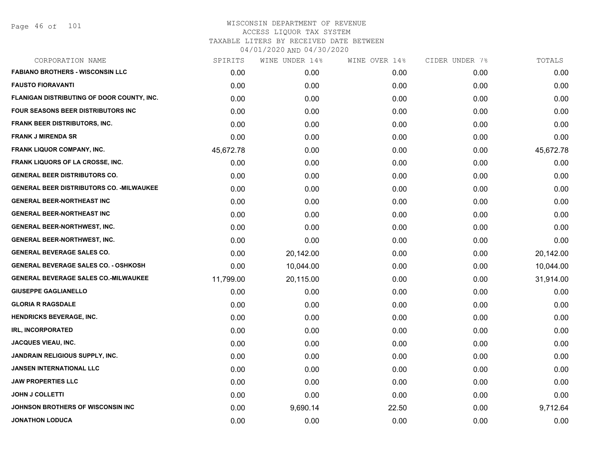| CORPORATION NAME                                 | SPIRITS   | WINE UNDER 14% | WINE OVER 14% | CIDER UNDER 7% | TOTALS    |
|--------------------------------------------------|-----------|----------------|---------------|----------------|-----------|
| <b>FABIANO BROTHERS - WISCONSIN LLC</b>          | 0.00      | 0.00           | 0.00          | 0.00           | 0.00      |
| <b>FAUSTO FIORAVANTI</b>                         | 0.00      | 0.00           | 0.00          | 0.00           | 0.00      |
| FLANIGAN DISTRIBUTING OF DOOR COUNTY, INC.       | 0.00      | 0.00           | 0.00          | 0.00           | 0.00      |
| FOUR SEASONS BEER DISTRIBUTORS INC               | 0.00      | 0.00           | 0.00          | 0.00           | 0.00      |
| FRANK BEER DISTRIBUTORS, INC.                    | 0.00      | 0.00           | 0.00          | 0.00           | 0.00      |
| <b>FRANK J MIRENDA SR</b>                        | 0.00      | 0.00           | 0.00          | 0.00           | 0.00      |
| FRANK LIQUOR COMPANY, INC.                       | 45,672.78 | 0.00           | 0.00          | 0.00           | 45,672.78 |
| <b>FRANK LIQUORS OF LA CROSSE, INC.</b>          | 0.00      | 0.00           | 0.00          | 0.00           | 0.00      |
| <b>GENERAL BEER DISTRIBUTORS CO.</b>             | 0.00      | 0.00           | 0.00          | 0.00           | 0.00      |
| <b>GENERAL BEER DISTRIBUTORS CO. - MILWAUKEE</b> | 0.00      | 0.00           | 0.00          | 0.00           | 0.00      |
| <b>GENERAL BEER-NORTHEAST INC</b>                | 0.00      | 0.00           | 0.00          | 0.00           | 0.00      |
| <b>GENERAL BEER-NORTHEAST INC</b>                | 0.00      | 0.00           | 0.00          | 0.00           | 0.00      |
| <b>GENERAL BEER-NORTHWEST, INC.</b>              | 0.00      | 0.00           | 0.00          | 0.00           | 0.00      |
| <b>GENERAL BEER-NORTHWEST, INC.</b>              | 0.00      | 0.00           | 0.00          | 0.00           | 0.00      |
| <b>GENERAL BEVERAGE SALES CO.</b>                | 0.00      | 20,142.00      | 0.00          | 0.00           | 20,142.00 |
| <b>GENERAL BEVERAGE SALES CO. - OSHKOSH</b>      | 0.00      | 10,044.00      | 0.00          | 0.00           | 10,044.00 |
| <b>GENERAL BEVERAGE SALES CO.-MILWAUKEE</b>      | 11,799.00 | 20,115.00      | 0.00          | 0.00           | 31,914.00 |
| <b>GIUSEPPE GAGLIANELLO</b>                      | 0.00      | 0.00           | 0.00          | 0.00           | 0.00      |
| <b>GLORIA R RAGSDALE</b>                         | 0.00      | 0.00           | 0.00          | 0.00           | 0.00      |
| <b>HENDRICKS BEVERAGE, INC.</b>                  | 0.00      | 0.00           | 0.00          | 0.00           | 0.00      |
| <b>IRL, INCORPORATED</b>                         | 0.00      | 0.00           | 0.00          | 0.00           | 0.00      |
| <b>JACQUES VIEAU, INC.</b>                       | 0.00      | 0.00           | 0.00          | 0.00           | 0.00      |
| <b>JANDRAIN RELIGIOUS SUPPLY, INC.</b>           | 0.00      | 0.00           | 0.00          | 0.00           | 0.00      |
| <b>JANSEN INTERNATIONAL LLC</b>                  | 0.00      | 0.00           | 0.00          | 0.00           | 0.00      |
| <b>JAW PROPERTIES LLC</b>                        | 0.00      | 0.00           | 0.00          | 0.00           | 0.00      |
| <b>JOHN J COLLETTI</b>                           | 0.00      | 0.00           | 0.00          | 0.00           | 0.00      |
| JOHNSON BROTHERS OF WISCONSIN INC                | 0.00      | 9,690.14       | 22.50         | 0.00           | 9,712.64  |
| <b>JONATHON LODUCA</b>                           | 0.00      | 0.00           | 0.00          | 0.00           | 0.00      |
|                                                  |           |                |               |                |           |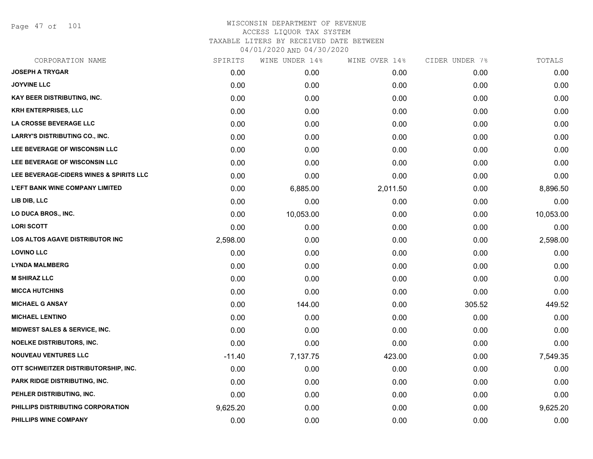Page 47 of 101

| CORPORATION NAME                         | SPIRITS  | WINE UNDER 14% | WINE OVER 14% | CIDER UNDER 7% | TOTALS    |
|------------------------------------------|----------|----------------|---------------|----------------|-----------|
| <b>JOSEPH A TRYGAR</b>                   | 0.00     | 0.00           | 0.00          | 0.00           | 0.00      |
| <b>JOYVINE LLC</b>                       | 0.00     | 0.00           | 0.00          | 0.00           | 0.00      |
| <b>KAY BEER DISTRIBUTING, INC.</b>       | 0.00     | 0.00           | 0.00          | 0.00           | 0.00      |
| <b>KRH ENTERPRISES, LLC</b>              | 0.00     | 0.00           | 0.00          | 0.00           | 0.00      |
| LA CROSSE BEVERAGE LLC                   | 0.00     | 0.00           | 0.00          | 0.00           | 0.00      |
| <b>LARRY'S DISTRIBUTING CO., INC.</b>    | 0.00     | 0.00           | 0.00          | 0.00           | 0.00      |
| LEE BEVERAGE OF WISCONSIN LLC            | 0.00     | 0.00           | 0.00          | 0.00           | 0.00      |
| LEE BEVERAGE OF WISCONSIN LLC            | 0.00     | 0.00           | 0.00          | 0.00           | 0.00      |
| LEE BEVERAGE-CIDERS WINES & SPIRITS LLC  | 0.00     | 0.00           | 0.00          | 0.00           | 0.00      |
| <b>L'EFT BANK WINE COMPANY LIMITED</b>   | 0.00     | 6,885.00       | 2,011.50      | 0.00           | 8,896.50  |
| LIB DIB, LLC                             | 0.00     | 0.00           | 0.00          | 0.00           | 0.00      |
| LO DUCA BROS., INC.                      | 0.00     | 10,053.00      | 0.00          | 0.00           | 10,053.00 |
| <b>LORI SCOTT</b>                        | 0.00     | 0.00           | 0.00          | 0.00           | 0.00      |
| <b>LOS ALTOS AGAVE DISTRIBUTOR INC</b>   | 2,598.00 | 0.00           | 0.00          | 0.00           | 2,598.00  |
| <b>LOVINO LLC</b>                        | 0.00     | 0.00           | 0.00          | 0.00           | 0.00      |
| <b>LYNDA MALMBERG</b>                    | 0.00     | 0.00           | 0.00          | 0.00           | 0.00      |
| <b>M SHIRAZ LLC</b>                      | 0.00     | 0.00           | 0.00          | 0.00           | 0.00      |
| <b>MICCA HUTCHINS</b>                    | 0.00     | 0.00           | 0.00          | 0.00           | 0.00      |
| <b>MICHAEL G ANSAY</b>                   | 0.00     | 144.00         | 0.00          | 305.52         | 449.52    |
| <b>MICHAEL LENTINO</b>                   | 0.00     | 0.00           | 0.00          | 0.00           | 0.00      |
| <b>MIDWEST SALES &amp; SERVICE, INC.</b> | 0.00     | 0.00           | 0.00          | 0.00           | 0.00      |
| <b>NOELKE DISTRIBUTORS, INC.</b>         | 0.00     | 0.00           | 0.00          | 0.00           | 0.00      |
| <b>NOUVEAU VENTURES LLC</b>              | $-11.40$ | 7,137.75       | 423.00        | 0.00           | 7,549.35  |
| OTT SCHWEITZER DISTRIBUTORSHIP, INC.     | 0.00     | 0.00           | 0.00          | 0.00           | 0.00      |
| PARK RIDGE DISTRIBUTING, INC.            | 0.00     | 0.00           | 0.00          | 0.00           | 0.00      |
| PEHLER DISTRIBUTING, INC.                | 0.00     | 0.00           | 0.00          | 0.00           | 0.00      |
| PHILLIPS DISTRIBUTING CORPORATION        | 9,625.20 | 0.00           | 0.00          | 0.00           | 9,625.20  |
| PHILLIPS WINE COMPANY                    | 0.00     | 0.00           | 0.00          | 0.00           | 0.00      |
|                                          |          |                |               |                |           |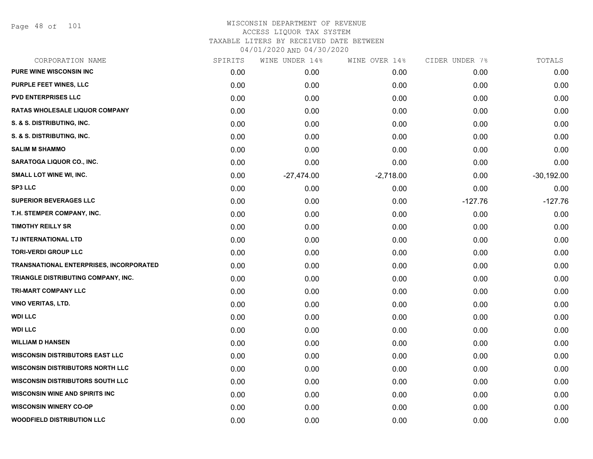Page 48 of 101

| CORPORATION NAME                        | SPIRITS | WINE UNDER 14% | WINE OVER 14% | CIDER UNDER 7% | TOTALS       |
|-----------------------------------------|---------|----------------|---------------|----------------|--------------|
| PURE WINE WISCONSIN INC                 | 0.00    | 0.00           | 0.00          | 0.00           | 0.00         |
| <b>PURPLE FEET WINES, LLC</b>           | 0.00    | 0.00           | 0.00          | 0.00           | 0.00         |
| <b>PVD ENTERPRISES LLC</b>              | 0.00    | 0.00           | 0.00          | 0.00           | 0.00         |
| <b>RATAS WHOLESALE LIQUOR COMPANY</b>   | 0.00    | 0.00           | 0.00          | 0.00           | 0.00         |
| S. & S. DISTRIBUTING, INC.              | 0.00    | 0.00           | 0.00          | 0.00           | 0.00         |
| S. & S. DISTRIBUTING, INC.              | 0.00    | 0.00           | 0.00          | 0.00           | 0.00         |
| <b>SALIM M SHAMMO</b>                   | 0.00    | 0.00           | 0.00          | 0.00           | 0.00         |
| <b>SARATOGA LIQUOR CO., INC.</b>        | 0.00    | 0.00           | 0.00          | 0.00           | 0.00         |
| <b>SMALL LOT WINE WI, INC.</b>          | 0.00    | $-27,474.00$   | $-2,718.00$   | 0.00           | $-30,192.00$ |
| <b>SP3 LLC</b>                          | 0.00    | 0.00           | 0.00          | 0.00           | 0.00         |
| <b>SUPERIOR BEVERAGES LLC</b>           | 0.00    | 0.00           | 0.00          | $-127.76$      | $-127.76$    |
| T.H. STEMPER COMPANY, INC.              | 0.00    | 0.00           | 0.00          | 0.00           | 0.00         |
| <b>TIMOTHY REILLY SR</b>                | 0.00    | 0.00           | 0.00          | 0.00           | 0.00         |
| TJ INTERNATIONAL LTD                    | 0.00    | 0.00           | 0.00          | 0.00           | 0.00         |
| <b>TORI-VERDI GROUP LLC</b>             | 0.00    | 0.00           | 0.00          | 0.00           | 0.00         |
| TRANSNATIONAL ENTERPRISES, INCORPORATED | 0.00    | 0.00           | 0.00          | 0.00           | 0.00         |
| TRIANGLE DISTRIBUTING COMPANY, INC.     | 0.00    | 0.00           | 0.00          | 0.00           | 0.00         |
| <b>TRI-MART COMPANY LLC</b>             | 0.00    | 0.00           | 0.00          | 0.00           | 0.00         |
| <b>VINO VERITAS, LTD.</b>               | 0.00    | 0.00           | 0.00          | 0.00           | 0.00         |
| <b>WDI LLC</b>                          | 0.00    | 0.00           | 0.00          | 0.00           | 0.00         |
| <b>WDI LLC</b>                          | 0.00    | 0.00           | 0.00          | 0.00           | 0.00         |
| <b>WILLIAM D HANSEN</b>                 | 0.00    | 0.00           | 0.00          | 0.00           | 0.00         |
| <b>WISCONSIN DISTRIBUTORS EAST LLC</b>  | 0.00    | 0.00           | 0.00          | 0.00           | 0.00         |
| <b>WISCONSIN DISTRIBUTORS NORTH LLC</b> | 0.00    | 0.00           | 0.00          | 0.00           | 0.00         |
| <b>WISCONSIN DISTRIBUTORS SOUTH LLC</b> | 0.00    | 0.00           | 0.00          | 0.00           | 0.00         |
| <b>WISCONSIN WINE AND SPIRITS INC</b>   | 0.00    | 0.00           | 0.00          | 0.00           | 0.00         |
| <b>WISCONSIN WINERY CO-OP</b>           | 0.00    | 0.00           | 0.00          | 0.00           | 0.00         |
| <b>WOODFIELD DISTRIBUTION LLC</b>       | 0.00    | 0.00           | 0.00          | 0.00           | 0.00         |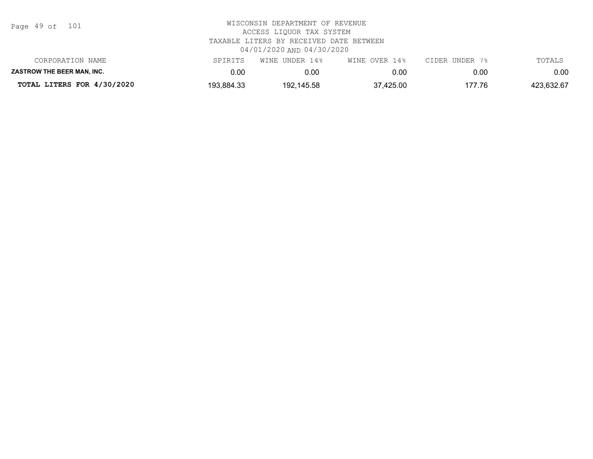| Page 49 of |  |  | 101 |
|------------|--|--|-----|
|------------|--|--|-----|

| CORPORATION NAME                  | SPIRITS    | WINE UNDER 14% | WINE OVER 14% | CIDER UNDER 7% | TOTALS     |
|-----------------------------------|------------|----------------|---------------|----------------|------------|
| <b>ZASTROW THE BEER MAN. INC.</b> | 0.00       | 0.00           | 0.00          | 0.00           | $0.00\,$   |
| TOTAL LITERS FOR 4/30/2020        | 193,884.33 | 192,145.58     | 37,425.00     | 177.76         | 423,632.67 |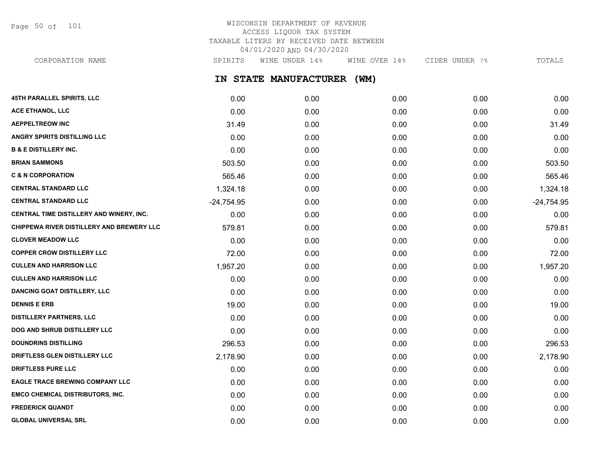Page 50 of 101

## WISCONSIN DEPARTMENT OF REVENUE ACCESS LIQUOR TAX SYSTEM TAXABLE LITERS BY RECEIVED DATE BETWEEN 04/01/2020 AND 04/30/2020

**IN STATE MANUFACTURER (WM) 45TH PARALLEL SPIRITS, LLC** 0.00 0.00 0.00 0.00 0.00 **ACE ETHANOL, LLC** 0.00 0.00 0.00 0.00 0.00 **AEPPELTREOW INC** 31.49 0.00 0.00 0.00 31.49 **ANGRY SPIRITS DISTILLING LLC** 0.00 0.00 0.00 0.00 0.00 **B & E DISTILLERY INC.** 0.00 0.00 0.00 0.00 0.00 **BRIAN SAMMONS** 603.50 **503.50** 503.50 **0.00** 0.00 0.00 0.00 0.00 0.00 0.00 503.50 **C & N CORPORATION 6.000 565.46** 565.46 **565.46** 0.00 0.00 0.00 0.00 0.00 0.00 0.00 565.46 **CENTRAL STANDARD LLC** 1,324.18 0.00 0.00 0.00 1,324.18 **CENTRAL STANDARD LLC** -24,754.95 0.00 0.00 0.00 -24,754.95 **CENTRAL TIME DISTILLERY AND WINERY, INC.** 0.00 0.00 0.00 0.00 0.00 **CHIPPEWA RIVER DISTILLERY AND BREWERY LLC** 579.81 0.00 0.00 0.00 0.00 0.00 0.00 0.00 579.81 **CLOVER MEADOW LLC** 0.00 0.00 0.00 0.00 0.00 **COPPER CROW DISTILLERY LLC**  $\begin{array}{cccc} 72.00 & 0.00 & 0.00 & 0.00 & 0.00 & 0.00 & 0.00 & 72.00 & 0.00 & 0.00 & 0.00 & 0.00 & 0.00 & 0.00 & 0.00 & 0.00 & 0.00 & 0.00 & 0.00 & 0.00 & 0.00 & 0.00 & 0.00 & 0.00 & 0.00 & 0.00 & 0.00 & 0.00 & 0.00 & 0.00 & 0.$ **CULLEN AND HARRISON LLC** 1,957.20 0.00 0.00 0.00 1,957.20 **CULLEN AND HARRISON LLC** 0.00 0.00 0.00 0.00 0.00 **DANCING GOAT DISTILLERY, LLC** 0.00 0.00 0.00 0.00 0.00 CORPORATION NAME SPIRITS WINE UNDER 14% WINE OVER 14% CIDER UNDER 7% TOTALS

**DENNIS E ERB** 19.00 0.00 0.00 0.00 19.00 **DISTILLERY PARTNERS, LLC** 0.00 0.00 0.00 0.00 0.00 **DOG AND SHRUB DISTILLERY LLC**  $0.00$   $0.00$   $0.00$   $0.00$   $0.00$   $0.00$   $0.00$   $0.00$   $0.00$   $0.00$   $0.00$   $0.00$   $0.00$ **DOUNDRINS DISTILLING** 296.53 0.00 0.00 0.00 296.53 **DRIFTLESS GLEN DISTILLERY LLC** 2,178.90 0.00 0.00 0.00 2,178.90 **DRIFTLESS PURE LLC** 0.00 0.00 0.00 0.00 0.00 **EAGLE TRACE BREWING COMPANY LLC** 0.00 0.00 0.00 0.00 0.00 **EMCO CHEMICAL DISTRIBUTORS, INC.** 0.00 0.00 0.00 0.00 0.00 **FREDERICK QUANDT** 0.00 0.00 0.00 0.00 0.00 **GLOBAL UNIVERSAL SRL** 0.00 0.00 0.00 0.00 0.00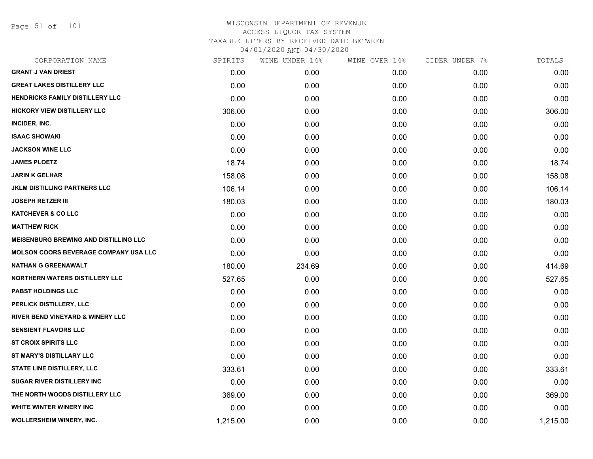Page 51 of 101

| SPIRITS  | WINE UNDER 14% |      |               | TOTALS         |
|----------|----------------|------|---------------|----------------|
| 0.00     | 0.00           | 0.00 | 0.00          | 0.00           |
| 0.00     | 0.00           | 0.00 | 0.00          | 0.00           |
| 0.00     | 0.00           | 0.00 | 0.00          | 0.00           |
| 306.00   | 0.00           | 0.00 | 0.00          | 306.00         |
| 0.00     | 0.00           | 0.00 | 0.00          | 0.00           |
| 0.00     | 0.00           | 0.00 | 0.00          | 0.00           |
| 0.00     | 0.00           | 0.00 | 0.00          | 0.00           |
| 18.74    | 0.00           | 0.00 | 0.00          | 18.74          |
| 158.08   | 0.00           | 0.00 | 0.00          | 158.08         |
| 106.14   | 0.00           | 0.00 | 0.00          | 106.14         |
| 180.03   | 0.00           | 0.00 | 0.00          | 180.03         |
| 0.00     | 0.00           | 0.00 | 0.00          | 0.00           |
| 0.00     | 0.00           | 0.00 | 0.00          | 0.00           |
| 0.00     | 0.00           | 0.00 | 0.00          | 0.00           |
| 0.00     | 0.00           | 0.00 | 0.00          | 0.00           |
| 180.00   | 234.69         | 0.00 | 0.00          | 414.69         |
| 527.65   | 0.00           | 0.00 | 0.00          | 527.65         |
| 0.00     | 0.00           | 0.00 | 0.00          | 0.00           |
| 0.00     | 0.00           | 0.00 | 0.00          | 0.00           |
| 0.00     | 0.00           | 0.00 | 0.00          | 0.00           |
| 0.00     | 0.00           | 0.00 | 0.00          | 0.00           |
| 0.00     | 0.00           | 0.00 | 0.00          | 0.00           |
| 0.00     | 0.00           | 0.00 | 0.00          | 0.00           |
| 333.61   | 0.00           | 0.00 | 0.00          | 333.61         |
| 0.00     | 0.00           | 0.00 | 0.00          | 0.00           |
| 369.00   | 0.00           | 0.00 | 0.00          | 369.00         |
| 0.00     | 0.00           | 0.00 | 0.00          | 0.00           |
| 1,215.00 | 0.00           | 0.00 | 0.00          | 1,215.00       |
|          |                |      | WINE OVER 14% | CIDER UNDER 7% |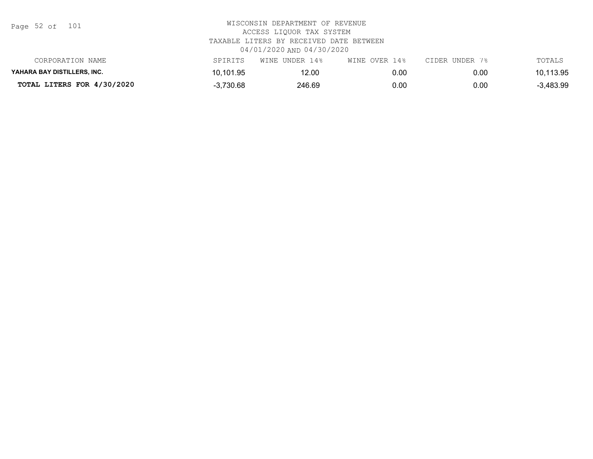Page 52 of 101

| CORPORATION NAME            | SPIRITS     | WINE UNDER 14% | WINE OVER 14% | CIDER UNDER 7% | TOTALS    |
|-----------------------------|-------------|----------------|---------------|----------------|-----------|
| YAHARA BAY DISTILLERS. INC. | 10,101.95   | 12.00          | 0.00          | 0.00           | 10,113.95 |
| TOTAL LITERS FOR 4/30/2020  | $-3,730.68$ | 246.69         | 0.00          | 0.00           | 3,483.99  |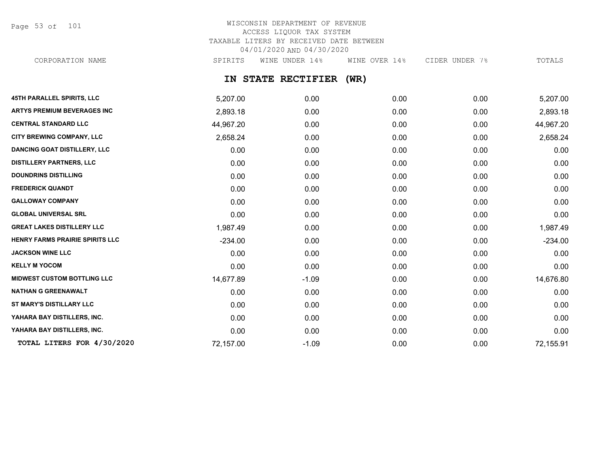Page 53 of 101

## WISCONSIN DEPARTMENT OF REVENUE ACCESS LIQUOR TAX SYSTEM TAXABLE LITERS BY RECEIVED DATE BETWEEN 04/01/2020 AND 04/30/2020

CORPORATION NAME SPIRITS WINE UNDER 14% WINE OVER 14% CIDER UNDER 7% TOTALS

## **IN STATE RECTIFIER (WR)**

| <b>45TH PARALLEL SPIRITS, LLC</b>      | 5,207.00  | 0.00    | 0.00 | 0.00 | 5,207.00  |
|----------------------------------------|-----------|---------|------|------|-----------|
| <b>ARTYS PREMIUM BEVERAGES INC</b>     | 2,893.18  | 0.00    | 0.00 | 0.00 | 2,893.18  |
| <b>CENTRAL STANDARD LLC</b>            | 44,967.20 | 0.00    | 0.00 | 0.00 | 44,967.20 |
| <b>CITY BREWING COMPANY, LLC</b>       | 2,658.24  | 0.00    | 0.00 | 0.00 | 2,658.24  |
| <b>DANCING GOAT DISTILLERY, LLC</b>    | 0.00      | 0.00    | 0.00 | 0.00 | 0.00      |
| <b>DISTILLERY PARTNERS, LLC</b>        | 0.00      | 0.00    | 0.00 | 0.00 | 0.00      |
| <b>DOUNDRINS DISTILLING</b>            | 0.00      | 0.00    | 0.00 | 0.00 | 0.00      |
| <b>FREDERICK QUANDT</b>                | 0.00      | 0.00    | 0.00 | 0.00 | 0.00      |
| <b>GALLOWAY COMPANY</b>                | 0.00      | 0.00    | 0.00 | 0.00 | 0.00      |
| <b>GLOBAL UNIVERSAL SRL</b>            | 0.00      | 0.00    | 0.00 | 0.00 | 0.00      |
| <b>GREAT LAKES DISTILLERY LLC</b>      | 1,987.49  | 0.00    | 0.00 | 0.00 | 1,987.49  |
| <b>HENRY FARMS PRAIRIE SPIRITS LLC</b> | $-234.00$ | 0.00    | 0.00 | 0.00 | $-234.00$ |
| <b>JACKSON WINE LLC</b>                | 0.00      | 0.00    | 0.00 | 0.00 | 0.00      |
| <b>KELLY M YOCOM</b>                   | 0.00      | 0.00    | 0.00 | 0.00 | 0.00      |
| <b>MIDWEST CUSTOM BOTTLING LLC</b>     | 14,677.89 | $-1.09$ | 0.00 | 0.00 | 14,676.80 |
| <b>NATHAN G GREENAWALT</b>             | 0.00      | 0.00    | 0.00 | 0.00 | 0.00      |
| ST MARY'S DISTILLARY LLC               | 0.00      | 0.00    | 0.00 | 0.00 | 0.00      |
| YAHARA BAY DISTILLERS, INC.            | 0.00      | 0.00    | 0.00 | 0.00 | 0.00      |
| YAHARA BAY DISTILLERS, INC.            | 0.00      | 0.00    | 0.00 | 0.00 | 0.00      |
| TOTAL LITERS FOR 4/30/2020             | 72,157.00 | $-1.09$ | 0.00 | 0.00 | 72,155.91 |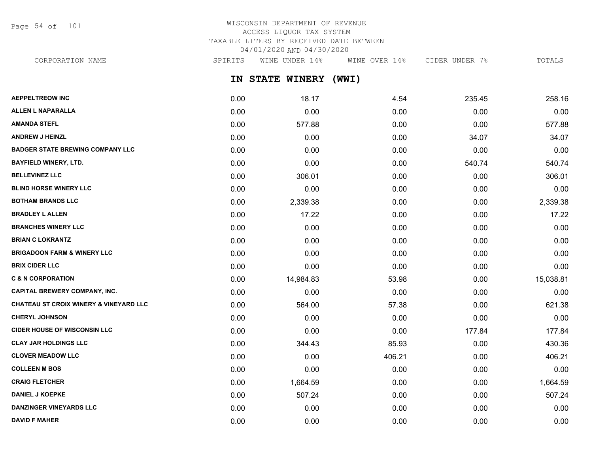Page 54 of 101

## WISCONSIN DEPARTMENT OF REVENUE ACCESS LIQUOR TAX SYSTEM TAXABLE LITERS BY RECEIVED DATE BETWEEN 04/01/2020 AND 04/30/2020

CORPORATION NAME SPIRITS WINE UNDER 14% WINE OVER 14% CIDER UNDER 7% TOTALS

**IN STATE WINERY (WWI)**

| <b>AEPPELTREOW INC</b>                            | 0.00 | 18.17     | 4.54   | 235.45 | 258.16    |
|---------------------------------------------------|------|-----------|--------|--------|-----------|
| <b>ALLEN L NAPARALLA</b>                          | 0.00 | 0.00      | 0.00   | 0.00   | 0.00      |
| <b>AMANDA STEFL</b>                               | 0.00 | 577.88    | 0.00   | 0.00   | 577.88    |
| <b>ANDREW J HEINZL</b>                            | 0.00 | 0.00      | 0.00   | 34.07  | 34.07     |
| <b>BADGER STATE BREWING COMPANY LLC</b>           | 0.00 | 0.00      | 0.00   | 0.00   | 0.00      |
| <b>BAYFIELD WINERY, LTD.</b>                      | 0.00 | 0.00      | 0.00   | 540.74 | 540.74    |
| <b>BELLEVINEZ LLC</b>                             | 0.00 | 306.01    | 0.00   | 0.00   | 306.01    |
| <b>BLIND HORSE WINERY LLC</b>                     | 0.00 | 0.00      | 0.00   | 0.00   | 0.00      |
| <b>BOTHAM BRANDS LLC</b>                          | 0.00 | 2,339.38  | 0.00   | 0.00   | 2,339.38  |
| <b>BRADLEY L ALLEN</b>                            | 0.00 | 17.22     | 0.00   | 0.00   | 17.22     |
| <b>BRANCHES WINERY LLC</b>                        | 0.00 | 0.00      | 0.00   | 0.00   | 0.00      |
| <b>BRIAN C LOKRANTZ</b>                           | 0.00 | 0.00      | 0.00   | 0.00   | 0.00      |
| <b>BRIGADOON FARM &amp; WINERY LLC</b>            | 0.00 | 0.00      | 0.00   | 0.00   | 0.00      |
| <b>BRIX CIDER LLC</b>                             | 0.00 | 0.00      | 0.00   | 0.00   | 0.00      |
| <b>C &amp; N CORPORATION</b>                      | 0.00 | 14,984.83 | 53.98  | 0.00   | 15,038.81 |
| <b>CAPITAL BREWERY COMPANY, INC.</b>              | 0.00 | 0.00      | 0.00   | 0.00   | 0.00      |
| <b>CHATEAU ST CROIX WINERY &amp; VINEYARD LLC</b> | 0.00 | 564.00    | 57.38  | 0.00   | 621.38    |
| <b>CHERYL JOHNSON</b>                             | 0.00 | 0.00      | 0.00   | 0.00   | 0.00      |
| <b>CIDER HOUSE OF WISCONSIN LLC</b>               | 0.00 | 0.00      | 0.00   | 177.84 | 177.84    |
| <b>CLAY JAR HOLDINGS LLC</b>                      | 0.00 | 344.43    | 85.93  | 0.00   | 430.36    |
| <b>CLOVER MEADOW LLC</b>                          | 0.00 | 0.00      | 406.21 | 0.00   | 406.21    |
| <b>COLLEEN M BOS</b>                              | 0.00 | 0.00      | 0.00   | 0.00   | 0.00      |
| <b>CRAIG FLETCHER</b>                             | 0.00 | 1,664.59  | 0.00   | 0.00   | 1,664.59  |
| <b>DANIEL J KOEPKE</b>                            | 0.00 | 507.24    | 0.00   | 0.00   | 507.24    |
| <b>DANZINGER VINEYARDS LLC</b>                    | 0.00 | 0.00      | 0.00   | 0.00   | 0.00      |
| <b>DAVID F MAHER</b>                              | 0.00 | 0.00      | 0.00   | 0.00   | 0.00      |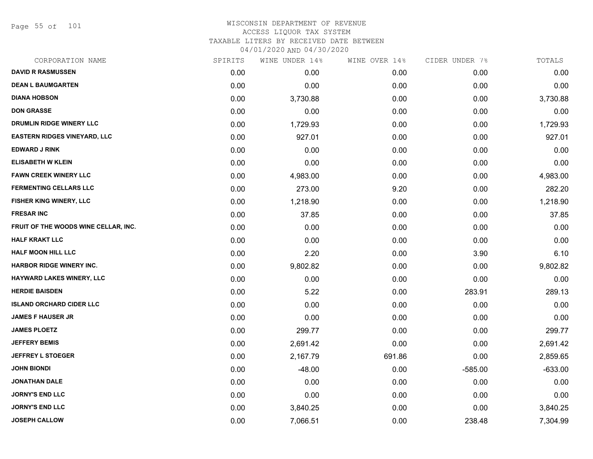Page 55 of 101

| CORPORATION NAME                     | SPIRITS | WINE UNDER 14% | WINE OVER 14% | CIDER UNDER 7% | TOTALS    |
|--------------------------------------|---------|----------------|---------------|----------------|-----------|
| <b>DAVID R RASMUSSEN</b>             | 0.00    | 0.00           | 0.00          | 0.00           | 0.00      |
| <b>DEAN L BAUMGARTEN</b>             | 0.00    | 0.00           | 0.00          | 0.00           | 0.00      |
| <b>DIANA HOBSON</b>                  | 0.00    | 3,730.88       | 0.00          | 0.00           | 3,730.88  |
| <b>DON GRASSE</b>                    | 0.00    | 0.00           | 0.00          | 0.00           | 0.00      |
| DRUMLIN RIDGE WINERY LLC             | 0.00    | 1,729.93       | 0.00          | 0.00           | 1,729.93  |
| EASTERN RIDGES VINEYARD, LLC         | 0.00    | 927.01         | 0.00          | 0.00           | 927.01    |
| <b>EDWARD J RINK</b>                 | 0.00    | 0.00           | 0.00          | 0.00           | 0.00      |
| <b>ELISABETH W KLEIN</b>             | 0.00    | 0.00           | 0.00          | 0.00           | 0.00      |
| <b>FAWN CREEK WINERY LLC</b>         | 0.00    | 4,983.00       | 0.00          | 0.00           | 4,983.00  |
| <b>FERMENTING CELLARS LLC</b>        | 0.00    | 273.00         | 9.20          | 0.00           | 282.20    |
| FISHER KING WINERY, LLC              | 0.00    | 1,218.90       | 0.00          | 0.00           | 1,218.90  |
| <b>FRESAR INC</b>                    | 0.00    | 37.85          | 0.00          | 0.00           | 37.85     |
| FRUIT OF THE WOODS WINE CELLAR, INC. | 0.00    | 0.00           | 0.00          | 0.00           | 0.00      |
| <b>HALF KRAKT LLC</b>                | 0.00    | 0.00           | 0.00          | 0.00           | 0.00      |
| <b>HALF MOON HILL LLC</b>            | 0.00    | 2.20           | 0.00          | 3.90           | 6.10      |
| HARBOR RIDGE WINERY INC.             | 0.00    | 9,802.82       | 0.00          | 0.00           | 9,802.82  |
| HAYWARD LAKES WINERY, LLC            | 0.00    | 0.00           | 0.00          | 0.00           | 0.00      |
| <b>HERDIE BAISDEN</b>                | 0.00    | 5.22           | 0.00          | 283.91         | 289.13    |
| <b>ISLAND ORCHARD CIDER LLC</b>      | 0.00    | 0.00           | 0.00          | 0.00           | 0.00      |
| <b>JAMES F HAUSER JR</b>             | 0.00    | 0.00           | 0.00          | 0.00           | 0.00      |
| <b>JAMES PLOETZ</b>                  | 0.00    | 299.77         | 0.00          | 0.00           | 299.77    |
| <b>JEFFERY BEMIS</b>                 | 0.00    | 2,691.42       | 0.00          | 0.00           | 2,691.42  |
| <b>JEFFREY L STOEGER</b>             | 0.00    | 2,167.79       | 691.86        | 0.00           | 2,859.65  |
| <b>JOHN BIONDI</b>                   | 0.00    | $-48.00$       | 0.00          | $-585.00$      | $-633.00$ |
| <b>JONATHAN DALE</b>                 | 0.00    | 0.00           | 0.00          | 0.00           | 0.00      |
| <b>JORNY'S END LLC</b>               | 0.00    | 0.00           | 0.00          | 0.00           | 0.00      |
| <b>JORNY'S END LLC</b>               | 0.00    | 3,840.25       | 0.00          | 0.00           | 3,840.25  |
| <b>JOSEPH CALLOW</b>                 | 0.00    | 7,066.51       | 0.00          | 238.48         | 7,304.99  |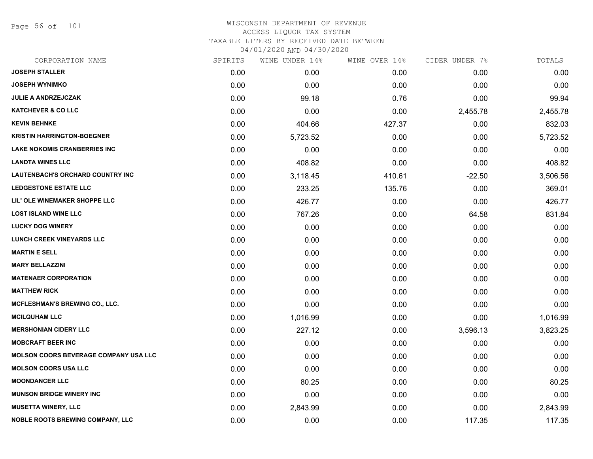Page 56 of 101

| CORPORATION NAME                             | SPIRITS | WINE UNDER 14% | WINE OVER 14% | CIDER UNDER 7% | TOTALS   |
|----------------------------------------------|---------|----------------|---------------|----------------|----------|
| <b>JOSEPH STALLER</b>                        | 0.00    | 0.00           | 0.00          | 0.00           | 0.00     |
| <b>JOSEPH WYNIMKO</b>                        | 0.00    | 0.00           | 0.00          | 0.00           | 0.00     |
| <b>JULIE A ANDRZEJCZAK</b>                   | 0.00    | 99.18          | 0.76          | 0.00           | 99.94    |
| <b>KATCHEVER &amp; CO LLC</b>                | 0.00    | 0.00           | 0.00          | 2,455.78       | 2,455.78 |
| <b>KEVIN BEHNKE</b>                          | 0.00    | 404.66         | 427.37        | 0.00           | 832.03   |
| <b>KRISTIN HARRINGTON-BOEGNER</b>            | 0.00    | 5,723.52       | 0.00          | 0.00           | 5,723.52 |
| <b>LAKE NOKOMIS CRANBERRIES INC</b>          | 0.00    | 0.00           | 0.00          | 0.00           | 0.00     |
| <b>LANDTA WINES LLC</b>                      | 0.00    | 408.82         | 0.00          | 0.00           | 408.82   |
| <b>LAUTENBACH'S ORCHARD COUNTRY INC</b>      | 0.00    | 3,118.45       | 410.61        | $-22.50$       | 3,506.56 |
| <b>LEDGESTONE ESTATE LLC</b>                 | 0.00    | 233.25         | 135.76        | 0.00           | 369.01   |
| LIL' OLE WINEMAKER SHOPPE LLC                | 0.00    | 426.77         | 0.00          | 0.00           | 426.77   |
| <b>LOST ISLAND WINE LLC</b>                  | 0.00    | 767.26         | 0.00          | 64.58          | 831.84   |
| <b>LUCKY DOG WINERY</b>                      | 0.00    | 0.00           | 0.00          | 0.00           | 0.00     |
| LUNCH CREEK VINEYARDS LLC                    | 0.00    | 0.00           | 0.00          | 0.00           | 0.00     |
| <b>MARTIN E SELL</b>                         | 0.00    | 0.00           | 0.00          | 0.00           | 0.00     |
| <b>MARY BELLAZZINI</b>                       | 0.00    | 0.00           | 0.00          | 0.00           | 0.00     |
| <b>MATENAER CORPORATION</b>                  | 0.00    | 0.00           | 0.00          | 0.00           | 0.00     |
| <b>MATTHEW RICK</b>                          | 0.00    | 0.00           | 0.00          | 0.00           | 0.00     |
| <b>MCFLESHMAN'S BREWING CO., LLC.</b>        | 0.00    | 0.00           | 0.00          | 0.00           | 0.00     |
| <b>MCILQUHAM LLC</b>                         | 0.00    | 1,016.99       | 0.00          | 0.00           | 1,016.99 |
| <b>MERSHONIAN CIDERY LLC</b>                 | 0.00    | 227.12         | 0.00          | 3,596.13       | 3,823.25 |
| <b>MOBCRAFT BEER INC</b>                     | 0.00    | 0.00           | 0.00          | 0.00           | 0.00     |
| <b>MOLSON COORS BEVERAGE COMPANY USA LLC</b> | 0.00    | 0.00           | 0.00          | 0.00           | 0.00     |
| <b>MOLSON COORS USA LLC</b>                  | 0.00    | 0.00           | 0.00          | 0.00           | 0.00     |
| <b>MOONDANCER LLC</b>                        | 0.00    | 80.25          | 0.00          | 0.00           | 80.25    |
| <b>MUNSON BRIDGE WINERY INC</b>              | 0.00    | 0.00           | 0.00          | 0.00           | 0.00     |
| <b>MUSETTA WINERY, LLC</b>                   | 0.00    | 2,843.99       | 0.00          | 0.00           | 2,843.99 |
| <b>NOBLE ROOTS BREWING COMPANY, LLC</b>      | 0.00    | 0.00           | 0.00          | 117.35         | 117.35   |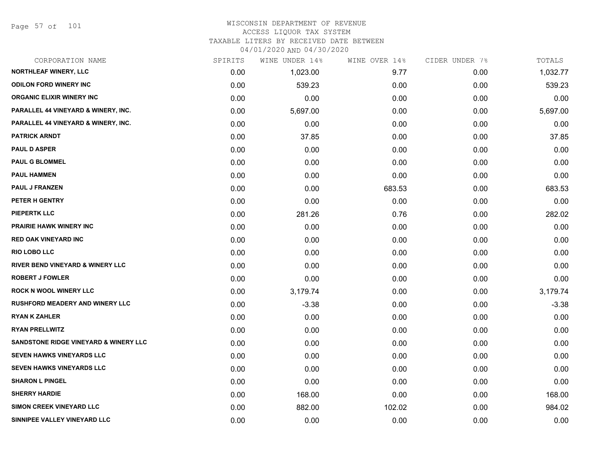Page 57 of 101

## WISCONSIN DEPARTMENT OF REVENUE ACCESS LIQUOR TAX SYSTEM TAXABLE LITERS BY RECEIVED DATE BETWEEN

04/01/2020 AND 04/30/2020

| CORPORATION NAME                                 | SPIRITS | WINE UNDER 14% | WINE OVER 14% | CIDER UNDER 7% | TOTALS   |
|--------------------------------------------------|---------|----------------|---------------|----------------|----------|
| NORTHLEAF WINERY, LLC                            | 0.00    | 1,023.00       | 9.77          | 0.00           | 1,032.77 |
| <b>ODILON FORD WINERY INC</b>                    | 0.00    | 539.23         | 0.00          | 0.00           | 539.23   |
| <b>ORGANIC ELIXIR WINERY INC</b>                 | 0.00    | 0.00           | 0.00          | 0.00           | 0.00     |
| PARALLEL 44 VINEYARD & WINERY, INC.              | 0.00    | 5,697.00       | 0.00          | 0.00           | 5,697.00 |
| PARALLEL 44 VINEYARD & WINERY, INC.              | 0.00    | 0.00           | 0.00          | 0.00           | 0.00     |
| <b>PATRICK ARNDT</b>                             | 0.00    | 37.85          | 0.00          | 0.00           | 37.85    |
| <b>PAUL D ASPER</b>                              | 0.00    | 0.00           | 0.00          | 0.00           | 0.00     |
| <b>PAUL G BLOMMEL</b>                            | 0.00    | 0.00           | 0.00          | 0.00           | 0.00     |
| <b>PAUL HAMMEN</b>                               | 0.00    | 0.00           | 0.00          | 0.00           | 0.00     |
| <b>PAUL J FRANZEN</b>                            | 0.00    | 0.00           | 683.53        | 0.00           | 683.53   |
| PETER H GENTRY                                   | 0.00    | 0.00           | 0.00          | 0.00           | 0.00     |
| PIEPERTK LLC                                     | 0.00    | 281.26         | 0.76          | 0.00           | 282.02   |
| <b>PRAIRIE HAWK WINERY INC</b>                   | 0.00    | 0.00           | 0.00          | 0.00           | 0.00     |
| <b>RED OAK VINEYARD INC</b>                      | 0.00    | 0.00           | 0.00          | 0.00           | 0.00     |
| <b>RIO LOBO LLC</b>                              | 0.00    | 0.00           | 0.00          | 0.00           | 0.00     |
| RIVER BEND VINEYARD & WINERY LLC                 | 0.00    | 0.00           | 0.00          | 0.00           | 0.00     |
| <b>ROBERT J FOWLER</b>                           | 0.00    | 0.00           | 0.00          | 0.00           | 0.00     |
| <b>ROCK N WOOL WINERY LLC</b>                    | 0.00    | 3,179.74       | 0.00          | 0.00           | 3,179.74 |
| <b>RUSHFORD MEADERY AND WINERY LLC</b>           | 0.00    | $-3.38$        | 0.00          | 0.00           | $-3.38$  |
| <b>RYAN K ZAHLER</b>                             | 0.00    | 0.00           | 0.00          | 0.00           | 0.00     |
| <b>RYAN PRELLWITZ</b>                            | 0.00    | 0.00           | 0.00          | 0.00           | 0.00     |
| <b>SANDSTONE RIDGE VINEYARD &amp; WINERY LLC</b> | 0.00    | 0.00           | 0.00          | 0.00           | 0.00     |
| <b>SEVEN HAWKS VINEYARDS LLC</b>                 | 0.00    | 0.00           | 0.00          | 0.00           | 0.00     |
| <b>SEVEN HAWKS VINEYARDS LLC</b>                 | 0.00    | 0.00           | 0.00          | 0.00           | 0.00     |
| <b>SHARON L PINGEL</b>                           | 0.00    | 0.00           | 0.00          | 0.00           | 0.00     |
| <b>SHERRY HARDIE</b>                             | 0.00    | 168.00         | 0.00          | 0.00           | 168.00   |
| <b>SIMON CREEK VINEYARD LLC</b>                  | 0.00    | 882.00         | 102.02        | 0.00           | 984.02   |
| SINNIPEE VALLEY VINEYARD LLC                     | 0.00    | 0.00           | 0.00          | 0.00           | 0.00     |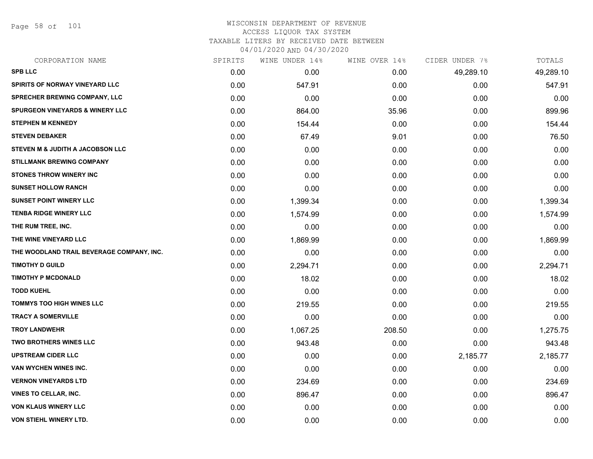Page 58 of 101

| CORPORATION NAME                           | SPIRITS | WINE UNDER 14% | WINE OVER 14% | CIDER UNDER 7% | TOTALS    |
|--------------------------------------------|---------|----------------|---------------|----------------|-----------|
| <b>SPB LLC</b>                             | 0.00    | 0.00           | 0.00          | 49,289.10      | 49,289.10 |
| SPIRITS OF NORWAY VINEYARD LLC             | 0.00    | 547.91         | 0.00          | 0.00           | 547.91    |
| SPRECHER BREWING COMPANY, LLC              | 0.00    | 0.00           | 0.00          | 0.00           | 0.00      |
| <b>SPURGEON VINEYARDS &amp; WINERY LLC</b> | 0.00    | 864.00         | 35.96         | 0.00           | 899.96    |
| <b>STEPHEN M KENNEDY</b>                   | 0.00    | 154.44         | 0.00          | 0.00           | 154.44    |
| <b>STEVEN DEBAKER</b>                      | 0.00    | 67.49          | 9.01          | 0.00           | 76.50     |
| STEVEN M & JUDITH A JACOBSON LLC           | 0.00    | 0.00           | 0.00          | 0.00           | 0.00      |
| <b>STILLMANK BREWING COMPANY</b>           | 0.00    | 0.00           | 0.00          | 0.00           | 0.00      |
| <b>STONES THROW WINERY INC</b>             | 0.00    | 0.00           | 0.00          | 0.00           | 0.00      |
| <b>SUNSET HOLLOW RANCH</b>                 | 0.00    | 0.00           | 0.00          | 0.00           | 0.00      |
| <b>SUNSET POINT WINERY LLC</b>             | 0.00    | 1,399.34       | 0.00          | 0.00           | 1,399.34  |
| <b>TENBA RIDGE WINERY LLC</b>              | 0.00    | 1,574.99       | 0.00          | 0.00           | 1,574.99  |
| THE RUM TREE, INC.                         | 0.00    | 0.00           | 0.00          | 0.00           | 0.00      |
| THE WINE VINEYARD LLC                      | 0.00    | 1,869.99       | 0.00          | 0.00           | 1,869.99  |
| THE WOODLAND TRAIL BEVERAGE COMPANY, INC.  | 0.00    | 0.00           | 0.00          | 0.00           | 0.00      |
| <b>TIMOTHY D GUILD</b>                     | 0.00    | 2,294.71       | 0.00          | 0.00           | 2,294.71  |
| <b>TIMOTHY P MCDONALD</b>                  | 0.00    | 18.02          | 0.00          | 0.00           | 18.02     |
| <b>TODD KUEHL</b>                          | 0.00    | 0.00           | 0.00          | 0.00           | 0.00      |
| <b>TOMMYS TOO HIGH WINES LLC</b>           | 0.00    | 219.55         | 0.00          | 0.00           | 219.55    |
| <b>TRACY A SOMERVILLE</b>                  | 0.00    | 0.00           | 0.00          | 0.00           | 0.00      |
| <b>TROY LANDWEHR</b>                       | 0.00    | 1,067.25       | 208.50        | 0.00           | 1,275.75  |
| <b>TWO BROTHERS WINES LLC</b>              | 0.00    | 943.48         | 0.00          | 0.00           | 943.48    |
| <b>UPSTREAM CIDER LLC</b>                  | 0.00    | 0.00           | 0.00          | 2,185.77       | 2,185.77  |
| VAN WYCHEN WINES INC.                      | 0.00    | 0.00           | 0.00          | 0.00           | 0.00      |
| <b>VERNON VINEYARDS LTD</b>                | 0.00    | 234.69         | 0.00          | 0.00           | 234.69    |
| <b>VINES TO CELLAR, INC.</b>               | 0.00    | 896.47         | 0.00          | 0.00           | 896.47    |
| <b>VON KLAUS WINERY LLC</b>                | 0.00    | 0.00           | 0.00          | 0.00           | 0.00      |
| VON STIEHL WINERY LTD.                     | 0.00    | 0.00           | 0.00          | 0.00           | 0.00      |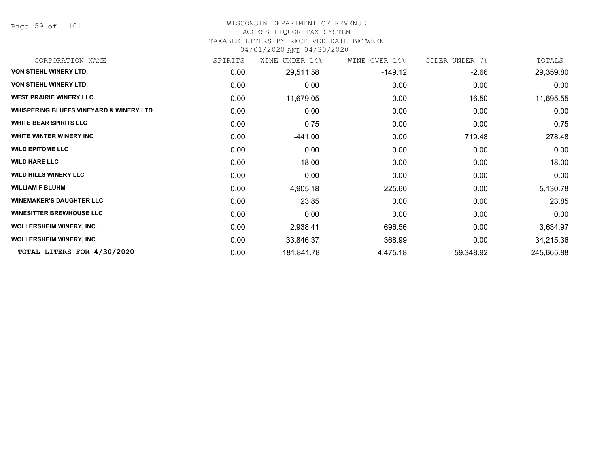Page 59 of 101

### WISCONSIN DEPARTMENT OF REVENUE

#### ACCESS LIQUOR TAX SYSTEM

TAXABLE LITERS BY RECEIVED DATE BETWEEN

04/01/2020 AND 04/30/2020

| CORPORATION NAME                                   | SPIRITS | UNDER 14%<br>WINE | WINE OVER 14% | CIDER UNDER 7% | TOTALS     |
|----------------------------------------------------|---------|-------------------|---------------|----------------|------------|
| VON STIEHL WINERY LTD.                             | 0.00    | 29,511.58         | $-149.12$     | $-2.66$        | 29,359.80  |
| VON STIEHL WINERY LTD.                             | 0.00    | 0.00              | 0.00          | 0.00           | 0.00       |
| <b>WEST PRAIRIE WINERY LLC</b>                     | 0.00    | 11,679.05         | 0.00          | 16.50          | 11,695.55  |
| <b>WHISPERING BLUFFS VINEYARD &amp; WINERY LTD</b> | 0.00    | 0.00              | 0.00          | 0.00           | 0.00       |
| <b>WHITE BEAR SPIRITS LLC</b>                      | 0.00    | 0.75              | 0.00          | 0.00           | 0.75       |
| WHITE WINTER WINERY INC                            | 0.00    | $-441.00$         | 0.00          | 719.48         | 278.48     |
| <b>WILD EPITOME LLC</b>                            | 0.00    | 0.00              | 0.00          | 0.00           | 0.00       |
| <b>WILD HARE LLC</b>                               | 0.00    | 18.00             | 0.00          | 0.00           | 18.00      |
| <b>WILD HILLS WINERY LLC</b>                       | 0.00    | 0.00              | 0.00          | 0.00           | 0.00       |
| <b>WILLIAM F BLUHM</b>                             | 0.00    | 4,905.18          | 225.60        | 0.00           | 5,130.78   |
| <b>WINEMAKER'S DAUGHTER LLC</b>                    | 0.00    | 23.85             | 0.00          | 0.00           | 23.85      |
| <b>WINESITTER BREWHOUSE LLC</b>                    | 0.00    | 0.00              | 0.00          | 0.00           | 0.00       |
| <b>WOLLERSHEIM WINERY, INC.</b>                    | 0.00    | 2,938.41          | 696.56        | 0.00           | 3,634.97   |
| <b>WOLLERSHEIM WINERY, INC.</b>                    | 0.00    | 33,846.37         | 368.99        | 0.00           | 34,215.36  |
| TOTAL LITERS FOR 4/30/2020                         | 0.00    | 181,841.78        | 4,475.18      | 59,348.92      | 245,665.88 |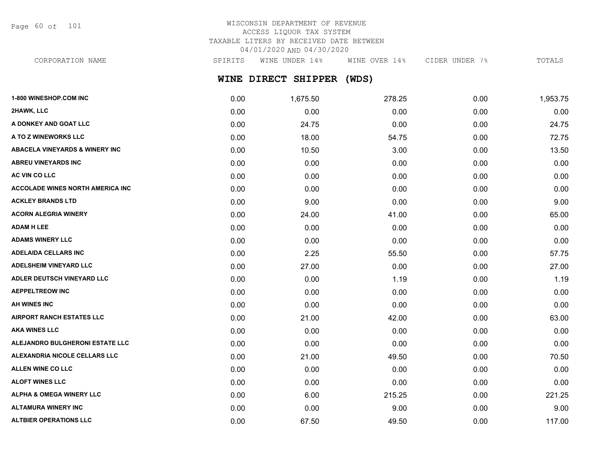Page 60 of 101

## WISCONSIN DEPARTMENT OF REVENUE ACCESS LIQUOR TAX SYSTEM TAXABLE LITERS BY RECEIVED DATE BETWEEN 04/01/2020 AND 04/30/2020

CORPORATION NAME SPIRITS WINE UNDER 14% WINE OVER 14% CIDER UNDER 7% TOTALS

# **WINE DIRECT SHIPPER (WDS)**

| 1-800 WINESHOP.COM INC                    | 0.00 | 1,675.50 | 278.25 | 0.00 | 1,953.75 |
|-------------------------------------------|------|----------|--------|------|----------|
| 2HAWK, LLC                                | 0.00 | 0.00     | 0.00   | 0.00 | 0.00     |
| A DONKEY AND GOAT LLC                     | 0.00 | 24.75    | 0.00   | 0.00 | 24.75    |
| A TO Z WINEWORKS LLC                      | 0.00 | 18.00    | 54.75  | 0.00 | 72.75    |
| <b>ABACELA VINEYARDS &amp; WINERY INC</b> | 0.00 | 10.50    | 3.00   | 0.00 | 13.50    |
| <b>ABREU VINEYARDS INC</b>                | 0.00 | 0.00     | 0.00   | 0.00 | 0.00     |
| AC VIN CO LLC                             | 0.00 | 0.00     | 0.00   | 0.00 | 0.00     |
| <b>ACCOLADE WINES NORTH AMERICA INC</b>   | 0.00 | 0.00     | 0.00   | 0.00 | 0.00     |
| <b>ACKLEY BRANDS LTD</b>                  | 0.00 | 9.00     | 0.00   | 0.00 | 9.00     |
| <b>ACORN ALEGRIA WINERY</b>               | 0.00 | 24.00    | 41.00  | 0.00 | 65.00    |
| <b>ADAM H LEE</b>                         | 0.00 | 0.00     | 0.00   | 0.00 | 0.00     |
| <b>ADAMS WINERY LLC</b>                   | 0.00 | 0.00     | 0.00   | 0.00 | 0.00     |
| <b>ADELAIDA CELLARS INC</b>               | 0.00 | 2.25     | 55.50  | 0.00 | 57.75    |
| <b>ADELSHEIM VINEYARD LLC</b>             | 0.00 | 27.00    | 0.00   | 0.00 | 27.00    |
| ADLER DEUTSCH VINEYARD LLC                | 0.00 | 0.00     | 1.19   | 0.00 | 1.19     |
| <b>AEPPELTREOW INC</b>                    | 0.00 | 0.00     | 0.00   | 0.00 | 0.00     |
| <b>AH WINES INC</b>                       | 0.00 | 0.00     | 0.00   | 0.00 | 0.00     |
| <b>AIRPORT RANCH ESTATES LLC</b>          | 0.00 | 21.00    | 42.00  | 0.00 | 63.00    |
| <b>AKA WINES LLC</b>                      | 0.00 | 0.00     | 0.00   | 0.00 | 0.00     |
| ALEJANDRO BULGHERONI ESTATE LLC           | 0.00 | 0.00     | 0.00   | 0.00 | 0.00     |
| ALEXANDRIA NICOLE CELLARS LLC             | 0.00 | 21.00    | 49.50  | 0.00 | 70.50    |
| ALLEN WINE CO LLC                         | 0.00 | 0.00     | 0.00   | 0.00 | 0.00     |
| <b>ALOFT WINES LLC</b>                    | 0.00 | 0.00     | 0.00   | 0.00 | 0.00     |
| <b>ALPHA &amp; OMEGA WINERY LLC</b>       | 0.00 | 6.00     | 215.25 | 0.00 | 221.25   |
| <b>ALTAMURA WINERY INC</b>                | 0.00 | 0.00     | 9.00   | 0.00 | 9.00     |
| <b>ALTBIER OPERATIONS LLC</b>             | 0.00 | 67.50    | 49.50  | 0.00 | 117.00   |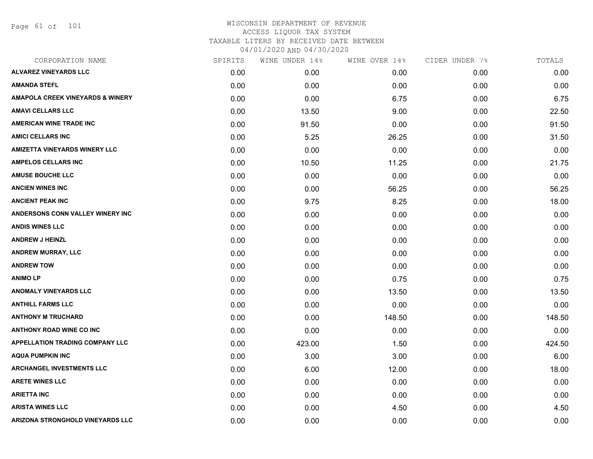Page 61 of 101

| SPIRITS | WINE UNDER 14% |        | CIDER UNDER 7% | TOTALS |
|---------|----------------|--------|----------------|--------|
| 0.00    | 0.00           | 0.00   | 0.00           | 0.00   |
| 0.00    | 0.00           | 0.00   | 0.00           | 0.00   |
| 0.00    | 0.00           | 6.75   | 0.00           | 6.75   |
| 0.00    | 13.50          | 9.00   | 0.00           | 22.50  |
| 0.00    | 91.50          | 0.00   | 0.00           | 91.50  |
| 0.00    | 5.25           | 26.25  | 0.00           | 31.50  |
| 0.00    | 0.00           | 0.00   | 0.00           | 0.00   |
| 0.00    | 10.50          | 11.25  | 0.00           | 21.75  |
| 0.00    | 0.00           | 0.00   | 0.00           | 0.00   |
| 0.00    | 0.00           | 56.25  | 0.00           | 56.25  |
| 0.00    | 9.75           | 8.25   | 0.00           | 18.00  |
| 0.00    | 0.00           | 0.00   | 0.00           | 0.00   |
| 0.00    | 0.00           | 0.00   | 0.00           | 0.00   |
| 0.00    | 0.00           | 0.00   | 0.00           | 0.00   |
| 0.00    | 0.00           | 0.00   | 0.00           | 0.00   |
| 0.00    | 0.00           | 0.00   | 0.00           | 0.00   |
| 0.00    | 0.00           | 0.75   | 0.00           | 0.75   |
| 0.00    | 0.00           | 13.50  | 0.00           | 13.50  |
| 0.00    | 0.00           | 0.00   | 0.00           | 0.00   |
| 0.00    | 0.00           | 148.50 | 0.00           | 148.50 |
| 0.00    | 0.00           | 0.00   | 0.00           | 0.00   |
| 0.00    | 423.00         | 1.50   | 0.00           | 424.50 |
| 0.00    | 3.00           | 3.00   | 0.00           | 6.00   |
| 0.00    | 6.00           | 12.00  | 0.00           | 18.00  |
| 0.00    | 0.00           | 0.00   | 0.00           | 0.00   |
| 0.00    | 0.00           | 0.00   | 0.00           | 0.00   |
| 0.00    | 0.00           | 4.50   | 0.00           | 4.50   |
| 0.00    | 0.00           | 0.00   | 0.00           | 0.00   |
|         |                |        | WINE OVER 14%  |        |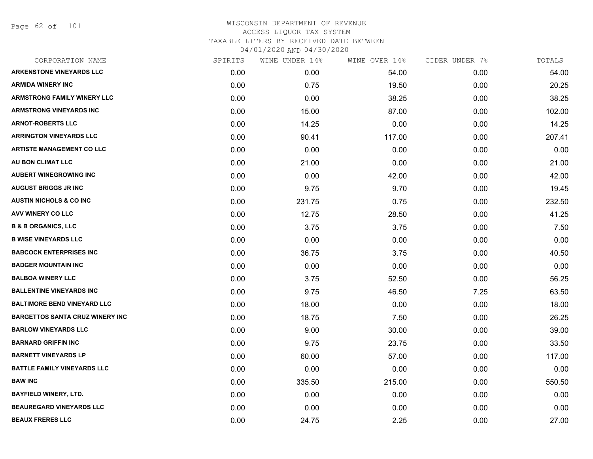Page 62 of 101

| CORPORATION NAME                       | SPIRITS | WINE UNDER 14% | WINE OVER 14% | CIDER UNDER 7% | TOTALS |
|----------------------------------------|---------|----------------|---------------|----------------|--------|
| <b>ARKENSTONE VINEYARDS LLC</b>        | 0.00    | 0.00           | 54.00         | 0.00           | 54.00  |
| <b>ARMIDA WINERY INC</b>               | 0.00    | 0.75           | 19.50         | 0.00           | 20.25  |
| <b>ARMSTRONG FAMILY WINERY LLC</b>     | 0.00    | 0.00           | 38.25         | 0.00           | 38.25  |
| <b>ARMSTRONG VINEYARDS INC</b>         | 0.00    | 15.00          | 87.00         | 0.00           | 102.00 |
| <b>ARNOT-ROBERTS LLC</b>               | 0.00    | 14.25          | 0.00          | 0.00           | 14.25  |
| <b>ARRINGTON VINEYARDS LLC</b>         | 0.00    | 90.41          | 117.00        | 0.00           | 207.41 |
| <b>ARTISTE MANAGEMENT CO LLC</b>       | 0.00    | 0.00           | 0.00          | 0.00           | 0.00   |
| AU BON CLIMAT LLC                      | 0.00    | 21.00          | 0.00          | 0.00           | 21.00  |
| <b>AUBERT WINEGROWING INC</b>          | 0.00    | 0.00           | 42.00         | 0.00           | 42.00  |
| <b>AUGUST BRIGGS JR INC</b>            | 0.00    | 9.75           | 9.70          | 0.00           | 19.45  |
| <b>AUSTIN NICHOLS &amp; CO INC</b>     | 0.00    | 231.75         | 0.75          | 0.00           | 232.50 |
| <b>AVV WINERY CO LLC</b>               | 0.00    | 12.75          | 28.50         | 0.00           | 41.25  |
| <b>B &amp; B ORGANICS, LLC</b>         | 0.00    | 3.75           | 3.75          | 0.00           | 7.50   |
| <b>B WISE VINEYARDS LLC</b>            | 0.00    | 0.00           | 0.00          | 0.00           | 0.00   |
| <b>BABCOCK ENTERPRISES INC</b>         | 0.00    | 36.75          | 3.75          | 0.00           | 40.50  |
| <b>BADGER MOUNTAIN INC</b>             | 0.00    | 0.00           | 0.00          | 0.00           | 0.00   |
| <b>BALBOA WINERY LLC</b>               | 0.00    | 3.75           | 52.50         | 0.00           | 56.25  |
| <b>BALLENTINE VINEYARDS INC</b>        | 0.00    | 9.75           | 46.50         | 7.25           | 63.50  |
| <b>BALTIMORE BEND VINEYARD LLC</b>     | 0.00    | 18.00          | 0.00          | 0.00           | 18.00  |
| <b>BARGETTOS SANTA CRUZ WINERY INC</b> | 0.00    | 18.75          | 7.50          | 0.00           | 26.25  |
| <b>BARLOW VINEYARDS LLC</b>            | 0.00    | 9.00           | 30.00         | 0.00           | 39.00  |
| <b>BARNARD GRIFFIN INC</b>             | 0.00    | 9.75           | 23.75         | 0.00           | 33.50  |
| <b>BARNETT VINEYARDS LP</b>            | 0.00    | 60.00          | 57.00         | 0.00           | 117.00 |
| <b>BATTLE FAMILY VINEYARDS LLC</b>     | 0.00    | 0.00           | 0.00          | 0.00           | 0.00   |
| <b>BAW INC</b>                         | 0.00    | 335.50         | 215.00        | 0.00           | 550.50 |
| <b>BAYFIELD WINERY, LTD.</b>           | 0.00    | 0.00           | 0.00          | 0.00           | 0.00   |
| <b>BEAUREGARD VINEYARDS LLC</b>        | 0.00    | 0.00           | 0.00          | 0.00           | 0.00   |
| <b>BEAUX FRERES LLC</b>                | 0.00    | 24.75          | 2.25          | 0.00           | 27.00  |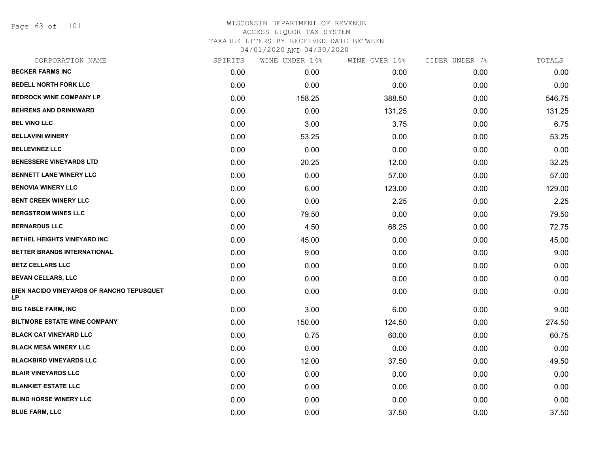Page 63 of 101

| CORPORATION NAME                                       | SPIRITS | WINE UNDER 14% | WINE OVER 14% | CIDER UNDER 7% | TOTALS |
|--------------------------------------------------------|---------|----------------|---------------|----------------|--------|
| <b>BECKER FARMS INC</b>                                | 0.00    | 0.00           | 0.00          | 0.00           | 0.00   |
| <b>BEDELL NORTH FORK LLC</b>                           | 0.00    | 0.00           | 0.00          | 0.00           | 0.00   |
| <b>BEDROCK WINE COMPANY LP</b>                         | 0.00    | 158.25         | 388.50        | 0.00           | 546.75 |
| <b>BEHRENS AND DRINKWARD</b>                           | 0.00    | 0.00           | 131.25        | 0.00           | 131.25 |
| <b>BEL VINO LLC</b>                                    | 0.00    | 3.00           | 3.75          | 0.00           | 6.75   |
| <b>BELLAVINI WINERY</b>                                | 0.00    | 53.25          | 0.00          | 0.00           | 53.25  |
| <b>BELLEVINEZ LLC</b>                                  | 0.00    | 0.00           | 0.00          | 0.00           | 0.00   |
| <b>BENESSERE VINEYARDS LTD</b>                         | 0.00    | 20.25          | 12.00         | 0.00           | 32.25  |
| <b>BENNETT LANE WINERY LLC</b>                         | 0.00    | 0.00           | 57.00         | 0.00           | 57.00  |
| <b>BENOVIA WINERY LLC</b>                              | 0.00    | 6.00           | 123.00        | 0.00           | 129.00 |
| <b>BENT CREEK WINERY LLC</b>                           | 0.00    | 0.00           | 2.25          | 0.00           | 2.25   |
| <b>BERGSTROM WINES LLC</b>                             | 0.00    | 79.50          | 0.00          | 0.00           | 79.50  |
| <b>BERNARDUS LLC</b>                                   | 0.00    | 4.50           | 68.25         | 0.00           | 72.75  |
| BETHEL HEIGHTS VINEYARD INC                            | 0.00    | 45.00          | 0.00          | 0.00           | 45.00  |
| BETTER BRANDS INTERNATIONAL                            | 0.00    | 9.00           | 0.00          | 0.00           | 9.00   |
| <b>BETZ CELLARS LLC</b>                                | 0.00    | 0.00           | 0.00          | 0.00           | 0.00   |
| <b>BEVAN CELLARS, LLC</b>                              | 0.00    | 0.00           | 0.00          | 0.00           | 0.00   |
| BIEN NACIDO VINEYARDS OF RANCHO TEPUSQUET<br><b>LP</b> | 0.00    | 0.00           | 0.00          | 0.00           | 0.00   |
| <b>BIG TABLE FARM, INC</b>                             | 0.00    | 3.00           | 6.00          | 0.00           | 9.00   |
| <b>BILTMORE ESTATE WINE COMPANY</b>                    | 0.00    | 150.00         | 124.50        | 0.00           | 274.50 |
| <b>BLACK CAT VINEYARD LLC</b>                          | 0.00    | 0.75           | 60.00         | 0.00           | 60.75  |
| <b>BLACK MESA WINERY LLC</b>                           | 0.00    | 0.00           | 0.00          | 0.00           | 0.00   |
| <b>BLACKBIRD VINEYARDS LLC</b>                         | 0.00    | 12.00          | 37.50         | 0.00           | 49.50  |
| <b>BLAIR VINEYARDS LLC</b>                             | 0.00    | 0.00           | 0.00          | 0.00           | 0.00   |
| <b>BLANKIET ESTATE LLC</b>                             | 0.00    | 0.00           | 0.00          | 0.00           | 0.00   |
| <b>BLIND HORSE WINERY LLC</b>                          | 0.00    | 0.00           | 0.00          | 0.00           | 0.00   |
| <b>BLUE FARM, LLC</b>                                  | 0.00    | 0.00           | 37.50         | 0.00           | 37.50  |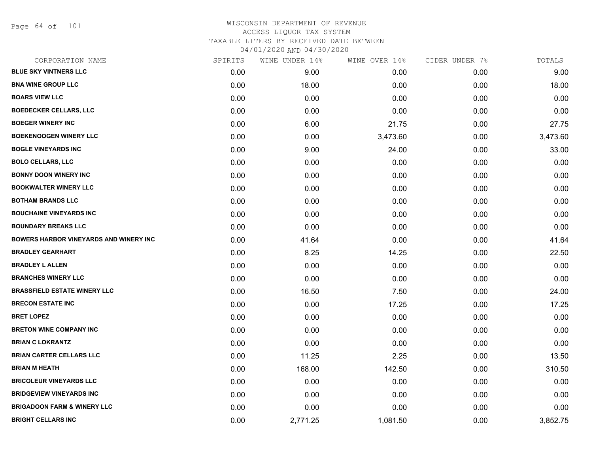Page 64 of 101

| SPIRITS | WINE UNDER 14% | WINE OVER 14% | CIDER UNDER 7% | TOTALS   |
|---------|----------------|---------------|----------------|----------|
| 0.00    | 9.00           | 0.00          | 0.00           | 9.00     |
| 0.00    | 18.00          | 0.00          | 0.00           | 18.00    |
| 0.00    | 0.00           | 0.00          | 0.00           | 0.00     |
| 0.00    | 0.00           | 0.00          | 0.00           | 0.00     |
| 0.00    | 6.00           | 21.75         | 0.00           | 27.75    |
| 0.00    | 0.00           | 3,473.60      | 0.00           | 3,473.60 |
| 0.00    | 9.00           | 24.00         | 0.00           | 33.00    |
| 0.00    | 0.00           | 0.00          | 0.00           | 0.00     |
| 0.00    | 0.00           | 0.00          | 0.00           | 0.00     |
| 0.00    | 0.00           | 0.00          | 0.00           | 0.00     |
| 0.00    | 0.00           | 0.00          | 0.00           | 0.00     |
| 0.00    | 0.00           | 0.00          | 0.00           | 0.00     |
| 0.00    | 0.00           | 0.00          | 0.00           | 0.00     |
| 0.00    | 41.64          | 0.00          | 0.00           | 41.64    |
| 0.00    | 8.25           | 14.25         | 0.00           | 22.50    |
| 0.00    | 0.00           | 0.00          | 0.00           | 0.00     |
| 0.00    | 0.00           | 0.00          | 0.00           | 0.00     |
| 0.00    | 16.50          | 7.50          | 0.00           | 24.00    |
| 0.00    | 0.00           | 17.25         | 0.00           | 17.25    |
| 0.00    | 0.00           | 0.00          | 0.00           | 0.00     |
| 0.00    | 0.00           | 0.00          | 0.00           | 0.00     |
| 0.00    | 0.00           | 0.00          | 0.00           | 0.00     |
| 0.00    | 11.25          | 2.25          | 0.00           | 13.50    |
| 0.00    | 168.00         | 142.50        | 0.00           | 310.50   |
| 0.00    | 0.00           | 0.00          | 0.00           | 0.00     |
| 0.00    | 0.00           | 0.00          | 0.00           | 0.00     |
| 0.00    | 0.00           | 0.00          | 0.00           | 0.00     |
| 0.00    | 2,771.25       | 1,081.50      | 0.00           | 3,852.75 |
|         |                |               |                |          |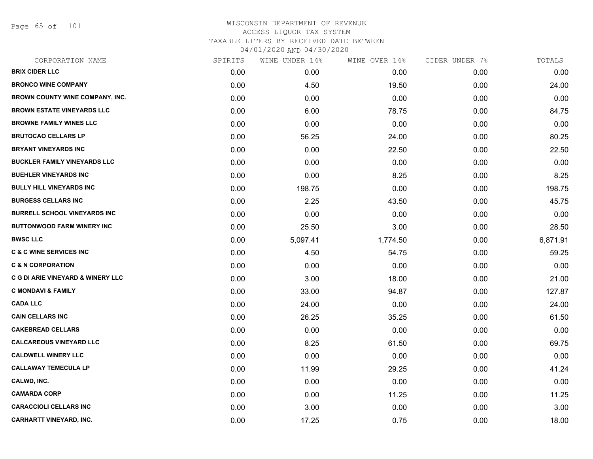Page 65 of 101

| CORPORATION NAME                             | SPIRITS | WINE UNDER 14% | WINE OVER 14% | CIDER UNDER 7% | TOTALS   |
|----------------------------------------------|---------|----------------|---------------|----------------|----------|
| <b>BRIX CIDER LLC</b>                        | 0.00    | 0.00           | 0.00          | 0.00           | 0.00     |
| <b>BRONCO WINE COMPANY</b>                   | 0.00    | 4.50           | 19.50         | 0.00           | 24.00    |
| BROWN COUNTY WINE COMPANY, INC.              | 0.00    | 0.00           | 0.00          | 0.00           | 0.00     |
| <b>BROWN ESTATE VINEYARDS LLC</b>            | 0.00    | 6.00           | 78.75         | 0.00           | 84.75    |
| <b>BROWNE FAMILY WINES LLC</b>               | 0.00    | 0.00           | 0.00          | 0.00           | 0.00     |
| <b>BRUTOCAO CELLARS LP</b>                   | 0.00    | 56.25          | 24.00         | 0.00           | 80.25    |
| <b>BRYANT VINEYARDS INC</b>                  | 0.00    | 0.00           | 22.50         | 0.00           | 22.50    |
| <b>BUCKLER FAMILY VINEYARDS LLC</b>          | 0.00    | 0.00           | 0.00          | 0.00           | 0.00     |
| <b>BUEHLER VINEYARDS INC</b>                 | 0.00    | 0.00           | 8.25          | 0.00           | 8.25     |
| <b>BULLY HILL VINEYARDS INC</b>              | 0.00    | 198.75         | 0.00          | 0.00           | 198.75   |
| <b>BURGESS CELLARS INC</b>                   | 0.00    | 2.25           | 43.50         | 0.00           | 45.75    |
| <b>BURRELL SCHOOL VINEYARDS INC</b>          | 0.00    | 0.00           | 0.00          | 0.00           | 0.00     |
| <b>BUTTONWOOD FARM WINERY INC</b>            | 0.00    | 25.50          | 3.00          | 0.00           | 28.50    |
| <b>BWSC LLC</b>                              | 0.00    | 5,097.41       | 1,774.50      | 0.00           | 6,871.91 |
| <b>C &amp; C WINE SERVICES INC</b>           | 0.00    | 4.50           | 54.75         | 0.00           | 59.25    |
| <b>C &amp; N CORPORATION</b>                 | 0.00    | 0.00           | 0.00          | 0.00           | 0.00     |
| <b>C G DI ARIE VINEYARD &amp; WINERY LLC</b> | 0.00    | 3.00           | 18.00         | 0.00           | 21.00    |
| <b>C MONDAVI &amp; FAMILY</b>                | 0.00    | 33.00          | 94.87         | 0.00           | 127.87   |
| <b>CADA LLC</b>                              | 0.00    | 24.00          | 0.00          | 0.00           | 24.00    |
| <b>CAIN CELLARS INC</b>                      | 0.00    | 26.25          | 35.25         | 0.00           | 61.50    |
| <b>CAKEBREAD CELLARS</b>                     | 0.00    | 0.00           | 0.00          | 0.00           | 0.00     |
| <b>CALCAREOUS VINEYARD LLC</b>               | 0.00    | 8.25           | 61.50         | 0.00           | 69.75    |
| <b>CALDWELL WINERY LLC</b>                   | 0.00    | 0.00           | 0.00          | 0.00           | 0.00     |
| <b>CALLAWAY TEMECULA LP</b>                  | 0.00    | 11.99          | 29.25         | 0.00           | 41.24    |
| CALWD, INC.                                  | 0.00    | 0.00           | 0.00          | 0.00           | 0.00     |
| <b>CAMARDA CORP</b>                          | 0.00    | 0.00           | 11.25         | 0.00           | 11.25    |
| <b>CARACCIOLI CELLARS INC</b>                | 0.00    | 3.00           | 0.00          | 0.00           | 3.00     |
| <b>CARHARTT VINEYARD, INC.</b>               | 0.00    | 17.25          | 0.75          | 0.00           | 18.00    |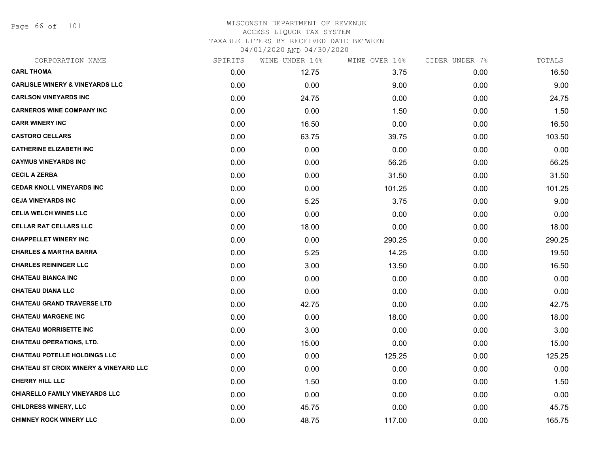Page 66 of 101

| CORPORATION NAME                                  | SPIRITS | WINE UNDER 14% | WINE OVER 14% | CIDER UNDER 7% | TOTALS |
|---------------------------------------------------|---------|----------------|---------------|----------------|--------|
| <b>CARL THOMA</b>                                 | 0.00    | 12.75          | 3.75          | 0.00           | 16.50  |
| <b>CARLISLE WINERY &amp; VINEYARDS LLC</b>        | 0.00    | 0.00           | 9.00          | 0.00           | 9.00   |
| <b>CARLSON VINEYARDS INC</b>                      | 0.00    | 24.75          | 0.00          | 0.00           | 24.75  |
| <b>CARNEROS WINE COMPANY INC</b>                  | 0.00    | 0.00           | 1.50          | 0.00           | 1.50   |
| <b>CARR WINERY INC</b>                            | 0.00    | 16.50          | 0.00          | 0.00           | 16.50  |
| <b>CASTORO CELLARS</b>                            | 0.00    | 63.75          | 39.75         | 0.00           | 103.50 |
| <b>CATHERINE ELIZABETH INC</b>                    | 0.00    | 0.00           | 0.00          | 0.00           | 0.00   |
| <b>CAYMUS VINEYARDS INC</b>                       | 0.00    | 0.00           | 56.25         | 0.00           | 56.25  |
| <b>CECIL A ZERBA</b>                              | 0.00    | 0.00           | 31.50         | 0.00           | 31.50  |
| <b>CEDAR KNOLL VINEYARDS INC</b>                  | 0.00    | 0.00           | 101.25        | 0.00           | 101.25 |
| <b>CEJA VINEYARDS INC</b>                         | 0.00    | 5.25           | 3.75          | 0.00           | 9.00   |
| <b>CELIA WELCH WINES LLC</b>                      | 0.00    | 0.00           | 0.00          | 0.00           | 0.00   |
| <b>CELLAR RAT CELLARS LLC</b>                     | 0.00    | 18.00          | 0.00          | 0.00           | 18.00  |
| <b>CHAPPELLET WINERY INC</b>                      | 0.00    | 0.00           | 290.25        | 0.00           | 290.25 |
| <b>CHARLES &amp; MARTHA BARRA</b>                 | 0.00    | 5.25           | 14.25         | 0.00           | 19.50  |
| <b>CHARLES REININGER LLC</b>                      | 0.00    | 3.00           | 13.50         | 0.00           | 16.50  |
| <b>CHATEAU BIANCA INC</b>                         | 0.00    | 0.00           | 0.00          | 0.00           | 0.00   |
| <b>CHATEAU DIANA LLC</b>                          | 0.00    | 0.00           | 0.00          | 0.00           | 0.00   |
| <b>CHATEAU GRAND TRAVERSE LTD</b>                 | 0.00    | 42.75          | 0.00          | 0.00           | 42.75  |
| <b>CHATEAU MARGENE INC</b>                        | 0.00    | 0.00           | 18.00         | 0.00           | 18.00  |
| <b>CHATEAU MORRISETTE INC</b>                     | 0.00    | 3.00           | 0.00          | 0.00           | 3.00   |
| <b>CHATEAU OPERATIONS, LTD.</b>                   | 0.00    | 15.00          | 0.00          | 0.00           | 15.00  |
| <b>CHATEAU POTELLE HOLDINGS LLC</b>               | 0.00    | 0.00           | 125.25        | 0.00           | 125.25 |
| <b>CHATEAU ST CROIX WINERY &amp; VINEYARD LLC</b> | 0.00    | 0.00           | 0.00          | 0.00           | 0.00   |
| <b>CHERRY HILL LLC</b>                            | 0.00    | 1.50           | 0.00          | 0.00           | 1.50   |
| <b>CHIARELLO FAMILY VINEYARDS LLC</b>             | 0.00    | 0.00           | 0.00          | 0.00           | 0.00   |
| <b>CHILDRESS WINERY, LLC</b>                      | 0.00    | 45.75          | 0.00          | 0.00           | 45.75  |
| <b>CHIMNEY ROCK WINERY LLC</b>                    | 0.00    | 48.75          | 117.00        | 0.00           | 165.75 |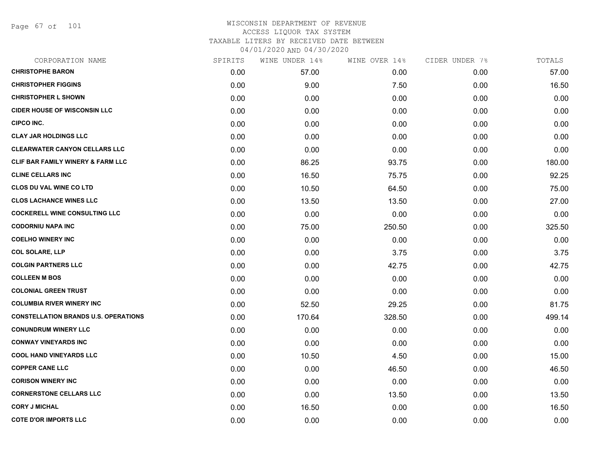Page 67 of 101

| CORPORATION NAME                             | SPIRITS | WINE UNDER 14% | WINE OVER 14% | CIDER UNDER 7% | TOTALS |
|----------------------------------------------|---------|----------------|---------------|----------------|--------|
| <b>CHRISTOPHE BARON</b>                      | 0.00    | 57.00          | 0.00          | 0.00           | 57.00  |
| <b>CHRISTOPHER FIGGINS</b>                   | 0.00    | 9.00           | 7.50          | 0.00           | 16.50  |
| <b>CHRISTOPHER L SHOWN</b>                   | 0.00    | 0.00           | 0.00          | 0.00           | 0.00   |
| <b>CIDER HOUSE OF WISCONSIN LLC</b>          | 0.00    | 0.00           | 0.00          | 0.00           | 0.00   |
| <b>CIPCO INC.</b>                            | 0.00    | 0.00           | 0.00          | 0.00           | 0.00   |
| <b>CLAY JAR HOLDINGS LLC</b>                 | 0.00    | 0.00           | 0.00          | 0.00           | 0.00   |
| <b>CLEARWATER CANYON CELLARS LLC</b>         | 0.00    | 0.00           | 0.00          | 0.00           | 0.00   |
| <b>CLIF BAR FAMILY WINERY &amp; FARM LLC</b> | 0.00    | 86.25          | 93.75         | 0.00           | 180.00 |
| <b>CLINE CELLARS INC</b>                     | 0.00    | 16.50          | 75.75         | 0.00           | 92.25  |
| <b>CLOS DU VAL WINE CO LTD</b>               | 0.00    | 10.50          | 64.50         | 0.00           | 75.00  |
| <b>CLOS LACHANCE WINES LLC</b>               | 0.00    | 13.50          | 13.50         | 0.00           | 27.00  |
| <b>COCKERELL WINE CONSULTING LLC</b>         | 0.00    | 0.00           | 0.00          | 0.00           | 0.00   |
| <b>CODORNIU NAPA INC</b>                     | 0.00    | 75.00          | 250.50        | 0.00           | 325.50 |
| <b>COELHO WINERY INC</b>                     | 0.00    | 0.00           | 0.00          | 0.00           | 0.00   |
| <b>COL SOLARE, LLP</b>                       | 0.00    | 0.00           | 3.75          | 0.00           | 3.75   |
| <b>COLGIN PARTNERS LLC</b>                   | 0.00    | 0.00           | 42.75         | 0.00           | 42.75  |
| <b>COLLEEN M BOS</b>                         | 0.00    | 0.00           | 0.00          | 0.00           | 0.00   |
| <b>COLONIAL GREEN TRUST</b>                  | 0.00    | 0.00           | 0.00          | 0.00           | 0.00   |
| <b>COLUMBIA RIVER WINERY INC</b>             | 0.00    | 52.50          | 29.25         | 0.00           | 81.75  |
| <b>CONSTELLATION BRANDS U.S. OPERATIONS</b>  | 0.00    | 170.64         | 328.50        | 0.00           | 499.14 |
| <b>CONUNDRUM WINERY LLC</b>                  | 0.00    | 0.00           | 0.00          | 0.00           | 0.00   |
| <b>CONWAY VINEYARDS INC</b>                  | 0.00    | 0.00           | 0.00          | 0.00           | 0.00   |
| <b>COOL HAND VINEYARDS LLC</b>               | 0.00    | 10.50          | 4.50          | 0.00           | 15.00  |
| <b>COPPER CANE LLC</b>                       | 0.00    | 0.00           | 46.50         | 0.00           | 46.50  |
| <b>CORISON WINERY INC</b>                    | 0.00    | 0.00           | 0.00          | 0.00           | 0.00   |
| <b>CORNERSTONE CELLARS LLC</b>               | 0.00    | 0.00           | 13.50         | 0.00           | 13.50  |
| <b>CORY J MICHAL</b>                         | 0.00    | 16.50          | 0.00          | 0.00           | 16.50  |
| <b>COTE D'OR IMPORTS LLC</b>                 | 0.00    | 0.00           | 0.00          | 0.00           | 0.00   |
|                                              |         |                |               |                |        |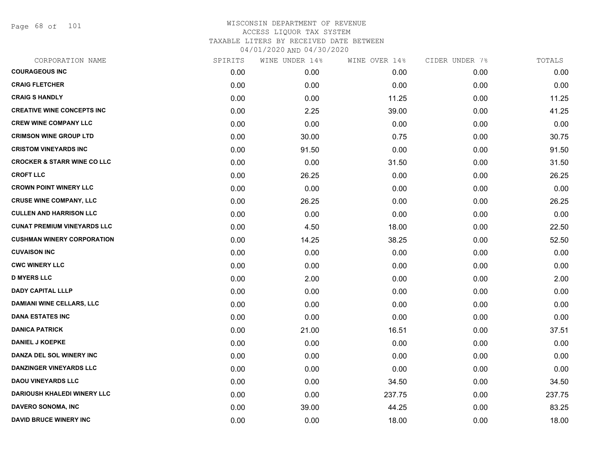Page 68 of 101

| CORPORATION NAME                       | SPIRITS | WINE UNDER 14% | WINE OVER 14% | CIDER UNDER 7% | TOTALS |
|----------------------------------------|---------|----------------|---------------|----------------|--------|
| <b>COURAGEOUS INC</b>                  | 0.00    | 0.00           | 0.00          | 0.00           | 0.00   |
| <b>CRAIG FLETCHER</b>                  | 0.00    | 0.00           | 0.00          | 0.00           | 0.00   |
| <b>CRAIG S HANDLY</b>                  | 0.00    | 0.00           | 11.25         | 0.00           | 11.25  |
| <b>CREATIVE WINE CONCEPTS INC</b>      | 0.00    | 2.25           | 39.00         | 0.00           | 41.25  |
| <b>CREW WINE COMPANY LLC</b>           | 0.00    | 0.00           | 0.00          | 0.00           | 0.00   |
| <b>CRIMSON WINE GROUP LTD</b>          | 0.00    | 30.00          | 0.75          | 0.00           | 30.75  |
| <b>CRISTOM VINEYARDS INC</b>           | 0.00    | 91.50          | 0.00          | 0.00           | 91.50  |
| <b>CROCKER &amp; STARR WINE CO LLC</b> | 0.00    | 0.00           | 31.50         | 0.00           | 31.50  |
| <b>CROFT LLC</b>                       | 0.00    | 26.25          | 0.00          | 0.00           | 26.25  |
| <b>CROWN POINT WINERY LLC</b>          | 0.00    | 0.00           | 0.00          | 0.00           | 0.00   |
| <b>CRUSE WINE COMPANY, LLC</b>         | 0.00    | 26.25          | 0.00          | 0.00           | 26.25  |
| <b>CULLEN AND HARRISON LLC</b>         | 0.00    | 0.00           | 0.00          | 0.00           | 0.00   |
| <b>CUNAT PREMIUM VINEYARDS LLC</b>     | 0.00    | 4.50           | 18.00         | 0.00           | 22.50  |
| <b>CUSHMAN WINERY CORPORATION</b>      | 0.00    | 14.25          | 38.25         | 0.00           | 52.50  |
| <b>CUVAISON INC</b>                    | 0.00    | 0.00           | 0.00          | 0.00           | 0.00   |
| <b>CWC WINERY LLC</b>                  | 0.00    | 0.00           | 0.00          | 0.00           | 0.00   |
| <b>D MYERS LLC</b>                     | 0.00    | 2.00           | 0.00          | 0.00           | 2.00   |
| <b>DADY CAPITAL LLLP</b>               | 0.00    | 0.00           | 0.00          | 0.00           | 0.00   |
| <b>DAMIANI WINE CELLARS, LLC</b>       | 0.00    | 0.00           | 0.00          | 0.00           | 0.00   |
| <b>DANA ESTATES INC</b>                | 0.00    | 0.00           | 0.00          | 0.00           | 0.00   |
| <b>DANICA PATRICK</b>                  | 0.00    | 21.00          | 16.51         | 0.00           | 37.51  |
| <b>DANIEL J KOEPKE</b>                 | 0.00    | 0.00           | 0.00          | 0.00           | 0.00   |
| DANZA DEL SOL WINERY INC               | 0.00    | 0.00           | 0.00          | 0.00           | 0.00   |
| DANZINGER VINEYARDS LLC                | 0.00    | 0.00           | 0.00          | 0.00           | 0.00   |
| <b>DAOU VINEYARDS LLC</b>              | 0.00    | 0.00           | 34.50         | 0.00           | 34.50  |
| <b>DARIOUSH KHALEDI WINERY LLC</b>     | 0.00    | 0.00           | 237.75        | 0.00           | 237.75 |
| DAVERO SONOMA, INC                     | 0.00    | 39.00          | 44.25         | 0.00           | 83.25  |
| <b>DAVID BRUCE WINERY INC</b>          | 0.00    | 0.00           | 18.00         | 0.00           | 18.00  |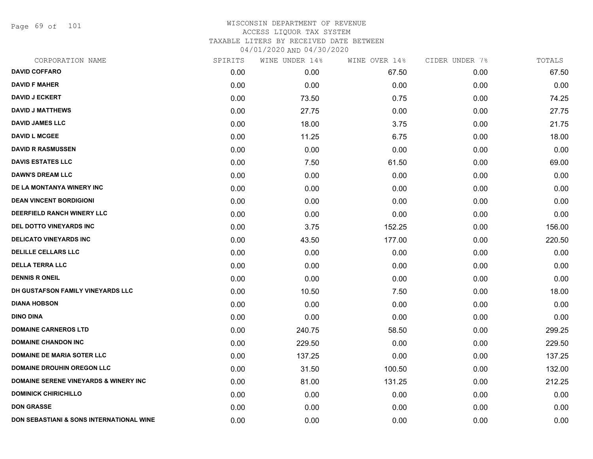Page 69 of 101

| CORPORATION NAME                                  | SPIRITS | WINE UNDER 14% | WINE OVER 14% | CIDER UNDER 7% | TOTALS |
|---------------------------------------------------|---------|----------------|---------------|----------------|--------|
| <b>DAVID COFFARO</b>                              | 0.00    | 0.00           | 67.50         | 0.00           | 67.50  |
| <b>DAVID F MAHER</b>                              | 0.00    | 0.00           | 0.00          | 0.00           | 0.00   |
| <b>DAVID J ECKERT</b>                             | 0.00    | 73.50          | 0.75          | 0.00           | 74.25  |
| <b>DAVID J MATTHEWS</b>                           | 0.00    | 27.75          | 0.00          | 0.00           | 27.75  |
| <b>DAVID JAMES LLC</b>                            | 0.00    | 18.00          | 3.75          | 0.00           | 21.75  |
| <b>DAVID L MCGEE</b>                              | 0.00    | 11.25          | 6.75          | 0.00           | 18.00  |
| <b>DAVID R RASMUSSEN</b>                          | 0.00    | 0.00           | 0.00          | 0.00           | 0.00   |
| <b>DAVIS ESTATES LLC</b>                          | 0.00    | 7.50           | 61.50         | 0.00           | 69.00  |
| <b>DAWN'S DREAM LLC</b>                           | 0.00    | 0.00           | 0.00          | 0.00           | 0.00   |
| DE LA MONTANYA WINERY INC                         | 0.00    | 0.00           | 0.00          | 0.00           | 0.00   |
| <b>DEAN VINCENT BORDIGIONI</b>                    | 0.00    | 0.00           | 0.00          | 0.00           | 0.00   |
| DEERFIELD RANCH WINERY LLC                        | 0.00    | 0.00           | 0.00          | 0.00           | 0.00   |
| DEL DOTTO VINEYARDS INC                           | 0.00    | 3.75           | 152.25        | 0.00           | 156.00 |
| <b>DELICATO VINEYARDS INC</b>                     | 0.00    | 43.50          | 177.00        | 0.00           | 220.50 |
| <b>DELILLE CELLARS LLC</b>                        | 0.00    | 0.00           | 0.00          | 0.00           | 0.00   |
| <b>DELLA TERRA LLC</b>                            | 0.00    | 0.00           | 0.00          | 0.00           | 0.00   |
| <b>DENNIS R ONEIL</b>                             | 0.00    | 0.00           | 0.00          | 0.00           | 0.00   |
| DH GUSTAFSON FAMILY VINEYARDS LLC                 | 0.00    | 10.50          | 7.50          | 0.00           | 18.00  |
| <b>DIANA HOBSON</b>                               | 0.00    | 0.00           | 0.00          | 0.00           | 0.00   |
| <b>DINO DINA</b>                                  | 0.00    | 0.00           | 0.00          | 0.00           | 0.00   |
| <b>DOMAINE CARNEROS LTD</b>                       | 0.00    | 240.75         | 58.50         | 0.00           | 299.25 |
| <b>DOMAINE CHANDON INC</b>                        | 0.00    | 229.50         | 0.00          | 0.00           | 229.50 |
| <b>DOMAINE DE MARIA SOTER LLC</b>                 | 0.00    | 137.25         | 0.00          | 0.00           | 137.25 |
| <b>DOMAINE DROUHIN OREGON LLC</b>                 | 0.00    | 31.50          | 100.50        | 0.00           | 132.00 |
| <b>DOMAINE SERENE VINEYARDS &amp; WINERY INC.</b> | 0.00    | 81.00          | 131.25        | 0.00           | 212.25 |
| <b>DOMINICK CHIRICHILLO</b>                       | 0.00    | 0.00           | 0.00          | 0.00           | 0.00   |
| <b>DON GRASSE</b>                                 | 0.00    | 0.00           | 0.00          | 0.00           | 0.00   |
| DON SEBASTIANI & SONS INTERNATIONAL WINE          | 0.00    | 0.00           | 0.00          | 0.00           | 0.00   |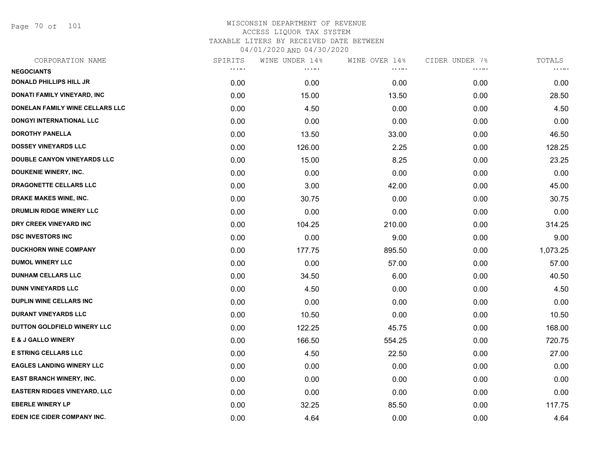Page 70 of 101

| CORPORATION NAME                   | SPIRITS                        | WINE UNDER 14% | WINE OVER 14% | CIDER UNDER 7% | TOTALS              |
|------------------------------------|--------------------------------|----------------|---------------|----------------|---------------------|
| <b>NEGOCIANTS</b>                  | $\alpha$ , $\alpha$ , $\alpha$ | <b>.</b>       | .             | .              | $\cdots$ . $\cdots$ |
| <b>DONALD PHILLIPS HILL JR</b>     | 0.00                           | 0.00           | 0.00          | 0.00           | 0.00                |
| DONATI FAMILY VINEYARD, INC        | 0.00                           | 15.00          | 13.50         | 0.00           | 28.50               |
| DONELAN FAMILY WINE CELLARS LLC    | 0.00                           | 4.50           | 0.00          | 0.00           | 4.50                |
| DONGYI INTERNATIONAL LLC           | 0.00                           | 0.00           | 0.00          | 0.00           | 0.00                |
| <b>DOROTHY PANELLA</b>             | 0.00                           | 13.50          | 33.00         | 0.00           | 46.50               |
| <b>DOSSEY VINEYARDS LLC</b>        | 0.00                           | 126.00         | 2.25          | 0.00           | 128.25              |
| <b>DOUBLE CANYON VINEYARDS LLC</b> | 0.00                           | 15.00          | 8.25          | 0.00           | 23.25               |
| DOUKENIE WINERY, INC.              | 0.00                           | 0.00           | 0.00          | 0.00           | 0.00                |
| <b>DRAGONETTE CELLARS LLC</b>      | 0.00                           | 3.00           | 42.00         | 0.00           | 45.00               |
| <b>DRAKE MAKES WINE, INC.</b>      | 0.00                           | 30.75          | 0.00          | 0.00           | 30.75               |
| DRUMLIN RIDGE WINERY LLC           | 0.00                           | 0.00           | 0.00          | 0.00           | 0.00                |
| DRY CREEK VINEYARD INC             | 0.00                           | 104.25         | 210.00        | 0.00           | 314.25              |
| <b>DSC INVESTORS INC</b>           | 0.00                           | 0.00           | 9.00          | 0.00           | 9.00                |
| <b>DUCKHORN WINE COMPANY</b>       | 0.00                           | 177.75         | 895.50        | 0.00           | 1,073.25            |
| <b>DUMOL WINERY LLC</b>            | 0.00                           | 0.00           | 57.00         | 0.00           | 57.00               |
| <b>DUNHAM CELLARS LLC</b>          | 0.00                           | 34.50          | 6.00          | 0.00           | 40.50               |
| <b>DUNN VINEYARDS LLC</b>          | 0.00                           | 4.50           | 0.00          | 0.00           | 4.50                |
| <b>DUPLIN WINE CELLARS INC</b>     | 0.00                           | 0.00           | 0.00          | 0.00           | 0.00                |
| <b>DURANT VINEYARDS LLC</b>        | 0.00                           | 10.50          | 0.00          | 0.00           | 10.50               |
| DUTTON GOLDFIELD WINERY LLC        | 0.00                           | 122.25         | 45.75         | 0.00           | 168.00              |
| <b>E &amp; J GALLO WINERY</b>      | 0.00                           | 166.50         | 554.25        | 0.00           | 720.75              |
| <b>E STRING CELLARS LLC</b>        | 0.00                           | 4.50           | 22.50         | 0.00           | 27.00               |
| <b>EAGLES LANDING WINERY LLC</b>   | 0.00                           | 0.00           | 0.00          | 0.00           | 0.00                |
| <b>EAST BRANCH WINERY, INC.</b>    | 0.00                           | 0.00           | 0.00          | 0.00           | 0.00                |
| EASTERN RIDGES VINEYARD, LLC       | 0.00                           | 0.00           | 0.00          | 0.00           | 0.00                |
| <b>EBERLE WINERY LP</b>            | 0.00                           | 32.25          | 85.50         | 0.00           | 117.75              |
| EDEN ICE CIDER COMPANY INC.        | 0.00                           | 4.64           | 0.00          | 0.00           | 4.64                |
|                                    |                                |                |               |                |                     |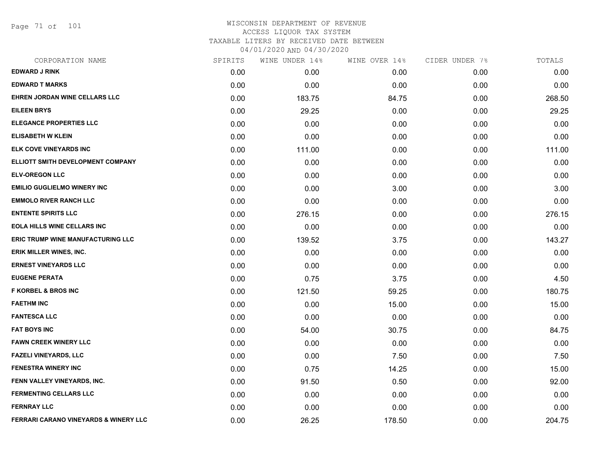Page 71 of 101

| CORPORATION NAME                                 | SPIRITS | WINE UNDER 14% | WINE OVER 14% | CIDER UNDER 7% | TOTALS |
|--------------------------------------------------|---------|----------------|---------------|----------------|--------|
| <b>EDWARD J RINK</b>                             | 0.00    | 0.00           | 0.00          | 0.00           | 0.00   |
| <b>EDWARD T MARKS</b>                            | 0.00    | 0.00           | 0.00          | 0.00           | 0.00   |
| EHREN JORDAN WINE CELLARS LLC                    | 0.00    | 183.75         | 84.75         | 0.00           | 268.50 |
| <b>EILEEN BRYS</b>                               | 0.00    | 29.25          | 0.00          | 0.00           | 29.25  |
| <b>ELEGANCE PROPERTIES LLC</b>                   | 0.00    | 0.00           | 0.00          | 0.00           | 0.00   |
| <b>ELISABETH W KLEIN</b>                         | 0.00    | 0.00           | 0.00          | 0.00           | 0.00   |
| ELK COVE VINEYARDS INC                           | 0.00    | 111.00         | 0.00          | 0.00           | 111.00 |
| ELLIOTT SMITH DEVELOPMENT COMPANY                | 0.00    | 0.00           | 0.00          | 0.00           | 0.00   |
| <b>ELV-OREGON LLC</b>                            | 0.00    | 0.00           | 0.00          | 0.00           | 0.00   |
| <b>EMILIO GUGLIELMO WINERY INC</b>               | 0.00    | 0.00           | 3.00          | 0.00           | 3.00   |
| <b>EMMOLO RIVER RANCH LLC</b>                    | 0.00    | 0.00           | 0.00          | 0.00           | 0.00   |
| <b>ENTENTE SPIRITS LLC</b>                       | 0.00    | 276.15         | 0.00          | 0.00           | 276.15 |
| <b>EOLA HILLS WINE CELLARS INC</b>               | 0.00    | 0.00           | 0.00          | 0.00           | 0.00   |
| <b>ERIC TRUMP WINE MANUFACTURING LLC</b>         | 0.00    | 139.52         | 3.75          | 0.00           | 143.27 |
| ERIK MILLER WINES, INC.                          | 0.00    | 0.00           | 0.00          | 0.00           | 0.00   |
| <b>ERNEST VINEYARDS LLC</b>                      | 0.00    | 0.00           | 0.00          | 0.00           | 0.00   |
| <b>EUGENE PERATA</b>                             | 0.00    | 0.75           | 3.75          | 0.00           | 4.50   |
| <b>F KORBEL &amp; BROS INC</b>                   | 0.00    | 121.50         | 59.25         | 0.00           | 180.75 |
| <b>FAETHM INC</b>                                | 0.00    | 0.00           | 15.00         | 0.00           | 15.00  |
| <b>FANTESCA LLC</b>                              | 0.00    | 0.00           | 0.00          | 0.00           | 0.00   |
| <b>FAT BOYS INC</b>                              | 0.00    | 54.00          | 30.75         | 0.00           | 84.75  |
| <b>FAWN CREEK WINERY LLC</b>                     | 0.00    | 0.00           | 0.00          | 0.00           | 0.00   |
| <b>FAZELI VINEYARDS, LLC</b>                     | 0.00    | 0.00           | 7.50          | 0.00           | 7.50   |
| <b>FENESTRA WINERY INC</b>                       | 0.00    | 0.75           | 14.25         | 0.00           | 15.00  |
| FENN VALLEY VINEYARDS, INC.                      | 0.00    | 91.50          | 0.50          | 0.00           | 92.00  |
| <b>FERMENTING CELLARS LLC</b>                    | 0.00    | 0.00           | 0.00          | 0.00           | 0.00   |
| <b>FERNRAY LLC</b>                               | 0.00    | 0.00           | 0.00          | 0.00           | 0.00   |
| <b>FERRARI CARANO VINEYARDS &amp; WINERY LLC</b> | 0.00    | 26.25          | 178.50        | 0.00           | 204.75 |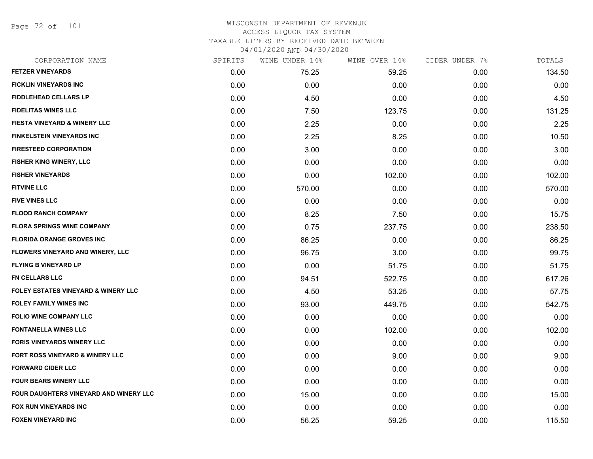Page 72 of 101

| CORPORATION NAME                               | SPIRITS | WINE UNDER 14% | WINE OVER 14% | CIDER UNDER 7% | TOTALS |
|------------------------------------------------|---------|----------------|---------------|----------------|--------|
| <b>FETZER VINEYARDS</b>                        | 0.00    | 75.25          | 59.25         | 0.00           | 134.50 |
| <b>FICKLIN VINEYARDS INC</b>                   | 0.00    | 0.00           | 0.00          | 0.00           | 0.00   |
| <b>FIDDLEHEAD CELLARS LP</b>                   | 0.00    | 4.50           | 0.00          | 0.00           | 4.50   |
| <b>FIDELITAS WINES LLC</b>                     | 0.00    | 7.50           | 123.75        | 0.00           | 131.25 |
| FIESTA VINEYARD & WINERY LLC                   | 0.00    | 2.25           | 0.00          | 0.00           | 2.25   |
| <b>FINKELSTEIN VINEYARDS INC</b>               | 0.00    | 2.25           | 8.25          | 0.00           | 10.50  |
| <b>FIRESTEED CORPORATION</b>                   | 0.00    | 3.00           | 0.00          | 0.00           | 3.00   |
| FISHER KING WINERY, LLC                        | 0.00    | 0.00           | 0.00          | 0.00           | 0.00   |
| <b>FISHER VINEYARDS</b>                        | 0.00    | 0.00           | 102.00        | 0.00           | 102.00 |
| <b>FITVINE LLC</b>                             | 0.00    | 570.00         | 0.00          | 0.00           | 570.00 |
| <b>FIVE VINES LLC</b>                          | 0.00    | 0.00           | 0.00          | 0.00           | 0.00   |
| <b>FLOOD RANCH COMPANY</b>                     | 0.00    | 8.25           | 7.50          | 0.00           | 15.75  |
| <b>FLORA SPRINGS WINE COMPANY</b>              | 0.00    | 0.75           | 237.75        | 0.00           | 238.50 |
| <b>FLORIDA ORANGE GROVES INC</b>               | 0.00    | 86.25          | 0.00          | 0.00           | 86.25  |
| FLOWERS VINEYARD AND WINERY, LLC               | 0.00    | 96.75          | 3.00          | 0.00           | 99.75  |
| <b>FLYING B VINEYARD LP</b>                    | 0.00    | 0.00           | 51.75         | 0.00           | 51.75  |
| <b>FN CELLARS LLC</b>                          | 0.00    | 94.51          | 522.75        | 0.00           | 617.26 |
| <b>FOLEY ESTATES VINEYARD &amp; WINERY LLC</b> | 0.00    | 4.50           | 53.25         | 0.00           | 57.75  |
| <b>FOLEY FAMILY WINES INC</b>                  | 0.00    | 93.00          | 449.75        | 0.00           | 542.75 |
| <b>FOLIO WINE COMPANY LLC</b>                  | 0.00    | 0.00           | 0.00          | 0.00           | 0.00   |
| <b>FONTANELLA WINES LLC</b>                    | 0.00    | 0.00           | 102.00        | 0.00           | 102.00 |
| <b>FORIS VINEYARDS WINERY LLC</b>              | 0.00    | 0.00           | 0.00          | 0.00           | 0.00   |
| FORT ROSS VINEYARD & WINERY LLC                | 0.00    | 0.00           | 9.00          | 0.00           | 9.00   |
| <b>FORWARD CIDER LLC</b>                       | 0.00    | 0.00           | 0.00          | 0.00           | 0.00   |
| <b>FOUR BEARS WINERY LLC</b>                   | 0.00    | 0.00           | 0.00          | 0.00           | 0.00   |
| FOUR DAUGHTERS VINEYARD AND WINERY LLC         | 0.00    | 15.00          | 0.00          | 0.00           | 15.00  |
| <b>FOX RUN VINEYARDS INC</b>                   | 0.00    | 0.00           | 0.00          | 0.00           | 0.00   |
| <b>FOXEN VINEYARD INC</b>                      | 0.00    | 56.25          | 59.25         | 0.00           | 115.50 |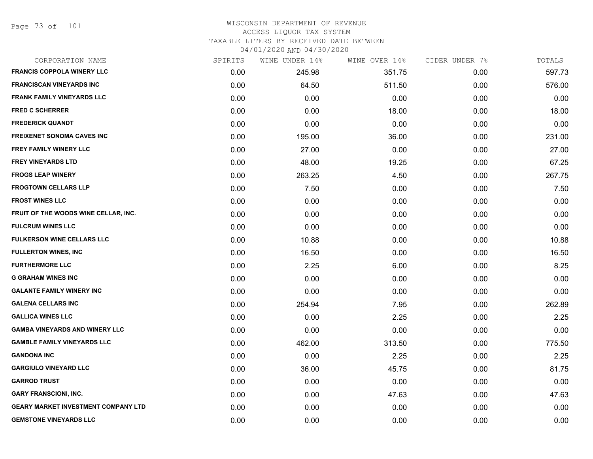Page 73 of 101

| CORPORATION NAME                           | SPIRITS | WINE UNDER 14% | WINE OVER 14% | CIDER UNDER 7% | TOTALS |
|--------------------------------------------|---------|----------------|---------------|----------------|--------|
| <b>FRANCIS COPPOLA WINERY LLC</b>          | 0.00    | 245.98         | 351.75        | 0.00           | 597.73 |
| <b>FRANCISCAN VINEYARDS INC</b>            | 0.00    | 64.50          | 511.50        | 0.00           | 576.00 |
| <b>FRANK FAMILY VINEYARDS LLC</b>          | 0.00    | 0.00           | 0.00          | 0.00           | 0.00   |
| FRED C SCHERRER                            | 0.00    | 0.00           | 18.00         | 0.00           | 18.00  |
| <b>FREDERICK QUANDT</b>                    | 0.00    | 0.00           | 0.00          | 0.00           | 0.00   |
| <b>FREIXENET SONOMA CAVES INC</b>          | 0.00    | 195.00         | 36.00         | 0.00           | 231.00 |
| FREY FAMILY WINERY LLC                     | 0.00    | 27.00          | 0.00          | 0.00           | 27.00  |
| <b>FREY VINEYARDS LTD</b>                  | 0.00    | 48.00          | 19.25         | 0.00           | 67.25  |
| <b>FROGS LEAP WINERY</b>                   | 0.00    | 263.25         | 4.50          | 0.00           | 267.75 |
| <b>FROGTOWN CELLARS LLP</b>                | 0.00    | 7.50           | 0.00          | 0.00           | 7.50   |
| <b>FROST WINES LLC</b>                     | 0.00    | 0.00           | 0.00          | 0.00           | 0.00   |
| FRUIT OF THE WOODS WINE CELLAR, INC.       | 0.00    | 0.00           | 0.00          | 0.00           | 0.00   |
| <b>FULCRUM WINES LLC</b>                   | 0.00    | 0.00           | 0.00          | 0.00           | 0.00   |
| <b>FULKERSON WINE CELLARS LLC</b>          | 0.00    | 10.88          | 0.00          | 0.00           | 10.88  |
| <b>FULLERTON WINES, INC</b>                | 0.00    | 16.50          | 0.00          | 0.00           | 16.50  |
| <b>FURTHERMORE LLC</b>                     | 0.00    | 2.25           | 6.00          | 0.00           | 8.25   |
| <b>G GRAHAM WINES INC</b>                  | 0.00    | 0.00           | 0.00          | 0.00           | 0.00   |
| <b>GALANTE FAMILY WINERY INC</b>           | 0.00    | 0.00           | 0.00          | 0.00           | 0.00   |
| <b>GALENA CELLARS INC</b>                  | 0.00    | 254.94         | 7.95          | 0.00           | 262.89 |
| <b>GALLICA WINES LLC</b>                   | 0.00    | 0.00           | 2.25          | 0.00           | 2.25   |
| <b>GAMBA VINEYARDS AND WINERY LLC</b>      | 0.00    | 0.00           | 0.00          | 0.00           | 0.00   |
| <b>GAMBLE FAMILY VINEYARDS LLC</b>         | 0.00    | 462.00         | 313.50        | 0.00           | 775.50 |
| <b>GANDONA INC</b>                         | 0.00    | 0.00           | 2.25          | 0.00           | 2.25   |
| <b>GARGIULO VINEYARD LLC</b>               | 0.00    | 36.00          | 45.75         | 0.00           | 81.75  |
| <b>GARROD TRUST</b>                        | 0.00    | 0.00           | 0.00          | 0.00           | 0.00   |
| <b>GARY FRANSCIONI, INC.</b>               | 0.00    | 0.00           | 47.63         | 0.00           | 47.63  |
| <b>GEARY MARKET INVESTMENT COMPANY LTD</b> | 0.00    | 0.00           | 0.00          | 0.00           | 0.00   |
| <b>GEMSTONE VINEYARDS LLC</b>              | 0.00    | 0.00           | 0.00          | 0.00           | 0.00   |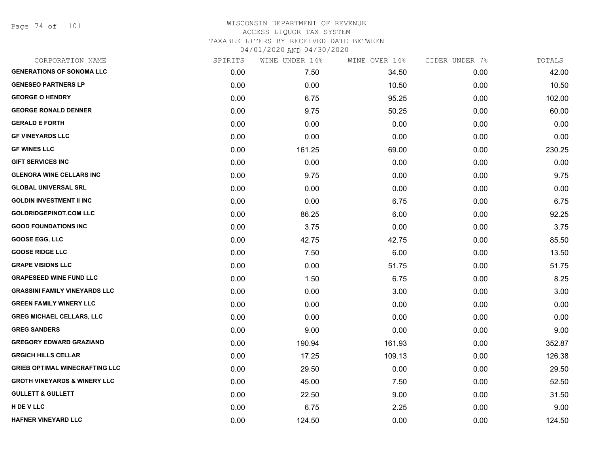Page 74 of 101

| CORPORATION NAME                        | SPIRITS | WINE UNDER 14% | WINE OVER 14% | CIDER UNDER 7% | TOTALS |
|-----------------------------------------|---------|----------------|---------------|----------------|--------|
| <b>GENERATIONS OF SONOMA LLC</b>        | 0.00    | 7.50           | 34.50         | 0.00           | 42.00  |
| <b>GENESEO PARTNERS LP</b>              | 0.00    | 0.00           | 10.50         | 0.00           | 10.50  |
| <b>GEORGE O HENDRY</b>                  | 0.00    | 6.75           | 95.25         | 0.00           | 102.00 |
| <b>GEORGE RONALD DENNER</b>             | 0.00    | 9.75           | 50.25         | 0.00           | 60.00  |
| <b>GERALD E FORTH</b>                   | 0.00    | 0.00           | 0.00          | 0.00           | 0.00   |
| <b>GF VINEYARDS LLC</b>                 | 0.00    | 0.00           | 0.00          | 0.00           | 0.00   |
| <b>GF WINES LLC</b>                     | 0.00    | 161.25         | 69.00         | 0.00           | 230.25 |
| <b>GIFT SERVICES INC</b>                | 0.00    | 0.00           | 0.00          | 0.00           | 0.00   |
| <b>GLENORA WINE CELLARS INC</b>         | 0.00    | 9.75           | 0.00          | 0.00           | 9.75   |
| <b>GLOBAL UNIVERSAL SRL</b>             | 0.00    | 0.00           | 0.00          | 0.00           | 0.00   |
| <b>GOLDIN INVESTMENT II INC</b>         | 0.00    | 0.00           | 6.75          | 0.00           | 6.75   |
| <b>GOLDRIDGEPINOT.COM LLC</b>           | 0.00    | 86.25          | 6.00          | 0.00           | 92.25  |
| <b>GOOD FOUNDATIONS INC</b>             | 0.00    | 3.75           | 0.00          | 0.00           | 3.75   |
| <b>GOOSE EGG, LLC</b>                   | 0.00    | 42.75          | 42.75         | 0.00           | 85.50  |
| <b>GOOSE RIDGE LLC</b>                  | 0.00    | 7.50           | 6.00          | 0.00           | 13.50  |
| <b>GRAPE VISIONS LLC</b>                | 0.00    | 0.00           | 51.75         | 0.00           | 51.75  |
| <b>GRAPESEED WINE FUND LLC</b>          | 0.00    | 1.50           | 6.75          | 0.00           | 8.25   |
| <b>GRASSINI FAMILY VINEYARDS LLC</b>    | 0.00    | 0.00           | 3.00          | 0.00           | 3.00   |
| <b>GREEN FAMILY WINERY LLC</b>          | 0.00    | 0.00           | 0.00          | 0.00           | 0.00   |
| <b>GREG MICHAEL CELLARS, LLC</b>        | 0.00    | 0.00           | 0.00          | 0.00           | 0.00   |
| <b>GREG SANDERS</b>                     | 0.00    | 9.00           | 0.00          | 0.00           | 9.00   |
| <b>GREGORY EDWARD GRAZIANO</b>          | 0.00    | 190.94         | 161.93        | 0.00           | 352.87 |
| <b>GRGICH HILLS CELLAR</b>              | 0.00    | 17.25          | 109.13        | 0.00           | 126.38 |
| <b>GRIEB OPTIMAL WINECRAFTING LLC</b>   | 0.00    | 29.50          | 0.00          | 0.00           | 29.50  |
| <b>GROTH VINEYARDS &amp; WINERY LLC</b> | 0.00    | 45.00          | 7.50          | 0.00           | 52.50  |
| <b>GULLETT &amp; GULLETT</b>            | 0.00    | 22.50          | 9.00          | 0.00           | 31.50  |
| H DE V LLC                              | 0.00    | 6.75           | 2.25          | 0.00           | 9.00   |
| <b>HAFNER VINEYARD LLC</b>              | 0.00    | 124.50         | 0.00          | 0.00           | 124.50 |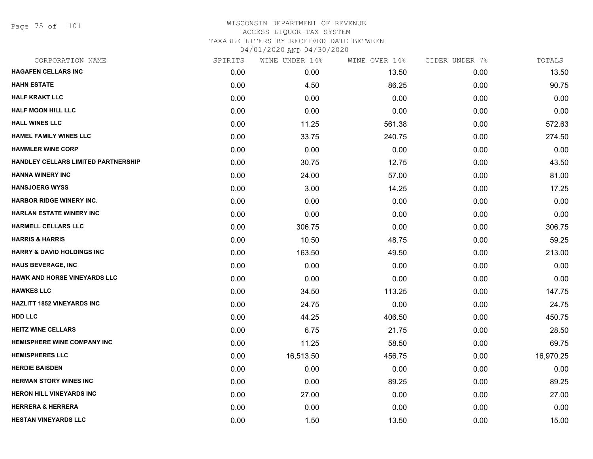Page 75 of 101

| CORPORATION NAME                      | SPIRITS | WINE UNDER 14% | WINE OVER 14% | CIDER UNDER 7% | TOTALS    |
|---------------------------------------|---------|----------------|---------------|----------------|-----------|
| <b>HAGAFEN CELLARS INC</b>            | 0.00    | 0.00           | 13.50         | 0.00           | 13.50     |
| <b>HAHN ESTATE</b>                    | 0.00    | 4.50           | 86.25         | 0.00           | 90.75     |
| <b>HALF KRAKT LLC</b>                 | 0.00    | 0.00           | 0.00          | 0.00           | 0.00      |
| <b>HALF MOON HILL LLC</b>             | 0.00    | 0.00           | 0.00          | 0.00           | 0.00      |
| <b>HALL WINES LLC</b>                 | 0.00    | 11.25          | 561.38        | 0.00           | 572.63    |
| <b>HAMEL FAMILY WINES LLC</b>         | 0.00    | 33.75          | 240.75        | 0.00           | 274.50    |
| <b>HAMMLER WINE CORP</b>              | 0.00    | 0.00           | 0.00          | 0.00           | 0.00      |
| HANDLEY CELLARS LIMITED PARTNERSHIP   | 0.00    | 30.75          | 12.75         | 0.00           | 43.50     |
| <b>HANNA WINERY INC</b>               | 0.00    | 24.00          | 57.00         | 0.00           | 81.00     |
| <b>HANSJOERG WYSS</b>                 | 0.00    | 3.00           | 14.25         | 0.00           | 17.25     |
| <b>HARBOR RIDGE WINERY INC.</b>       | 0.00    | 0.00           | 0.00          | 0.00           | 0.00      |
| <b>HARLAN ESTATE WINERY INC</b>       | 0.00    | 0.00           | 0.00          | 0.00           | 0.00      |
| <b>HARMELL CELLARS LLC</b>            | 0.00    | 306.75         | 0.00          | 0.00           | 306.75    |
| <b>HARRIS &amp; HARRIS</b>            | 0.00    | 10.50          | 48.75         | 0.00           | 59.25     |
| <b>HARRY &amp; DAVID HOLDINGS INC</b> | 0.00    | 163.50         | 49.50         | 0.00           | 213.00    |
| <b>HAUS BEVERAGE, INC</b>             | 0.00    | 0.00           | 0.00          | 0.00           | 0.00      |
| <b>HAWK AND HORSE VINEYARDS LLC</b>   | 0.00    | 0.00           | 0.00          | 0.00           | 0.00      |
| <b>HAWKES LLC</b>                     | 0.00    | 34.50          | 113.25        | 0.00           | 147.75    |
| <b>HAZLITT 1852 VINEYARDS INC</b>     | 0.00    | 24.75          | 0.00          | 0.00           | 24.75     |
| <b>HDD LLC</b>                        | 0.00    | 44.25          | 406.50        | 0.00           | 450.75    |
| <b>HEITZ WINE CELLARS</b>             | 0.00    | 6.75           | 21.75         | 0.00           | 28.50     |
| <b>HEMISPHERE WINE COMPANY INC</b>    | 0.00    | 11.25          | 58.50         | 0.00           | 69.75     |
| <b>HEMISPHERES LLC</b>                | 0.00    | 16,513.50      | 456.75        | 0.00           | 16,970.25 |
| <b>HERDIE BAISDEN</b>                 | 0.00    | 0.00           | 0.00          | 0.00           | 0.00      |
| <b>HERMAN STORY WINES INC</b>         | 0.00    | 0.00           | 89.25         | 0.00           | 89.25     |
| <b>HERON HILL VINEYARDS INC</b>       | 0.00    | 27.00          | 0.00          | 0.00           | 27.00     |
| <b>HERRERA &amp; HERRERA</b>          | 0.00    | 0.00           | 0.00          | 0.00           | 0.00      |
| <b>HESTAN VINEYARDS LLC</b>           | 0.00    | 1.50           | 13.50         | 0.00           | 15.00     |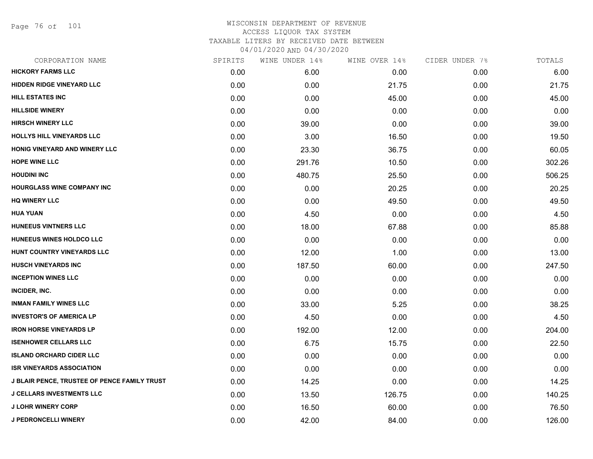Page 76 of 101

| CORPORATION NAME                             | SPIRITS | WINE UNDER 14% | WINE OVER 14% | CIDER UNDER 7% | TOTALS |
|----------------------------------------------|---------|----------------|---------------|----------------|--------|
| <b>HICKORY FARMS LLC</b>                     | 0.00    | 6.00           | 0.00          | 0.00           | 6.00   |
| <b>HIDDEN RIDGE VINEYARD LLC</b>             | 0.00    | 0.00           | 21.75         | 0.00           | 21.75  |
| HILL ESTATES INC                             | 0.00    | 0.00           | 45.00         | 0.00           | 45.00  |
| <b>HILLSIDE WINERY</b>                       | 0.00    | 0.00           | 0.00          | 0.00           | 0.00   |
| <b>HIRSCH WINERY LLC</b>                     | 0.00    | 39.00          | 0.00          | 0.00           | 39.00  |
| HOLLYS HILL VINEYARDS LLC                    | 0.00    | 3.00           | 16.50         | 0.00           | 19.50  |
| HONIG VINEYARD AND WINERY LLC                | 0.00    | 23.30          | 36.75         | 0.00           | 60.05  |
| <b>HOPE WINE LLC</b>                         | 0.00    | 291.76         | 10.50         | 0.00           | 302.26 |
| <b>HOUDINI INC</b>                           | 0.00    | 480.75         | 25.50         | 0.00           | 506.25 |
| <b>HOURGLASS WINE COMPANY INC</b>            | 0.00    | 0.00           | 20.25         | 0.00           | 20.25  |
| <b>HQ WINERY LLC</b>                         | 0.00    | 0.00           | 49.50         | 0.00           | 49.50  |
| <b>HUA YUAN</b>                              | 0.00    | 4.50           | 0.00          | 0.00           | 4.50   |
| HUNEEUS VINTNERS LLC                         | 0.00    | 18.00          | 67.88         | 0.00           | 85.88  |
| HUNEEUS WINES HOLDCO LLC                     | 0.00    | 0.00           | 0.00          | 0.00           | 0.00   |
| HUNT COUNTRY VINEYARDS LLC                   | 0.00    | 12.00          | 1.00          | 0.00           | 13.00  |
| <b>HUSCH VINEYARDS INC</b>                   | 0.00    | 187.50         | 60.00         | 0.00           | 247.50 |
| <b>INCEPTION WINES LLC</b>                   | 0.00    | 0.00           | 0.00          | 0.00           | 0.00   |
| INCIDER, INC.                                | 0.00    | 0.00           | 0.00          | 0.00           | 0.00   |
| <b>INMAN FAMILY WINES LLC</b>                | 0.00    | 33.00          | 5.25          | 0.00           | 38.25  |
| <b>INVESTOR'S OF AMERICA LP</b>              | 0.00    | 4.50           | 0.00          | 0.00           | 4.50   |
| <b>IRON HORSE VINEYARDS LP</b>               | 0.00    | 192.00         | 12.00         | 0.00           | 204.00 |
| <b>ISENHOWER CELLARS LLC</b>                 | 0.00    | 6.75           | 15.75         | 0.00           | 22.50  |
| <b>ISLAND ORCHARD CIDER LLC</b>              | 0.00    | 0.00           | 0.00          | 0.00           | 0.00   |
| <b>ISR VINEYARDS ASSOCIATION</b>             | 0.00    | 0.00           | 0.00          | 0.00           | 0.00   |
| J BLAIR PENCE, TRUSTEE OF PENCE FAMILY TRUST | 0.00    | 14.25          | 0.00          | 0.00           | 14.25  |
| <b>J CELLARS INVESTMENTS LLC</b>             | 0.00    | 13.50          | 126.75        | 0.00           | 140.25 |
| <b>J LOHR WINERY CORP</b>                    | 0.00    | 16.50          | 60.00         | 0.00           | 76.50  |
| <b>J PEDRONCELLI WINERY</b>                  | 0.00    | 42.00          | 84.00         | 0.00           | 126.00 |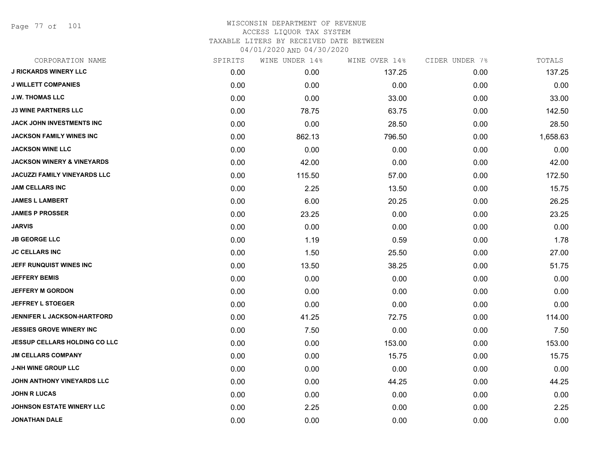Page 77 of 101

| CORPORATION NAME                      | SPIRITS | WINE UNDER 14% | WINE OVER 14% | CIDER UNDER 7% | TOTALS   |
|---------------------------------------|---------|----------------|---------------|----------------|----------|
| <b>J RICKARDS WINERY LLC</b>          | 0.00    | 0.00           | 137.25        | 0.00           | 137.25   |
| <b>J WILLETT COMPANIES</b>            | 0.00    | 0.00           | 0.00          | 0.00           | 0.00     |
| <b>J.W. THOMAS LLC</b>                | 0.00    | 0.00           | 33.00         | 0.00           | 33.00    |
| <b>J3 WINE PARTNERS LLC</b>           | 0.00    | 78.75          | 63.75         | 0.00           | 142.50   |
| <b>JACK JOHN INVESTMENTS INC</b>      | 0.00    | 0.00           | 28.50         | 0.00           | 28.50    |
| JACKSON FAMILY WINES INC              | 0.00    | 862.13         | 796.50        | 0.00           | 1,658.63 |
| <b>JACKSON WINE LLC</b>               | 0.00    | 0.00           | 0.00          | 0.00           | 0.00     |
| <b>JACKSON WINERY &amp; VINEYARDS</b> | 0.00    | 42.00          | 0.00          | 0.00           | 42.00    |
| <b>JACUZZI FAMILY VINEYARDS LLC</b>   | 0.00    | 115.50         | 57.00         | 0.00           | 172.50   |
| <b>JAM CELLARS INC</b>                | 0.00    | 2.25           | 13.50         | 0.00           | 15.75    |
| <b>JAMES L LAMBERT</b>                | 0.00    | 6.00           | 20.25         | 0.00           | 26.25    |
| <b>JAMES P PROSSER</b>                | 0.00    | 23.25          | 0.00          | 0.00           | 23.25    |
| <b>JARVIS</b>                         | 0.00    | 0.00           | 0.00          | 0.00           | 0.00     |
| <b>JB GEORGE LLC</b>                  | 0.00    | 1.19           | 0.59          | 0.00           | 1.78     |
| <b>JC CELLARS INC</b>                 | 0.00    | 1.50           | 25.50         | 0.00           | 27.00    |
| JEFF RUNQUIST WINES INC               | 0.00    | 13.50          | 38.25         | 0.00           | 51.75    |
| <b>JEFFERY BEMIS</b>                  | 0.00    | 0.00           | 0.00          | 0.00           | 0.00     |
| <b>JEFFERY M GORDON</b>               | 0.00    | 0.00           | 0.00          | 0.00           | 0.00     |
| <b>JEFFREY L STOEGER</b>              | 0.00    | 0.00           | 0.00          | 0.00           | 0.00     |
| <b>JENNIFER L JACKSON-HARTFORD</b>    | 0.00    | 41.25          | 72.75         | 0.00           | 114.00   |
| <b>JESSIES GROVE WINERY INC</b>       | 0.00    | 7.50           | 0.00          | 0.00           | 7.50     |
| <b>JESSUP CELLARS HOLDING CO LLC</b>  | 0.00    | 0.00           | 153.00        | 0.00           | 153.00   |
| <b>JM CELLARS COMPANY</b>             | 0.00    | 0.00           | 15.75         | 0.00           | 15.75    |
| <b>J-NH WINE GROUP LLC</b>            | 0.00    | 0.00           | 0.00          | 0.00           | 0.00     |
| JOHN ANTHONY VINEYARDS LLC            | 0.00    | 0.00           | 44.25         | 0.00           | 44.25    |
| <b>JOHN R LUCAS</b>                   | 0.00    | 0.00           | 0.00          | 0.00           | 0.00     |
| <b>JOHNSON ESTATE WINERY LLC</b>      | 0.00    | 2.25           | 0.00          | 0.00           | 2.25     |
| JONATHAN DALE                         | 0.00    | 0.00           | 0.00          | 0.00           | 0.00     |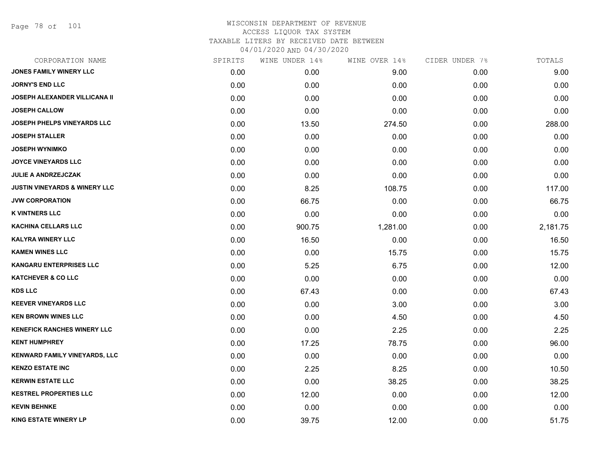Page 78 of 101

| CORPORATION NAME                         | SPIRITS | WINE UNDER 14% | WINE OVER 14% | CIDER UNDER 7% | TOTALS   |
|------------------------------------------|---------|----------------|---------------|----------------|----------|
| JONES FAMILY WINERY LLC                  | 0.00    | 0.00           | 9.00          | 0.00           | 9.00     |
| <b>JORNY'S END LLC</b>                   | 0.00    | 0.00           | 0.00          | 0.00           | 0.00     |
| <b>JOSEPH ALEXANDER VILLICANA II</b>     | 0.00    | 0.00           | 0.00          | 0.00           | 0.00     |
| <b>JOSEPH CALLOW</b>                     | 0.00    | 0.00           | 0.00          | 0.00           | 0.00     |
| <b>JOSEPH PHELPS VINEYARDS LLC</b>       | 0.00    | 13.50          | 274.50        | 0.00           | 288.00   |
| <b>JOSEPH STALLER</b>                    | 0.00    | 0.00           | 0.00          | 0.00           | 0.00     |
| <b>JOSEPH WYNIMKO</b>                    | 0.00    | 0.00           | 0.00          | 0.00           | 0.00     |
| <b>JOYCE VINEYARDS LLC</b>               | 0.00    | 0.00           | 0.00          | 0.00           | 0.00     |
| <b>JULIE A ANDRZEJCZAK</b>               | 0.00    | 0.00           | 0.00          | 0.00           | 0.00     |
| <b>JUSTIN VINEYARDS &amp; WINERY LLC</b> | 0.00    | 8.25           | 108.75        | 0.00           | 117.00   |
| <b>JVW CORPORATION</b>                   | 0.00    | 66.75          | 0.00          | 0.00           | 66.75    |
| <b>K VINTNERS LLC</b>                    | 0.00    | 0.00           | 0.00          | 0.00           | 0.00     |
| <b>KACHINA CELLARS LLC</b>               | 0.00    | 900.75         | 1,281.00      | 0.00           | 2,181.75 |
| <b>KALYRA WINERY LLC</b>                 | 0.00    | 16.50          | 0.00          | 0.00           | 16.50    |
| <b>KAMEN WINES LLC</b>                   | 0.00    | 0.00           | 15.75         | 0.00           | 15.75    |
| <b>KANGARU ENTERPRISES LLC</b>           | 0.00    | 5.25           | 6.75          | 0.00           | 12.00    |
| <b>KATCHEVER &amp; CO LLC</b>            | 0.00    | 0.00           | 0.00          | 0.00           | 0.00     |
| <b>KDS LLC</b>                           | 0.00    | 67.43          | 0.00          | 0.00           | 67.43    |
| <b>KEEVER VINEYARDS LLC</b>              | 0.00    | 0.00           | 3.00          | 0.00           | 3.00     |
| <b>KEN BROWN WINES LLC</b>               | 0.00    | 0.00           | 4.50          | 0.00           | 4.50     |
| <b>KENEFICK RANCHES WINERY LLC</b>       | 0.00    | 0.00           | 2.25          | 0.00           | 2.25     |
| <b>KENT HUMPHREY</b>                     | 0.00    | 17.25          | 78.75         | 0.00           | 96.00    |
| <b>KENWARD FAMILY VINEYARDS, LLC</b>     | 0.00    | 0.00           | 0.00          | 0.00           | 0.00     |
| <b>KENZO ESTATE INC</b>                  | 0.00    | 2.25           | 8.25          | 0.00           | 10.50    |
| <b>KERWIN ESTATE LLC</b>                 | 0.00    | 0.00           | 38.25         | 0.00           | 38.25    |
| <b>KESTREL PROPERTIES LLC</b>            | 0.00    | 12.00          | 0.00          | 0.00           | 12.00    |
| <b>KEVIN BEHNKE</b>                      | 0.00    | 0.00           | 0.00          | 0.00           | 0.00     |
| <b>KING ESTATE WINERY LP</b>             | 0.00    | 39.75          | 12.00         | 0.00           | 51.75    |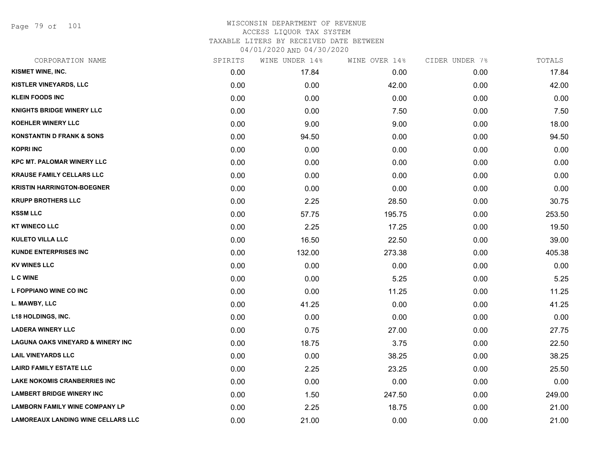Page 79 of 101

| CORPORATION NAME                             | SPIRITS | WINE UNDER 14% | WINE OVER 14% | CIDER UNDER 7% | TOTALS |
|----------------------------------------------|---------|----------------|---------------|----------------|--------|
| KISMET WINE, INC.                            | 0.00    | 17.84          | 0.00          | 0.00           | 17.84  |
| KISTLER VINEYARDS, LLC                       | 0.00    | 0.00           | 42.00         | 0.00           | 42.00  |
| <b>KLEIN FOODS INC</b>                       | 0.00    | 0.00           | 0.00          | 0.00           | 0.00   |
| <b>KNIGHTS BRIDGE WINERY LLC</b>             | 0.00    | 0.00           | 7.50          | 0.00           | 7.50   |
| <b>KOEHLER WINERY LLC</b>                    | 0.00    | 9.00           | 9.00          | 0.00           | 18.00  |
| <b>KONSTANTIN D FRANK &amp; SONS</b>         | 0.00    | 94.50          | 0.00          | 0.00           | 94.50  |
| <b>KOPRI INC</b>                             | 0.00    | 0.00           | 0.00          | 0.00           | 0.00   |
| <b>KPC MT. PALOMAR WINERY LLC</b>            | 0.00    | 0.00           | 0.00          | 0.00           | 0.00   |
| <b>KRAUSE FAMILY CELLARS LLC</b>             | 0.00    | 0.00           | 0.00          | 0.00           | 0.00   |
| <b>KRISTIN HARRINGTON-BOEGNER</b>            | 0.00    | 0.00           | 0.00          | 0.00           | 0.00   |
| <b>KRUPP BROTHERS LLC</b>                    | 0.00    | 2.25           | 28.50         | 0.00           | 30.75  |
| <b>KSSM LLC</b>                              | 0.00    | 57.75          | 195.75        | 0.00           | 253.50 |
| <b>KT WINECO LLC</b>                         | 0.00    | 2.25           | 17.25         | 0.00           | 19.50  |
| <b>KULETO VILLA LLC</b>                      | 0.00    | 16.50          | 22.50         | 0.00           | 39.00  |
| <b>KUNDE ENTERPRISES INC</b>                 | 0.00    | 132.00         | 273.38        | 0.00           | 405.38 |
| <b>KV WINES LLC</b>                          | 0.00    | 0.00           | 0.00          | 0.00           | 0.00   |
| <b>LC WINE</b>                               | 0.00    | 0.00           | 5.25          | 0.00           | 5.25   |
| L FOPPIANO WINE CO INC                       | 0.00    | 0.00           | 11.25         | 0.00           | 11.25  |
| L. MAWBY, LLC                                | 0.00    | 41.25          | 0.00          | 0.00           | 41.25  |
| <b>L18 HOLDINGS, INC.</b>                    | 0.00    | 0.00           | 0.00          | 0.00           | 0.00   |
| <b>LADERA WINERY LLC</b>                     | 0.00    | 0.75           | 27.00         | 0.00           | 27.75  |
| <b>LAGUNA OAKS VINEYARD &amp; WINERY INC</b> | 0.00    | 18.75          | 3.75          | 0.00           | 22.50  |
| <b>LAIL VINEYARDS LLC</b>                    | 0.00    | 0.00           | 38.25         | 0.00           | 38.25  |
| <b>LAIRD FAMILY ESTATE LLC</b>               | 0.00    | 2.25           | 23.25         | 0.00           | 25.50  |
| <b>LAKE NOKOMIS CRANBERRIES INC</b>          | 0.00    | 0.00           | 0.00          | 0.00           | 0.00   |
| <b>LAMBERT BRIDGE WINERY INC</b>             | 0.00    | 1.50           | 247.50        | 0.00           | 249.00 |
| <b>LAMBORN FAMILY WINE COMPANY LP</b>        | 0.00    | 2.25           | 18.75         | 0.00           | 21.00  |
| <b>LAMOREAUX LANDING WINE CELLARS LLC</b>    | 0.00    | 21.00          | 0.00          | 0.00           | 21.00  |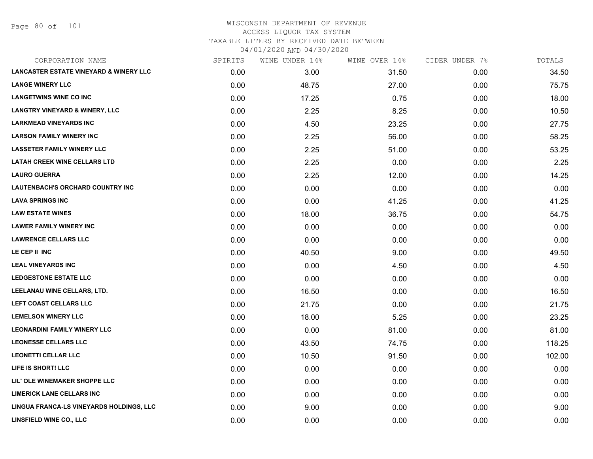Page 80 of 101

| CORPORATION NAME                                  | SPIRITS | WINE UNDER 14% | WINE OVER 14% | CIDER UNDER 7% | TOTALS |
|---------------------------------------------------|---------|----------------|---------------|----------------|--------|
| <b>LANCASTER ESTATE VINEYARD &amp; WINERY LLC</b> | 0.00    | 3.00           | 31.50         | 0.00           | 34.50  |
| <b>LANGE WINERY LLC</b>                           | 0.00    | 48.75          | 27.00         | 0.00           | 75.75  |
| <b>LANGETWINS WINE CO INC</b>                     | 0.00    | 17.25          | 0.75          | 0.00           | 18.00  |
| <b>LANGTRY VINEYARD &amp; WINERY, LLC</b>         | 0.00    | 2.25           | 8.25          | 0.00           | 10.50  |
| <b>LARKMEAD VINEYARDS INC</b>                     | 0.00    | 4.50           | 23.25         | 0.00           | 27.75  |
| <b>LARSON FAMILY WINERY INC</b>                   | 0.00    | 2.25           | 56.00         | 0.00           | 58.25  |
| <b>LASSETER FAMILY WINERY LLC</b>                 | 0.00    | 2.25           | 51.00         | 0.00           | 53.25  |
| <b>LATAH CREEK WINE CELLARS LTD</b>               | 0.00    | 2.25           | 0.00          | 0.00           | 2.25   |
| <b>LAURO GUERRA</b>                               | 0.00    | 2.25           | 12.00         | 0.00           | 14.25  |
| <b>LAUTENBACH'S ORCHARD COUNTRY INC</b>           | 0.00    | 0.00           | 0.00          | 0.00           | 0.00   |
| <b>LAVA SPRINGS INC</b>                           | 0.00    | 0.00           | 41.25         | 0.00           | 41.25  |
| <b>LAW ESTATE WINES</b>                           | 0.00    | 18.00          | 36.75         | 0.00           | 54.75  |
| <b>LAWER FAMILY WINERY INC</b>                    | 0.00    | 0.00           | 0.00          | 0.00           | 0.00   |
| <b>LAWRENCE CELLARS LLC</b>                       | 0.00    | 0.00           | 0.00          | 0.00           | 0.00   |
| LE CEP II INC                                     | 0.00    | 40.50          | 9.00          | 0.00           | 49.50  |
| <b>LEAL VINEYARDS INC</b>                         | 0.00    | 0.00           | 4.50          | 0.00           | 4.50   |
| <b>LEDGESTONE ESTATE LLC</b>                      | 0.00    | 0.00           | 0.00          | 0.00           | 0.00   |
| LEELANAU WINE CELLARS, LTD.                       | 0.00    | 16.50          | 0.00          | 0.00           | 16.50  |
| LEFT COAST CELLARS LLC                            | 0.00    | 21.75          | 0.00          | 0.00           | 21.75  |
| <b>LEMELSON WINERY LLC</b>                        | 0.00    | 18.00          | 5.25          | 0.00           | 23.25  |
| <b>LEONARDINI FAMILY WINERY LLC</b>               | 0.00    | 0.00           | 81.00         | 0.00           | 81.00  |
| <b>LEONESSE CELLARS LLC</b>                       | 0.00    | 43.50          | 74.75         | 0.00           | 118.25 |
| <b>LEONETTI CELLAR LLC</b>                        | 0.00    | 10.50          | 91.50         | 0.00           | 102.00 |
| LIFE IS SHORT! LLC                                | 0.00    | 0.00           | 0.00          | 0.00           | 0.00   |
| LIL' OLE WINEMAKER SHOPPE LLC                     | 0.00    | 0.00           | 0.00          | 0.00           | 0.00   |
| <b>LIMERICK LANE CELLARS INC</b>                  | 0.00    | 0.00           | 0.00          | 0.00           | 0.00   |
| LINGUA FRANCA-LS VINEYARDS HOLDINGS, LLC          | 0.00    | 9.00           | 0.00          | 0.00           | 9.00   |
| <b>LINSFIELD WINE CO., LLC</b>                    | 0.00    | 0.00           | 0.00          | 0.00           | 0.00   |
|                                                   |         |                |               |                |        |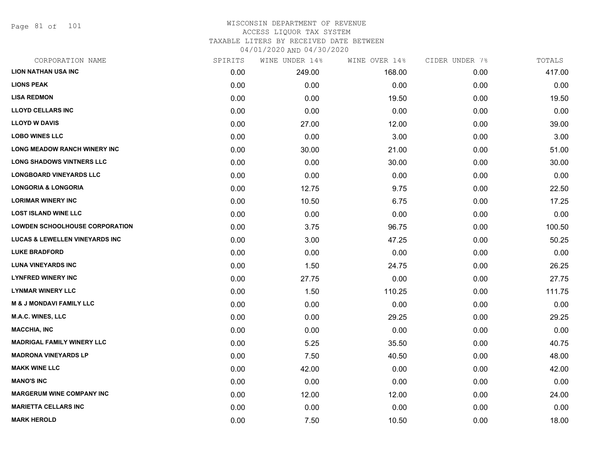Page 81 of 101

# WISCONSIN DEPARTMENT OF REVENUE ACCESS LIQUOR TAX SYSTEM TAXABLE LITERS BY RECEIVED DATE BETWEEN

04/01/2020 AND 04/30/2020

| CORPORATION NAME                          | SPIRITS | WINE UNDER 14% | WINE OVER 14% | CIDER UNDER 7% | TOTALS |
|-------------------------------------------|---------|----------------|---------------|----------------|--------|
| <b>LION NATHAN USA INC</b>                | 0.00    | 249.00         | 168.00        | 0.00           | 417.00 |
| <b>LIONS PEAK</b>                         | 0.00    | 0.00           | 0.00          | 0.00           | 0.00   |
| <b>LISA REDMON</b>                        | 0.00    | 0.00           | 19.50         | 0.00           | 19.50  |
| <b>LLOYD CELLARS INC</b>                  | 0.00    | 0.00           | 0.00          | 0.00           | 0.00   |
| <b>LLOYD W DAVIS</b>                      | 0.00    | 27.00          | 12.00         | 0.00           | 39.00  |
| <b>LOBO WINES LLC</b>                     | 0.00    | 0.00           | 3.00          | 0.00           | 3.00   |
| <b>LONG MEADOW RANCH WINERY INC</b>       | 0.00    | 30.00          | 21.00         | 0.00           | 51.00  |
| <b>LONG SHADOWS VINTNERS LLC</b>          | 0.00    | 0.00           | 30.00         | 0.00           | 30.00  |
| <b>LONGBOARD VINEYARDS LLC</b>            | 0.00    | 0.00           | 0.00          | 0.00           | 0.00   |
| <b>LONGORIA &amp; LONGORIA</b>            | 0.00    | 12.75          | 9.75          | 0.00           | 22.50  |
| <b>LORIMAR WINERY INC</b>                 | 0.00    | 10.50          | 6.75          | 0.00           | 17.25  |
| <b>LOST ISLAND WINE LLC</b>               | 0.00    | 0.00           | 0.00          | 0.00           | 0.00   |
| <b>LOWDEN SCHOOLHOUSE CORPORATION</b>     | 0.00    | 3.75           | 96.75         | 0.00           | 100.50 |
| <b>LUCAS &amp; LEWELLEN VINEYARDS INC</b> | 0.00    | 3.00           | 47.25         | 0.00           | 50.25  |
| <b>LUKE BRADFORD</b>                      | 0.00    | 0.00           | 0.00          | 0.00           | 0.00   |
| <b>LUNA VINEYARDS INC</b>                 | 0.00    | 1.50           | 24.75         | 0.00           | 26.25  |
| <b>LYNFRED WINERY INC</b>                 | 0.00    | 27.75          | 0.00          | 0.00           | 27.75  |
| <b>LYNMAR WINERY LLC</b>                  | 0.00    | 1.50           | 110.25        | 0.00           | 111.75 |
| <b>M &amp; J MONDAVI FAMILY LLC</b>       | 0.00    | 0.00           | 0.00          | 0.00           | 0.00   |
| <b>M.A.C. WINES, LLC</b>                  | 0.00    | 0.00           | 29.25         | 0.00           | 29.25  |
| <b>MACCHIA, INC</b>                       | 0.00    | 0.00           | 0.00          | 0.00           | 0.00   |
| <b>MADRIGAL FAMILY WINERY LLC</b>         | 0.00    | 5.25           | 35.50         | 0.00           | 40.75  |
| <b>MADRONA VINEYARDS LP</b>               | 0.00    | 7.50           | 40.50         | 0.00           | 48.00  |
| <b>MAKK WINE LLC</b>                      | 0.00    | 42.00          | 0.00          | 0.00           | 42.00  |
| <b>MANO'S INC</b>                         | 0.00    | 0.00           | 0.00          | 0.00           | 0.00   |
| <b>MARGERUM WINE COMPANY INC</b>          | 0.00    | 12.00          | 12.00         | 0.00           | 24.00  |
| <b>MARIETTA CELLARS INC</b>               | 0.00    | 0.00           | 0.00          | 0.00           | 0.00   |
| <b>MARK HEROLD</b>                        | 0.00    | 7.50           | 10.50         | 0.00           | 18.00  |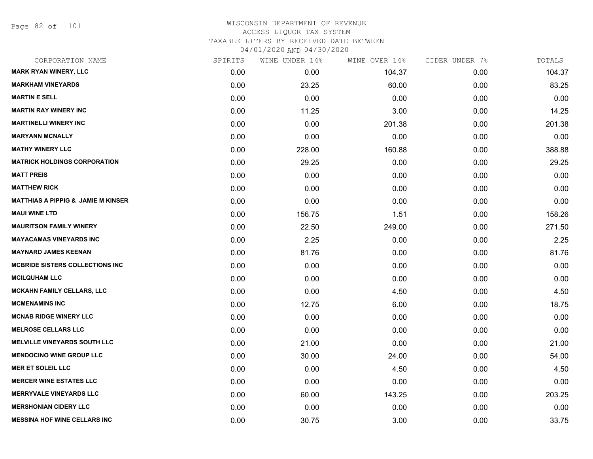Page 82 of 101

| CORPORATION NAME                              | SPIRITS | WINE UNDER 14% | WINE OVER 14% | CIDER UNDER 7% | TOTALS |
|-----------------------------------------------|---------|----------------|---------------|----------------|--------|
| <b>MARK RYAN WINERY, LLC</b>                  | 0.00    | 0.00           | 104.37        | 0.00           | 104.37 |
| <b>MARKHAM VINEYARDS</b>                      | 0.00    | 23.25          | 60.00         | 0.00           | 83.25  |
| <b>MARTIN E SELL</b>                          | 0.00    | 0.00           | 0.00          | 0.00           | 0.00   |
| <b>MARTIN RAY WINERY INC</b>                  | 0.00    | 11.25          | 3.00          | 0.00           | 14.25  |
| <b>MARTINELLI WINERY INC</b>                  | 0.00    | 0.00           | 201.38        | 0.00           | 201.38 |
| <b>MARYANN MCNALLY</b>                        | 0.00    | 0.00           | 0.00          | 0.00           | 0.00   |
| <b>MATHY WINERY LLC</b>                       | 0.00    | 228.00         | 160.88        | 0.00           | 388.88 |
| <b>MATRICK HOLDINGS CORPORATION</b>           | 0.00    | 29.25          | 0.00          | 0.00           | 29.25  |
| <b>MATT PREIS</b>                             | 0.00    | 0.00           | 0.00          | 0.00           | 0.00   |
| <b>MATTHEW RICK</b>                           | 0.00    | 0.00           | 0.00          | 0.00           | 0.00   |
| <b>MATTHIAS A PIPPIG &amp; JAMIE M KINSER</b> | 0.00    | 0.00           | 0.00          | 0.00           | 0.00   |
| <b>MAUI WINE LTD</b>                          | 0.00    | 156.75         | 1.51          | 0.00           | 158.26 |
| <b>MAURITSON FAMILY WINERY</b>                | 0.00    | 22.50          | 249.00        | 0.00           | 271.50 |
| <b>MAYACAMAS VINEYARDS INC</b>                | 0.00    | 2.25           | 0.00          | 0.00           | 2.25   |
| <b>MAYNARD JAMES KEENAN</b>                   | 0.00    | 81.76          | 0.00          | 0.00           | 81.76  |
| <b>MCBRIDE SISTERS COLLECTIONS INC</b>        | 0.00    | 0.00           | 0.00          | 0.00           | 0.00   |
| <b>MCILQUHAM LLC</b>                          | 0.00    | 0.00           | 0.00          | 0.00           | 0.00   |
| MCKAHN FAMILY CELLARS, LLC                    | 0.00    | 0.00           | 4.50          | 0.00           | 4.50   |
| <b>MCMENAMINS INC</b>                         | 0.00    | 12.75          | 6.00          | 0.00           | 18.75  |
| <b>MCNAB RIDGE WINERY LLC</b>                 | 0.00    | 0.00           | 0.00          | 0.00           | 0.00   |
| <b>MELROSE CELLARS LLC</b>                    | 0.00    | 0.00           | 0.00          | 0.00           | 0.00   |
| <b>MELVILLE VINEYARDS SOUTH LLC</b>           | 0.00    | 21.00          | 0.00          | 0.00           | 21.00  |
| <b>MENDOCINO WINE GROUP LLC</b>               | 0.00    | 30.00          | 24.00         | 0.00           | 54.00  |
| <b>MER ET SOLEIL LLC</b>                      | 0.00    | 0.00           | 4.50          | 0.00           | 4.50   |
| <b>MERCER WINE ESTATES LLC</b>                | 0.00    | 0.00           | 0.00          | 0.00           | 0.00   |
| <b>MERRYVALE VINEYARDS LLC</b>                | 0.00    | 60.00          | 143.25        | 0.00           | 203.25 |
| <b>MERSHONIAN CIDERY LLC</b>                  | 0.00    | 0.00           | 0.00          | 0.00           | 0.00   |
| <b>MESSINA HOF WINE CELLARS INC</b>           | 0.00    | 30.75          | 3.00          | 0.00           | 33.75  |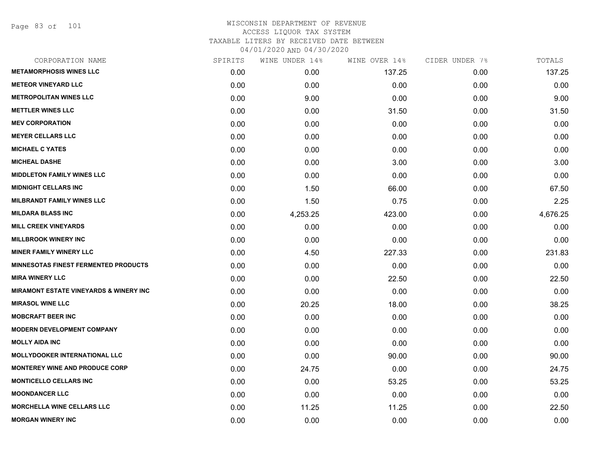Page 83 of 101

| SPIRITS | WINE UNDER 14% | WINE OVER 14% | CIDER UNDER 7% | TOTALS   |
|---------|----------------|---------------|----------------|----------|
| 0.00    | 0.00           | 137.25        | 0.00           | 137.25   |
| 0.00    | 0.00           | 0.00          | 0.00           | 0.00     |
| 0.00    | 9.00           | 0.00          | 0.00           | 9.00     |
| 0.00    | 0.00           | 31.50         | 0.00           | 31.50    |
| 0.00    | 0.00           | 0.00          | 0.00           | 0.00     |
| 0.00    | 0.00           | 0.00          | 0.00           | 0.00     |
| 0.00    | 0.00           | 0.00          | 0.00           | 0.00     |
| 0.00    | 0.00           | 3.00          | 0.00           | 3.00     |
| 0.00    | 0.00           | 0.00          | 0.00           | 0.00     |
| 0.00    | 1.50           | 66.00         | 0.00           | 67.50    |
| 0.00    | 1.50           | 0.75          | 0.00           | 2.25     |
| 0.00    | 4,253.25       | 423.00        | 0.00           | 4,676.25 |
| 0.00    | 0.00           | 0.00          | 0.00           | 0.00     |
| 0.00    | 0.00           | 0.00          | 0.00           | 0.00     |
| 0.00    | 4.50           | 227.33        | 0.00           | 231.83   |
| 0.00    | 0.00           | 0.00          | 0.00           | 0.00     |
| 0.00    | 0.00           | 22.50         | 0.00           | 22.50    |
| 0.00    | 0.00           | 0.00          | 0.00           | 0.00     |
| 0.00    | 20.25          | 18.00         | 0.00           | 38.25    |
| 0.00    | 0.00           | 0.00          | 0.00           | 0.00     |
| 0.00    | 0.00           | 0.00          | 0.00           | 0.00     |
| 0.00    | 0.00           | 0.00          | 0.00           | 0.00     |
| 0.00    | 0.00           | 90.00         | 0.00           | 90.00    |
| 0.00    | 24.75          | 0.00          | 0.00           | 24.75    |
| 0.00    | 0.00           | 53.25         | 0.00           | 53.25    |
| 0.00    | 0.00           | 0.00          | 0.00           | 0.00     |
| 0.00    | 11.25          | 11.25         | 0.00           | 22.50    |
| 0.00    | 0.00           | 0.00          | 0.00           | 0.00     |
|         |                |               |                |          |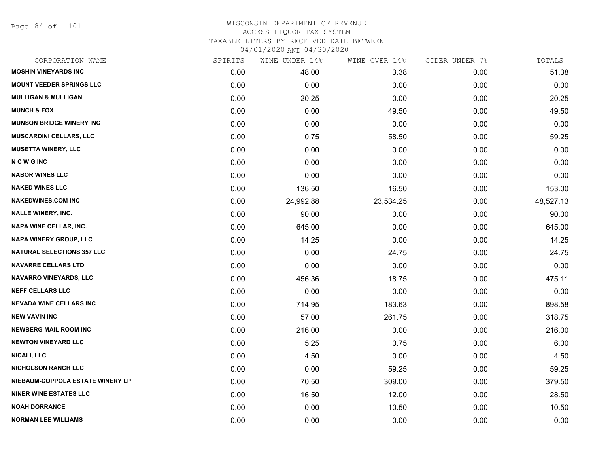Page 84 of 101

| CORPORATION NAME                  | SPIRITS | WINE UNDER 14% | WINE OVER 14% | CIDER UNDER 7% | TOTALS    |
|-----------------------------------|---------|----------------|---------------|----------------|-----------|
| <b>MOSHIN VINEYARDS INC</b>       | 0.00    | 48.00          | 3.38          | 0.00           | 51.38     |
| <b>MOUNT VEEDER SPRINGS LLC</b>   | 0.00    | 0.00           | 0.00          | 0.00           | 0.00      |
| <b>MULLIGAN &amp; MULLIGAN</b>    | 0.00    | 20.25          | 0.00          | 0.00           | 20.25     |
| <b>MUNCH &amp; FOX</b>            | 0.00    | 0.00           | 49.50         | 0.00           | 49.50     |
| <b>MUNSON BRIDGE WINERY INC</b>   | 0.00    | 0.00           | 0.00          | 0.00           | 0.00      |
| <b>MUSCARDINI CELLARS, LLC</b>    | 0.00    | 0.75           | 58.50         | 0.00           | 59.25     |
| <b>MUSETTA WINERY, LLC</b>        | 0.00    | 0.00           | 0.00          | 0.00           | 0.00      |
| <b>NCWGINC</b>                    | 0.00    | 0.00           | 0.00          | 0.00           | 0.00      |
| <b>NABOR WINES LLC</b>            | 0.00    | 0.00           | 0.00          | 0.00           | 0.00      |
| <b>NAKED WINES LLC</b>            | 0.00    | 136.50         | 16.50         | 0.00           | 153.00    |
| <b>NAKEDWINES.COM INC</b>         | 0.00    | 24,992.88      | 23,534.25     | 0.00           | 48,527.13 |
| <b>NALLE WINERY, INC.</b>         | 0.00    | 90.00          | 0.00          | 0.00           | 90.00     |
| NAPA WINE CELLAR, INC.            | 0.00    | 645.00         | 0.00          | 0.00           | 645.00    |
| <b>NAPA WINERY GROUP, LLC</b>     | 0.00    | 14.25          | 0.00          | 0.00           | 14.25     |
| <b>NATURAL SELECTIONS 357 LLC</b> | 0.00    | 0.00           | 24.75         | 0.00           | 24.75     |
| <b>NAVARRE CELLARS LTD</b>        | 0.00    | 0.00           | 0.00          | 0.00           | 0.00      |
| <b>NAVARRO VINEYARDS, LLC</b>     | 0.00    | 456.36         | 18.75         | 0.00           | 475.11    |
| <b>NEFF CELLARS LLC</b>           | 0.00    | 0.00           | 0.00          | 0.00           | 0.00      |
| <b>NEVADA WINE CELLARS INC</b>    | 0.00    | 714.95         | 183.63        | 0.00           | 898.58    |
| <b>NEW VAVIN INC</b>              | 0.00    | 57.00          | 261.75        | 0.00           | 318.75    |
| <b>NEWBERG MAIL ROOM INC</b>      | 0.00    | 216.00         | 0.00          | 0.00           | 216.00    |
| <b>NEWTON VINEYARD LLC</b>        | 0.00    | 5.25           | 0.75          | 0.00           | 6.00      |
| <b>NICALI, LLC</b>                | 0.00    | 4.50           | 0.00          | 0.00           | 4.50      |
| <b>NICHOLSON RANCH LLC</b>        | 0.00    | 0.00           | 59.25         | 0.00           | 59.25     |
| NIEBAUM-COPPOLA ESTATE WINERY LP  | 0.00    | 70.50          | 309.00        | 0.00           | 379.50    |
| <b>NINER WINE ESTATES LLC</b>     | 0.00    | 16.50          | 12.00         | 0.00           | 28.50     |
| <b>NOAH DORRANCE</b>              | 0.00    | 0.00           | 10.50         | 0.00           | 10.50     |
| <b>NORMAN LEE WILLIAMS</b>        | 0.00    | 0.00           | 0.00          | 0.00           | 0.00      |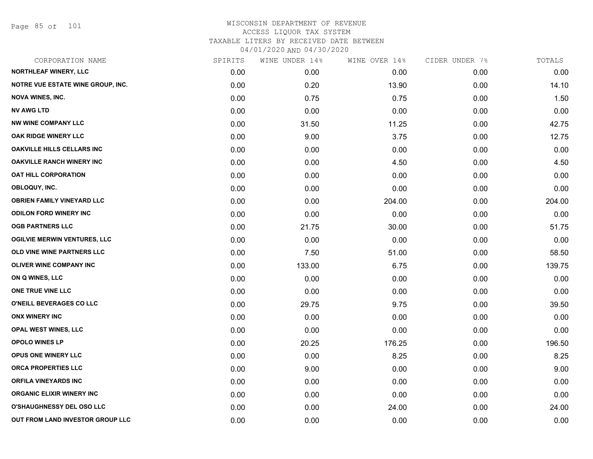Page 85 of 101

| CORPORATION NAME                         | SPIRITS | WINE UNDER 14% | WINE OVER 14% | CIDER UNDER 7% | TOTALS |
|------------------------------------------|---------|----------------|---------------|----------------|--------|
| <b>NORTHLEAF WINERY, LLC</b>             | 0.00    | 0.00           | 0.00          | 0.00           | 0.00   |
| <b>NOTRE VUE ESTATE WINE GROUP, INC.</b> | 0.00    | 0.20           | 13.90         | 0.00           | 14.10  |
| <b>NOVA WINES, INC.</b>                  | 0.00    | 0.75           | 0.75          | 0.00           | 1.50   |
| <b>NV AWG LTD</b>                        | 0.00    | 0.00           | 0.00          | 0.00           | 0.00   |
| <b>NW WINE COMPANY LLC</b>               | 0.00    | 31.50          | 11.25         | 0.00           | 42.75  |
| OAK RIDGE WINERY LLC                     | 0.00    | 9.00           | 3.75          | 0.00           | 12.75  |
| <b>OAKVILLE HILLS CELLARS INC</b>        | 0.00    | 0.00           | 0.00          | 0.00           | 0.00   |
| <b>OAKVILLE RANCH WINERY INC</b>         | 0.00    | 0.00           | 4.50          | 0.00           | 4.50   |
| <b>OAT HILL CORPORATION</b>              | 0.00    | 0.00           | 0.00          | 0.00           | 0.00   |
| OBLOQUY, INC.                            | 0.00    | 0.00           | 0.00          | 0.00           | 0.00   |
| <b>OBRIEN FAMILY VINEYARD LLC</b>        | 0.00    | 0.00           | 204.00        | 0.00           | 204.00 |
| <b>ODILON FORD WINERY INC</b>            | 0.00    | 0.00           | 0.00          | 0.00           | 0.00   |
| <b>OGB PARTNERS LLC</b>                  | 0.00    | 21.75          | 30.00         | 0.00           | 51.75  |
| <b>OGILVIE MERWIN VENTURES, LLC</b>      | 0.00    | 0.00           | 0.00          | 0.00           | 0.00   |
| OLD VINE WINE PARTNERS LLC               | 0.00    | 7.50           | 51.00         | 0.00           | 58.50  |
| <b>OLIVER WINE COMPANY INC</b>           | 0.00    | 133.00         | 6.75          | 0.00           | 139.75 |
| ON Q WINES, LLC                          | 0.00    | 0.00           | 0.00          | 0.00           | 0.00   |
| ONE TRUE VINE LLC                        | 0.00    | 0.00           | 0.00          | 0.00           | 0.00   |
| O'NEILL BEVERAGES CO LLC                 | 0.00    | 29.75          | 9.75          | 0.00           | 39.50  |
| <b>ONX WINERY INC</b>                    | 0.00    | 0.00           | 0.00          | 0.00           | 0.00   |
| OPAL WEST WINES, LLC                     | 0.00    | 0.00           | 0.00          | 0.00           | 0.00   |
| <b>OPOLO WINES LP</b>                    | 0.00    | 20.25          | 176.25        | 0.00           | 196.50 |
| OPUS ONE WINERY LLC                      | 0.00    | 0.00           | 8.25          | 0.00           | 8.25   |
| ORCA PROPERTIES LLC                      | 0.00    | 9.00           | 0.00          | 0.00           | 9.00   |
| <b>ORFILA VINEYARDS INC</b>              | 0.00    | 0.00           | 0.00          | 0.00           | 0.00   |
| <b>ORGANIC ELIXIR WINERY INC</b>         | 0.00    | 0.00           | 0.00          | 0.00           | 0.00   |
| <b>O'SHAUGHNESSY DEL OSO LLC</b>         | 0.00    | 0.00           | 24.00         | 0.00           | 24.00  |
| OUT FROM LAND INVESTOR GROUP LLC         | 0.00    | 0.00           | 0.00          | 0.00           | 0.00   |
|                                          |         |                |               |                |        |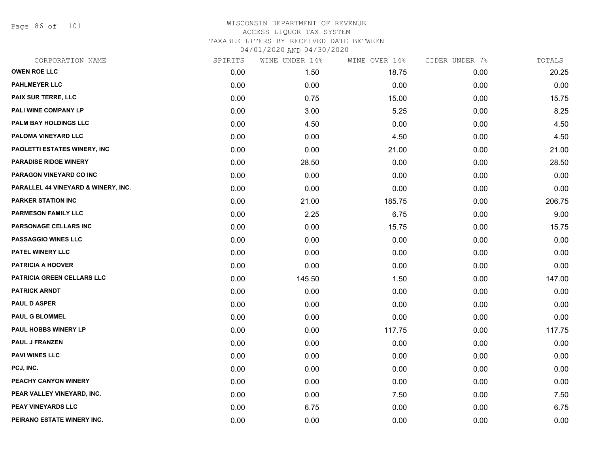Page 86 of 101

| CORPORATION NAME                    | SPIRITS | WINE UNDER 14% | WINE OVER 14% | CIDER UNDER 7% | TOTALS |
|-------------------------------------|---------|----------------|---------------|----------------|--------|
| <b>OWEN ROE LLC</b>                 | 0.00    | 1.50           | 18.75         | 0.00           | 20.25  |
| <b>PAHLMEYER LLC</b>                | 0.00    | 0.00           | 0.00          | 0.00           | 0.00   |
| PAIX SUR TERRE, LLC                 | 0.00    | 0.75           | 15.00         | 0.00           | 15.75  |
| PALI WINE COMPANY LP                | 0.00    | 3.00           | 5.25          | 0.00           | 8.25   |
| PALM BAY HOLDINGS LLC               | 0.00    | 4.50           | 0.00          | 0.00           | 4.50   |
| PALOMA VINEYARD LLC                 | 0.00    | 0.00           | 4.50          | 0.00           | 4.50   |
| PAOLETTI ESTATES WINERY, INC        | 0.00    | 0.00           | 21.00         | 0.00           | 21.00  |
| <b>PARADISE RIDGE WINERY</b>        | 0.00    | 28.50          | 0.00          | 0.00           | 28.50  |
| PARAGON VINEYARD CO INC             | 0.00    | 0.00           | 0.00          | 0.00           | 0.00   |
| PARALLEL 44 VINEYARD & WINERY, INC. | 0.00    | 0.00           | 0.00          | 0.00           | 0.00   |
| <b>PARKER STATION INC</b>           | 0.00    | 21.00          | 185.75        | 0.00           | 206.75 |
| <b>PARMESON FAMILY LLC</b>          | 0.00    | 2.25           | 6.75          | 0.00           | 9.00   |
| PARSONAGE CELLARS INC               | 0.00    | 0.00           | 15.75         | 0.00           | 15.75  |
| <b>PASSAGGIO WINES LLC</b>          | 0.00    | 0.00           | 0.00          | 0.00           | 0.00   |
| PATEL WINERY LLC                    | 0.00    | 0.00           | 0.00          | 0.00           | 0.00   |
| <b>PATRICIA A HOOVER</b>            | 0.00    | 0.00           | 0.00          | 0.00           | 0.00   |
| PATRICIA GREEN CELLARS LLC          | 0.00    | 145.50         | 1.50          | 0.00           | 147.00 |
| <b>PATRICK ARNDT</b>                | 0.00    | 0.00           | 0.00          | 0.00           | 0.00   |
| <b>PAUL D ASPER</b>                 | 0.00    | 0.00           | 0.00          | 0.00           | 0.00   |
| <b>PAUL G BLOMMEL</b>               | 0.00    | 0.00           | 0.00          | 0.00           | 0.00   |
| <b>PAUL HOBBS WINERY LP</b>         | 0.00    | 0.00           | 117.75        | 0.00           | 117.75 |
| PAUL J FRANZEN                      | 0.00    | 0.00           | 0.00          | 0.00           | 0.00   |
| <b>PAVI WINES LLC</b>               | 0.00    | 0.00           | 0.00          | 0.00           | 0.00   |
| PCJ, INC.                           | 0.00    | 0.00           | 0.00          | 0.00           | 0.00   |
| PEACHY CANYON WINERY                | 0.00    | 0.00           | 0.00          | 0.00           | 0.00   |
| PEAR VALLEY VINEYARD, INC.          | 0.00    | 0.00           | 7.50          | 0.00           | 7.50   |
| <b>PEAY VINEYARDS LLC</b>           | 0.00    | 6.75           | 0.00          | 0.00           | 6.75   |
| PEIRANO ESTATE WINERY INC.          | 0.00    | 0.00           | 0.00          | 0.00           | 0.00   |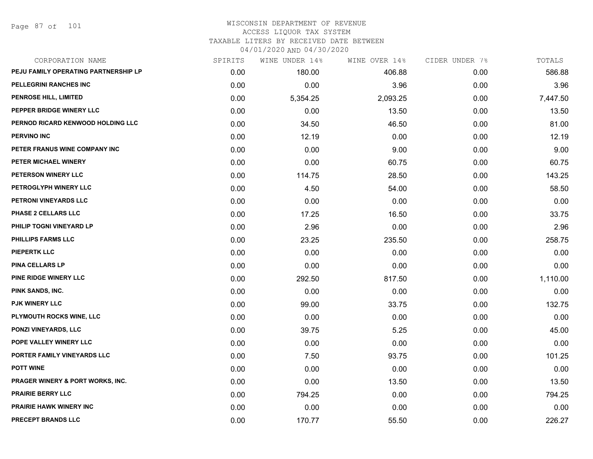Page 87 of 101

| CORPORATION NAME                     | SPIRITS | WINE UNDER 14% | WINE OVER 14% | CIDER UNDER 7% | TOTALS   |
|--------------------------------------|---------|----------------|---------------|----------------|----------|
| PEJU FAMILY OPERATING PARTNERSHIP LP | 0.00    | 180.00         | 406.88        | 0.00           | 586.88   |
| PELLEGRINI RANCHES INC               | 0.00    | 0.00           | 3.96          | 0.00           | 3.96     |
| PENROSE HILL, LIMITED                | 0.00    | 5,354.25       | 2,093.25      | 0.00           | 7,447.50 |
| PEPPER BRIDGE WINERY LLC             | 0.00    | 0.00           | 13.50         | 0.00           | 13.50    |
| PERNOD RICARD KENWOOD HOLDING LLC    | 0.00    | 34.50          | 46.50         | 0.00           | 81.00    |
| <b>PERVINO INC</b>                   | 0.00    | 12.19          | 0.00          | 0.00           | 12.19    |
| PETER FRANUS WINE COMPANY INC        | 0.00    | 0.00           | 9.00          | 0.00           | 9.00     |
| PETER MICHAEL WINERY                 | 0.00    | 0.00           | 60.75         | 0.00           | 60.75    |
| PETERSON WINERY LLC                  | 0.00    | 114.75         | 28.50         | 0.00           | 143.25   |
| PETROGLYPH WINERY LLC                | 0.00    | 4.50           | 54.00         | 0.00           | 58.50    |
| PETRONI VINEYARDS LLC                | 0.00    | 0.00           | 0.00          | 0.00           | 0.00     |
| PHASE 2 CELLARS LLC                  | 0.00    | 17.25          | 16.50         | 0.00           | 33.75    |
| PHILIP TOGNI VINEYARD LP             | 0.00    | 2.96           | 0.00          | 0.00           | 2.96     |
| PHILLIPS FARMS LLC                   | 0.00    | 23.25          | 235.50        | 0.00           | 258.75   |
| <b>PIEPERTK LLC</b>                  | 0.00    | 0.00           | 0.00          | 0.00           | 0.00     |
| <b>PINA CELLARS LP</b>               | 0.00    | 0.00           | 0.00          | 0.00           | 0.00     |
| PINE RIDGE WINERY LLC                | 0.00    | 292.50         | 817.50        | 0.00           | 1,110.00 |
| PINK SANDS, INC.                     | 0.00    | 0.00           | 0.00          | 0.00           | 0.00     |
| <b>PJK WINERY LLC</b>                | 0.00    | 99.00          | 33.75         | 0.00           | 132.75   |
| PLYMOUTH ROCKS WINE, LLC             | 0.00    | 0.00           | 0.00          | 0.00           | 0.00     |
| <b>PONZI VINEYARDS, LLC</b>          | 0.00    | 39.75          | 5.25          | 0.00           | 45.00    |
| POPE VALLEY WINERY LLC               | 0.00    | 0.00           | 0.00          | 0.00           | 0.00     |
| PORTER FAMILY VINEYARDS LLC          | 0.00    | 7.50           | 93.75         | 0.00           | 101.25   |
| <b>POTT WINE</b>                     | 0.00    | 0.00           | 0.00          | 0.00           | 0.00     |
| PRAGER WINERY & PORT WORKS, INC.     | 0.00    | 0.00           | 13.50         | 0.00           | 13.50    |
| <b>PRAIRIE BERRY LLC</b>             | 0.00    | 794.25         | 0.00          | 0.00           | 794.25   |
| <b>PRAIRIE HAWK WINERY INC</b>       | 0.00    | 0.00           | 0.00          | 0.00           | 0.00     |
| <b>PRECEPT BRANDS LLC</b>            | 0.00    | 170.77         | 55.50         | 0.00           | 226.27   |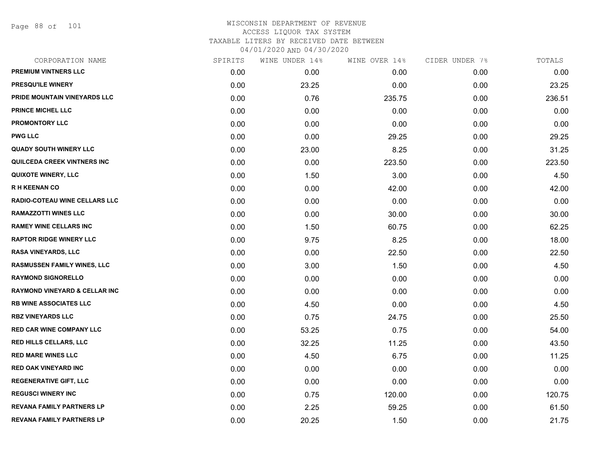Page 88 of 101

| CORPORATION NAME                         | SPIRITS | WINE UNDER 14% | WINE OVER 14% | CIDER UNDER 7% | TOTALS |
|------------------------------------------|---------|----------------|---------------|----------------|--------|
| PREMIUM VINTNERS LLC                     | 0.00    | 0.00           | 0.00          | 0.00           | 0.00   |
| PRESQU'ILE WINERY                        | 0.00    | 23.25          | 0.00          | 0.00           | 23.25  |
| PRIDE MOUNTAIN VINEYARDS LLC             | 0.00    | 0.76           | 235.75        | 0.00           | 236.51 |
| <b>PRINCE MICHEL LLC</b>                 | 0.00    | 0.00           | 0.00          | 0.00           | 0.00   |
| <b>PROMONTORY LLC</b>                    | 0.00    | 0.00           | 0.00          | 0.00           | 0.00   |
| <b>PWG LLC</b>                           | 0.00    | 0.00           | 29.25         | 0.00           | 29.25  |
| <b>QUADY SOUTH WINERY LLC</b>            | 0.00    | 23.00          | 8.25          | 0.00           | 31.25  |
| QUILCEDA CREEK VINTNERS INC              | 0.00    | 0.00           | 223.50        | 0.00           | 223.50 |
| <b>QUIXOTE WINERY, LLC</b>               | 0.00    | 1.50           | 3.00          | 0.00           | 4.50   |
| <b>RH KEENAN CO</b>                      | 0.00    | 0.00           | 42.00         | 0.00           | 42.00  |
| RADIO-COTEAU WINE CELLARS LLC            | 0.00    | 0.00           | 0.00          | 0.00           | 0.00   |
| <b>RAMAZZOTTI WINES LLC</b>              | 0.00    | 0.00           | 30.00         | 0.00           | 30.00  |
| <b>RAMEY WINE CELLARS INC</b>            | 0.00    | 1.50           | 60.75         | 0.00           | 62.25  |
| <b>RAPTOR RIDGE WINERY LLC</b>           | 0.00    | 9.75           | 8.25          | 0.00           | 18.00  |
| <b>RASA VINEYARDS, LLC</b>               | 0.00    | 0.00           | 22.50         | 0.00           | 22.50  |
| RASMUSSEN FAMILY WINES, LLC              | 0.00    | 3.00           | 1.50          | 0.00           | 4.50   |
| <b>RAYMOND SIGNORELLO</b>                | 0.00    | 0.00           | 0.00          | 0.00           | 0.00   |
| <b>RAYMOND VINEYARD &amp; CELLAR INC</b> | 0.00    | 0.00           | 0.00          | 0.00           | 0.00   |
| <b>RB WINE ASSOCIATES LLC</b>            | 0.00    | 4.50           | 0.00          | 0.00           | 4.50   |
| <b>RBZ VINEYARDS LLC</b>                 | 0.00    | 0.75           | 24.75         | 0.00           | 25.50  |
| <b>RED CAR WINE COMPANY LLC</b>          | 0.00    | 53.25          | 0.75          | 0.00           | 54.00  |
| RED HILLS CELLARS, LLC                   | 0.00    | 32.25          | 11.25         | 0.00           | 43.50  |
| <b>RED MARE WINES LLC</b>                | 0.00    | 4.50           | 6.75          | 0.00           | 11.25  |
| <b>RED OAK VINEYARD INC</b>              | 0.00    | 0.00           | 0.00          | 0.00           | 0.00   |
| <b>REGENERATIVE GIFT, LLC</b>            | 0.00    | 0.00           | 0.00          | 0.00           | 0.00   |
| <b>REGUSCI WINERY INC</b>                | 0.00    | 0.75           | 120.00        | 0.00           | 120.75 |
| <b>REVANA FAMILY PARTNERS LP</b>         | 0.00    | 2.25           | 59.25         | 0.00           | 61.50  |
| <b>REVANA FAMILY PARTNERS LP</b>         | 0.00    | 20.25          | 1.50          | 0.00           | 21.75  |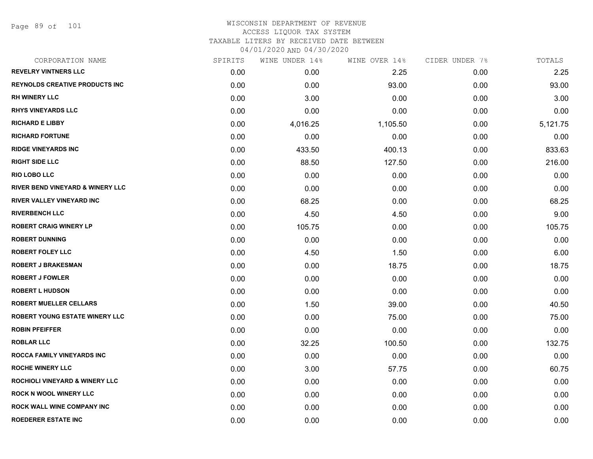Page 89 of 101

| CORPORATION NAME                          | SPIRITS | WINE UNDER 14% | WINE OVER 14% | CIDER UNDER 7% | TOTALS   |
|-------------------------------------------|---------|----------------|---------------|----------------|----------|
| <b>REVELRY VINTNERS LLC</b>               | 0.00    | 0.00           | 2.25          | 0.00           | 2.25     |
| <b>REYNOLDS CREATIVE PRODUCTS INC</b>     | 0.00    | 0.00           | 93.00         | 0.00           | 93.00    |
| <b>RH WINERY LLC</b>                      | 0.00    | 3.00           | 0.00          | 0.00           | 3.00     |
| <b>RHYS VINEYARDS LLC</b>                 | 0.00    | 0.00           | 0.00          | 0.00           | 0.00     |
| <b>RICHARD E LIBBY</b>                    | 0.00    | 4,016.25       | 1,105.50      | 0.00           | 5,121.75 |
| <b>RICHARD FORTUNE</b>                    | 0.00    | 0.00           | 0.00          | 0.00           | 0.00     |
| <b>RIDGE VINEYARDS INC</b>                | 0.00    | 433.50         | 400.13        | 0.00           | 833.63   |
| <b>RIGHT SIDE LLC</b>                     | 0.00    | 88.50          | 127.50        | 0.00           | 216.00   |
| <b>RIO LOBO LLC</b>                       | 0.00    | 0.00           | 0.00          | 0.00           | 0.00     |
| RIVER BEND VINEYARD & WINERY LLC          | 0.00    | 0.00           | 0.00          | 0.00           | 0.00     |
| RIVER VALLEY VINEYARD INC                 | 0.00    | 68.25          | 0.00          | 0.00           | 68.25    |
| <b>RIVERBENCH LLC</b>                     | 0.00    | 4.50           | 4.50          | 0.00           | 9.00     |
| <b>ROBERT CRAIG WINERY LP</b>             | 0.00    | 105.75         | 0.00          | 0.00           | 105.75   |
| <b>ROBERT DUNNING</b>                     | 0.00    | 0.00           | 0.00          | 0.00           | 0.00     |
| <b>ROBERT FOLEY LLC</b>                   | 0.00    | 4.50           | 1.50          | 0.00           | 6.00     |
| <b>ROBERT J BRAKESMAN</b>                 | 0.00    | 0.00           | 18.75         | 0.00           | 18.75    |
| <b>ROBERT J FOWLER</b>                    | 0.00    | 0.00           | 0.00          | 0.00           | 0.00     |
| <b>ROBERT L HUDSON</b>                    | 0.00    | 0.00           | 0.00          | 0.00           | 0.00     |
| <b>ROBERT MUELLER CELLARS</b>             | 0.00    | 1.50           | 39.00         | 0.00           | 40.50    |
| ROBERT YOUNG ESTATE WINERY LLC            | 0.00    | 0.00           | 75.00         | 0.00           | 75.00    |
| <b>ROBIN PFEIFFER</b>                     | 0.00    | 0.00           | 0.00          | 0.00           | 0.00     |
| <b>ROBLAR LLC</b>                         | 0.00    | 32.25          | 100.50        | 0.00           | 132.75   |
| ROCCA FAMILY VINEYARDS INC                | 0.00    | 0.00           | 0.00          | 0.00           | 0.00     |
| <b>ROCHE WINERY LLC</b>                   | 0.00    | 3.00           | 57.75         | 0.00           | 60.75    |
| <b>ROCHIOLI VINEYARD &amp; WINERY LLC</b> | 0.00    | 0.00           | 0.00          | 0.00           | 0.00     |
| <b>ROCK N WOOL WINERY LLC</b>             | 0.00    | 0.00           | 0.00          | 0.00           | 0.00     |
| ROCK WALL WINE COMPANY INC                | 0.00    | 0.00           | 0.00          | 0.00           | 0.00     |
| <b>ROEDERER ESTATE INC</b>                | 0.00    | 0.00           | 0.00          | 0.00           | 0.00     |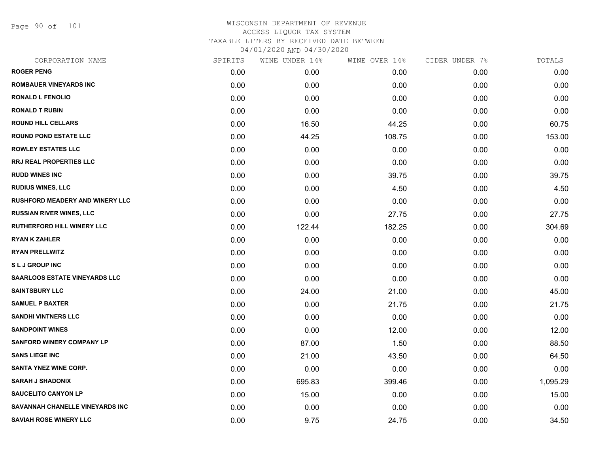Page 90 of 101

|      | WINE UNDER 14% |        |               | TOTALS         |
|------|----------------|--------|---------------|----------------|
| 0.00 | 0.00           | 0.00   | 0.00          | 0.00           |
| 0.00 | 0.00           | 0.00   | 0.00          | 0.00           |
| 0.00 | 0.00           | 0.00   | 0.00          | 0.00           |
| 0.00 | 0.00           | 0.00   | 0.00          | 0.00           |
| 0.00 | 16.50          | 44.25  | 0.00          | 60.75          |
| 0.00 | 44.25          | 108.75 | 0.00          | 153.00         |
| 0.00 | 0.00           | 0.00   | 0.00          | 0.00           |
| 0.00 | 0.00           | 0.00   | 0.00          | 0.00           |
| 0.00 | 0.00           | 39.75  | 0.00          | 39.75          |
| 0.00 | 0.00           | 4.50   | 0.00          | 4.50           |
| 0.00 | 0.00           | 0.00   | 0.00          | 0.00           |
| 0.00 | 0.00           | 27.75  | 0.00          | 27.75          |
| 0.00 | 122.44         | 182.25 | 0.00          | 304.69         |
| 0.00 | 0.00           | 0.00   | 0.00          | 0.00           |
| 0.00 | 0.00           | 0.00   | 0.00          | 0.00           |
| 0.00 | 0.00           | 0.00   | 0.00          | 0.00           |
| 0.00 | 0.00           | 0.00   | 0.00          | 0.00           |
| 0.00 | 24.00          | 21.00  | 0.00          | 45.00          |
| 0.00 | 0.00           | 21.75  | 0.00          | 21.75          |
| 0.00 | 0.00           | 0.00   | 0.00          | 0.00           |
| 0.00 | 0.00           | 12.00  | 0.00          | 12.00          |
| 0.00 | 87.00          | 1.50   | 0.00          | 88.50          |
| 0.00 | 21.00          | 43.50  | 0.00          | 64.50          |
| 0.00 | 0.00           | 0.00   | 0.00          | 0.00           |
| 0.00 | 695.83         | 399.46 | 0.00          | 1,095.29       |
| 0.00 | 15.00          | 0.00   | 0.00          | 15.00          |
| 0.00 | 0.00           | 0.00   | 0.00          | 0.00           |
| 0.00 | 9.75           | 24.75  | 0.00          | 34.50          |
|      | SPIRITS        |        | WINE OVER 14% | CIDER UNDER 7% |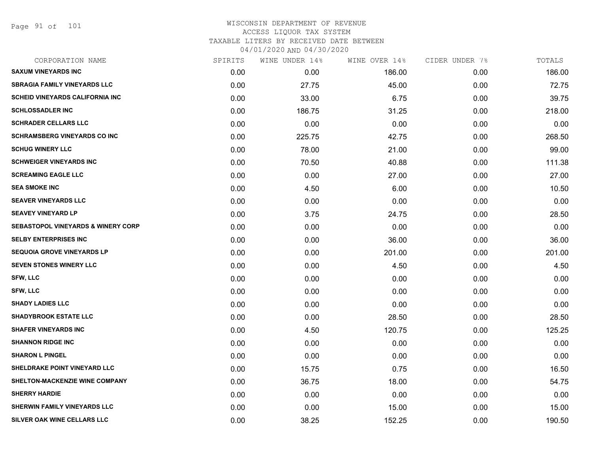Page 91 of 101

| CORPORATION NAME                              | SPIRITS | WINE UNDER 14% | WINE OVER 14% | CIDER UNDER 7% | TOTALS |
|-----------------------------------------------|---------|----------------|---------------|----------------|--------|
| <b>SAXUM VINEYARDS INC</b>                    | 0.00    | 0.00           | 186.00        | 0.00           | 186.00 |
| <b>SBRAGIA FAMILY VINEYARDS LLC</b>           | 0.00    | 27.75          | 45.00         | 0.00           | 72.75  |
| <b>SCHEID VINEYARDS CALIFORNIA INC</b>        | 0.00    | 33.00          | 6.75          | 0.00           | 39.75  |
| <b>SCHLOSSADLER INC</b>                       | 0.00    | 186.75         | 31.25         | 0.00           | 218.00 |
| <b>SCHRADER CELLARS LLC</b>                   | 0.00    | 0.00           | 0.00          | 0.00           | 0.00   |
| <b>SCHRAMSBERG VINEYARDS CO INC</b>           | 0.00    | 225.75         | 42.75         | 0.00           | 268.50 |
| <b>SCHUG WINERY LLC</b>                       | 0.00    | 78.00          | 21.00         | 0.00           | 99.00  |
| <b>SCHWEIGER VINEYARDS INC</b>                | 0.00    | 70.50          | 40.88         | 0.00           | 111.38 |
| <b>SCREAMING EAGLE LLC</b>                    | 0.00    | 0.00           | 27.00         | 0.00           | 27.00  |
| <b>SEA SMOKE INC</b>                          | 0.00    | 4.50           | 6.00          | 0.00           | 10.50  |
| <b>SEAVER VINEYARDS LLC</b>                   | 0.00    | 0.00           | 0.00          | 0.00           | 0.00   |
| <b>SEAVEY VINEYARD LP</b>                     | 0.00    | 3.75           | 24.75         | 0.00           | 28.50  |
| <b>SEBASTOPOL VINEYARDS &amp; WINERY CORP</b> | 0.00    | 0.00           | 0.00          | 0.00           | 0.00   |
| <b>SELBY ENTERPRISES INC</b>                  | 0.00    | 0.00           | 36.00         | 0.00           | 36.00  |
| <b>SEQUOIA GROVE VINEYARDS LP</b>             | 0.00    | 0.00           | 201.00        | 0.00           | 201.00 |
| SEVEN STONES WINERY LLC                       | 0.00    | 0.00           | 4.50          | 0.00           | 4.50   |
| <b>SFW, LLC</b>                               | 0.00    | 0.00           | 0.00          | 0.00           | 0.00   |
| <b>SFW, LLC</b>                               | 0.00    | 0.00           | 0.00          | 0.00           | 0.00   |
| <b>SHADY LADIES LLC</b>                       | 0.00    | 0.00           | 0.00          | 0.00           | 0.00   |
| <b>SHADYBROOK ESTATE LLC</b>                  | 0.00    | 0.00           | 28.50         | 0.00           | 28.50  |
| <b>SHAFER VINEYARDS INC</b>                   | 0.00    | 4.50           | 120.75        | 0.00           | 125.25 |
| <b>SHANNON RIDGE INC</b>                      | 0.00    | 0.00           | 0.00          | 0.00           | 0.00   |
| <b>SHARON L PINGEL</b>                        | 0.00    | 0.00           | 0.00          | 0.00           | 0.00   |
| <b>SHELDRAKE POINT VINEYARD LLC</b>           | 0.00    | 15.75          | 0.75          | 0.00           | 16.50  |
| SHELTON-MACKENZIE WINE COMPANY                | 0.00    | 36.75          | 18.00         | 0.00           | 54.75  |
| <b>SHERRY HARDIE</b>                          | 0.00    | 0.00           | 0.00          | 0.00           | 0.00   |
| <b>SHERWIN FAMILY VINEYARDS LLC</b>           | 0.00    | 0.00           | 15.00         | 0.00           | 15.00  |
| SILVER OAK WINE CELLARS LLC                   | 0.00    | 38.25          | 152.25        | 0.00           | 190.50 |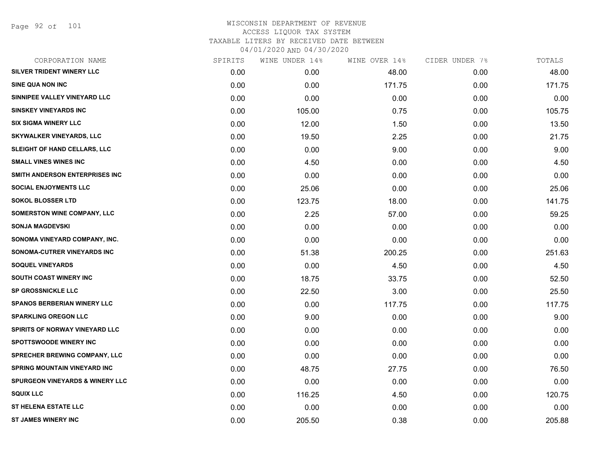Page 92 of 101

| CORPORATION NAME                           | SPIRITS | WINE UNDER 14% | WINE OVER 14% | CIDER UNDER 7% | TOTALS |
|--------------------------------------------|---------|----------------|---------------|----------------|--------|
| SILVER TRIDENT WINERY LLC                  | 0.00    | 0.00           | 48.00         | 0.00           | 48.00  |
| <b>SINE QUA NON INC</b>                    | 0.00    | 0.00           | 171.75        | 0.00           | 171.75 |
| SINNIPEE VALLEY VINEYARD LLC               | 0.00    | 0.00           | 0.00          | 0.00           | 0.00   |
| <b>SINSKEY VINEYARDS INC</b>               | 0.00    | 105.00         | 0.75          | 0.00           | 105.75 |
| <b>SIX SIGMA WINERY LLC</b>                | 0.00    | 12.00          | 1.50          | 0.00           | 13.50  |
| <b>SKYWALKER VINEYARDS, LLC</b>            | 0.00    | 19.50          | 2.25          | 0.00           | 21.75  |
| SLEIGHT OF HAND CELLARS, LLC               | 0.00    | 0.00           | 9.00          | 0.00           | 9.00   |
| <b>SMALL VINES WINES INC</b>               | 0.00    | 4.50           | 0.00          | 0.00           | 4.50   |
| SMITH ANDERSON ENTERPRISES INC             | 0.00    | 0.00           | 0.00          | 0.00           | 0.00   |
| <b>SOCIAL ENJOYMENTS LLC</b>               | 0.00    | 25.06          | 0.00          | 0.00           | 25.06  |
| <b>SOKOL BLOSSER LTD</b>                   | 0.00    | 123.75         | 18.00         | 0.00           | 141.75 |
| <b>SOMERSTON WINE COMPANY, LLC</b>         | 0.00    | 2.25           | 57.00         | 0.00           | 59.25  |
| <b>SONJA MAGDEVSKI</b>                     | 0.00    | 0.00           | 0.00          | 0.00           | 0.00   |
| SONOMA VINEYARD COMPANY, INC.              | 0.00    | 0.00           | 0.00          | 0.00           | 0.00   |
| SONOMA-CUTRER VINEYARDS INC                | 0.00    | 51.38          | 200.25        | 0.00           | 251.63 |
| <b>SOQUEL VINEYARDS</b>                    | 0.00    | 0.00           | 4.50          | 0.00           | 4.50   |
| <b>SOUTH COAST WINERY INC</b>              | 0.00    | 18.75          | 33.75         | 0.00           | 52.50  |
| <b>SP GROSSNICKLE LLC</b>                  | 0.00    | 22.50          | 3.00          | 0.00           | 25.50  |
| <b>SPANOS BERBERIAN WINERY LLC</b>         | 0.00    | 0.00           | 117.75        | 0.00           | 117.75 |
| <b>SPARKLING OREGON LLC</b>                | 0.00    | 9.00           | 0.00          | 0.00           | 9.00   |
| <b>SPIRITS OF NORWAY VINEYARD LLC</b>      | 0.00    | 0.00           | 0.00          | 0.00           | 0.00   |
| <b>SPOTTSWOODE WINERY INC</b>              | 0.00    | 0.00           | 0.00          | 0.00           | 0.00   |
| SPRECHER BREWING COMPANY, LLC              | 0.00    | 0.00           | 0.00          | 0.00           | 0.00   |
| SPRING MOUNTAIN VINEYARD INC               | 0.00    | 48.75          | 27.75         | 0.00           | 76.50  |
| <b>SPURGEON VINEYARDS &amp; WINERY LLC</b> | 0.00    | 0.00           | 0.00          | 0.00           | 0.00   |
| <b>SQUIX LLC</b>                           | 0.00    | 116.25         | 4.50          | 0.00           | 120.75 |
| <b>ST HELENA ESTATE LLC</b>                | 0.00    | 0.00           | 0.00          | 0.00           | 0.00   |
| <b>ST JAMES WINERY INC</b>                 | 0.00    | 205.50         | 0.38          | 0.00           | 205.88 |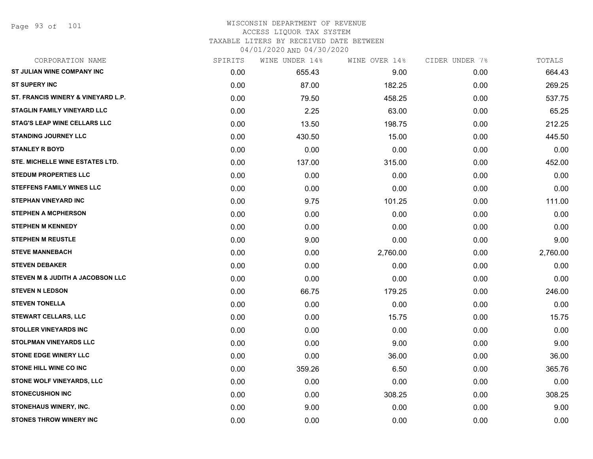| CORPORATION NAME                    | SPIRITS | WINE UNDER 14% | WINE OVER 14% | CIDER UNDER 7% | TOTALS   |
|-------------------------------------|---------|----------------|---------------|----------------|----------|
| ST JULIAN WINE COMPANY INC          | 0.00    | 655.43         | 9.00          | 0.00           | 664.43   |
| <b>ST SUPERY INC</b>                | 0.00    | 87.00          | 182.25        | 0.00           | 269.25   |
| ST. FRANCIS WINERY & VINEYARD L.P.  | 0.00    | 79.50          | 458.25        | 0.00           | 537.75   |
| <b>STAGLIN FAMILY VINEYARD LLC</b>  | 0.00    | 2.25           | 63.00         | 0.00           | 65.25    |
| <b>STAG'S LEAP WINE CELLARS LLC</b> | 0.00    | 13.50          | 198.75        | 0.00           | 212.25   |
| <b>STANDING JOURNEY LLC</b>         | 0.00    | 430.50         | 15.00         | 0.00           | 445.50   |
| <b>STANLEY R BOYD</b>               | 0.00    | 0.00           | 0.00          | 0.00           | 0.00     |
| STE. MICHELLE WINE ESTATES LTD.     | 0.00    | 137.00         | 315.00        | 0.00           | 452.00   |
| <b>STEDUM PROPERTIES LLC</b>        | 0.00    | 0.00           | 0.00          | 0.00           | 0.00     |
| <b>STEFFENS FAMILY WINES LLC</b>    | 0.00    | 0.00           | 0.00          | 0.00           | 0.00     |
| <b>STEPHAN VINEYARD INC</b>         | 0.00    | 9.75           | 101.25        | 0.00           | 111.00   |
| <b>STEPHEN A MCPHERSON</b>          | 0.00    | 0.00           | 0.00          | 0.00           | 0.00     |
| <b>STEPHEN M KENNEDY</b>            | 0.00    | 0.00           | 0.00          | 0.00           | 0.00     |
| <b>STEPHEN M REUSTLE</b>            | 0.00    | 9.00           | 0.00          | 0.00           | 9.00     |
| <b>STEVE MANNEBACH</b>              | 0.00    | 0.00           | 2,760.00      | 0.00           | 2,760.00 |
| <b>STEVEN DEBAKER</b>               | 0.00    | 0.00           | 0.00          | 0.00           | 0.00     |
| STEVEN M & JUDITH A JACOBSON LLC    | 0.00    | 0.00           | 0.00          | 0.00           | 0.00     |
| <b>STEVEN N LEDSON</b>              | 0.00    | 66.75          | 179.25        | 0.00           | 246.00   |
| <b>STEVEN TONELLA</b>               | 0.00    | 0.00           | 0.00          | 0.00           | 0.00     |
| <b>STEWART CELLARS, LLC</b>         | 0.00    | 0.00           | 15.75         | 0.00           | 15.75    |
| <b>STOLLER VINEYARDS INC</b>        | 0.00    | 0.00           | 0.00          | 0.00           | 0.00     |
| <b>STOLPMAN VINEYARDS LLC</b>       | 0.00    | 0.00           | 9.00          | 0.00           | 9.00     |
| <b>STONE EDGE WINERY LLC</b>        | 0.00    | 0.00           | 36.00         | 0.00           | 36.00    |
| <b>STONE HILL WINE CO INC</b>       | 0.00    | 359.26         | 6.50          | 0.00           | 365.76   |
| STONE WOLF VINEYARDS, LLC           | 0.00    | 0.00           | 0.00          | 0.00           | 0.00     |
| <b>STONECUSHION INC</b>             | 0.00    | 0.00           | 308.25        | 0.00           | 308.25   |
| <b>STONEHAUS WINERY, INC.</b>       | 0.00    | 9.00           | 0.00          | 0.00           | 9.00     |
| <b>STONES THROW WINERY INC</b>      | 0.00    | 0.00           | 0.00          | 0.00           | 0.00     |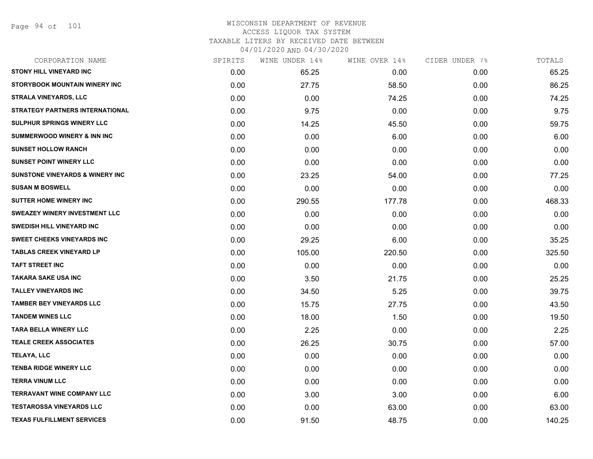Page 94 of 101

| CORPORATION NAME                           | SPIRITS | WINE UNDER 14% | WINE OVER 14% | CIDER UNDER 7% | TOTALS |
|--------------------------------------------|---------|----------------|---------------|----------------|--------|
| <b>STONY HILL VINEYARD INC</b>             | 0.00    | 65.25          | 0.00          | 0.00           | 65.25  |
| STORYBOOK MOUNTAIN WINERY INC              | 0.00    | 27.75          | 58.50         | 0.00           | 86.25  |
| <b>STRALA VINEYARDS, LLC</b>               | 0.00    | 0.00           | 74.25         | 0.00           | 74.25  |
| <b>STRATEGY PARTNERS INTERNATIONAL</b>     | 0.00    | 9.75           | 0.00          | 0.00           | 9.75   |
| SULPHUR SPRINGS WINERY LLC                 | 0.00    | 14.25          | 45.50         | 0.00           | 59.75  |
| <b>SUMMERWOOD WINERY &amp; INN INC</b>     | 0.00    | 0.00           | 6.00          | 0.00           | 6.00   |
| <b>SUNSET HOLLOW RANCH</b>                 | 0.00    | 0.00           | 0.00          | 0.00           | 0.00   |
| <b>SUNSET POINT WINERY LLC</b>             | 0.00    | 0.00           | 0.00          | 0.00           | 0.00   |
| <b>SUNSTONE VINEYARDS &amp; WINERY INC</b> | 0.00    | 23.25          | 54.00         | 0.00           | 77.25  |
| <b>SUSAN M BOSWELL</b>                     | 0.00    | 0.00           | 0.00          | 0.00           | 0.00   |
| <b>SUTTER HOME WINERY INC</b>              | 0.00    | 290.55         | 177.78        | 0.00           | 468.33 |
| <b>SWEAZEY WINERY INVESTMENT LLC</b>       | 0.00    | 0.00           | 0.00          | 0.00           | 0.00   |
| <b>SWEDISH HILL VINEYARD INC</b>           | 0.00    | 0.00           | 0.00          | 0.00           | 0.00   |
| <b>SWEET CHEEKS VINEYARDS INC</b>          | 0.00    | 29.25          | 6.00          | 0.00           | 35.25  |
| <b>TABLAS CREEK VINEYARD LP</b>            | 0.00    | 105.00         | 220.50        | 0.00           | 325.50 |
| <b>TAFT STREET INC</b>                     | 0.00    | 0.00           | 0.00          | 0.00           | 0.00   |
| <b>TAKARA SAKE USA INC</b>                 | 0.00    | 3.50           | 21.75         | 0.00           | 25.25  |
| <b>TALLEY VINEYARDS INC</b>                | 0.00    | 34.50          | 5.25          | 0.00           | 39.75  |
| <b>TAMBER BEY VINEYARDS LLC</b>            | 0.00    | 15.75          | 27.75         | 0.00           | 43.50  |
| <b>TANDEM WINES LLC</b>                    | 0.00    | 18.00          | 1.50          | 0.00           | 19.50  |
| <b>TARA BELLA WINERY LLC</b>               | 0.00    | 2.25           | 0.00          | 0.00           | 2.25   |
| <b>TEALE CREEK ASSOCIATES</b>              | 0.00    | 26.25          | 30.75         | 0.00           | 57.00  |
| TELAYA, LLC                                | 0.00    | 0.00           | 0.00          | 0.00           | 0.00   |
| <b>TENBA RIDGE WINERY LLC</b>              | 0.00    | 0.00           | 0.00          | 0.00           | 0.00   |
| <b>TERRA VINUM LLC</b>                     | 0.00    | 0.00           | 0.00          | 0.00           | 0.00   |
| <b>TERRAVANT WINE COMPANY LLC</b>          | 0.00    | 3.00           | 3.00          | 0.00           | 6.00   |
| <b>TESTAROSSA VINEYARDS LLC</b>            | 0.00    | 0.00           | 63.00         | 0.00           | 63.00  |
| <b>TEXAS FULFILLMENT SERVICES</b>          | 0.00    | 91.50          | 48.75         | 0.00           | 140.25 |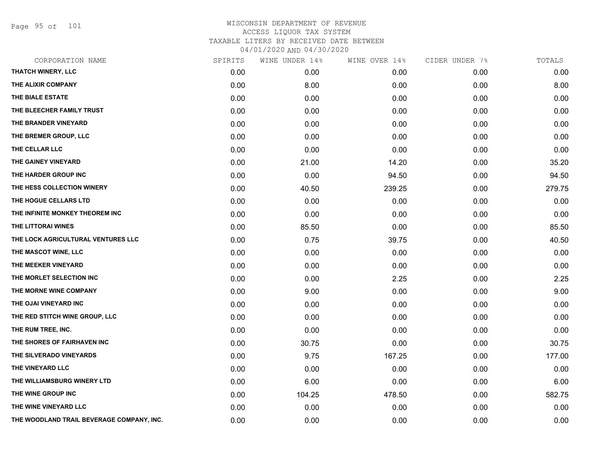Page 95 of 101

| CORPORATION NAME                          | SPIRITS | WINE UNDER 14% | WINE OVER 14% | CIDER UNDER 7% | TOTALS |
|-------------------------------------------|---------|----------------|---------------|----------------|--------|
| THATCH WINERY, LLC                        | 0.00    | 0.00           | 0.00          | 0.00           | 0.00   |
| THE ALIXIR COMPANY                        | 0.00    | 8.00           | 0.00          | 0.00           | 8.00   |
| THE BIALE ESTATE                          | 0.00    | 0.00           | 0.00          | 0.00           | 0.00   |
| THE BLEECHER FAMILY TRUST                 | 0.00    | 0.00           | 0.00          | 0.00           | 0.00   |
| THE BRANDER VINEYARD                      | 0.00    | 0.00           | 0.00          | 0.00           | 0.00   |
| THE BREMER GROUP, LLC                     | 0.00    | 0.00           | 0.00          | 0.00           | 0.00   |
| THE CELLAR LLC                            | 0.00    | 0.00           | 0.00          | 0.00           | 0.00   |
| THE GAINEY VINEYARD                       | 0.00    | 21.00          | 14.20         | 0.00           | 35.20  |
| THE HARDER GROUP INC                      | 0.00    | 0.00           | 94.50         | 0.00           | 94.50  |
| THE HESS COLLECTION WINERY                | 0.00    | 40.50          | 239.25        | 0.00           | 279.75 |
| THE HOGUE CELLARS LTD                     | 0.00    | 0.00           | 0.00          | 0.00           | 0.00   |
| THE INFINITE MONKEY THEOREM INC           | 0.00    | 0.00           | 0.00          | 0.00           | 0.00   |
| THE LITTORAI WINES                        | 0.00    | 85.50          | 0.00          | 0.00           | 85.50  |
| THE LOCK AGRICULTURAL VENTURES LLC        | 0.00    | 0.75           | 39.75         | 0.00           | 40.50  |
| THE MASCOT WINE, LLC                      | 0.00    | 0.00           | 0.00          | 0.00           | 0.00   |
| THE MEEKER VINEYARD                       | 0.00    | 0.00           | 0.00          | 0.00           | 0.00   |
| THE MORLET SELECTION INC                  | 0.00    | 0.00           | 2.25          | 0.00           | 2.25   |
| THE MORNE WINE COMPANY                    | 0.00    | 9.00           | 0.00          | 0.00           | 9.00   |
| THE OJAI VINEYARD INC                     | 0.00    | 0.00           | 0.00          | 0.00           | 0.00   |
| THE RED STITCH WINE GROUP, LLC            | 0.00    | 0.00           | 0.00          | 0.00           | 0.00   |
| THE RUM TREE, INC.                        | 0.00    | 0.00           | 0.00          | 0.00           | 0.00   |
| THE SHORES OF FAIRHAVEN INC               | 0.00    | 30.75          | 0.00          | 0.00           | 30.75  |
| THE SILVERADO VINEYARDS                   | 0.00    | 9.75           | 167.25        | 0.00           | 177.00 |
| THE VINEYARD LLC                          | 0.00    | 0.00           | 0.00          | 0.00           | 0.00   |
| THE WILLIAMSBURG WINERY LTD               | 0.00    | 6.00           | 0.00          | 0.00           | 6.00   |
| THE WINE GROUP INC                        | 0.00    | 104.25         | 478.50        | 0.00           | 582.75 |
| THE WINE VINEYARD LLC                     | 0.00    | 0.00           | 0.00          | 0.00           | 0.00   |
| THE WOODLAND TRAIL BEVERAGE COMPANY, INC. | 0.00    | 0.00           | 0.00          | 0.00           | 0.00   |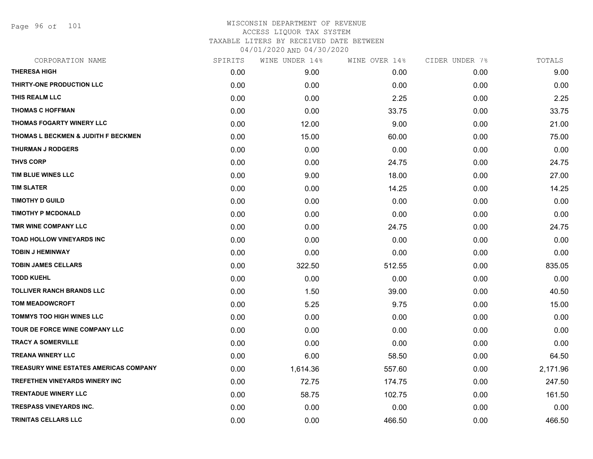Page 96 of 101

| CORPORATION NAME                              | SPIRITS | WINE UNDER 14% | WINE OVER 14% | CIDER UNDER 7% | TOTALS   |
|-----------------------------------------------|---------|----------------|---------------|----------------|----------|
| <b>THERESA HIGH</b>                           | 0.00    | 9.00           | 0.00          | 0.00           | 9.00     |
| THIRTY-ONE PRODUCTION LLC                     | 0.00    | 0.00           | 0.00          | 0.00           | 0.00     |
| THIS REALM LLC                                | 0.00    | 0.00           | 2.25          | 0.00           | 2.25     |
| <b>THOMAS C HOFFMAN</b>                       | 0.00    | 0.00           | 33.75         | 0.00           | 33.75    |
| <b>THOMAS FOGARTY WINERY LLC</b>              | 0.00    | 12.00          | 9.00          | 0.00           | 21.00    |
| THOMAS L BECKMEN & JUDITH F BECKMEN           | 0.00    | 15.00          | 60.00         | 0.00           | 75.00    |
| <b>THURMAN J RODGERS</b>                      | 0.00    | 0.00           | 0.00          | 0.00           | 0.00     |
| <b>THVS CORP</b>                              | 0.00    | 0.00           | 24.75         | 0.00           | 24.75    |
| TIM BLUE WINES LLC                            | 0.00    | 9.00           | 18.00         | 0.00           | 27.00    |
| <b>TIM SLATER</b>                             | 0.00    | 0.00           | 14.25         | 0.00           | 14.25    |
| <b>TIMOTHY D GUILD</b>                        | 0.00    | 0.00           | 0.00          | 0.00           | 0.00     |
| <b>TIMOTHY P MCDONALD</b>                     | 0.00    | 0.00           | 0.00          | 0.00           | 0.00     |
| TMR WINE COMPANY LLC                          | 0.00    | 0.00           | 24.75         | 0.00           | 24.75    |
| <b>TOAD HOLLOW VINEYARDS INC</b>              | 0.00    | 0.00           | 0.00          | 0.00           | 0.00     |
| <b>TOBIN J HEMINWAY</b>                       | 0.00    | 0.00           | 0.00          | 0.00           | 0.00     |
| <b>TOBIN JAMES CELLARS</b>                    | 0.00    | 322.50         | 512.55        | 0.00           | 835.05   |
| <b>TODD KUEHL</b>                             | 0.00    | 0.00           | 0.00          | 0.00           | 0.00     |
| <b>TOLLIVER RANCH BRANDS LLC</b>              | 0.00    | 1.50           | 39.00         | 0.00           | 40.50    |
| <b>TOM MEADOWCROFT</b>                        | 0.00    | 5.25           | 9.75          | 0.00           | 15.00    |
| <b>TOMMYS TOO HIGH WINES LLC</b>              | 0.00    | 0.00           | 0.00          | 0.00           | 0.00     |
| TOUR DE FORCE WINE COMPANY LLC                | 0.00    | 0.00           | 0.00          | 0.00           | 0.00     |
| <b>TRACY A SOMERVILLE</b>                     | 0.00    | 0.00           | 0.00          | 0.00           | 0.00     |
| <b>TREANA WINERY LLC</b>                      | 0.00    | 6.00           | 58.50         | 0.00           | 64.50    |
| <b>TREASURY WINE ESTATES AMERICAS COMPANY</b> | 0.00    | 1,614.36       | 557.60        | 0.00           | 2,171.96 |
| <b>TREFETHEN VINEYARDS WINERY INC</b>         | 0.00    | 72.75          | 174.75        | 0.00           | 247.50   |
| <b>TRENTADUE WINERY LLC</b>                   | 0.00    | 58.75          | 102.75        | 0.00           | 161.50   |
| <b>TRESPASS VINEYARDS INC.</b>                | 0.00    | 0.00           | 0.00          | 0.00           | 0.00     |
| TRINITAS CELLARS LLC                          | 0.00    | 0.00           | 466.50        | 0.00           | 466.50   |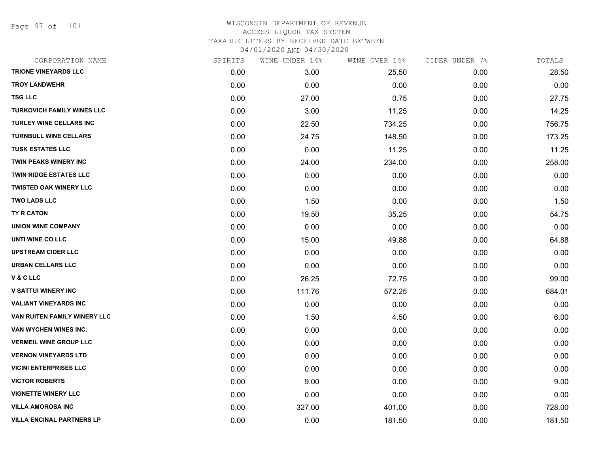Page 97 of 101

| CORPORATION NAME                  | SPIRITS | WINE UNDER 14% | WINE OVER 14% | CIDER UNDER 7% | TOTALS |
|-----------------------------------|---------|----------------|---------------|----------------|--------|
| <b>TRIONE VINEYARDS LLC</b>       | 0.00    | 3.00           | 25.50         | 0.00           | 28.50  |
| <b>TROY LANDWEHR</b>              | 0.00    | 0.00           | 0.00          | 0.00           | 0.00   |
| <b>TSG LLC</b>                    | 0.00    | 27.00          | 0.75          | 0.00           | 27.75  |
| <b>TURKOVICH FAMILY WINES LLC</b> | 0.00    | 3.00           | 11.25         | 0.00           | 14.25  |
| TURLEY WINE CELLARS INC           | 0.00    | 22.50          | 734.25        | 0.00           | 756.75 |
| <b>TURNBULL WINE CELLARS</b>      | 0.00    | 24.75          | 148.50        | 0.00           | 173.25 |
| <b>TUSK ESTATES LLC</b>           | 0.00    | 0.00           | 11.25         | 0.00           | 11.25  |
| TWIN PEAKS WINERY INC             | 0.00    | 24.00          | 234.00        | 0.00           | 258.00 |
| TWIN RIDGE ESTATES LLC            | 0.00    | 0.00           | 0.00          | 0.00           | 0.00   |
| <b>TWISTED OAK WINERY LLC</b>     | 0.00    | 0.00           | 0.00          | 0.00           | 0.00   |
| <b>TWO LADS LLC</b>               | 0.00    | 1.50           | 0.00          | 0.00           | 1.50   |
| TY R CATON                        | 0.00    | 19.50          | 35.25         | 0.00           | 54.75  |
| <b>UNION WINE COMPANY</b>         | 0.00    | 0.00           | 0.00          | 0.00           | 0.00   |
| UNTI WINE CO LLC                  | 0.00    | 15.00          | 49.88         | 0.00           | 64.88  |
| <b>UPSTREAM CIDER LLC</b>         | 0.00    | 0.00           | 0.00          | 0.00           | 0.00   |
| <b>URBAN CELLARS LLC</b>          | 0.00    | 0.00           | 0.00          | 0.00           | 0.00   |
| V & C LLC                         | 0.00    | 26.25          | 72.75         | 0.00           | 99.00  |
| <b>V SATTUI WINERY INC</b>        | 0.00    | 111.76         | 572.25        | 0.00           | 684.01 |
| <b>VALIANT VINEYARDS INC</b>      | 0.00    | 0.00           | 0.00          | 0.00           | 0.00   |
| VAN RUITEN FAMILY WINERY LLC      | 0.00    | 1.50           | 4.50          | 0.00           | 6.00   |
| VAN WYCHEN WINES INC.             | 0.00    | 0.00           | 0.00          | 0.00           | 0.00   |
| <b>VERMEIL WINE GROUP LLC</b>     | 0.00    | 0.00           | 0.00          | 0.00           | 0.00   |
| <b>VERNON VINEYARDS LTD</b>       | 0.00    | 0.00           | 0.00          | 0.00           | 0.00   |
| <b>VICINI ENTERPRISES LLC</b>     | 0.00    | 0.00           | 0.00          | 0.00           | 0.00   |
| <b>VICTOR ROBERTS</b>             | 0.00    | 9.00           | 0.00          | 0.00           | 9.00   |
| <b>VIGNETTE WINERY LLC</b>        | 0.00    | 0.00           | 0.00          | 0.00           | 0.00   |
| <b>VILLA AMOROSA INC</b>          | 0.00    | 327.00         | 401.00        | 0.00           | 728.00 |
| <b>VILLA ENCINAL PARTNERS LP</b>  | 0.00    | 0.00           | 181.50        | 0.00           | 181.50 |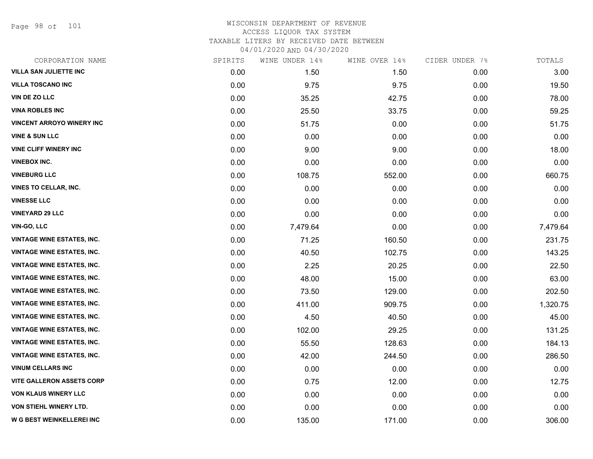Page 98 of 101

| CORPORATION NAME                  | SPIRITS | WINE UNDER 14% | WINE OVER 14% | CIDER UNDER 7% | TOTALS   |
|-----------------------------------|---------|----------------|---------------|----------------|----------|
| <b>VILLA SAN JULIETTE INC</b>     | 0.00    | 1.50           | 1.50          | 0.00           | 3.00     |
| <b>VILLA TOSCANO INC</b>          | 0.00    | 9.75           | 9.75          | 0.00           | 19.50    |
| <b>VIN DE ZO LLC</b>              | 0.00    | 35.25          | 42.75         | 0.00           | 78.00    |
| <b>VINA ROBLES INC</b>            | 0.00    | 25.50          | 33.75         | 0.00           | 59.25    |
| <b>VINCENT ARROYO WINERY INC</b>  | 0.00    | 51.75          | 0.00          | 0.00           | 51.75    |
| <b>VINE &amp; SUN LLC</b>         | 0.00    | 0.00           | 0.00          | 0.00           | 0.00     |
| <b>VINE CLIFF WINERY INC</b>      | 0.00    | 9.00           | 9.00          | 0.00           | 18.00    |
| <b>VINEBOX INC.</b>               | 0.00    | 0.00           | 0.00          | 0.00           | 0.00     |
| <b>VINEBURG LLC</b>               | 0.00    | 108.75         | 552.00        | 0.00           | 660.75   |
| <b>VINES TO CELLAR, INC.</b>      | 0.00    | 0.00           | 0.00          | 0.00           | 0.00     |
| <b>VINESSE LLC</b>                | 0.00    | 0.00           | 0.00          | 0.00           | 0.00     |
| <b>VINEYARD 29 LLC</b>            | 0.00    | 0.00           | 0.00          | 0.00           | 0.00     |
| <b>VIN-GO, LLC</b>                | 0.00    | 7,479.64       | 0.00          | 0.00           | 7,479.64 |
| <b>VINTAGE WINE ESTATES, INC.</b> | 0.00    | 71.25          | 160.50        | 0.00           | 231.75   |
| <b>VINTAGE WINE ESTATES, INC.</b> | 0.00    | 40.50          | 102.75        | 0.00           | 143.25   |
| <b>VINTAGE WINE ESTATES, INC.</b> | 0.00    | 2.25           | 20.25         | 0.00           | 22.50    |
| <b>VINTAGE WINE ESTATES, INC.</b> | 0.00    | 48.00          | 15.00         | 0.00           | 63.00    |
| <b>VINTAGE WINE ESTATES, INC.</b> | 0.00    | 73.50          | 129.00        | 0.00           | 202.50   |
| <b>VINTAGE WINE ESTATES, INC.</b> | 0.00    | 411.00         | 909.75        | 0.00           | 1,320.75 |
| <b>VINTAGE WINE ESTATES, INC.</b> | 0.00    | 4.50           | 40.50         | 0.00           | 45.00    |
| <b>VINTAGE WINE ESTATES, INC.</b> | 0.00    | 102.00         | 29.25         | 0.00           | 131.25   |
| <b>VINTAGE WINE ESTATES, INC.</b> | 0.00    | 55.50          | 128.63        | 0.00           | 184.13   |
| <b>VINTAGE WINE ESTATES, INC.</b> | 0.00    | 42.00          | 244.50        | 0.00           | 286.50   |
| <b>VINUM CELLARS INC</b>          | 0.00    | 0.00           | 0.00          | 0.00           | 0.00     |
| <b>VITE GALLERON ASSETS CORP</b>  | 0.00    | 0.75           | 12.00         | 0.00           | 12.75    |
| <b>VON KLAUS WINERY LLC</b>       | 0.00    | 0.00           | 0.00          | 0.00           | 0.00     |
| <b>VON STIEHL WINERY LTD.</b>     | 0.00    | 0.00           | 0.00          | 0.00           | 0.00     |
| <b>W G BEST WEINKELLEREI INC</b>  | 0.00    | 135.00         | 171.00        | 0.00           | 306.00   |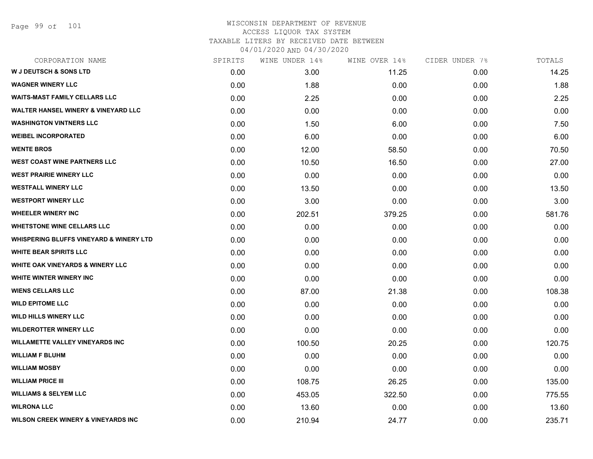| CORPORATION NAME                                   | SPIRITS | WINE UNDER 14% | WINE OVER 14% | CIDER UNDER 7% | TOTALS |
|----------------------------------------------------|---------|----------------|---------------|----------------|--------|
| <b>W J DEUTSCH &amp; SONS LTD</b>                  | 0.00    | 3.00           | 11.25         | 0.00           | 14.25  |
| <b>WAGNER WINERY LLC</b>                           | 0.00    | 1.88           | 0.00          | 0.00           | 1.88   |
| <b>WAITS-MAST FAMILY CELLARS LLC</b>               | 0.00    | 2.25           | 0.00          | 0.00           | 2.25   |
| <b>WALTER HANSEL WINERY &amp; VINEYARD LLC</b>     | 0.00    | 0.00           | 0.00          | 0.00           | 0.00   |
| <b>WASHINGTON VINTNERS LLC</b>                     | 0.00    | 1.50           | 6.00          | 0.00           | 7.50   |
| <b>WEIBEL INCORPORATED</b>                         | 0.00    | 6.00           | 0.00          | 0.00           | 6.00   |
| <b>WENTE BROS</b>                                  | 0.00    | 12.00          | 58.50         | 0.00           | 70.50  |
| <b>WEST COAST WINE PARTNERS LLC</b>                | 0.00    | 10.50          | 16.50         | 0.00           | 27.00  |
| <b>WEST PRAIRIE WINERY LLC</b>                     | 0.00    | 0.00           | 0.00          | 0.00           | 0.00   |
| <b>WESTFALL WINERY LLC</b>                         | 0.00    | 13.50          | 0.00          | 0.00           | 13.50  |
| <b>WESTPORT WINERY LLC</b>                         | 0.00    | 3.00           | 0.00          | 0.00           | 3.00   |
| <b>WHEELER WINERY INC</b>                          | 0.00    | 202.51         | 379.25        | 0.00           | 581.76 |
| <b>WHETSTONE WINE CELLARS LLC</b>                  | 0.00    | 0.00           | 0.00          | 0.00           | 0.00   |
| <b>WHISPERING BLUFFS VINEYARD &amp; WINERY LTD</b> | 0.00    | 0.00           | 0.00          | 0.00           | 0.00   |
| <b>WHITE BEAR SPIRITS LLC</b>                      | 0.00    | 0.00           | 0.00          | 0.00           | 0.00   |
| WHITE OAK VINEYARDS & WINERY LLC                   | 0.00    | 0.00           | 0.00          | 0.00           | 0.00   |
| WHITE WINTER WINERY INC                            | 0.00    | 0.00           | 0.00          | 0.00           | 0.00   |
| <b>WIENS CELLARS LLC</b>                           | 0.00    | 87.00          | 21.38         | 0.00           | 108.38 |
| <b>WILD EPITOME LLC</b>                            | 0.00    | 0.00           | 0.00          | 0.00           | 0.00   |
| <b>WILD HILLS WINERY LLC</b>                       | 0.00    | 0.00           | 0.00          | 0.00           | 0.00   |
| <b>WILDEROTTER WINERY LLC</b>                      | 0.00    | 0.00           | 0.00          | 0.00           | 0.00   |
| <b>WILLAMETTE VALLEY VINEYARDS INC</b>             | 0.00    | 100.50         | 20.25         | 0.00           | 120.75 |
| <b>WILLIAM F BLUHM</b>                             | 0.00    | 0.00           | 0.00          | 0.00           | 0.00   |
| <b>WILLIAM MOSBY</b>                               | 0.00    | 0.00           | 0.00          | 0.00           | 0.00   |
| <b>WILLIAM PRICE III</b>                           | 0.00    | 108.75         | 26.25         | 0.00           | 135.00 |
| <b>WILLIAMS &amp; SELYEM LLC</b>                   | 0.00    | 453.05         | 322.50        | 0.00           | 775.55 |
| <b>WILRONA LLC</b>                                 | 0.00    | 13.60          | 0.00          | 0.00           | 13.60  |
| <b>WILSON CREEK WINERY &amp; VINEYARDS INC</b>     | 0.00    | 210.94         | 24.77         | 0.00           | 235.71 |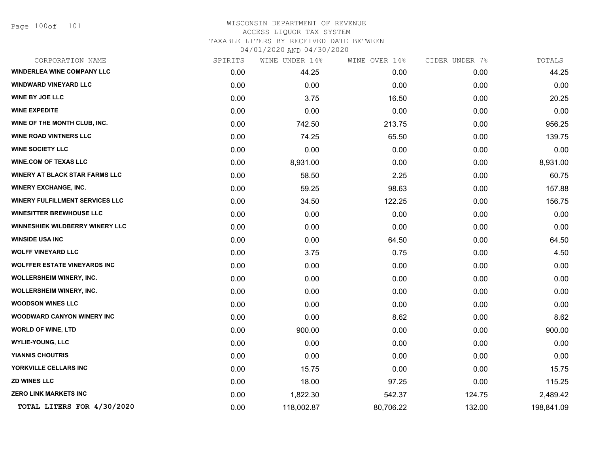Page 100of 101

| CORPORATION NAME                       | SPIRITS | WINE UNDER 14% | WINE OVER 14% | CIDER UNDER 7% | TOTALS     |
|----------------------------------------|---------|----------------|---------------|----------------|------------|
| <b>WINDERLEA WINE COMPANY LLC</b>      | 0.00    | 44.25          | 0.00          | 0.00           | 44.25      |
| <b>WINDWARD VINEYARD LLC</b>           | 0.00    | 0.00           | 0.00          | 0.00           | 0.00       |
| <b>WINE BY JOE LLC</b>                 | 0.00    | 3.75           | 16.50         | 0.00           | 20.25      |
| <b>WINE EXPEDITE</b>                   | 0.00    | 0.00           | 0.00          | 0.00           | 0.00       |
| WINE OF THE MONTH CLUB, INC.           | 0.00    | 742.50         | 213.75        | 0.00           | 956.25     |
| <b>WINE ROAD VINTNERS LLC</b>          | 0.00    | 74.25          | 65.50         | 0.00           | 139.75     |
| <b>WINE SOCIETY LLC</b>                | 0.00    | 0.00           | 0.00          | 0.00           | 0.00       |
| <b>WINE.COM OF TEXAS LLC</b>           | 0.00    | 8,931.00       | 0.00          | 0.00           | 8,931.00   |
| <b>WINERY AT BLACK STAR FARMS LLC</b>  | 0.00    | 58.50          | 2.25          | 0.00           | 60.75      |
| <b>WINERY EXCHANGE, INC.</b>           | 0.00    | 59.25          | 98.63         | 0.00           | 157.88     |
| <b>WINERY FULFILLMENT SERVICES LLC</b> | 0.00    | 34.50          | 122.25        | 0.00           | 156.75     |
| <b>WINESITTER BREWHOUSE LLC</b>        | 0.00    | 0.00           | 0.00          | 0.00           | 0.00       |
| <b>WINNESHIEK WILDBERRY WINERY LLC</b> | 0.00    | 0.00           | 0.00          | 0.00           | 0.00       |
| <b>WINSIDE USA INC</b>                 | 0.00    | 0.00           | 64.50         | 0.00           | 64.50      |
| <b>WOLFF VINEYARD LLC</b>              | 0.00    | 3.75           | 0.75          | 0.00           | 4.50       |
| <b>WOLFFER ESTATE VINEYARDS INC</b>    | 0.00    | 0.00           | 0.00          | 0.00           | 0.00       |
| <b>WOLLERSHEIM WINERY, INC.</b>        | 0.00    | 0.00           | 0.00          | 0.00           | 0.00       |
| <b>WOLLERSHEIM WINERY, INC.</b>        | 0.00    | 0.00           | 0.00          | 0.00           | 0.00       |
| <b>WOODSON WINES LLC</b>               | 0.00    | 0.00           | 0.00          | 0.00           | 0.00       |
| WOODWARD CANYON WINERY INC             | 0.00    | 0.00           | 8.62          | 0.00           | 8.62       |
| <b>WORLD OF WINE, LTD</b>              | 0.00    | 900.00         | 0.00          | 0.00           | 900.00     |
| <b>WYLIE-YOUNG, LLC</b>                | 0.00    | 0.00           | 0.00          | 0.00           | 0.00       |
| <b>YIANNIS CHOUTRIS</b>                | 0.00    | 0.00           | 0.00          | 0.00           | 0.00       |
| YORKVILLE CELLARS INC                  | 0.00    | 15.75          | 0.00          | 0.00           | 15.75      |
| <b>ZD WINES LLC</b>                    | 0.00    | 18.00          | 97.25         | 0.00           | 115.25     |
| <b>ZERO LINK MARKETS INC</b>           | 0.00    | 1,822.30       | 542.37        | 124.75         | 2,489.42   |
| TOTAL LITERS FOR 4/30/2020             | 0.00    | 118,002.87     | 80,706.22     | 132.00         | 198,841.09 |